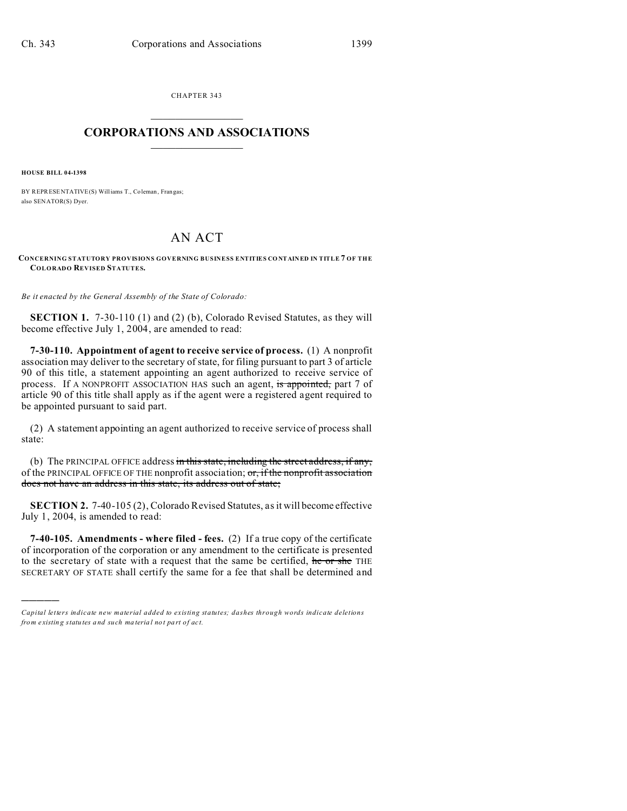CHAPTER 343  $\overline{\phantom{a}}$  , where  $\overline{\phantom{a}}$ 

## **CORPORATIONS AND ASSOCIATIONS**  $\_$   $\_$   $\_$   $\_$   $\_$   $\_$   $\_$   $\_$   $\_$

**HOUSE BILL 04-1398**

)))))

BY REPRESENTATIVE(S) Williams T., Coleman, Frangas; also SENATOR(S) Dyer.

# AN ACT

#### **CONCERNING STATUTORY PROVISIONS GOVERNING BUSINESS ENTITIES CO NTAINED IN TITLE 7 OF THE COLORADO REVISED STATUTES.**

*Be it enacted by the General Assembly of the State of Colorado:*

**SECTION 1.** 7-30-110 (1) and (2) (b), Colorado Revised Statutes, as they will become effective July 1, 2004, are amended to read:

**7-30-110. Appointment of agent to receive service of process.** (1) A nonprofit association may deliver to the secretary of state, for filing pursuant to part 3 of article 90 of this title, a statement appointing an agent authorized to receive service of process. If A NONPROFIT ASSOCIATION HAS such an agent, is appointed, part 7 of article 90 of this title shall apply as if the agent were a registered agent required to be appointed pursuant to said part.

(2) A statement appointing an agent authorized to receive service of process shall state:

(b) The PRINCIPAL OFFICE address in this state, including the street address, if any, of the PRINCIPAL OFFICE OF THE nonprofit association; or, if the nonprofit association does not have an address in this state, its address out of state;

**SECTION 2.** 7-40-105 (2), Colorado Revised Statutes, as it will become effective July 1, 2004, is amended to read:

**7-40-105. Amendments - where filed - fees.** (2) If a true copy of the certificate of incorporation of the corporation or any amendment to the certificate is presented to the secretary of state with a request that the same be certified, he or she THE SECRETARY OF STATE shall certify the same for a fee that shall be determined and

*Capital letters indicate new material added to existing statutes; dashes through words indicate deletions from e xistin g statu tes a nd such ma teria l no t pa rt of ac t.*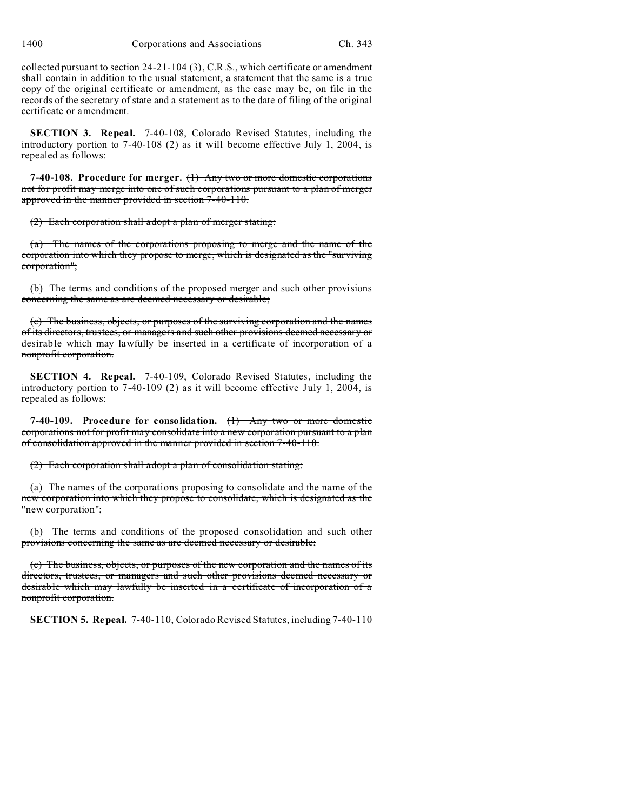collected pursuant to section 24-21-104 (3), C.R.S., which certificate or amendment shall contain in addition to the usual statement, a statement that the same is a true copy of the original certificate or amendment, as the case may be, on file in the records of the secretary of state and a statement as to the date of filing of the original certificate or amendment.

**SECTION 3. Repeal.** 7-40-108, Colorado Revised Statutes, including the introductory portion to 7-40-108 (2) as it will become effective July 1, 2004, is repealed as follows:

**7-40-108. Procedure for merger.** (1) Any two or more domestic corporations not for profit may merge into one of such corporations pursuant to a plan of merger approved in the manner provided in section 7-40-110.

(2) Each corporation shall adopt a plan of merger stating:

(a) The names of the corporations proposing to merge and the name of the corporation into which they propose to merge, which is designated as the "surviving corporation";

(b) The terms and conditions of the proposed merger and such other provisions concerning the same as are deemed necessary or desirable;

(c) The business, objects, or purposes of the surviving corporation and the names of its directors, trustees, or managers and such other provisions deemed necessary or desirable which may lawfully be inserted in a certificate of incorporation of a nonprofit corporation.

**SECTION 4. Repeal.** 7-40-109, Colorado Revised Statutes, including the introductory portion to 7-40-109 (2) as it will become effective July 1, 2004, is repealed as follows:

**7-40-109. Procedure for consolidation.** (1) Any two or more domestic corporations not for profit may consolidate into a new corporation pursuant to a plan of consolidation approved in the manner provided in section 7-40-110.

(2) Each corporation shall adopt a plan of consolidation stating:

(a) The names of the corporations proposing to consolidate and the name of the new corporation into which they propose to consolidate, which is designated as the "new corporation";

(b) The terms and conditions of the proposed consolidation and such other provisions concerning the same as are deemed necessary or desirable;

(c) The business, objects, or purposes of the new corporation and the names of its directors, trustees, or managers and such other provisions deemed necessary or desirable which may lawfully be inserted in a certificate of incorporation of a nonprofit corporation.

**SECTION 5. Repeal.** 7-40-110, Colorado Revised Statutes, including 7-40-110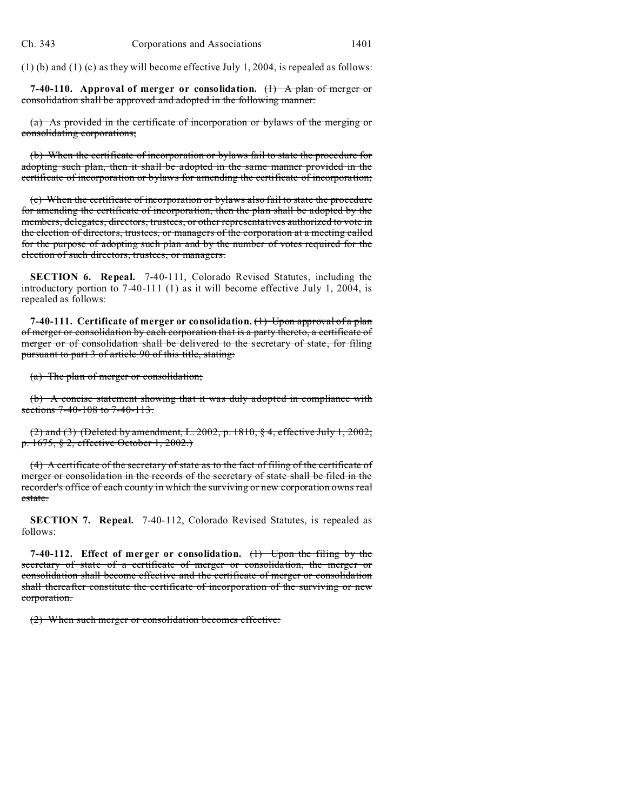(1) (b) and (1) (c) as they will become effective July 1, 2004, is repealed as follows:

**7-40-110. Approval of merger or consolidation.** (1) A plan of merger or consolidation shall be approved and adopted in the following manner:

(a) As provided in the certificate of incorporation or bylaws of the merging or consolidating corporations;

(b) When the certificate of incorporation or bylaws fail to state the procedure for adopting such plan, then it shall be adopted in the same manner provided in the certificate of incorporation or bylaws for amending the certificate of incorporation;

(c) When the certificate of incorporation or bylaws also fail to state the procedure for amending the certificate of incorporation, then the plan shall be adopted by the members, delegates, directors, trustees, or other representatives authorized to vote in the election of directors, trustees, or managers of the corporation at a meeting called for the purpose of adopting such plan and by the number of votes required for the election of such directors, trustees, or managers.

**SECTION 6. Repeal.** 7-40-111, Colorado Revised Statutes, including the introductory portion to 7-40-111 (1) as it will become effective July 1, 2004, is repealed as follows:

**7-40-111. Certificate of merger or consolidation.** (1) Upon approval of a plan of merger or consolidation by each corporation that is a party thereto, a certificate of merger or of consolidation shall be delivered to the secretary of state, for filing pursuant to part 3 of article 90 of this title, stating:

(a) The plan of merger or consolidation;

(b) A concise statement showing that it was duly adopted in compliance with sections 7-40-108 to 7-40-113.

 $(2)$  and  $(3)$  (Deleted by amendment, L. 2002, p. 1810, § 4, effective July 1, 2002; p. 1675, § 2, effective October 1, 2002.)

(4) A certificate of the secretary of state as to the fact of filing of the certificate of merger or consolidation in the records of the secretary of state shall be filed in the recorder's office of each county in which the surviving or new corporation owns real estate.

**SECTION 7. Repeal.** 7-40-112, Colorado Revised Statutes, is repealed as follows:

**7-40-112. Effect of merger or consolidation.** (1) Upon the filing by the secretary of state of a certificate of merger or consolidation, the merger or consolidation shall become effective and the certificate of merger or consolidation shall thereafter constitute the certificate of incorporation of the surviving or new corporation.

(2) When such merger or consolidation becomes effective: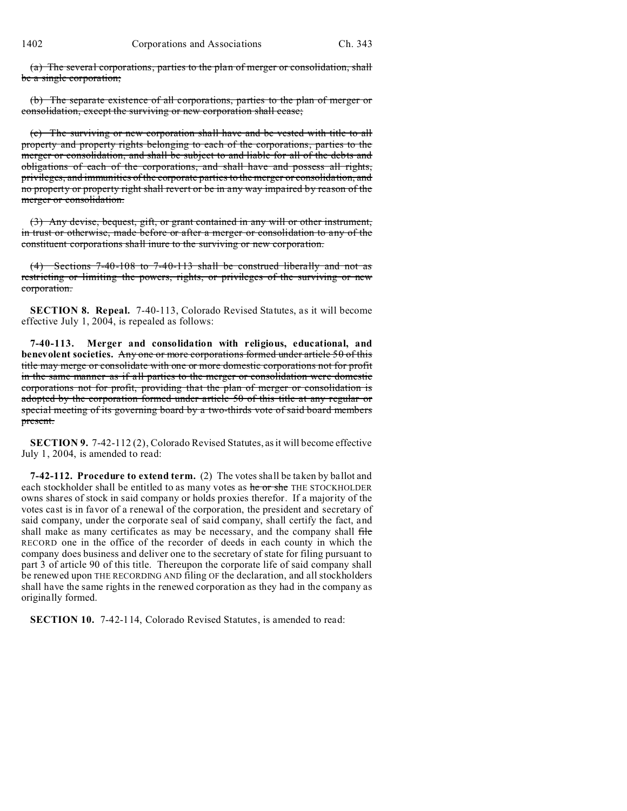(a) The several corporations, parties to the plan of merger or consolidation, shall be a single corporation;

(b) The separate existence of all corporations, parties to the plan of merger or consolidation, except the surviving or new corporation shall cease;

(c) The surviving or new corporation shall have and be vested with title to all property and property rights belonging to each of the corporations, parties to the merger or consolidation, and shall be subject to and liable for all of the debts and obligations of each of the corporations, and shall have and possess all rights, privileges, and immunities of the corporate parties to the merger or consolidation, and no property or property right shall revert or be in any way impaired by reason of the merger or consolidation.

(3) Any devise, bequest, gift, or grant contained in any will or other instrument, in trust or otherwise, made before or after a merger or consolidation to any of the constituent corporations shall inure to the surviving or new corporation.

(4) Sections 7-40-108 to 7-40-113 shall be construed liberally and not as restricting or limiting the powers, rights, or privileges of the surviving or new corporation.

**SECTION 8. Repeal.** 7-40-113, Colorado Revised Statutes, as it will become effective July 1, 2004, is repealed as follows:

**7-40-113. Merger and consolidation with religious, educational, and benevolent societies.** Any one or more corporations formed under article 50 of this title may merge or consolidate with one or more domestic corporations not for profit in the same manner as if all parties to the merger or consolidation were domestic corporations not for profit, providing that the plan of merger or consolidation is adopted by the corporation formed under article 50 of this title at any regular or special meeting of its governing board by a two-thirds vote of said board members present.

**SECTION 9.** 7-42-112 (2), Colorado Revised Statutes, as it will become effective July 1, 2004, is amended to read:

**7-42-112. Procedure to extend term.** (2) The votes shall be taken by ballot and each stockholder shall be entitled to as many votes as he or she THE STOCKHOLDER owns shares of stock in said company or holds proxies therefor. If a majority of the votes cast is in favor of a renewal of the corporation, the president and secretary of said company, under the corporate seal of said company, shall certify the fact, and shall make as many certificates as may be necessary, and the company shall file RECORD one in the office of the recorder of deeds in each county in which the company does business and deliver one to the secretary of state for filing pursuant to part 3 of article 90 of this title. Thereupon the corporate life of said company shall be renewed upon THE RECORDING AND filing OF the declaration, and all stockholders shall have the same rights in the renewed corporation as they had in the company as originally formed.

**SECTION 10.** 7-42-114, Colorado Revised Statutes, is amended to read: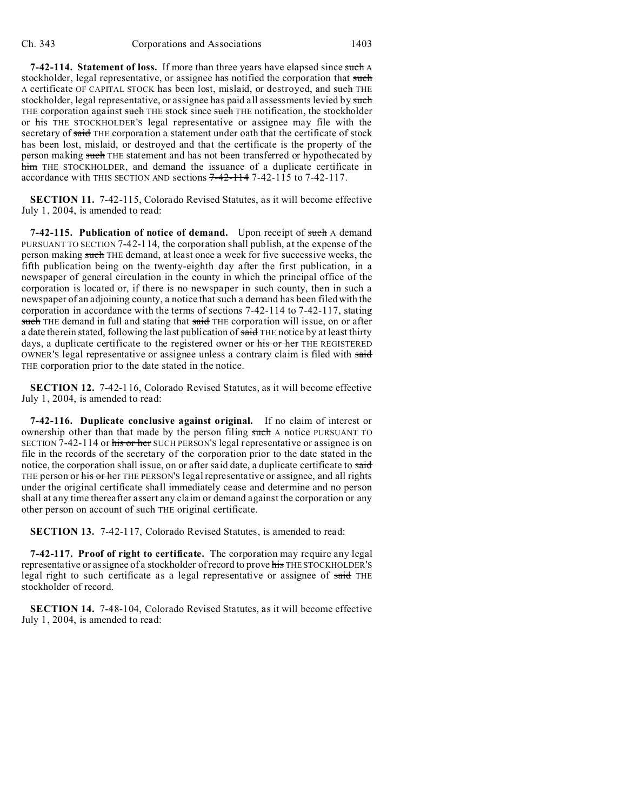**7-42-114. Statement of loss.** If more than three years have elapsed since such A stockholder, legal representative, or assignee has notified the corporation that such A certificate OF CAPITAL STOCK has been lost, mislaid, or destroyed, and such THE stockholder, legal representative, or assignee has paid all assessments levied by such THE corporation against such THE stock since such THE notification, the stockholder or his THE STOCKHOLDER'S legal representative or assignee may file with the secretary of said THE corporation a statement under oath that the certificate of stock has been lost, mislaid, or destroyed and that the certificate is the property of the person making such THE statement and has not been transferred or hypothecated by him THE STOCKHOLDER, and demand the issuance of a duplicate certificate in accordance with THIS SECTION AND sections 7-42-114 7-42-115 to 7-42-117.

**SECTION 11.** 7-42-115, Colorado Revised Statutes, as it will become effective July 1, 2004, is amended to read:

**7-42-115. Publication of notice of demand.** Upon receipt of such A demand PURSUANT TO SECTION 7-42-114, the corporation shall publish, at the expense of the person making such THE demand, at least once a week for five successive weeks, the fifth publication being on the twenty-eighth day after the first publication, in a newspaper of general circulation in the county in which the principal office of the corporation is located or, if there is no newspaper in such county, then in such a newspaper of an adjoining county, a notice that such a demand has been filed with the corporation in accordance with the terms of sections 7-42-114 to 7-42-117, stating such THE demand in full and stating that said THE corporation will issue, on or after a date therein stated, following the last publication of said THE notice by at least thirty days, a duplicate certificate to the registered owner or his or her THE REGISTERED OWNER'S legal representative or assignee unless a contrary claim is filed with said THE corporation prior to the date stated in the notice.

**SECTION 12.** 7-42-116, Colorado Revised Statutes, as it will become effective July 1, 2004, is amended to read:

**7-42-116. Duplicate conclusive against original.** If no claim of interest or ownership other than that made by the person filing such A notice PURSUANT TO SECTION 7-42-114 or his or her SUCH PERSON'S legal representative or assignee is on file in the records of the secretary of the corporation prior to the date stated in the notice, the corporation shall issue, on or after said date, a duplicate certificate to said THE person or his or her THE PERSON'S legal representative or assignee, and all rights under the original certificate shall immediately cease and determine and no person shall at any time thereafter assert any claim or demand against the corporation or any other person on account of such THE original certificate.

**SECTION 13.** 7-42-117, Colorado Revised Statutes, is amended to read:

**7-42-117. Proof of right to certificate.** The corporation may require any legal representative or assignee of a stockholder of record to prove his THE STOCKHOLDER'S legal right to such certificate as a legal representative or assignee of said THE stockholder of record.

**SECTION 14.** 7-48-104, Colorado Revised Statutes, as it will become effective July 1, 2004, is amended to read: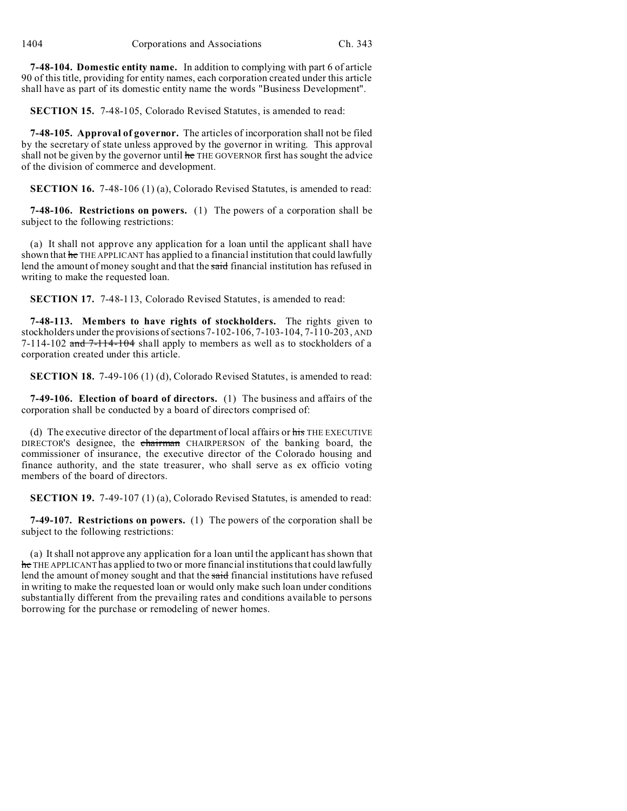**7-48-104. Domestic entity name.** In addition to complying with part 6 of article 90 of this title, providing for entity names, each corporation created under this article shall have as part of its domestic entity name the words "Business Development".

**SECTION 15.** 7-48-105, Colorado Revised Statutes, is amended to read:

**7-48-105. Approval of governor.** The articles of incorporation shall not be filed by the secretary of state unless approved by the governor in writing. This approval shall not be given by the governor until he THE GOVERNOR first has sought the advice of the division of commerce and development.

**SECTION 16.** 7-48-106 (1) (a), Colorado Revised Statutes, is amended to read:

**7-48-106. Restrictions on powers.** (1) The powers of a corporation shall be subject to the following restrictions:

(a) It shall not approve any application for a loan until the applicant shall have shown that he THE APPLICANT has applied to a financial institution that could lawfully lend the amount of money sought and that the said financial institution has refused in writing to make the requested loan.

**SECTION 17.** 7-48-113, Colorado Revised Statutes, is amended to read:

**7-48-113. Members to have rights of stockholders.** The rights given to stockholders under the provisions of sections 7-102-106, 7-103-104, 7-110-203, AND 7-114-102 and 7-114-104 shall apply to members as well as to stockholders of a corporation created under this article.

**SECTION 18.** 7-49-106 (1) (d), Colorado Revised Statutes, is amended to read:

**7-49-106. Election of board of directors.** (1) The business and affairs of the corporation shall be conducted by a board of directors comprised of:

(d) The executive director of the department of local affairs or his THE EXECUTIVE DIRECTOR'S designee, the chairman CHAIRPERSON of the banking board, the commissioner of insurance, the executive director of the Colorado housing and finance authority, and the state treasurer, who shall serve as ex officio voting members of the board of directors.

**SECTION 19.** 7-49-107 (1) (a), Colorado Revised Statutes, is amended to read:

**7-49-107. Restrictions on powers.** (1) The powers of the corporation shall be subject to the following restrictions:

(a) It shall not approve any application for a loan until the applicant has shown that he THE APPLICANT has applied to two or more financial institutions that could lawfully lend the amount of money sought and that the said financial institutions have refused in writing to make the requested loan or would only make such loan under conditions substantially different from the prevailing rates and conditions available to persons borrowing for the purchase or remodeling of newer homes.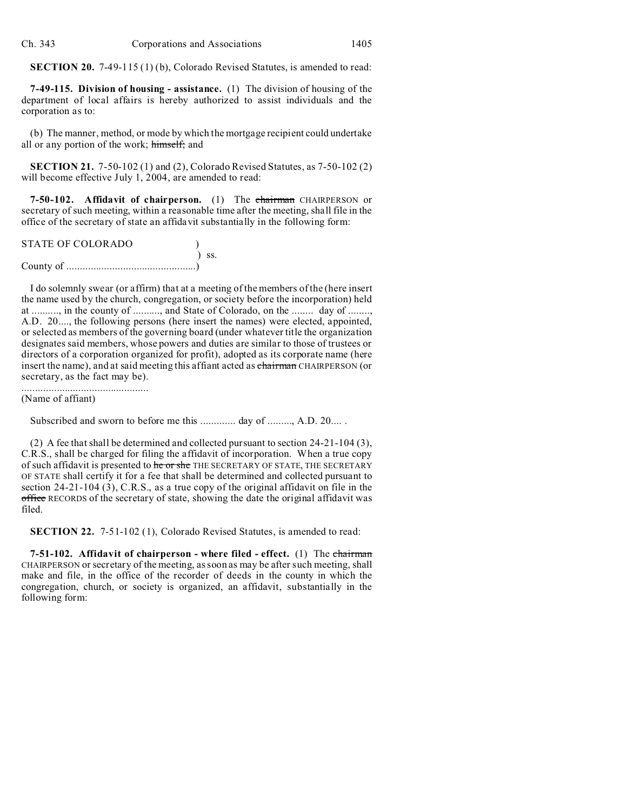**SECTION 20.** 7-49-115 (1) (b), Colorado Revised Statutes, is amended to read:

**7-49-115. Division of housing - assistance.** (1) The division of housing of the department of local affairs is hereby authorized to assist individuals and the corporation as to:

(b) The manner, method, or mode by which the mortgage recipient could undertake all or any portion of the work; himself; and

**SECTION 21.** 7-50-102 (1) and (2), Colorado Revised Statutes, as 7-50-102 (2) will become effective July 1, 2004, are amended to read:

**7-50-102. Affidavit of chairperson.** (1) The chairman CHAIRPERSON or secretary of such meeting, within a reasonable time after the meeting, shall file in the office of the secretary of state an affidavit substantially in the following form:

| <b>STATE OF COLORADO</b> |            |
|--------------------------|------------|
|                          | $\sum$ SS. |
|                          |            |

I do solemnly swear (or affirm) that at a meeting of the members of the (here insert the name used by the church, congregation, or society before the incorporation) held at .........., in the county of .........., and State of Colorado, on the ........ day of ........, A.D. 20...., the following persons (here insert the names) were elected, appointed, or selected as members of the governing board (under whatever title the organization designates said members, whose powers and duties are similar to those of trustees or directors of a corporation organized for profit), adopted as its corporate name (here insert the name), and at said meeting this affiant acted as chairman CHAIRPERSON (or secretary, as the fact may be).

............................................... (Name of affiant)

Subscribed and sworn to before me this .............. day of ........, A.D. 20.....

(2) A fee that shall be determined and collected pursuant to section 24-21-104 (3), C.R.S., shall be charged for filing the affidavit of incorporation. When a true copy of such affidavit is presented to he or she THE SECRETARY OF STATE, THE SECRETARY OF STATE shall certify it for a fee that shall be determined and collected pursuant to section 24-21-104 (3), C.R.S., as a true copy of the original affidavit on file in the office RECORDS of the secretary of state, showing the date the original affidavit was filed.

**SECTION 22.** 7-51-102 (1), Colorado Revised Statutes, is amended to read:

**7-51-102. Affidavit of chairperson - where filed - effect.** (1) The chairman CHAIRPERSON or secretary of the meeting, as soon as may be after such meeting, shall make and file, in the office of the recorder of deeds in the county in which the congregation, church, or society is organized, an affidavit, substantially in the following form: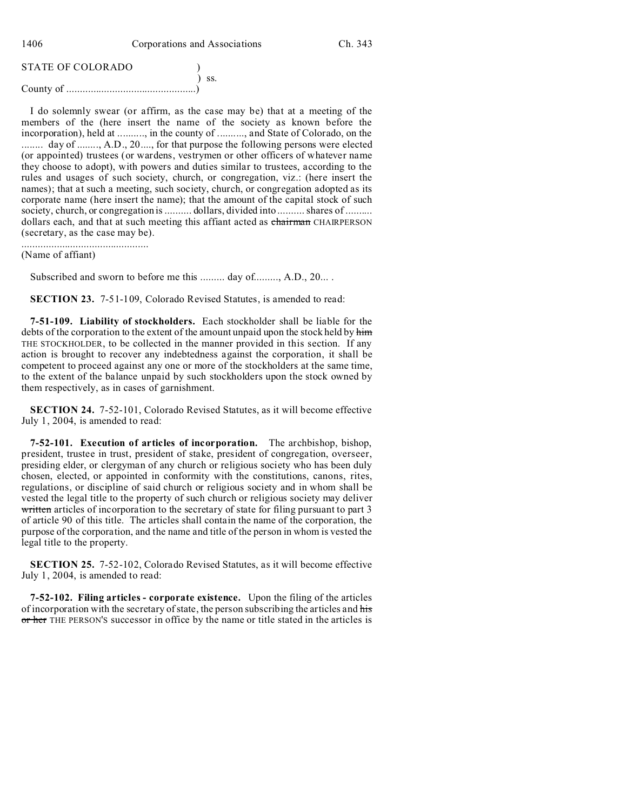1406 Corporations and Associations Ch. 343

| <b>STATE OF COLORADO</b> |            |
|--------------------------|------------|
|                          | $\sum$ SS. |
|                          |            |

I do solemnly swear (or affirm, as the case may be) that at a meeting of the members of the (here insert the name of the society as known before the incorporation), held at .........., in the county of .........., and State of Colorado, on the ........ day of ........, A.D., 20...., for that purpose the following persons were elected (or appointed) trustees (or wardens, vestrymen or other officers of whatever name they choose to adopt), with powers and duties similar to trustees, according to the rules and usages of such society, church, or congregation, viz.: (here insert the names); that at such a meeting, such society, church, or congregation adopted as its corporate name (here insert the name); that the amount of the capital stock of such society, church, or congregation is .......... dollars, divided into .......... shares of ......... dollars each, and that at such meeting this affiant acted as chairman CHAIRPERSON (secretary, as the case may be).

............................................... (Name of affiant)

Subscribed and sworn to before me this ......... day of........., A.D., 20....

**SECTION 23.** 7-51-109, Colorado Revised Statutes, is amended to read:

**7-51-109. Liability of stockholders.** Each stockholder shall be liable for the debts of the corporation to the extent of the amount unpaid upon the stock held by him THE STOCKHOLDER, to be collected in the manner provided in this section. If any action is brought to recover any indebtedness against the corporation, it shall be competent to proceed against any one or more of the stockholders at the same time, to the extent of the balance unpaid by such stockholders upon the stock owned by them respectively, as in cases of garnishment.

**SECTION 24.** 7-52-101, Colorado Revised Statutes, as it will become effective July 1, 2004, is amended to read:

**7-52-101. Execution of articles of incorporation.** The archbishop, bishop, president, trustee in trust, president of stake, president of congregation, overseer, presiding elder, or clergyman of any church or religious society who has been duly chosen, elected, or appointed in conformity with the constitutions, canons, rites, regulations, or discipline of said church or religious society and in whom shall be vested the legal title to the property of such church or religious society may deliver written articles of incorporation to the secretary of state for filing pursuant to part 3 of article 90 of this title. The articles shall contain the name of the corporation, the purpose of the corporation, and the name and title of the person in whom is vested the legal title to the property.

**SECTION 25.** 7-52-102, Colorado Revised Statutes, as it will become effective July 1, 2004, is amended to read:

**7-52-102. Filing articles - corporate existence.** Upon the filing of the articles of incorporation with the secretary of state, the person subscribing the articles and his or her THE PERSON'S successor in office by the name or title stated in the articles is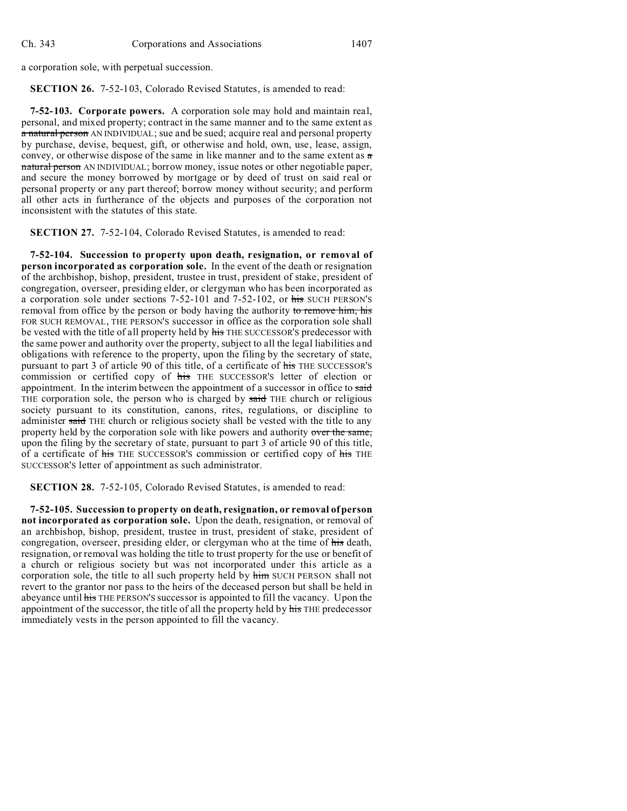a corporation sole, with perpetual succession.

**SECTION 26.** 7-52-103, Colorado Revised Statutes, is amended to read:

**7-52-103. Corporate powers.** A corporation sole may hold and maintain real, personal, and mixed property; contract in the same manner and to the same extent as a natural person AN INDIVIDUAL; sue and be sued; acquire real and personal property by purchase, devise, bequest, gift, or otherwise and hold, own, use, lease, assign, convey, or otherwise dispose of the same in like manner and to the same extent as  $\alpha$ natural person AN INDIVIDUAL; borrow money, issue notes or other negotiable paper, and secure the money borrowed by mortgage or by deed of trust on said real or personal property or any part thereof; borrow money without security; and perform all other acts in furtherance of the objects and purposes of the corporation not inconsistent with the statutes of this state.

**SECTION 27.** 7-52-104, Colorado Revised Statutes, is amended to read:

**7-52-104. Succession to property upon death, resignation, or removal of person incorporated as corporation sole.** In the event of the death or resignation of the archbishop, bishop, president, trustee in trust, president of stake, president of congregation, overseer, presiding elder, or clergyman who has been incorporated as a corporation sole under sections 7-52-101 and 7-52-102, or his SUCH PERSON'S removal from office by the person or body having the authority to remove him, his FOR SUCH REMOVAL, THE PERSON'S successor in office as the corporation sole shall be vested with the title of all property held by his THE SUCCESSOR'S predecessor with the same power and authority over the property, subject to all the legal liabilities and obligations with reference to the property, upon the filing by the secretary of state, pursuant to part 3 of article 90 of this title, of a certificate of his THE SUCCESSOR'S commission or certified copy of his THE SUCCESSOR'S letter of election or appointment. In the interim between the appointment of a successor in office to said THE corporation sole, the person who is charged by said THE church or religious society pursuant to its constitution, canons, rites, regulations, or discipline to administer said THE church or religious society shall be vested with the title to any property held by the corporation sole with like powers and authority over the same, upon the filing by the secretary of state, pursuant to part 3 of article 90 of this title, of a certificate of his THE SUCCESSOR'S commission or certified copy of his THE SUCCESSOR'S letter of appointment as such administrator.

**SECTION 28.** 7-52-105, Colorado Revised Statutes, is amended to read:

**7-52-105. Succession to property on death, resignation, or removal of person not incorporated as corporation sole.** Upon the death, resignation, or removal of an archbishop, bishop, president, trustee in trust, president of stake, president of congregation, overseer, presiding elder, or clergyman who at the time of his death, resignation, or removal was holding the title to trust property for the use or benefit of a church or religious society but was not incorporated under this article as a corporation sole, the title to all such property held by him SUCH PERSON shall not revert to the grantor nor pass to the heirs of the deceased person but shall be held in abeyance until his THE PERSON'S successor is appointed to fill the vacancy. Upon the appointment of the successor, the title of all the property held by his THE predecessor immediately vests in the person appointed to fill the vacancy.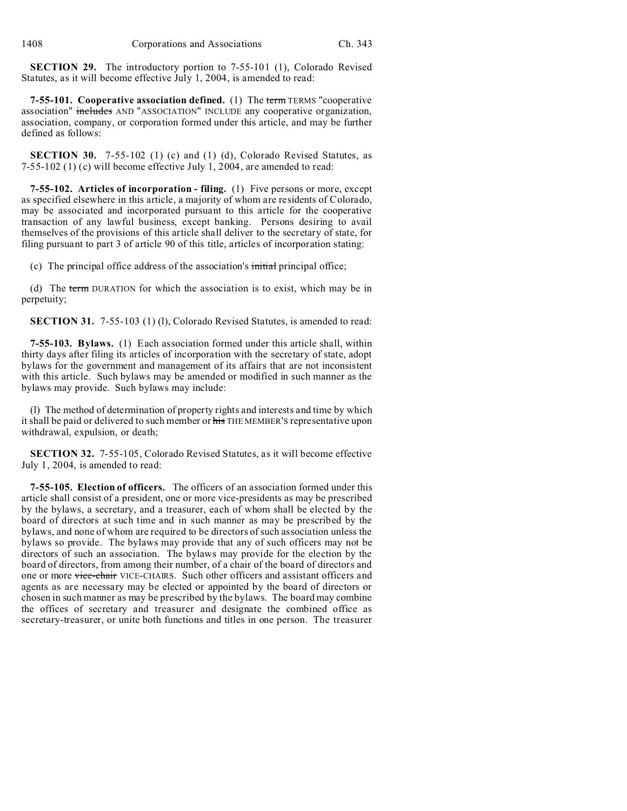**SECTION 29.** The introductory portion to 7-55-101 (1), Colorado Revised Statutes, as it will become effective July 1, 2004, is amended to read:

**7-55-101. Cooperative association defined.** (1) The term TERMS "cooperative association" includes AND "ASSOCIATION" INCLUDE any cooperative organization, association, company, or corporation formed under this article, and may be further defined as follows:

**SECTION 30.** 7-55-102 (1) (c) and (1) (d), Colorado Revised Statutes, as 7-55-102 (1) (c) will become effective July 1, 2004, are amended to read:

**7-55-102. Articles of incorporation - filing.** (1) Five persons or more, except as specified elsewhere in this article, a majority of whom are residents of Colorado, may be associated and incorporated pursuant to this article for the cooperative transaction of any lawful business, except banking. Persons desiring to avail themselves of the provisions of this article shall deliver to the secretary of state, for filing pursuant to part 3 of article 90 of this title, articles of incorporation stating:

(c) The principal office address of the association's  $\frac{1}{10}$  initial principal office;

(d) The term DURATION for which the association is to exist, which may be in perpetuity;

**SECTION 31.** 7-55-103 (1) (1), Colorado Revised Statutes, is amended to read:

**7-55-103. Bylaws.** (1) Each association formed under this article shall, within thirty days after filing its articles of incorporation with the secretary of state, adopt bylaws for the government and management of its affairs that are not inconsistent with this article. Such bylaws may be amended or modified in such manner as the bylaws may provide. Such bylaws may include:

(l) The method of determination of property rights and interests and time by which it shall be paid or delivered to such member or his THE MEMBER'S representative upon withdrawal, expulsion, or death;

**SECTION 32.** 7-55-105, Colorado Revised Statutes, as it will become effective July 1, 2004, is amended to read:

**7-55-105. Election of officers.** The officers of an association formed under this article shall consist of a president, one or more vice-presidents as may be prescribed by the bylaws, a secretary, and a treasurer, each of whom shall be elected by the board of directors at such time and in such manner as may be prescribed by the bylaws, and none of whom are required to be directors of such association unless the bylaws so provide. The bylaws may provide that any of such officers may not be directors of such an association. The bylaws may provide for the election by the board of directors, from among their number, of a chair of the board of directors and one or more vice-chair VICE-CHAIRS. Such other officers and assistant officers and agents as are necessary may be elected or appointed by the board of directors or chosen in such manner as may be prescribed by the bylaws. The board may combine the offices of secretary and treasurer and designate the combined office as secretary-treasurer, or unite both functions and titles in one person. The treasurer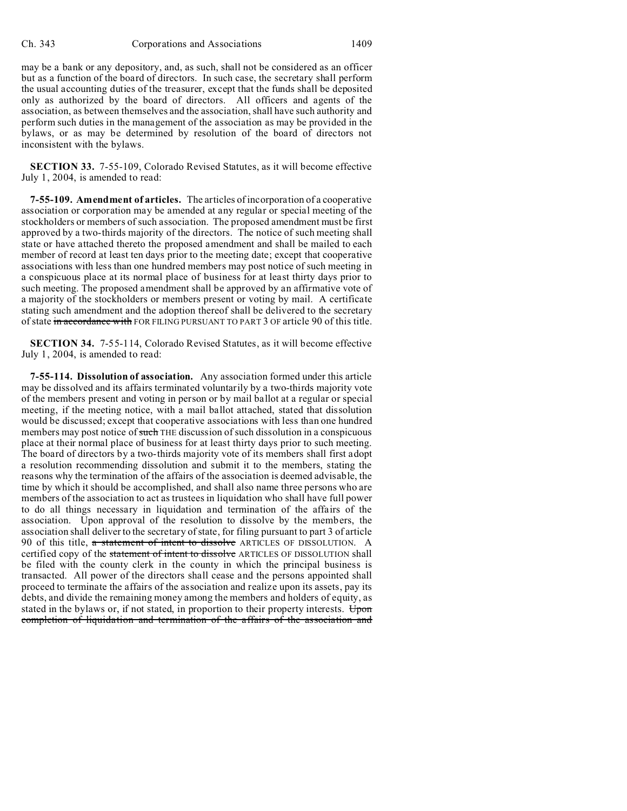may be a bank or any depository, and, as such, shall not be considered as an officer but as a function of the board of directors. In such case, the secretary shall perform the usual accounting duties of the treasurer, except that the funds shall be deposited only as authorized by the board of directors. All officers and agents of the association, as between themselves and the association, shall have such authority and perform such duties in the management of the association as may be provided in the bylaws, or as may be determined by resolution of the board of directors not inconsistent with the bylaws.

**SECTION 33.** 7-55-109, Colorado Revised Statutes, as it will become effective July 1, 2004, is amended to read:

**7-55-109. Amendment of articles.** The articles of incorporation of a cooperative association or corporation may be amended at any regular or special meeting of the stockholders or members of such association. The proposed amendment must be first approved by a two-thirds majority of the directors. The notice of such meeting shall state or have attached thereto the proposed amendment and shall be mailed to each member of record at least ten days prior to the meeting date; except that cooperative associations with less than one hundred members may post notice of such meeting in a conspicuous place at its normal place of business for at least thirty days prior to such meeting. The proposed amendment shall be approved by an affirmative vote of a majority of the stockholders or members present or voting by mail. A certificate stating such amendment and the adoption thereof shall be delivered to the secretary of state in accordance with FOR FILING PURSUANT TO PART 3 OF article 90 of this title.

**SECTION 34.** 7-55-114, Colorado Revised Statutes, as it will become effective July 1, 2004, is amended to read:

**7-55-114. Dissolution of association.** Any association formed under this article may be dissolved and its affairs terminated voluntarily by a two-thirds majority vote of the members present and voting in person or by mail ballot at a regular or special meeting, if the meeting notice, with a mail ballot attached, stated that dissolution would be discussed; except that cooperative associations with less than one hundred members may post notice of such THE discussion of such dissolution in a conspicuous place at their normal place of business for at least thirty days prior to such meeting. The board of directors by a two-thirds majority vote of its members shall first adopt a resolution recommending dissolution and submit it to the members, stating the reasons why the termination of the affairs of the association is deemed advisable, the time by which it should be accomplished, and shall also name three persons who are members of the association to act as trustees in liquidation who shall have full power to do all things necessary in liquidation and termination of the affairs of the association. Upon approval of the resolution to dissolve by the members, the association shall deliver to the secretary of state, for filing pursuant to part 3 of article 90 of this title, a statement of intent to dissolve ARTICLES OF DISSOLUTION. A certified copy of the statement of intent to dissolve ARTICLES OF DISSOLUTION shall be filed with the county clerk in the county in which the principal business is transacted. All power of the directors shall cease and the persons appointed shall proceed to terminate the affairs of the association and realize upon its assets, pay its debts, and divide the remaining money among the members and holders of equity, as stated in the bylaws or, if not stated, in proportion to their property interests. Upon completion of liquidation and termination of the affairs of the association and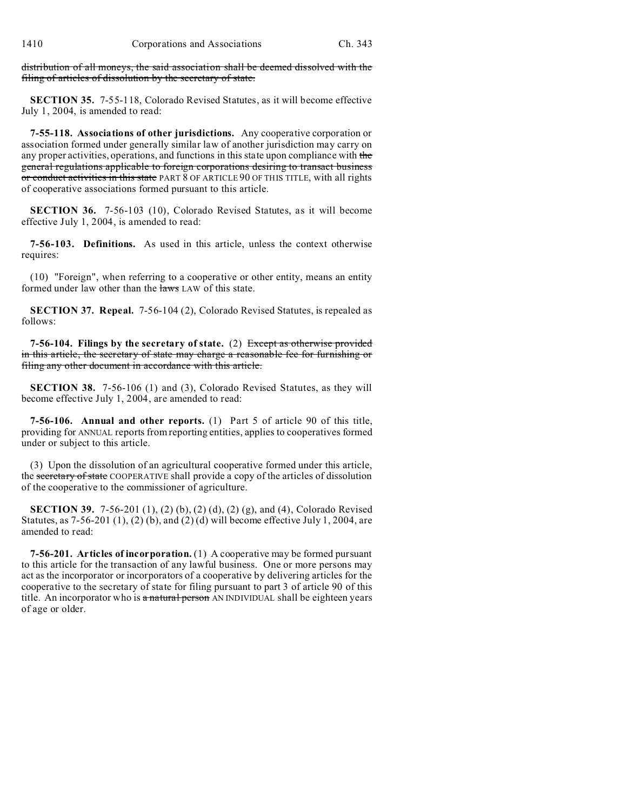distribution of all moneys, the said association shall be deemed dissolved with the filing of articles of dissolution by the secretary of state.

**SECTION 35.** 7-55-118, Colorado Revised Statutes, as it will become effective July 1, 2004, is amended to read:

**7-55-118. Associations of other jurisdictions.** Any cooperative corporation or association formed under generally similar law of another jurisdiction may carry on any proper activities, operations, and functions in this state upon compliance with the general regulations applicable to foreign corporations desiring to transact business or conduct activities in this state PART 8 OF ARTICLE 90 OF THIS TITLE, with all rights of cooperative associations formed pursuant to this article.

**SECTION 36.** 7-56-103 (10), Colorado Revised Statutes, as it will become effective July 1, 2004, is amended to read:

**7-56-103. Definitions.** As used in this article, unless the context otherwise requires:

(10) "Foreign", when referring to a cooperative or other entity, means an entity formed under law other than the laws LAW of this state.

**SECTION 37. Repeal.** 7-56-104 (2), Colorado Revised Statutes, is repealed as follows:

**7-56-104. Filings by the secretary of state.** (2) Except as otherwise provided in this article, the secretary of state may charge a reasonable fee for furnishing or filing any other document in accordance with this article.

**SECTION 38.** 7-56-106 (1) and (3), Colorado Revised Statutes, as they will become effective July 1, 2004, are amended to read:

**7-56-106. Annual and other reports.** (1) Part 5 of article 90 of this title, providing for ANNUAL reports from reporting entities, applies to cooperatives formed under or subject to this article.

(3) Upon the dissolution of an agricultural cooperative formed under this article, the secretary of state COOPERATIVE shall provide a copy of the articles of dissolution of the cooperative to the commissioner of agriculture.

**SECTION 39.** 7-56-201 (1), (2) (b), (2) (d), (2) (g), and (4), Colorado Revised Statutes, as  $7-56-201(1)$ ,  $(2)(b)$ , and  $(2)(d)$  will become effective July 1, 2004, are amended to read:

**7-56-201. Articles of incorporation.** (1) A cooperative may be formed pursuant to this article for the transaction of any lawful business. One or more persons may act as the incorporator or incorporators of a cooperative by delivering articles for the cooperative to the secretary of state for filing pursuant to part 3 of article 90 of this title. An incorporator who is a natural person AN INDIVIDUAL shall be eighteen years of age or older.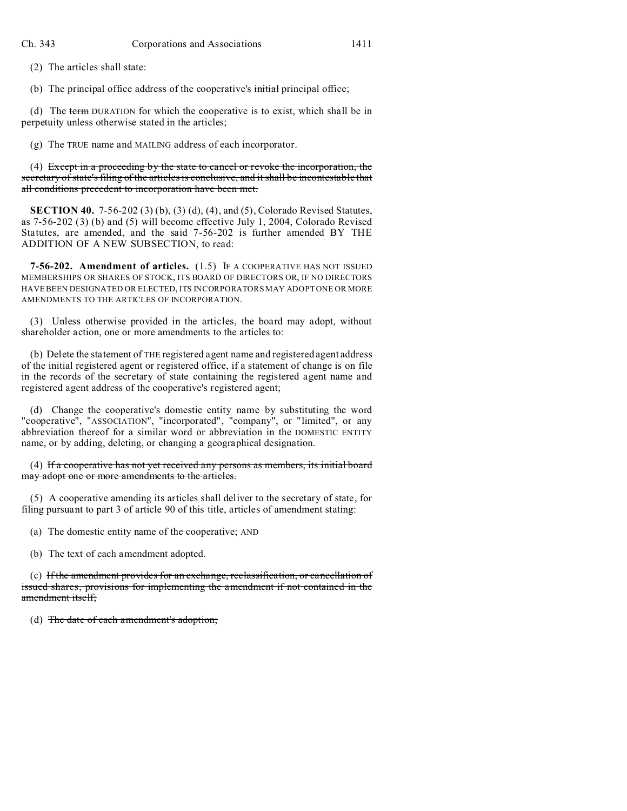(2) The articles shall state:

(b) The principal office address of the cooperative's initial principal office;

(d) The term DURATION for which the cooperative is to exist, which shall be in perpetuity unless otherwise stated in the articles;

(g) The TRUE name and MAILING address of each incorporator.

(4) Except in a proceeding by the state to cancel or revoke the incorporation, the secretary of state's filing of the articles is conclusive, and it shall be incontestable that all conditions precedent to incorporation have been met.

**SECTION 40.** 7-56-202 (3) (b), (3) (d), (4), and (5), Colorado Revised Statutes, as 7-56-202 (3) (b) and (5) will become effective July 1, 2004, Colorado Revised Statutes, are amended, and the said 7-56-202 is further amended BY THE ADDITION OF A NEW SUBSECTION, to read:

**7-56-202. Amendment of articles.** (1.5) IF A COOPERATIVE HAS NOT ISSUED MEMBERSHIPS OR SHARES OF STOCK, ITS BOARD OF DIRECTORS OR, IF NO DIRECTORS HAVE BEEN DESIGNATED OR ELECTED, ITS INCORPORATORS MAY ADOPT ONE OR MORE AMENDMENTS TO THE ARTICLES OF INCORPORATION.

(3) Unless otherwise provided in the articles, the board may adopt, without shareholder action, one or more amendments to the articles to:

(b) Delete the statement of THE registered agent name and registered agent address of the initial registered agent or registered office, if a statement of change is on file in the records of the secretary of state containing the registered agent name and registered agent address of the cooperative's registered agent;

(d) Change the cooperative's domestic entity name by substituting the word "cooperative", "ASSOCIATION", "incorporated", "company", or "limited", or any abbreviation thereof for a similar word or abbreviation in the DOMESTIC ENTITY name, or by adding, deleting, or changing a geographical designation.

(4) If a cooperative has not yet received any persons as members, its initial board may adopt one or more amendments to the articles.

(5) A cooperative amending its articles shall deliver to the secretary of state, for filing pursuant to part 3 of article 90 of this title, articles of amendment stating:

(a) The domestic entity name of the cooperative; AND

(b) The text of each amendment adopted.

(c) If the amendment provides for an exchange, reclassification, or cancellation of issued shares, provisions for implementing the amendment if not contained in the amendment itself;

(d) The date of each amendment's adoption;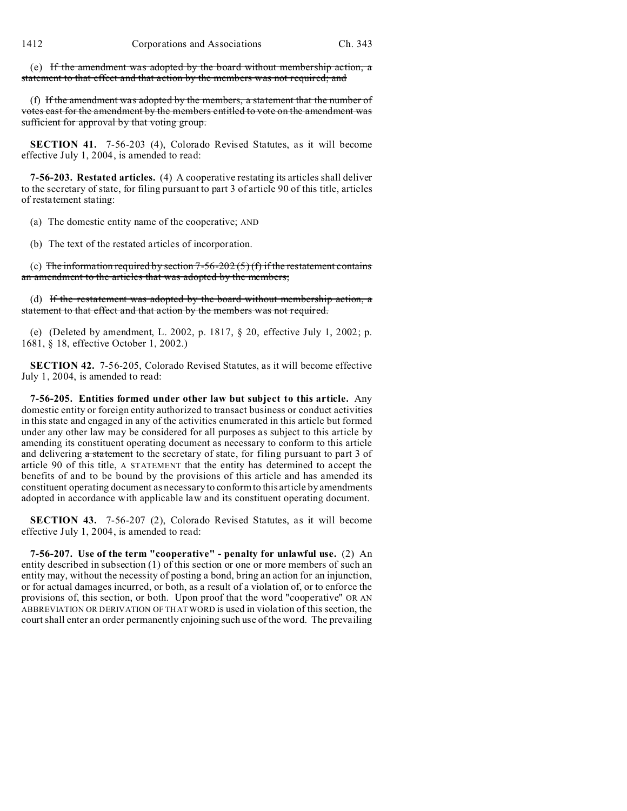(e) If the amendment was adopted by the board without membership action, a statement to that effect and that action by the members was not required; and

(f) If the amendment was adopted by the members, a statement that the number of votes cast for the amendment by the members entitled to vote on the amendment was sufficient for approval by that voting group.

**SECTION 41.** 7-56-203 (4), Colorado Revised Statutes, as it will become effective July 1, 2004, is amended to read:

**7-56-203. Restated articles.** (4) A cooperative restating its articles shall deliver to the secretary of state, for filing pursuant to part 3 of article 90 of this title, articles of restatement stating:

(a) The domestic entity name of the cooperative; AND

(b) The text of the restated articles of incorporation.

(c) The information required by section 7-56-202 (5) (f) if the restatement contains an amendment to the articles that was adopted by the members;

(d) If the restatement was adopted by the board without membership action, a statement to that effect and that action by the members was not required.

(e) (Deleted by amendment, L. 2002, p. 1817, § 20, effective July 1, 2002; p. 1681, § 18, effective October 1, 2002.)

**SECTION 42.** 7-56-205, Colorado Revised Statutes, as it will become effective July 1, 2004, is amended to read:

**7-56-205. Entities formed under other law but subject to this article.** Any domestic entity or foreign entity authorized to transact business or conduct activities in this state and engaged in any of the activities enumerated in this article but formed under any other law may be considered for all purposes as subject to this article by amending its constituent operating document as necessary to conform to this article and delivering  $\alpha$  statement to the secretary of state, for filing pursuant to part 3 of article 90 of this title, A STATEMENT that the entity has determined to accept the benefits of and to be bound by the provisions of this article and has amended its constituent operating document as necessary to conform to this article by amendments adopted in accordance with applicable law and its constituent operating document.

**SECTION 43.** 7-56-207 (2), Colorado Revised Statutes, as it will become effective July 1, 2004, is amended to read:

**7-56-207. Use of the term "cooperative" - penalty for unlawful use.** (2) An entity described in subsection (1) of this section or one or more members of such an entity may, without the necessity of posting a bond, bring an action for an injunction, or for actual damages incurred, or both, as a result of a violation of, or to enforce the provisions of, this section, or both. Upon proof that the word "cooperative" OR AN ABBREVIATION OR DERIVATION OF THAT WORD is used in violation of this section, the court shall enter an order permanently enjoining such use of the word. The prevailing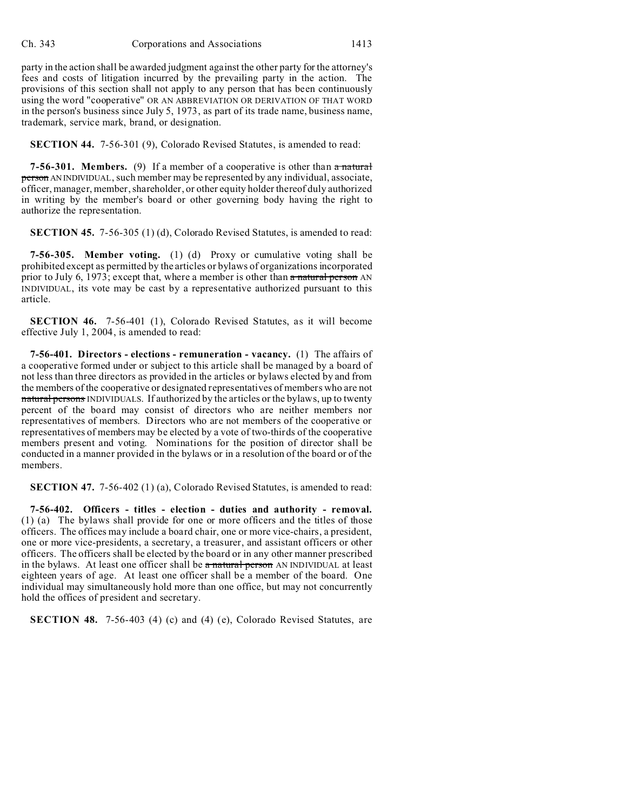party in the action shall be awarded judgment against the other party for the attorney's fees and costs of litigation incurred by the prevailing party in the action. The provisions of this section shall not apply to any person that has been continuously using the word "cooperative" OR AN ABBREVIATION OR DERIVATION OF THAT WORD in the person's business since July 5, 1973, as part of its trade name, business name, trademark, service mark, brand, or designation.

**SECTION 44.** 7-56-301 (9), Colorado Revised Statutes, is amended to read:

**7-56-301. Members.** (9) If a member of a cooperative is other than a natural person AN INDIVIDUAL, such member may be represented by any individual, associate, officer, manager, member, shareholder, or other equity holder thereof duly authorized in writing by the member's board or other governing body having the right to authorize the representation.

**SECTION 45.** 7-56-305 (1) (d), Colorado Revised Statutes, is amended to read:

**7-56-305. Member voting.** (1) (d) Proxy or cumulative voting shall be prohibited except as permitted by the articles or bylaws of organizations incorporated prior to July 6, 1973; except that, where a member is other than  $\alpha$  natural person AN INDIVIDUAL, its vote may be cast by a representative authorized pursuant to this article.

**SECTION 46.** 7-56-401 (1), Colorado Revised Statutes, as it will become effective July 1, 2004, is amended to read:

**7-56-401. Directors - elections - remuneration - vacancy.** (1) The affairs of a cooperative formed under or subject to this article shall be managed by a board of not less than three directors as provided in the articles or bylaws elected by and from the members of the cooperative or designated representatives of members who are not natural persons INDIVIDUALS. If authorized by the articles or the bylaws, up to twenty percent of the board may consist of directors who are neither members nor representatives of members. Directors who are not members of the cooperative or representatives of members may be elected by a vote of two-thirds of the cooperative members present and voting. Nominations for the position of director shall be conducted in a manner provided in the bylaws or in a resolution of the board or of the members.

**SECTION 47.** 7-56-402 (1) (a), Colorado Revised Statutes, is amended to read:

**7-56-402. Officers - titles - election - duties and authority - removal.** (1) (a) The bylaws shall provide for one or more officers and the titles of those officers. The offices may include a board chair, one or more vice-chairs, a president, one or more vice-presidents, a secretary, a treasurer, and assistant officers or other officers. The officers shall be elected by the board or in any other manner prescribed in the bylaws. At least one officer shall be a natural person AN INDIVIDUAL at least eighteen years of age. At least one officer shall be a member of the board. One individual may simultaneously hold more than one office, but may not concurrently hold the offices of president and secretary.

**SECTION 48.** 7-56-403 (4) (c) and (4) (e), Colorado Revised Statutes, are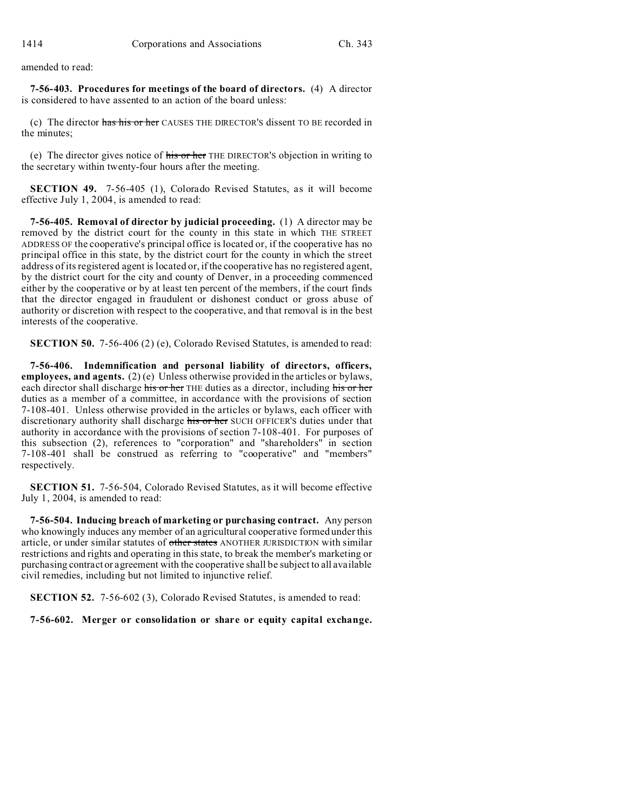amended to read:

**7-56-403. Procedures for meetings of the board of directors.** (4) A director is considered to have assented to an action of the board unless:

(c) The director has his or her CAUSES THE DIRECTOR'S dissent TO BE recorded in the minutes;

(e) The director gives notice of his or her THE DIRECTOR'S objection in writing to the secretary within twenty-four hours after the meeting.

**SECTION 49.** 7-56-405 (1), Colorado Revised Statutes, as it will become effective July 1, 2004, is amended to read:

**7-56-405. Removal of director by judicial proceeding.** (1) A director may be removed by the district court for the county in this state in which THE STREET ADDRESS OF the cooperative's principal office is located or, if the cooperative has no principal office in this state, by the district court for the county in which the street address of its registered agent is located or, if the cooperative has no registered agent, by the district court for the city and county of Denver, in a proceeding commenced either by the cooperative or by at least ten percent of the members, if the court finds that the director engaged in fraudulent or dishonest conduct or gross abuse of authority or discretion with respect to the cooperative, and that removal is in the best interests of the cooperative.

**SECTION 50.** 7-56-406 (2) (e), Colorado Revised Statutes, is amended to read:

**7-56-406. Indemnification and personal liability of directors, officers, employees, and agents.** (2) (e) Unless otherwise provided in the articles or bylaws, each director shall discharge his or her THE duties as a director, including his or her duties as a member of a committee, in accordance with the provisions of section 7-108-401. Unless otherwise provided in the articles or bylaws, each officer with discretionary authority shall discharge his or her SUCH OFFICER'S duties under that authority in accordance with the provisions of section 7-108-401. For purposes of this subsection (2), references to "corporation" and "shareholders" in section 7-108-401 shall be construed as referring to "cooperative" and "members" respectively.

**SECTION 51.** 7-56-504, Colorado Revised Statutes, as it will become effective July 1, 2004, is amended to read:

**7-56-504. Inducing breach of marketing or purchasing contract.** Any person who knowingly induces any member of an agricultural cooperative formed under this article, or under similar statutes of other states ANOTHER JURISDICTION with similar restrictions and rights and operating in this state, to break the member's marketing or purchasing contract or agreement with the cooperative shall be subject to all available civil remedies, including but not limited to injunctive relief.

**SECTION 52.** 7-56-602 (3), Colorado Revised Statutes, is amended to read:

**7-56-602. Merger or consolidation or share or equity capital exchange.**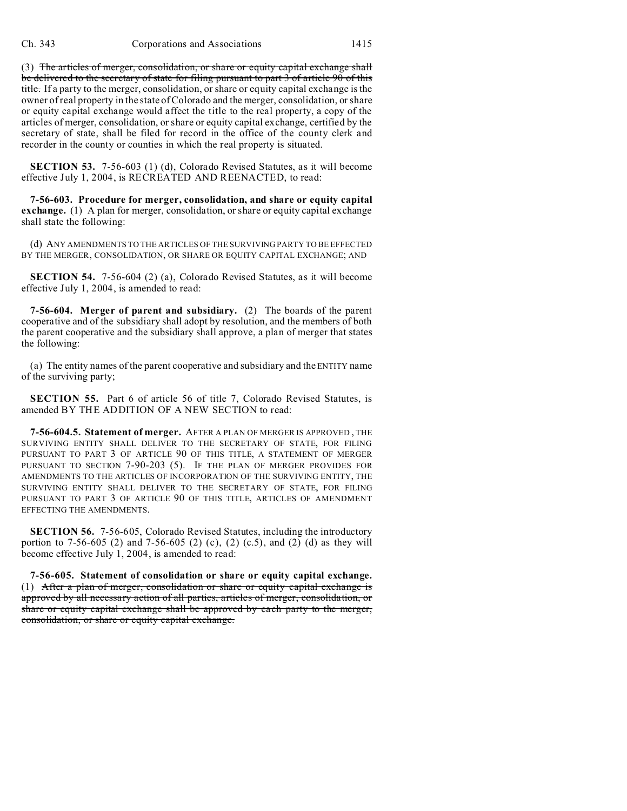(3) The articles of merger, consolidation, or share or equity capital exchange shall be delivered to the secretary of state for filing pursuant to part 3 of article 90 of this title. If a party to the merger, consolidation, or share or equity capital exchange is the owner of real property in the state of Colorado and the merger, consolidation, or share or equity capital exchange would affect the title to the real property, a copy of the articles of merger, consolidation, or share or equity capital exchange, certified by the secretary of state, shall be filed for record in the office of the county clerk and recorder in the county or counties in which the real property is situated.

**SECTION 53.** 7-56-603 (1) (d), Colorado Revised Statutes, as it will become effective July 1, 2004, is RECREATED AND REENACTED, to read:

**7-56-603. Procedure for merger, consolidation, and share or equity capital exchange.** (1) A plan for merger, consolidation, or share or equity capital exchange shall state the following:

(d) ANY AMENDMENTS TO THE ARTICLES OF THE SURVIVING PARTY TO BE EFFECTED BY THE MERGER, CONSOLIDATION, OR SHARE OR EQUITY CAPITAL EXCHANGE; AND

**SECTION 54.** 7-56-604 (2) (a), Colorado Revised Statutes, as it will become effective July 1, 2004, is amended to read:

**7-56-604. Merger of parent and subsidiary.** (2) The boards of the parent cooperative and of the subsidiary shall adopt by resolution, and the members of both the parent cooperative and the subsidiary shall approve, a plan of merger that states the following:

(a) The entity names of the parent cooperative and subsidiary and the ENTITY name of the surviving party;

**SECTION 55.** Part 6 of article 56 of title 7, Colorado Revised Statutes, is amended BY THE ADDITION OF A NEW SECTION to read:

**7-56-604.5. Statement of merger.** AFTER A PLAN OF MERGER IS APPROVED , THE SURVIVING ENTITY SHALL DELIVER TO THE SECRETARY OF STATE, FOR FILING PURSUANT TO PART 3 OF ARTICLE 90 OF THIS TITLE, A STATEMENT OF MERGER PURSUANT TO SECTION 7-90-203 (5). IF THE PLAN OF MERGER PROVIDES FOR AMENDMENTS TO THE ARTICLES OF INCORPORATION OF THE SURVIVING ENTITY, THE SURVIVING ENTITY SHALL DELIVER TO THE SECRETARY OF STATE, FOR FILING PURSUANT TO PART 3 OF ARTICLE 90 OF THIS TITLE, ARTICLES OF AMENDMENT EFFECTING THE AMENDMENTS.

**SECTION 56.** 7-56-605, Colorado Revised Statutes, including the introductory portion to 7-56-605 (2) and 7-56-605 (2) (c), (2) (c.5), and (2) (d) as they will become effective July 1, 2004, is amended to read:

**7-56-605. Statement of consolidation or share or equity capital exchange.** (1) After a plan of merger, consolidation or share or equity capital exchange is approved by all necessary action of all parties, articles of merger, consolidation, or share or equity capital exchange shall be approved by each party to the merger, consolidation, or share or equity capital exchange.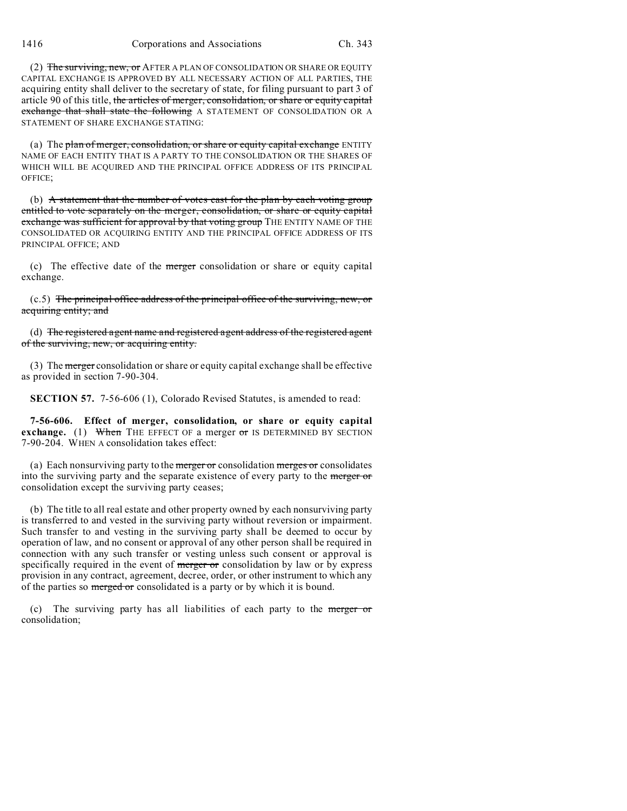(2) The surviving, new, or AFTER A PLAN OF CONSOLIDATION OR SHARE OR EQUITY CAPITAL EXCHANGE IS APPROVED BY ALL NECESSARY ACTION OF ALL PARTIES, THE acquiring entity shall deliver to the secretary of state, for filing pursuant to part 3 of article 90 of this title, the articles of merger, consolidation, or share or equity capital exchange that shall state the following A STATEMENT OF CONSOLIDATION OR A STATEMENT OF SHARE EXCHANGE STATING:

(a) The plan of merger, consolidation, or share or equity capital exchange ENTITY NAME OF EACH ENTITY THAT IS A PARTY TO THE CONSOLIDATION OR THE SHARES OF WHICH WILL BE ACQUIRED AND THE PRINCIPAL OFFICE ADDRESS OF ITS PRINCIPAL OFFICE;

(b) A statement that the number of votes cast for the plan by each voting group entitled to vote separately on the merger, consolidation, or share or equity capital exchange was sufficient for approval by that voting group THE ENTITY NAME OF THE CONSOLIDATED OR ACQUIRING ENTITY AND THE PRINCIPAL OFFICE ADDRESS OF ITS PRINCIPAL OFFICE; AND

(c) The effective date of the merger consolidation or share or equity capital exchange.

(c.5) The principal office address of the principal office of the surviving, new, or acquiring entity; and

(d) The registered agent name and registered agent address of the registered agent of the surviving, new, or acquiring entity.

(3) The merger consolidation or share or equity capital exchange shall be effective as provided in section 7-90-304.

**SECTION 57.** 7-56-606 (1), Colorado Revised Statutes, is amended to read:

**7-56-606. Effect of merger, consolidation, or share or equity capital exchange.** (1) When THE EFFECT OF a merger or IS DETERMINED BY SECTION 7-90-204. WHEN A consolidation takes effect:

(a) Each nonsurviving party to the merger or consolidation merges or consolidates into the surviving party and the separate existence of every party to the merger or consolidation except the surviving party ceases;

(b) The title to all real estate and other property owned by each nonsurviving party is transferred to and vested in the surviving party without reversion or impairment. Such transfer to and vesting in the surviving party shall be deemed to occur by operation of law, and no consent or approval of any other person shall be required in connection with any such transfer or vesting unless such consent or approval is specifically required in the event of merger or consolidation by law or by express provision in any contract, agreement, decree, order, or other instrument to which any of the parties so merged or consolidated is a party or by which it is bound.

(c) The surviving party has all liabilities of each party to the merger or consolidation;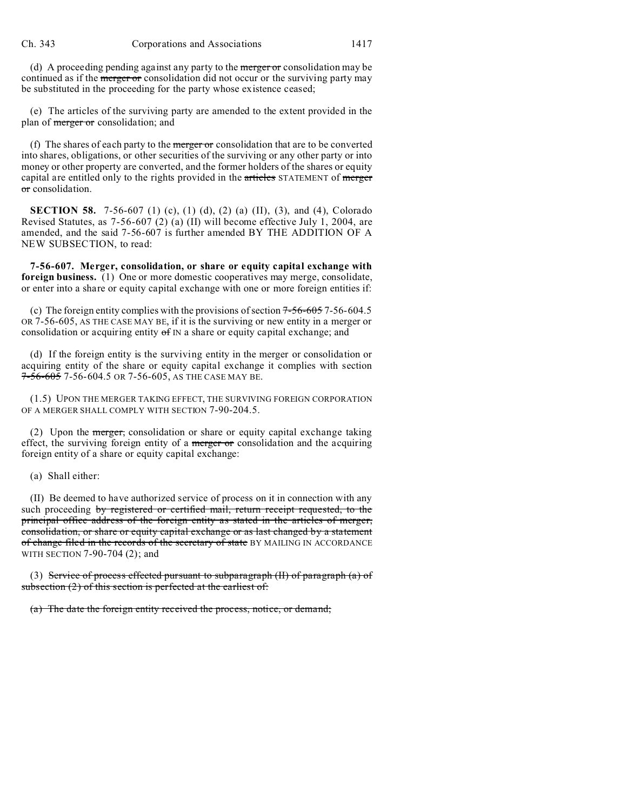(d) A proceeding pending against any party to the merger or consolidation may be continued as if the merger or consolidation did not occur or the surviving party may be substituted in the proceeding for the party whose existence ceased;

(e) The articles of the surviving party are amended to the extent provided in the plan of merger or consolidation; and

(f) The shares of each party to the merger or consolidation that are to be converted into shares, obligations, or other securities of the surviving or any other party or into money or other property are converted, and the former holders of the shares or equity capital are entitled only to the rights provided in the articles STATEMENT of merger or consolidation.

**SECTION 58.** 7-56-607 (1) (c), (1) (d), (2) (a) (II), (3), and (4), Colorado Revised Statutes, as 7-56-607 (2) (a) (II) will become effective July 1, 2004, are amended, and the said 7-56-607 is further amended BY THE ADDITION OF A NEW SUBSECTION, to read:

**7-56-607. Merger, consolidation, or share or equity capital exchange with foreign business.** (1) One or more domestic cooperatives may merge, consolidate, or enter into a share or equity capital exchange with one or more foreign entities if:

(c) The foreign entity complies with the provisions of section  $7-56-605$  7-56-604.5 OR 7-56-605, AS THE CASE MAY BE, if it is the surviving or new entity in a merger or consolidation or acquiring entity  $\sigma f$  IN a share or equity capital exchange; and

(d) If the foreign entity is the surviving entity in the merger or consolidation or acquiring entity of the share or equity capital exchange it complies with section  $7-56-605$  7-56-604.5 OR 7-56-605, AS THE CASE MAY BE.

(1.5) UPON THE MERGER TAKING EFFECT, THE SURVIVING FOREIGN CORPORATION OF A MERGER SHALL COMPLY WITH SECTION 7-90-204.5.

(2) Upon the merger, consolidation or share or equity capital exchange taking effect, the surviving foreign entity of a merger or consolidation and the acquiring foreign entity of a share or equity capital exchange:

### (a) Shall either:

(II) Be deemed to have authorized service of process on it in connection with any such proceeding by registered or certified mail, return receipt requested, to the principal office address of the foreign entity as stated in the articles of merger, consolidation, or share or equity capital exchange or as last changed by a statement of change filed in the records of the secretary of state BY MAILING IN ACCORDANCE WITH SECTION 7-90-704 (2); and

(3) Service of process effected pursuant to subparagraph (II) of paragraph (a) of subsection  $(2)$  of this section is perfected at the earliest of:

(a) The date the foreign entity received the process, notice, or demand;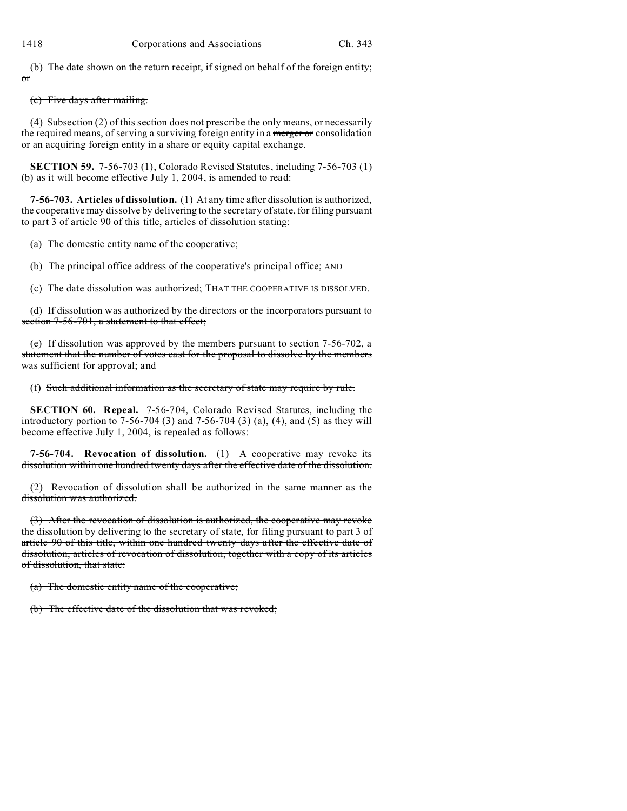(b) The date shown on the return receipt, if signed on behalf of the foreign entity; or

## (c) Five days after mailing.

(4) Subsection (2) of this section does not prescribe the only means, or necessarily the required means, of serving a surviving foreign entity in a merger or consolidation or an acquiring foreign entity in a share or equity capital exchange.

**SECTION 59.** 7-56-703 (1), Colorado Revised Statutes, including 7-56-703 (1) (b) as it will become effective July 1, 2004, is amended to read:

**7-56-703. Articles of dissolution.** (1) At any time after dissolution is authorized, the cooperative may dissolve by delivering to the secretary of state, for filing pursuant to part 3 of article 90 of this title, articles of dissolution stating:

(a) The domestic entity name of the cooperative;

(b) The principal office address of the cooperative's principal office; AND

(c) The date dissolution was authorized; THAT THE COOPERATIVE IS DISSOLVED.

(d) If dissolution was authorized by the directors or the incorporators pursuant to section 7-56-701, a statement to that effect;

(e) If dissolution was approved by the members pursuant to section  $7-56-702$ , a statement that the number of votes cast for the proposal to dissolve by the members was sufficient for approval; and

(f) Such additional information as the secretary of state may require by rule.

**SECTION 60. Repeal.** 7-56-704, Colorado Revised Statutes, including the introductory portion to 7-56-704 (3) and 7-56-704 (3) (a), (4), and (5) as they will become effective July 1, 2004, is repealed as follows:

**7-56-704. Revocation of dissolution.** (1) A cooperative may revoke its dissolution within one hundred twenty days after the effective date of the dissolution.

(2) Revocation of dissolution shall be authorized in the same manner as the dissolution was authorized.

(3) After the revocation of dissolution is authorized, the cooperative may revoke the dissolution by delivering to the secretary of state, for filing pursuant to part 3 of article 90 of this title, within one hundred twenty days after the effective date of dissolution, articles of revocation of dissolution, together with a copy of its articles of dissolution, that state:

(a) The domestic entity name of the cooperative;

(b) The effective date of the dissolution that was revoked;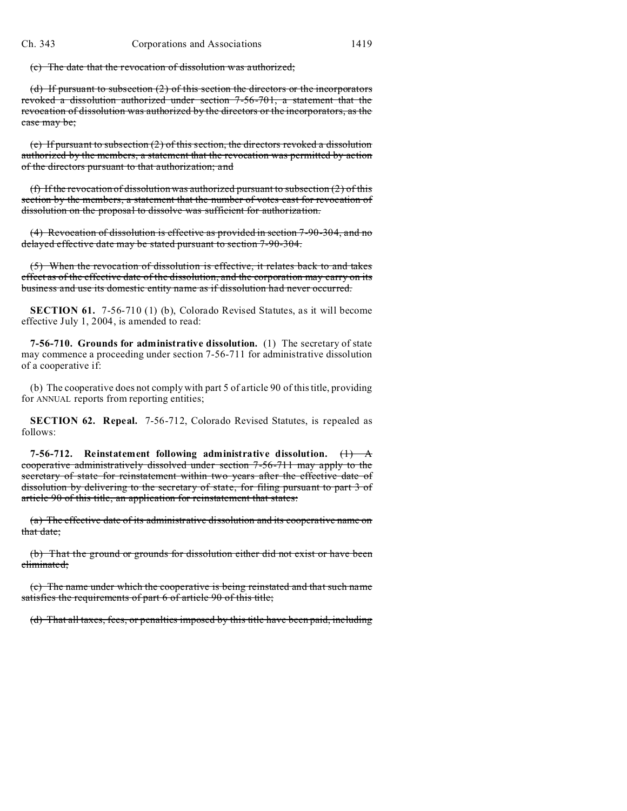(c) The date that the revocation of dissolution was authorized;

(d) If pursuant to subsection (2) of this section the directors or the incorporators revoked a dissolution authorized under section 7-56-701, a statement that the revocation of dissolution was authorized by the directors or the incorporators, as the case may be;

(e) If pursuant to subsection (2) of this section, the directors revoked a dissolution authorized by the members, a statement that the revocation was permitted by action of the directors pursuant to that authorization; and

(f) If the revocation of dissolution was authorized pursuant to subsection  $(2)$  of this section by the members, a statement that the number of votes cast for revocation of dissolution on the proposal to dissolve was sufficient for authorization.

(4) Revocation of dissolution is effective as provided in section 7-90-304, and no delayed effective date may be stated pursuant to section 7-90-304.

(5) When the revocation of dissolution is effective, it relates back to and takes effect as of the effective date of the dissolution, and the corporation may carry on its business and use its domestic entity name as if dissolution had never occurred.

**SECTION 61.** 7-56-710 (1) (b), Colorado Revised Statutes, as it will become effective July 1, 2004, is amended to read:

**7-56-710. Grounds for administrative dissolution.** (1) The secretary of state may commence a proceeding under section 7-56-711 for administrative dissolution of a cooperative if:

(b) The cooperative does not comply with part 5 of article 90 of this title, providing for ANNUAL reports from reporting entities;

**SECTION 62. Repeal.** 7-56-712, Colorado Revised Statutes, is repealed as follows:

**7-56-712.** Reinstatement following administrative dissolution.  $\overline{(1)}$  A cooperative administratively dissolved under section 7-56-711 may apply to the secretary of state for reinstatement within two years after the effective date of dissolution by delivering to the secretary of state, for filing pursuant to part 3 of article 90 of this title, an application for reinstatement that states:

(a) The effective date of its administrative dissolution and its cooperative name on that date;

(b) That the ground or grounds for dissolution either did not exist or have been eliminated;

(c) The name under which the cooperative is being reinstated and that such name satisfies the requirements of part 6 of article 90 of this title;

(d) That all taxes, fees, or penalties imposed by this title have been paid, including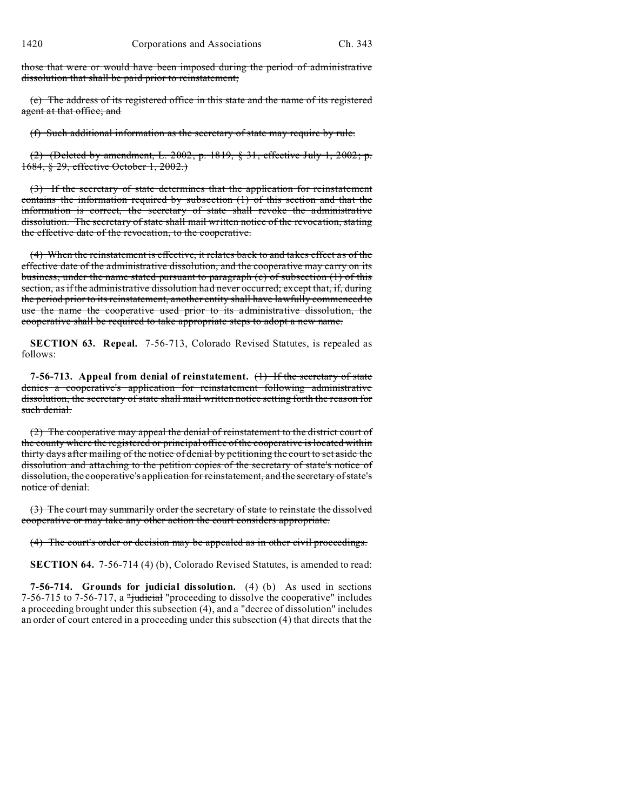those that were or would have been imposed during the period of administrative dissolution that shall be paid prior to reinstatement;

(e) The address of its registered office in this state and the name of its registered agent at that office; and

(f) Such additional information as the secretary of state may require by rule.

(2) (Deleted by amendment, L. 2002, p. 1819, § 31, effective July 1, 2002; p. 1684, § 29, effective October 1, 2002.)

(3) If the secretary of state determines that the application for reinstatement contains the information required by subsection (1) of this section and that the information is correct, the secretary of state shall revoke the administrative dissolution. The secretary of state shall mail written notice of the revocation, stating the effective date of the revocation, to the cooperative.

(4) When the reinstatement is effective, it relates back to and takes effect as of the effective date of the administrative dissolution, and the cooperative may carry on its business, under the name stated pursuant to paragraph (c) of subsection (1) of this section, as if the administrative dissolution had never occurred; except that, if, during the period prior to its reinstatement, another entity shall have lawfully commenced to use the name the cooperative used prior to its administrative dissolution, the cooperative shall be required to take appropriate steps to adopt a new name.

**SECTION 63. Repeal.** 7-56-713, Colorado Revised Statutes, is repealed as follows:

**7-56-713. Appeal from denial of reinstatement.** (1) If the secretary of state denies a cooperative's application for reinstatement following administrative dissolution, the secretary of state shall mail written notice setting forth the reason for such denial.

(2) The cooperative may appeal the denial of reinstatement to the district court of the county where the registered or principal office of the cooperative is located within thirty days after mailing of the notice of denial by petitioning the court to set aside the dissolution and attaching to the petition copies of the secretary of state's notice of dissolution, the cooperative's application for reinstatement, and the secretary of state's notice of denial.

(3) The court may summarily order the secretary of state to reinstate the dissolved cooperative or may take any other action the court considers appropriate.

(4) The court's order or decision may be appealed as in other civil proceedings.

**SECTION 64.** 7-56-714 (4) (b), Colorado Revised Statutes, is amended to read:

**7-56-714. Grounds for judicial dissolution.** (4) (b) As used in sections 7-56-715 to 7-56-717, a "judicial "proceeding to dissolve the cooperative" includes a proceeding brought under this subsection (4), and a "decree of dissolution" includes an order of court entered in a proceeding under this subsection (4) that directs that the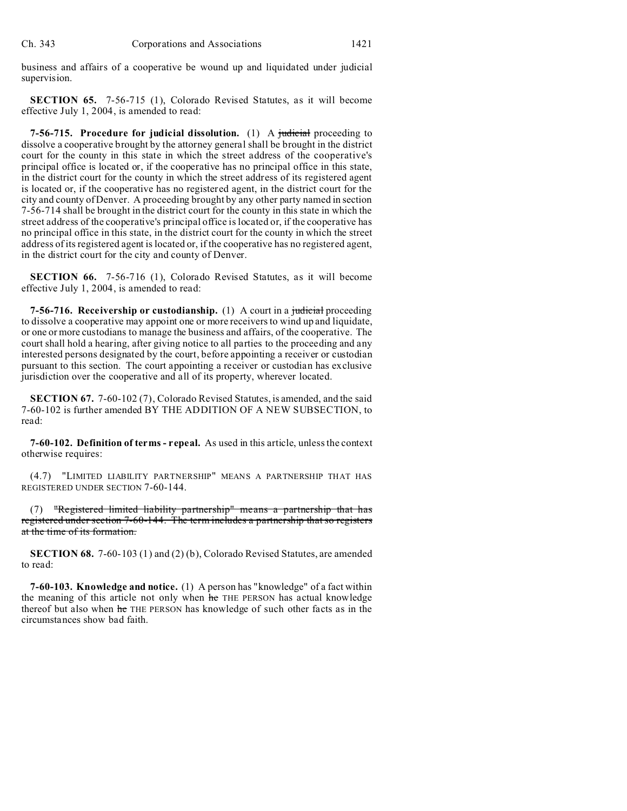business and affairs of a cooperative be wound up and liquidated under judicial supervision.

**SECTION 65.** 7-56-715 (1), Colorado Revised Statutes, as it will become effective July 1, 2004, is amended to read:

**7-56-715. Procedure for judicial dissolution.** (1) A judicial proceeding to dissolve a cooperative brought by the attorney general shall be brought in the district court for the county in this state in which the street address of the cooperative's principal office is located or, if the cooperative has no principal office in this state, in the district court for the county in which the street address of its registered agent is located or, if the cooperative has no registered agent, in the district court for the city and county of Denver. A proceeding brought by any other party named in section 7-56-714 shall be brought in the district court for the county in this state in which the street address of the cooperative's principal office is located or, if the cooperative has no principal office in this state, in the district court for the county in which the street address of its registered agent is located or, if the cooperative has no registered agent, in the district court for the city and county of Denver.

**SECTION 66.** 7-56-716 (1), Colorado Revised Statutes, as it will become effective July 1, 2004, is amended to read:

**7-56-716. Receivership or custodianship.** (1) A court in a judicial proceeding to dissolve a cooperative may appoint one or more receivers to wind up and liquidate, or one or more custodians to manage the business and affairs, of the cooperative. The court shall hold a hearing, after giving notice to all parties to the proceeding and any interested persons designated by the court, before appointing a receiver or custodian pursuant to this section. The court appointing a receiver or custodian has exclusive jurisdiction over the cooperative and all of its property, wherever located.

**SECTION 67.** 7-60-102 (7), Colorado Revised Statutes, is amended, and the said 7-60-102 is further amended BY THE ADDITION OF A NEW SUBSECTION, to read:

**7-60-102. Definition of terms - repeal.** As used in this article, unless the context otherwise requires:

(4.7) "LIMITED LIABILITY PARTNERSHIP" MEANS A PARTNERSHIP THAT HAS REGISTERED UNDER SECTION 7-60-144.

(7) "Registered limited liability partnership" means a partnership that has registered under section 7-60-144. The term includes a partnership that so registers at the time of its formation.

**SECTION 68.** 7-60-103 (1) and (2) (b), Colorado Revised Statutes, are amended to read:

**7-60-103. Knowledge and notice.** (1) A person has "knowledge" of a fact within the meaning of this article not only when he THE PERSON has actual knowledge thereof but also when he THE PERSON has knowledge of such other facts as in the circumstances show bad faith.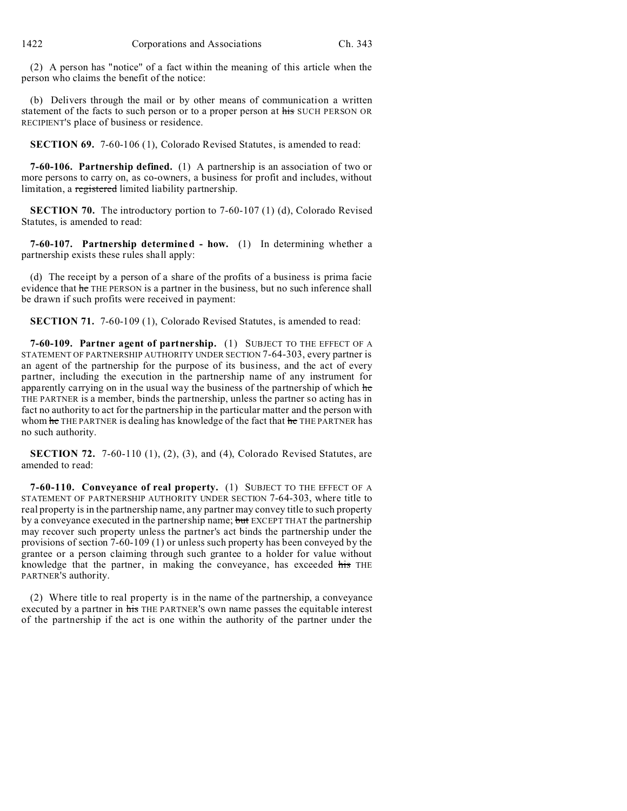(2) A person has "notice" of a fact within the meaning of this article when the person who claims the benefit of the notice:

(b) Delivers through the mail or by other means of communication a written statement of the facts to such person or to a proper person at his SUCH PERSON OR RECIPIENT'S place of business or residence.

**SECTION 69.** 7-60-106 (1), Colorado Revised Statutes, is amended to read:

**7-60-106. Partnership defined.** (1) A partnership is an association of two or more persons to carry on, as co-owners, a business for profit and includes, without limitation, a registered limited liability partnership.

**SECTION 70.** The introductory portion to 7-60-107 (1) (d), Colorado Revised Statutes, is amended to read:

**7-60-107. Partnership determined - how.** (1) In determining whether a partnership exists these rules shall apply:

(d) The receipt by a person of a share of the profits of a business is prima facie evidence that he THE PERSON is a partner in the business, but no such inference shall be drawn if such profits were received in payment:

**SECTION 71.** 7-60-109 (1), Colorado Revised Statutes, is amended to read:

**7-60-109. Partner agent of partnership.** (1) SUBJECT TO THE EFFECT OF A STATEMENT OF PARTNERSHIP AUTHORITY UNDER SECTION 7-64-303, every partner is an agent of the partnership for the purpose of its business, and the act of every partner, including the execution in the partnership name of any instrument for apparently carrying on in the usual way the business of the partnership of which he THE PARTNER is a member, binds the partnership, unless the partner so acting has in fact no authority to act for the partnership in the particular matter and the person with whom he THE PARTNER is dealing has knowledge of the fact that he THE PARTNER has no such authority.

**SECTION 72.** 7-60-110 (1), (2), (3), and (4), Colorado Revised Statutes, are amended to read:

**7-60-110. Conveyance of real property.** (1) SUBJECT TO THE EFFECT OF A STATEMENT OF PARTNERSHIP AUTHORITY UNDER SECTION 7-64-303, where title to real property is in the partnership name, any partner may convey title to such property by a conveyance executed in the partnership name; but EXCEPT THAT the partnership may recover such property unless the partner's act binds the partnership under the provisions of section 7-60-109 (1) or unless such property has been conveyed by the grantee or a person claiming through such grantee to a holder for value without knowledge that the partner, in making the conveyance, has exceeded his THE PARTNER'S authority.

(2) Where title to real property is in the name of the partnership, a conveyance executed by a partner in his THE PARTNER'S own name passes the equitable interest of the partnership if the act is one within the authority of the partner under the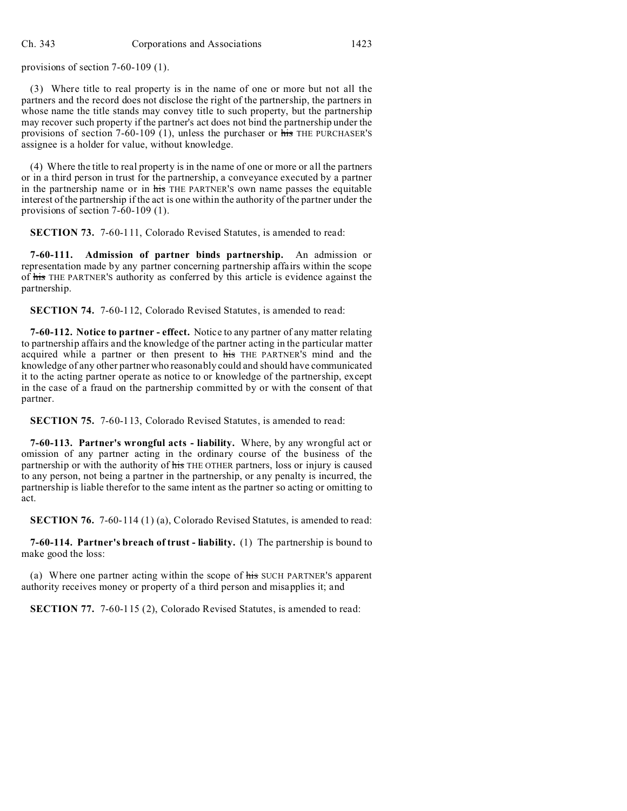provisions of section 7-60-109 (1).

(3) Where title to real property is in the name of one or more but not all the partners and the record does not disclose the right of the partnership, the partners in whose name the title stands may convey title to such property, but the partnership may recover such property if the partner's act does not bind the partnership under the provisions of section 7-60-109 (1), unless the purchaser or his THE PURCHASER'S assignee is a holder for value, without knowledge.

(4) Where the title to real property is in the name of one or more or all the partners or in a third person in trust for the partnership, a conveyance executed by a partner in the partnership name or in his THE PARTNER'S own name passes the equitable interest of the partnership if the act is one within the authority of the partner under the provisions of section 7-60-109 (1).

**SECTION 73.** 7-60-111, Colorado Revised Statutes, is amended to read:

**7-60-111. Admission of partner binds partnership.** An admission or representation made by any partner concerning partnership affairs within the scope of his THE PARTNER'S authority as conferred by this article is evidence against the partnership.

**SECTION 74.** 7-60-112, Colorado Revised Statutes, is amended to read:

**7-60-112. Notice to partner - effect.** Notice to any partner of any matter relating to partnership affairs and the knowledge of the partner acting in the particular matter acquired while a partner or then present to his THE PARTNER'S mind and the knowledge of any other partner who reasonably could and should have communicated it to the acting partner operate as notice to or knowledge of the partnership, except in the case of a fraud on the partnership committed by or with the consent of that partner.

**SECTION 75.** 7-60-113, Colorado Revised Statutes, is amended to read:

**7-60-113. Partner's wrongful acts - liability.** Where, by any wrongful act or omission of any partner acting in the ordinary course of the business of the partnership or with the authority of his THE OTHER partners, loss or injury is caused to any person, not being a partner in the partnership, or any penalty is incurred, the partnership is liable therefor to the same intent as the partner so acting or omitting to act.

**SECTION 76.** 7-60-114 (1) (a), Colorado Revised Statutes, is amended to read:

**7-60-114. Partner's breach of trust - liability.** (1) The partnership is bound to make good the loss:

(a) Where one partner acting within the scope of his SUCH PARTNER'S apparent authority receives money or property of a third person and misapplies it; and

**SECTION 77.** 7-60-115 (2), Colorado Revised Statutes, is amended to read: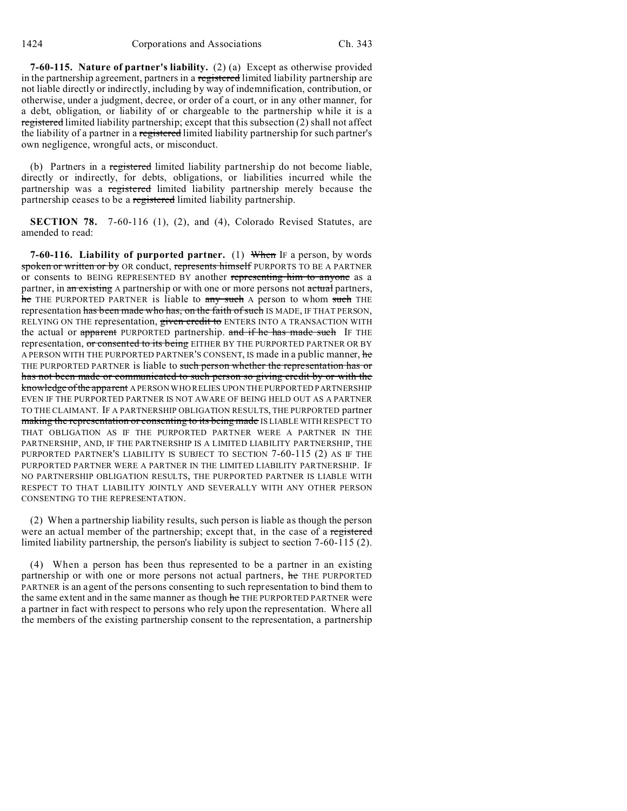**7-60-115. Nature of partner's liability.** (2) (a) Except as otherwise provided in the partnership agreement, partners in a registered limited liability partnership are not liable directly or indirectly, including by way of indemnification, contribution, or otherwise, under a judgment, decree, or order of a court, or in any other manner, for a debt, obligation, or liability of or chargeable to the partnership while it is a registered limited liability partnership; except that this subsection (2) shall not affect the liability of a partner in a registered limited liability partnership for such partner's own negligence, wrongful acts, or misconduct.

(b) Partners in a registered limited liability partnership do not become liable, directly or indirectly, for debts, obligations, or liabilities incurred while the partnership was a registered limited liability partnership merely because the partnership ceases to be a registered limited liability partnership.

**SECTION 78.** 7-60-116 (1), (2), and (4), Colorado Revised Statutes, are amended to read:

**7-60-116. Liability of purported partner.** (1) When IF a person, by words spoken or written or by OR conduct, represents himself PURPORTS TO BE A PARTNER or consents to BEING REPRESENTED BY another representing him to anyone as a partner, in an existing A partnership or with one or more persons not actual partners, he THE PURPORTED PARTNER is liable to any such A person to whom such THE representation has been made who has, on the faith of such IS MADE, IF THAT PERSON, RELYING ON THE representation, given credit to ENTERS INTO A TRANSACTION WITH the actual or apparent PURPORTED partnership. and if he has made such IF THE representation, or consented to its being EITHER BY THE PURPORTED PARTNER OR BY A PERSON WITH THE PURPORTED PARTNER'S CONSENT, IS made in a public manner, he THE PURPORTED PARTNER is liable to such person whether the representation has or has not been made or communicated to such person so giving credit by or with the knowledge of the apparent A PERSON WHO RELIES UPON THE PURPORTED PARTNERSHIP EVEN IF THE PURPORTED PARTNER IS NOT AWARE OF BEING HELD OUT AS A PARTNER TO THE CLAIMANT. IF A PARTNERSHIP OBLIGATION RESULTS, THE PURPORTED partner making the representation or consenting to its being made IS LIABLE WITH RESPECT TO THAT OBLIGATION AS IF THE PURPORTED PARTNER WERE A PARTNER IN THE PARTNERSHIP, AND, IF THE PARTNERSHIP IS A LIMITED LIABILITY PARTNERSHIP, THE PURPORTED PARTNER'S LIABILITY IS SUBJECT TO SECTION 7-60-115 (2) AS IF THE PURPORTED PARTNER WERE A PARTNER IN THE LIMITED LIABILITY PARTNERSHIP. IF NO PARTNERSHIP OBLIGATION RESULTS, THE PURPORTED PARTNER IS LIABLE WITH RESPECT TO THAT LIABILITY JOINTLY AND SEVERALLY WITH ANY OTHER PERSON CONSENTING TO THE REPRESENTATION.

(2) When a partnership liability results, such person is liable as though the person were an actual member of the partnership; except that, in the case of a registered limited liability partnership, the person's liability is subject to section 7-60-115 (2).

(4) When a person has been thus represented to be a partner in an existing partnership or with one or more persons not actual partners, he THE PURPORTED PARTNER is an agent of the persons consenting to such representation to bind them to the same extent and in the same manner as though he THE PURPORTED PARTNER were a partner in fact with respect to persons who rely upon the representation. Where all the members of the existing partnership consent to the representation, a partnership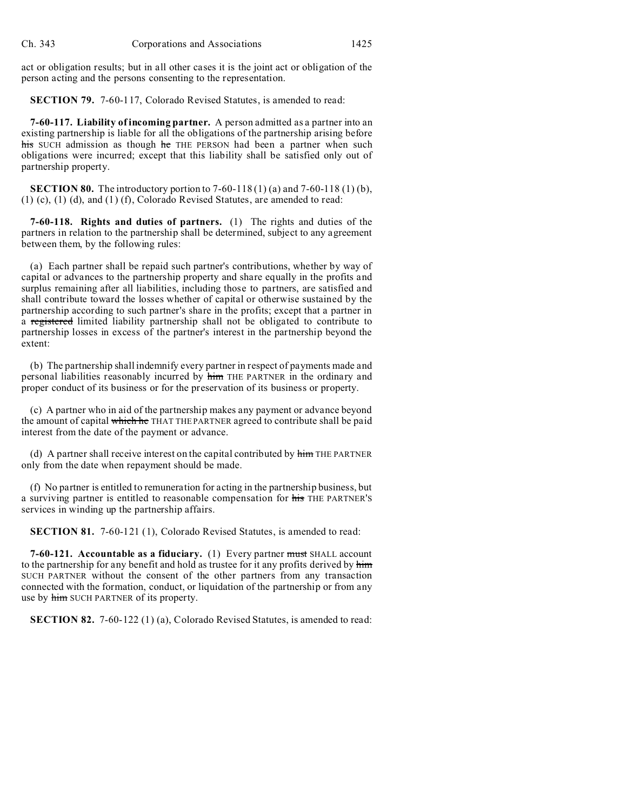act or obligation results; but in all other cases it is the joint act or obligation of the person acting and the persons consenting to the representation.

**SECTION 79.** 7-60-117, Colorado Revised Statutes, is amended to read:

**7-60-117. Liability of incoming partner.** A person admitted as a partner into an existing partnership is liable for all the obligations of the partnership arising before his SUCH admission as though he THE PERSON had been a partner when such obligations were incurred; except that this liability shall be satisfied only out of partnership property.

**SECTION 80.** The introductory portion to 7-60-118 (1) (a) and 7-60-118 (1) (b), (1) (c), (1) (d), and (1) (f), Colorado Revised Statutes, are amended to read:

**7-60-118. Rights and duties of partners.** (1) The rights and duties of the partners in relation to the partnership shall be determined, subject to any agreement between them, by the following rules:

(a) Each partner shall be repaid such partner's contributions, whether by way of capital or advances to the partnership property and share equally in the profits and surplus remaining after all liabilities, including those to partners, are satisfied and shall contribute toward the losses whether of capital or otherwise sustained by the partnership according to such partner's share in the profits; except that a partner in a registered limited liability partnership shall not be obligated to contribute to partnership losses in excess of the partner's interest in the partnership beyond the extent:

(b) The partnership shall indemnify every partner in respect of payments made and personal liabilities reasonably incurred by him THE PARTNER in the ordinary and proper conduct of its business or for the preservation of its business or property.

(c) A partner who in aid of the partnership makes any payment or advance beyond the amount of capital which he THAT THE PARTNER agreed to contribute shall be paid interest from the date of the payment or advance.

(d) A partner shall receive interest on the capital contributed by  $\frac{1}{n}$  THE PARTNER only from the date when repayment should be made.

(f) No partner is entitled to remuneration for acting in the partnership business, but a surviving partner is entitled to reasonable compensation for his THE PARTNER'S services in winding up the partnership affairs.

**SECTION 81.** 7-60-121 (1), Colorado Revised Statutes, is amended to read:

**7-60-121. Accountable as a fiduciary.** (1) Every partner must SHALL account to the partnership for any benefit and hold as trustee for it any profits derived by him SUCH PARTNER without the consent of the other partners from any transaction connected with the formation, conduct, or liquidation of the partnership or from any use by him SUCH PARTNER of its property.

**SECTION 82.** 7-60-122 (1) (a), Colorado Revised Statutes, is amended to read: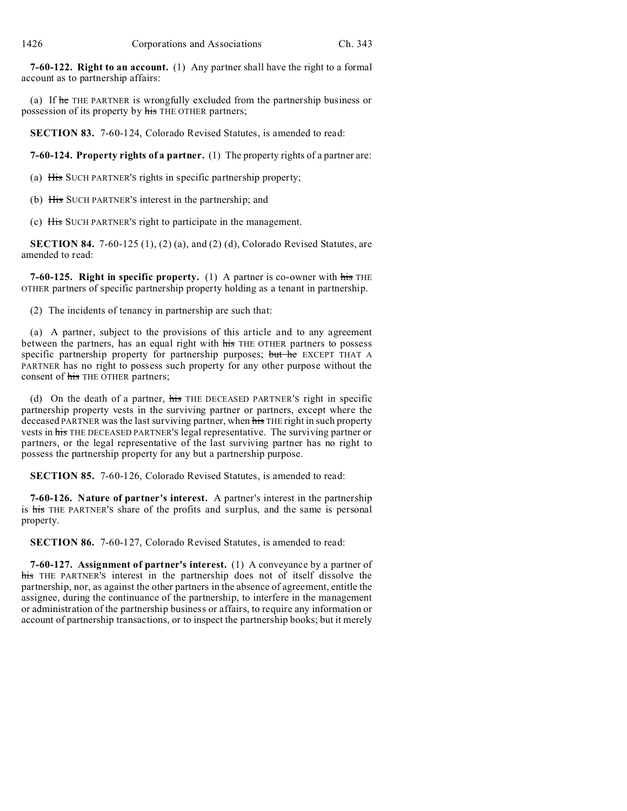**7-60-122. Right to an account.** (1) Any partner shall have the right to a formal account as to partnership affairs:

(a) If he THE PARTNER is wrongfully excluded from the partnership business or possession of its property by his THE OTHER partners;

**SECTION 83.** 7-60-124, Colorado Revised Statutes, is amended to read:

**7-60-124. Property rights of a partner.** (1) The property rights of a partner are:

(a) His SUCH PARTNER'S rights in specific partnership property;

(b) His SUCH PARTNER'S interest in the partnership; and

(c) His SUCH PARTNER'S right to participate in the management.

**SECTION 84.** 7-60-125 (1), (2) (a), and (2) (d), Colorado Revised Statutes, are amended to read:

**7-60-125. Right in specific property.** (1) A partner is co-owner with his THE OTHER partners of specific partnership property holding as a tenant in partnership.

(2) The incidents of tenancy in partnership are such that:

(a) A partner, subject to the provisions of this article and to any agreement between the partners, has an equal right with his THE OTHER partners to possess specific partnership property for partnership purposes; but he EXCEPT THAT A PARTNER has no right to possess such property for any other purpose without the consent of his THE OTHER partners;

(d) On the death of a partner, his THE DECEASED PARTNER'S right in specific partnership property vests in the surviving partner or partners, except where the deceased PARTNER was the last surviving partner, when his THE right in such property vests in his THE DECEASED PARTNER'S legal representative. The surviving partner or partners, or the legal representative of the last surviving partner has no right to possess the partnership property for any but a partnership purpose.

**SECTION 85.** 7-60-126, Colorado Revised Statutes, is amended to read:

**7-60-126. Nature of partner's interest.** A partner's interest in the partnership is his THE PARTNER'S share of the profits and surplus, and the same is personal property.

**SECTION 86.** 7-60-127, Colorado Revised Statutes, is amended to read:

**7-60-127. Assignment of partner's interest.** (1) A conveyance by a partner of his THE PARTNER's interest in the partnership does not of itself dissolve the partnership, nor, as against the other partners in the absence of agreement, entitle the assignee, during the continuance of the partnership, to interfere in the management or administration of the partnership business or affairs, to require any information or account of partnership transactions, or to inspect the partnership books; but it merely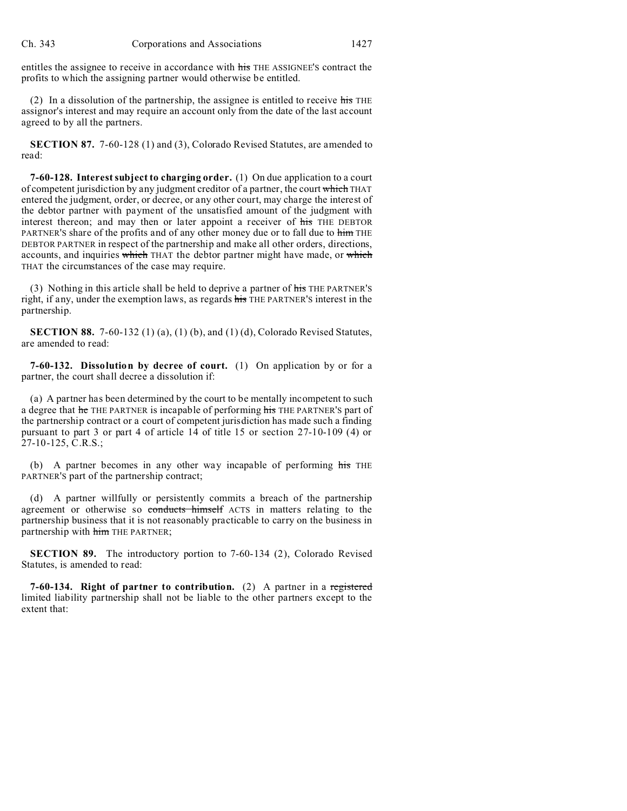entitles the assignee to receive in accordance with his THE ASSIGNEE'S contract the profits to which the assigning partner would otherwise be entitled.

(2) In a dissolution of the partnership, the assignee is entitled to receive  $\frac{1}{115}$  THE assignor's interest and may require an account only from the date of the last account agreed to by all the partners.

**SECTION 87.** 7-60-128 (1) and (3), Colorado Revised Statutes, are amended to read:

**7-60-128. Interest subject to charging order.** (1) On due application to a court of competent jurisdiction by any judgment creditor of a partner, the court which THAT entered the judgment, order, or decree, or any other court, may charge the interest of the debtor partner with payment of the unsatisfied amount of the judgment with interest thereon; and may then or later appoint a receiver of his THE DEBTOR PARTNER'S share of the profits and of any other money due or to fall due to him THE DEBTOR PARTNER in respect of the partnership and make all other orders, directions, accounts, and inquiries which THAT the debtor partner might have made, or which THAT the circumstances of the case may require.

(3) Nothing in this article shall be held to deprive a partner of his THE PARTNER'S right, if any, under the exemption laws, as regards his THE PARTNER'S interest in the partnership.

**SECTION 88.** 7-60-132 (1) (a), (1) (b), and (1) (d), Colorado Revised Statutes, are amended to read:

**7-60-132. Dissolution by decree of court.** (1) On application by or for a partner, the court shall decree a dissolution if:

(a) A partner has been determined by the court to be mentally incompetent to such a degree that he THE PARTNER is incapable of performing his THE PARTNER'S part of the partnership contract or a court of competent jurisdiction has made such a finding pursuant to part 3 or part 4 of article 14 of title 15 or section 27-10-109 (4) or 27-10-125, C.R.S.;

(b) A partner becomes in any other way incapable of performing his THE PARTNER'S part of the partnership contract;

(d) A partner willfully or persistently commits a breach of the partnership agreement or otherwise so conducts himself ACTS in matters relating to the partnership business that it is not reasonably practicable to carry on the business in partnership with him THE PARTNER;

**SECTION 89.** The introductory portion to 7-60-134 (2), Colorado Revised Statutes, is amended to read:

**7-60-134. Right of partner to contribution.** (2) A partner in a registered limited liability partnership shall not be liable to the other partners except to the extent that: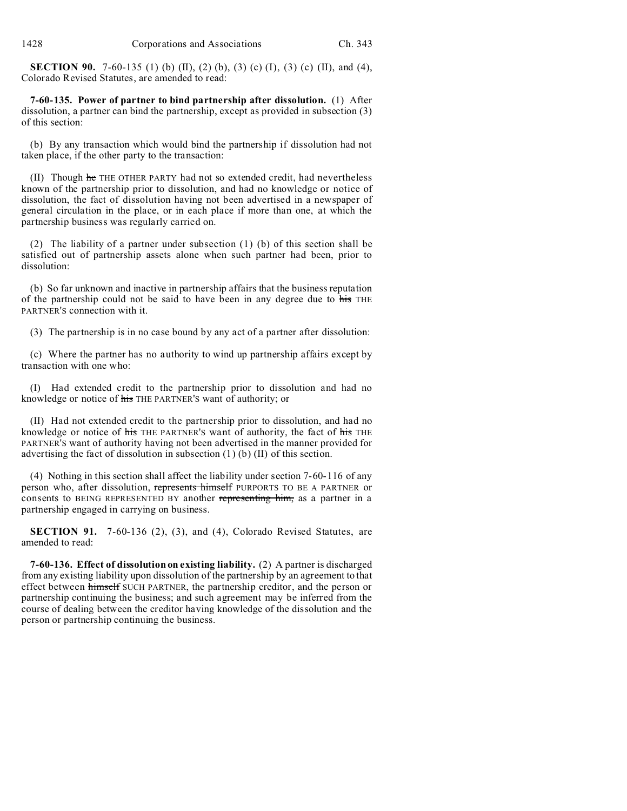**SECTION 90.** 7-60-135 (1) (b) (II), (2) (b), (3) (c) (I), (3) (c) (II), and (4), Colorado Revised Statutes, are amended to read:

**7-60-135. Power of partner to bind partnership after dissolution.** (1) After dissolution, a partner can bind the partnership, except as provided in subsection (3) of this section:

(b) By any transaction which would bind the partnership if dissolution had not taken place, if the other party to the transaction:

(II) Though he THE OTHER PARTY had not so extended credit, had nevertheless known of the partnership prior to dissolution, and had no knowledge or notice of dissolution, the fact of dissolution having not been advertised in a newspaper of general circulation in the place, or in each place if more than one, at which the partnership business was regularly carried on.

(2) The liability of a partner under subsection (1) (b) of this section shall be satisfied out of partnership assets alone when such partner had been, prior to dissolution:

(b) So far unknown and inactive in partnership affairs that the business reputation of the partnership could not be said to have been in any degree due to his THE PARTNER'S connection with it.

(3) The partnership is in no case bound by any act of a partner after dissolution:

(c) Where the partner has no authority to wind up partnership affairs except by transaction with one who:

(I) Had extended credit to the partnership prior to dissolution and had no knowledge or notice of his THE PARTNER'S want of authority; or

(II) Had not extended credit to the partnership prior to dissolution, and had no knowledge or notice of his THE PARTNER'S want of authority, the fact of his THE PARTNER'S want of authority having not been advertised in the manner provided for advertising the fact of dissolution in subsection (1) (b) (II) of this section.

(4) Nothing in this section shall affect the liability under section 7-60-116 of any person who, after dissolution, represents himself PURPORTS TO BE A PARTNER or consents to BEING REPRESENTED BY another representing him, as a partner in a partnership engaged in carrying on business.

**SECTION 91.** 7-60-136 (2), (3), and (4), Colorado Revised Statutes, are amended to read:

**7-60-136. Effect of dissolution on existing liability.** (2) A partner is discharged from any existing liability upon dissolution of the partnership by an agreement to that effect between himself SUCH PARTNER, the partnership creditor, and the person or partnership continuing the business; and such agreement may be inferred from the course of dealing between the creditor having knowledge of the dissolution and the person or partnership continuing the business.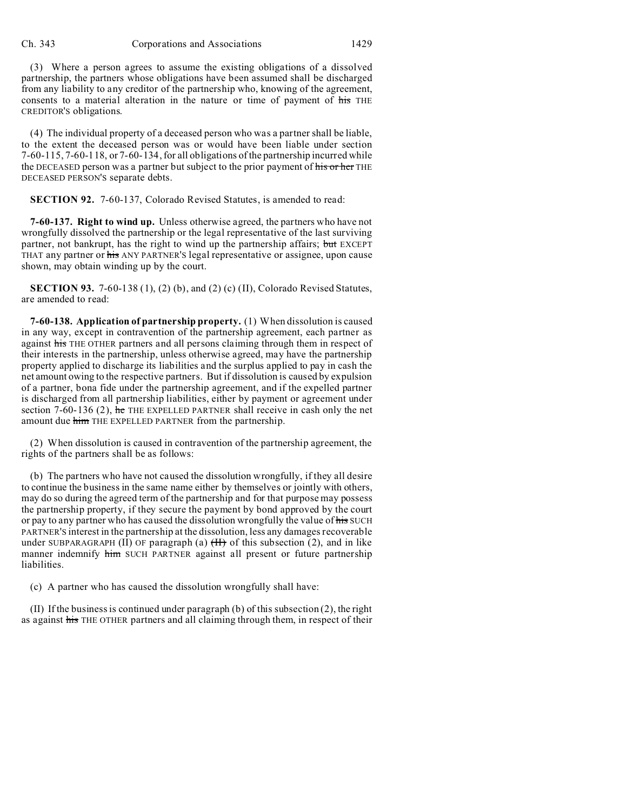(3) Where a person agrees to assume the existing obligations of a dissolved partnership, the partners whose obligations have been assumed shall be discharged from any liability to any creditor of the partnership who, knowing of the agreement, consents to a material alteration in the nature or time of payment of his THE CREDITOR'S obligations.

(4) The individual property of a deceased person who was a partner shall be liable, to the extent the deceased person was or would have been liable under section 7-60-115, 7-60-118, or 7-60-134, for all obligations of the partnership incurred while the DECEASED person was a partner but subject to the prior payment of his or her THE DECEASED PERSON'S separate debts.

**SECTION 92.** 7-60-137, Colorado Revised Statutes, is amended to read:

**7-60-137. Right to wind up.** Unless otherwise agreed, the partners who have not wrongfully dissolved the partnership or the legal representative of the last surviving partner, not bankrupt, has the right to wind up the partnership affairs; but EXCEPT THAT any partner or his ANY PARTNER'S legal representative or assignee, upon cause shown, may obtain winding up by the court.

**SECTION 93.** 7-60-138 (1), (2) (b), and (2) (c) (II), Colorado Revised Statutes, are amended to read:

**7-60-138. Application of partnership property.** (1) When dissolution is caused in any way, except in contravention of the partnership agreement, each partner as against his THE OTHER partners and all persons claiming through them in respect of their interests in the partnership, unless otherwise agreed, may have the partnership property applied to discharge its liabilities and the surplus applied to pay in cash the net amount owing to the respective partners. But if dissolution is caused by expulsion of a partner, bona fide under the partnership agreement, and if the expelled partner is discharged from all partnership liabilities, either by payment or agreement under section 7-60-136 (2), he THE EXPELLED PARTNER shall receive in cash only the net amount due him THE EXPELLED PARTNER from the partnership.

(2) When dissolution is caused in contravention of the partnership agreement, the rights of the partners shall be as follows:

(b) The partners who have not caused the dissolution wrongfully, if they all desire to continue the business in the same name either by themselves or jointly with others, may do so during the agreed term of the partnership and for that purpose may possess the partnership property, if they secure the payment by bond approved by the court or pay to any partner who has caused the dissolution wrongfully the value of his SUCH PARTNER'S interest in the partnership at the dissolution, less any damages recoverable under SUBPARAGRAPH (II) OF paragraph (a)  $(H)$  of this subsection (2), and in like manner indemnify him SUCH PARTNER against all present or future partnership liabilities.

(c) A partner who has caused the dissolution wrongfully shall have:

(II) If the business is continued under paragraph (b) of this subsection (2), the right as against his THE OTHER partners and all claiming through them, in respect of their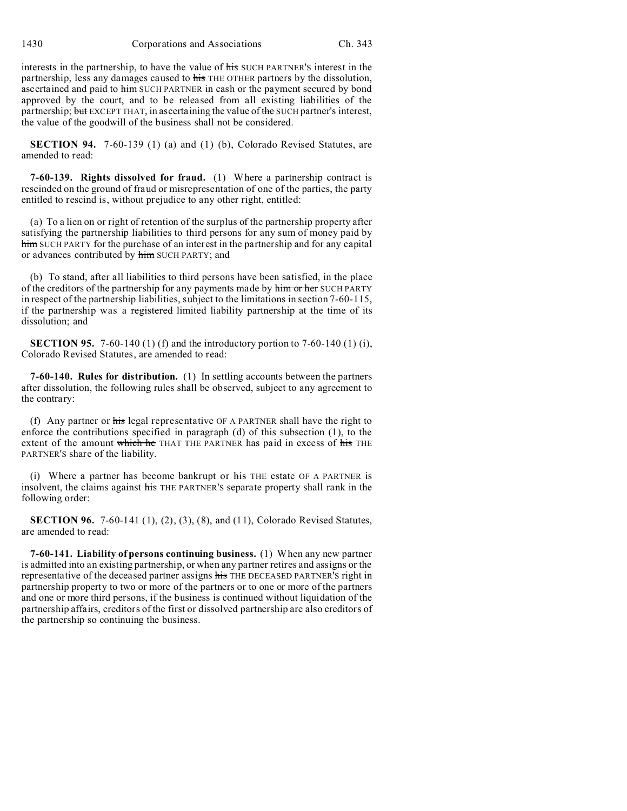interests in the partnership, to have the value of his SUCH PARTNER'S interest in the partnership, less any damages caused to his THE OTHER partners by the dissolution, ascertained and paid to him SUCH PARTNER in cash or the payment secured by bond approved by the court, and to be released from all existing liabilities of the partnership; but EXCEPT THAT, in ascertaining the value of the SUCH partner's interest, the value of the goodwill of the business shall not be considered.

**SECTION 94.** 7-60-139 (1) (a) and (1) (b), Colorado Revised Statutes, are amended to read:

**7-60-139. Rights dissolved for fraud.** (1) Where a partnership contract is rescinded on the ground of fraud or misrepresentation of one of the parties, the party entitled to rescind is, without prejudice to any other right, entitled:

(a) To a lien on or right of retention of the surplus of the partnership property after satisfying the partnership liabilities to third persons for any sum of money paid by him SUCH PARTY for the purchase of an interest in the partnership and for any capital or advances contributed by him SUCH PARTY; and

(b) To stand, after all liabilities to third persons have been satisfied, in the place of the creditors of the partnership for any payments made by him or her SUCH PARTY in respect of the partnership liabilities, subject to the limitations in section 7-60-115, if the partnership was a registered limited liability partnership at the time of its dissolution; and

**SECTION 95.** 7-60-140 (1) (f) and the introductory portion to 7-60-140 (1) (i), Colorado Revised Statutes, are amended to read:

**7-60-140. Rules for distribution.** (1) In settling accounts between the partners after dissolution, the following rules shall be observed, subject to any agreement to the contrary:

(f) Any partner or his legal representative OF A PARTNER shall have the right to enforce the contributions specified in paragraph (d) of this subsection (1), to the extent of the amount which he THAT THE PARTNER has paid in excess of his THE PARTNER'S share of the liability.

(i) Where a partner has become bankrupt or  $\overline{h}$  and  $\overline{h}$  are proposent  $\overline{h}$  are  $\overline{h}$  and  $\overline{h}$  are  $\overline{h}$  are  $\overline{h}$  are  $\overline{h}$  are  $\overline{h}$  are  $\overline{h}$  are  $\overline{h}$  are  $\overline{h}$  are  $\overline{h}$  are insolvent, the claims against his THE PARTNER'S separate property shall rank in the following order:

**SECTION 96.** 7-60-141 (1), (2), (3), (8), and (11), Colorado Revised Statutes, are amended to read:

**7-60-141. Liability of persons continuing business.** (1) When any new partner is admitted into an existing partnership, or when any partner retires and assigns or the representative of the deceased partner assigns his THE DECEASED PARTNER'S right in partnership property to two or more of the partners or to one or more of the partners and one or more third persons, if the business is continued without liquidation of the partnership affairs, creditors of the first or dissolved partnership are also creditors of the partnership so continuing the business.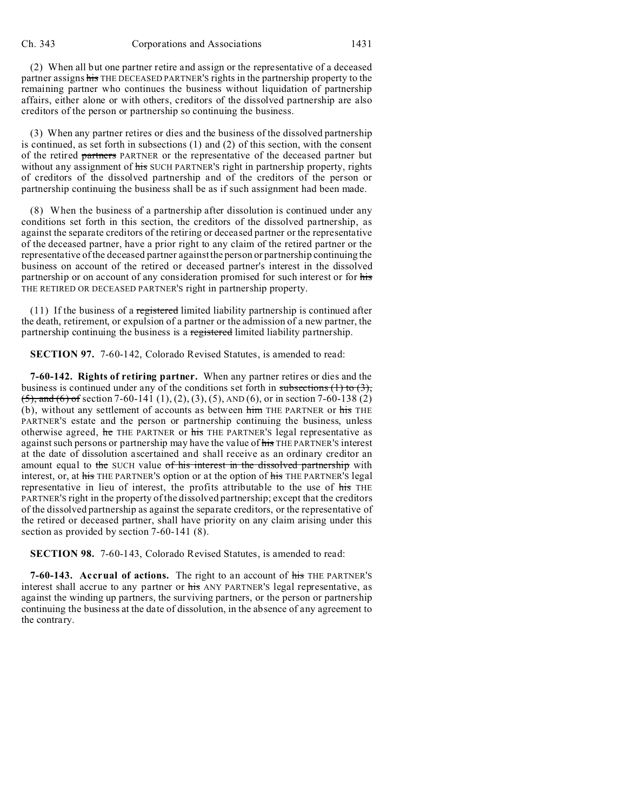(2) When all but one partner retire and assign or the representative of a deceased partner assigns his THE DECEASED PARTNER'S rights in the partnership property to the remaining partner who continues the business without liquidation of partnership affairs, either alone or with others, creditors of the dissolved partnership are also creditors of the person or partnership so continuing the business.

(3) When any partner retires or dies and the business of the dissolved partnership is continued, as set forth in subsections (1) and (2) of this section, with the consent of the retired partners PARTNER or the representative of the deceased partner but without any assignment of his SUCH PARTNER'S right in partnership property, rights of creditors of the dissolved partnership and of the creditors of the person or partnership continuing the business shall be as if such assignment had been made.

(8) When the business of a partnership after dissolution is continued under any conditions set forth in this section, the creditors of the dissolved partnership, as against the separate creditors of the retiring or deceased partner or the representative of the deceased partner, have a prior right to any claim of the retired partner or the representative of the deceased partner against the person or partnership continuing the business on account of the retired or deceased partner's interest in the dissolved partnership or on account of any consideration promised for such interest or for his THE RETIRED OR DECEASED PARTNER'S right in partnership property.

(11) If the business of a registered limited liability partnership is continued after the death, retirement, or expulsion of a partner or the admission of a new partner, the partnership continuing the business is a registered limited liability partnership.

**SECTION 97.** 7-60-142, Colorado Revised Statutes, is amended to read:

**7-60-142. Rights of retiring partner.** When any partner retires or dies and the business is continued under any of the conditions set forth in subsections  $(1)$  to  $(3)$ ,  $(5)$ , and  $(6)$  of section 7-60-141  $(1)$ ,  $(2)$ ,  $(3)$ ,  $(5)$ , AND  $(6)$ , or in section 7-60-138  $(2)$ (b), without any settlement of accounts as between him THE PARTNER or his THE PARTNER'S estate and the person or partnership continuing the business, unless otherwise agreed, he THE PARTNER or his THE PARTNER'S legal representative as against such persons or partnership may have the value of his THE PARTNER'S interest at the date of dissolution ascertained and shall receive as an ordinary creditor an amount equal to the SUCH value of his interest in the dissolved partnership with interest, or, at his THE PARTNER'S option or at the option of his THE PARTNER'S legal representative in lieu of interest, the profits attributable to the use of his THE PARTNER'S right in the property of the dissolved partnership; except that the creditors of the dissolved partnership as against the separate creditors, or the representative of the retired or deceased partner, shall have priority on any claim arising under this section as provided by section 7-60-141 (8).

**SECTION 98.** 7-60-143, Colorado Revised Statutes, is amended to read:

**7-60-143. Accrual of actions.** The right to an account of his THE PARTNER'S interest shall accrue to any partner or his ANY PARTNER'S legal representative, as against the winding up partners, the surviving partners, or the person or partnership continuing the business at the date of dissolution, in the absence of any agreement to the contrary.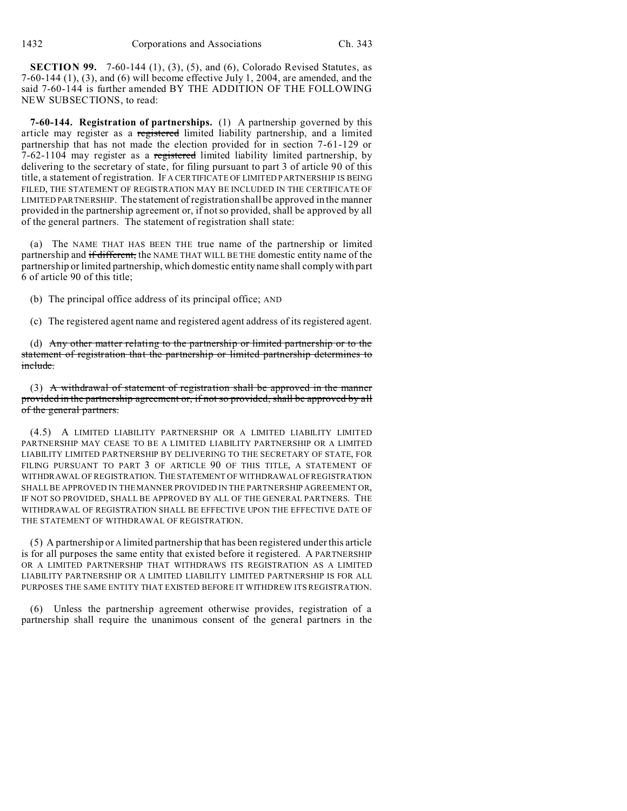**SECTION 99.** 7-60-144 (1), (3), (5), and (6), Colorado Revised Statutes, as 7-60-144 (1), (3), and (6) will become effective July 1, 2004, are amended, and the said 7-60-144 is further amended BY THE ADDITION OF THE FOLLOWING NEW SUBSECTIONS, to read:

**7-60-144. Registration of partnerships.** (1) A partnership governed by this article may register as a registered limited liability partnership, and a limited partnership that has not made the election provided for in section 7-61-129 or 7-62-1104 may register as a registered limited liability limited partnership, by delivering to the secretary of state, for filing pursuant to part 3 of article 90 of this title, a statement of registration. IF A CERTIFICATE OF LIMITED PARTNERSHIP IS BEING FILED, THE STATEMENT OF REGISTRATION MAY BE INCLUDED IN THE CERTIFICATE OF LIMITED PARTNERSHIP. The statement of registration shall be approved in the manner provided in the partnership agreement or, if not so provided, shall be approved by all of the general partners. The statement of registration shall state:

(a) The NAME THAT HAS BEEN THE true name of the partnership or limited partnership and if different, the NAME THAT WILL BE THE domestic entity name of the partnership or limited partnership, which domestic entity name shall comply with part 6 of article 90 of this title;

(b) The principal office address of its principal office; AND

(c) The registered agent name and registered agent address of its registered agent.

(d) Any other matter relating to the partnership or limited partnership or to the statement of registration that the partnership or limited partnership determines to include.

(3) A withdrawal of statement of registration shall be approved in the manner provided in the partnership agreement or, if not so provided, shall be approved by all of the general partners.

(4.5) A LIMITED LIABILITY PARTNERSHIP OR A LIMITED LIABILITY LIMITED PARTNERSHIP MAY CEASE TO BE A LIMITED LIABILITY PARTNERSHIP OR A LIMITED LIABILITY LIMITED PARTNERSHIP BY DELIVERING TO THE SECRETARY OF STATE, FOR FILING PURSUANT TO PART 3 OF ARTICLE 90 OF THIS TITLE, A STATEMENT OF WITHDRAWAL OF REGISTRATION. THESTATEMENT OF WITHDRAWAL OF REGISTRATION SHALL BE APPROVED IN THE MANNER PROVIDED IN THE PARTNERSHIP AGREEMENT OR, IF NOT SO PROVIDED, SHALL BE APPROVED BY ALL OF THE GENERAL PARTNERS. THE WITHDRAWAL OF REGISTRATION SHALL BE EFFECTIVE UPON THE EFFECTIVE DATE OF THE STATEMENT OF WITHDRAWAL OF REGISTRATION.

(5) A partnership or A limited partnership that has been registered under this article is for all purposes the same entity that existed before it registered. A PARTNERSHIP OR A LIMITED PARTNERSHIP THAT WITHDRAWS ITS REGISTRATION AS A LIMITED LIABILITY PARTNERSHIP OR A LIMITED LIABILITY LIMITED PARTNERSHIP IS FOR ALL PURPOSES THE SAME ENTITY THAT EXISTED BEFORE IT WITHDREW ITS REGISTRATION.

(6) Unless the partnership agreement otherwise provides, registration of a partnership shall require the unanimous consent of the general partners in the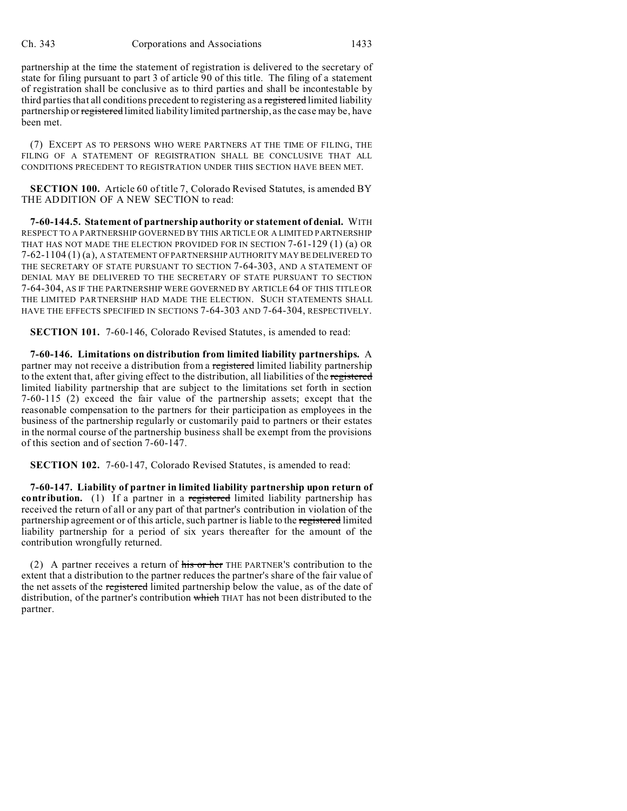partnership at the time the statement of registration is delivered to the secretary of state for filing pursuant to part 3 of article 90 of this title. The filing of a statement of registration shall be conclusive as to third parties and shall be incontestable by third parties that all conditions precedent to registering as a registered limited liability partnership or registered limited liability limited partnership, as the case may be, have been met.

(7) EXCEPT AS TO PERSONS WHO WERE PARTNERS AT THE TIME OF FILING, THE FILING OF A STATEMENT OF REGISTRATION SHALL BE CONCLUSIVE THAT ALL CONDITIONS PRECEDENT TO REGISTRATION UNDER THIS SECTION HAVE BEEN MET.

**SECTION 100.** Article 60 of title 7, Colorado Revised Statutes, is amended BY THE ADDITION OF A NEW SECTION to read:

**7-60-144.5. Statement of partnership authority or statement of denial.** WITH RESPECT TO A PARTNERSHIP GOVERNED BY THIS ARTICLE OR A LIMITED PARTNERSHIP THAT HAS NOT MADE THE ELECTION PROVIDED FOR IN SECTION 7-61-129 (1) (a) OR 7-62-1104 (1) (a), A STATEMENT OF PARTNERSHIP AUTHORITY MAY BE DELIVERED TO THE SECRETARY OF STATE PURSUANT TO SECTION 7-64-303, AND A STATEMENT OF DENIAL MAY BE DELIVERED TO THE SECRETARY OF STATE PURSUANT TO SECTION 7-64-304, AS IF THE PARTNERSHIP WERE GOVERNED BY ARTICLE 64 OF THIS TITLE OR THE LIMITED PARTNERSHIP HAD MADE THE ELECTION. SUCH STATEMENTS SHALL HAVE THE EFFECTS SPECIFIED IN SECTIONS 7-64-303 AND 7-64-304, RESPECTIVELY.

**SECTION 101.** 7-60-146, Colorado Revised Statutes, is amended to read:

**7-60-146. Limitations on distribution from limited liability partnerships.** A partner may not receive a distribution from a registered limited liability partnership to the extent that, after giving effect to the distribution, all liabilities of the registered limited liability partnership that are subject to the limitations set forth in section 7-60-115 (2) exceed the fair value of the partnership assets; except that the reasonable compensation to the partners for their participation as employees in the business of the partnership regularly or customarily paid to partners or their estates in the normal course of the partnership business shall be exempt from the provisions of this section and of section 7-60-147.

**SECTION 102.** 7-60-147, Colorado Revised Statutes, is amended to read:

**7-60-147. Liability of partner in limited liability partnership upon return of contribution.** (1) If a partner in a registered limited liability partnership has received the return of all or any part of that partner's contribution in violation of the partnership agreement or of this article, such partner is liable to the registered limited liability partnership for a period of six years thereafter for the amount of the contribution wrongfully returned.

(2) A partner receives a return of his or her THE PARTNER'S contribution to the extent that a distribution to the partner reduces the partner's share of the fair value of the net assets of the registered limited partnership below the value, as of the date of distribution, of the partner's contribution which THAT has not been distributed to the partner.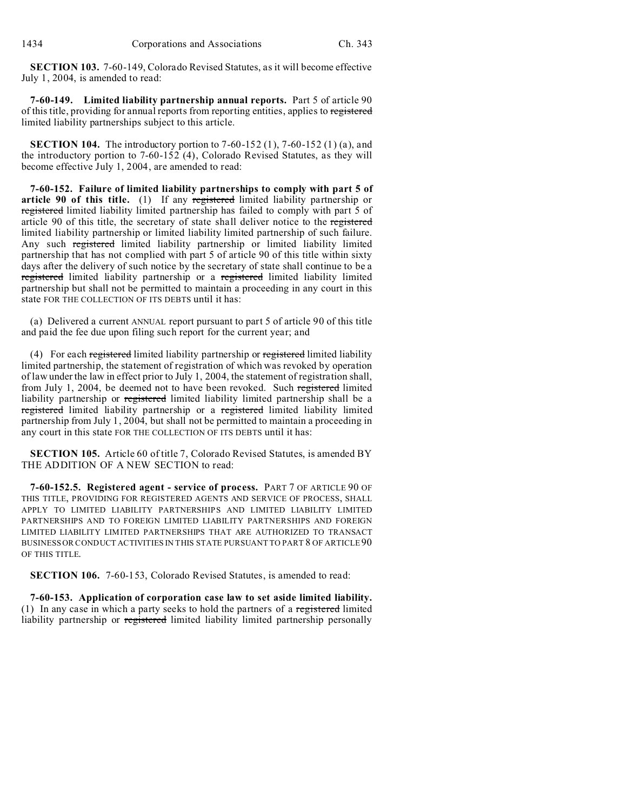**SECTION 103.** 7-60-149, Colorado Revised Statutes, as it will become effective July 1, 2004, is amended to read:

**7-60-149. Limited liability partnership annual reports.** Part 5 of article 90 of this title, providing for annual reports from reporting entities, applies to registered limited liability partnerships subject to this article.

**SECTION 104.** The introductory portion to 7-60-152 (1), 7-60-152 (1) (a), and the introductory portion to 7-60-152 (4), Colorado Revised Statutes, as they will become effective July 1, 2004, are amended to read:

**7-60-152. Failure of limited liability partnerships to comply with part 5 of article 90 of this title.** (1) If any registered limited liability partnership or registered limited liability limited partnership has failed to comply with part 5 of article 90 of this title, the secretary of state shall deliver notice to the registered limited liability partnership or limited liability limited partnership of such failure. Any such registered limited liability partnership or limited liability limited partnership that has not complied with part 5 of article 90 of this title within sixty days after the delivery of such notice by the secretary of state shall continue to be a registered limited liability partnership or a registered limited liability limited partnership but shall not be permitted to maintain a proceeding in any court in this state FOR THE COLLECTION OF ITS DEBTS until it has:

(a) Delivered a current ANNUAL report pursuant to part 5 of article 90 of this title and paid the fee due upon filing such report for the current year; and

(4) For each registered limited liability partnership or registered limited liability limited partnership, the statement of registration of which was revoked by operation of law under the law in effect prior to July 1, 2004, the statement of registration shall, from July 1, 2004, be deemed not to have been revoked. Such registered limited liability partnership or registered limited liability limited partnership shall be a registered limited liability partnership or a registered limited liability limited partnership from July 1, 2004, but shall not be permitted to maintain a proceeding in any court in this state FOR THE COLLECTION OF ITS DEBTS until it has:

**SECTION 105.** Article 60 of title 7, Colorado Revised Statutes, is amended BY THE ADDITION OF A NEW SECTION to read:

**7-60-152.5. Registered agent - service of process.** PART 7 OF ARTICLE 90 OF THIS TITLE, PROVIDING FOR REGISTERED AGENTS AND SERVICE OF PROCESS, SHALL APPLY TO LIMITED LIABILITY PARTNERSHIPS AND LIMITED LIABILITY LIMITED PARTNERSHIPS AND TO FOREIGN LIMITED LIABILITY PARTNERSHIPS AND FOREIGN LIMITED LIABILITY LIMITED PARTNERSHIPS THAT ARE AUTHORIZED TO TRANSACT BUSINESS OR CONDUCT ACTIVITIES IN THIS STATE PURSUANT TO PART 8 OF ARTICLE 90 OF THIS TITLE.

**SECTION 106.** 7-60-153, Colorado Revised Statutes, is amended to read:

**7-60-153. Application of corporation case law to set aside limited liability.** (1) In any case in which a party seeks to hold the partners of a registered limited liability partnership or registered limited liability limited partnership personally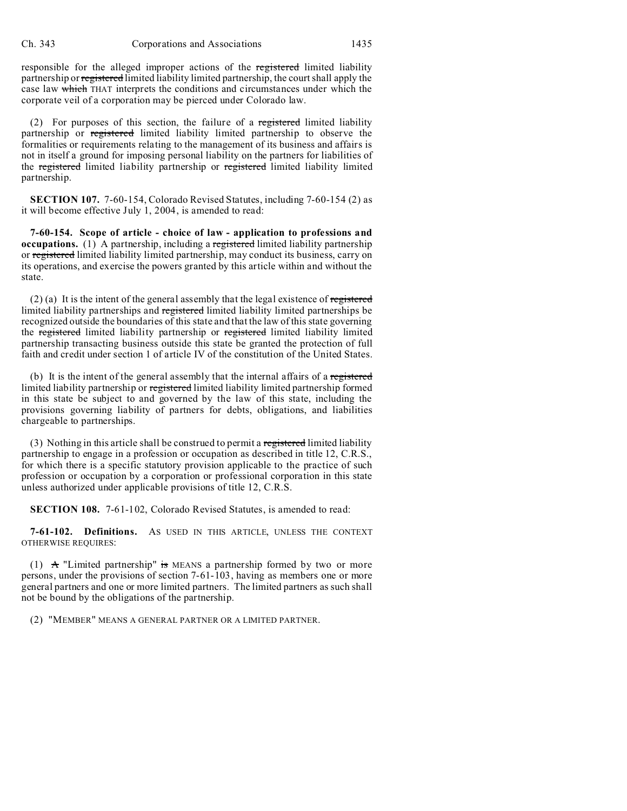responsible for the alleged improper actions of the registered limited liability partnership or registered limited liability limited partnership, the court shall apply the case law which THAT interprets the conditions and circumstances under which the corporate veil of a corporation may be pierced under Colorado law.

(2) For purposes of this section, the failure of a registered limited liability partnership or registered limited liability limited partnership to observe the formalities or requirements relating to the management of its business and affairs is not in itself a ground for imposing personal liability on the partners for liabilities of the registered limited liability partnership or registered limited liability limited partnership.

**SECTION 107.** 7-60-154, Colorado Revised Statutes, including 7-60-154 (2) as it will become effective July 1, 2004, is amended to read:

**7-60-154. Scope of article - choice of law - application to professions and occupations.** (1) A partnership, including a registered limited liability partnership or registered limited liability limited partnership, may conduct its business, carry on its operations, and exercise the powers granted by this article within and without the state.

 $(2)$  (a) It is the intent of the general assembly that the legal existence of registered limited liability partnerships and registered limited liability limited partnerships be recognized outside the boundaries of this state and that the law of this state governing the registered limited liability partnership or registered limited liability limited partnership transacting business outside this state be granted the protection of full faith and credit under section 1 of article IV of the constitution of the United States.

(b) It is the intent of the general assembly that the internal affairs of a registered limited liability partnership or registered limited liability limited partnership formed in this state be subject to and governed by the law of this state, including the provisions governing liability of partners for debts, obligations, and liabilities chargeable to partnerships.

(3) Nothing in this article shall be construed to permit a registered limited liability partnership to engage in a profession or occupation as described in title 12, C.R.S., for which there is a specific statutory provision applicable to the practice of such profession or occupation by a corporation or professional corporation in this state unless authorized under applicable provisions of title 12, C.R.S.

**SECTION 108.** 7-61-102, Colorado Revised Statutes, is amended to read:

**7-61-102. Definitions.** AS USED IN THIS ARTICLE, UNLESS THE CONTEXT OTHERWISE REQUIRES:

(1)  $\mathbf{A}$  "Limited partnership" is MEANS a partnership formed by two or more persons, under the provisions of section 7-61-103, having as members one or more general partners and one or more limited partners. The limited partners as such shall not be bound by the obligations of the partnership.

(2) "MEMBER" MEANS A GENERAL PARTNER OR A LIMITED PARTNER.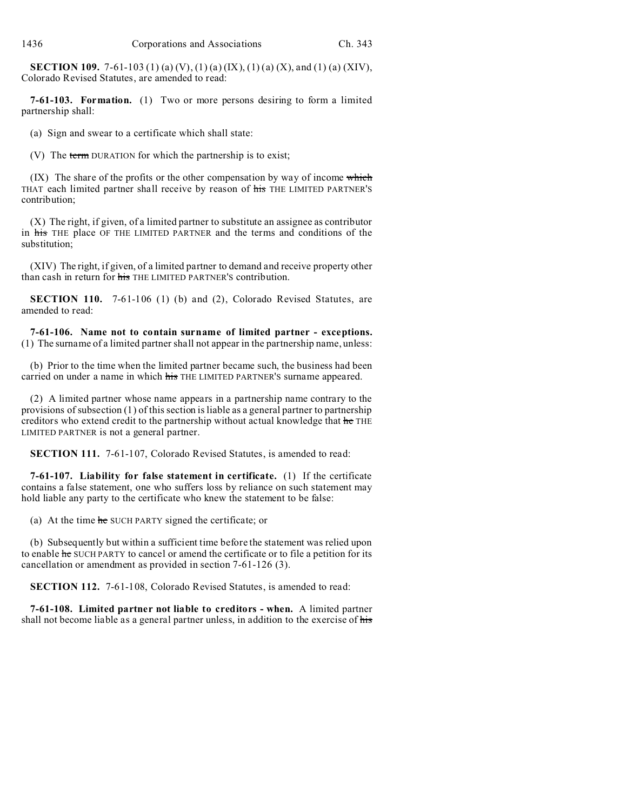**SECTION 109.** 7-61-103 (1) (a) (V), (1) (a) (IX), (1) (a) (X), and (1) (a) (XIV), Colorado Revised Statutes, are amended to read:

**7-61-103. Formation.** (1) Two or more persons desiring to form a limited partnership shall:

(a) Sign and swear to a certificate which shall state:

(V) The term DURATION for which the partnership is to exist;

 $(IX)$  The share of the profits or the other compensation by way of income which THAT each limited partner shall receive by reason of his THE LIMITED PARTNER'S contribution;

(X) The right, if given, of a limited partner to substitute an assignee as contributor in his THE place OF THE LIMITED PARTNER and the terms and conditions of the substitution;

(XIV) The right, if given, of a limited partner to demand and receive property other than cash in return for his THE LIMITED PARTNER'S contribution.

**SECTION 110.** 7-61-106 (1) (b) and (2), Colorado Revised Statutes, are amended to read:

**7-61-106. Name not to contain surname of limited partner - exceptions.** (1) The surname of a limited partner shall not appear in the partnership name, unless:

(b) Prior to the time when the limited partner became such, the business had been carried on under a name in which his THE LIMITED PARTNER'S surname appeared.

(2) A limited partner whose name appears in a partnership name contrary to the provisions of subsection (1) of this section is liable as a general partner to partnership creditors who extend credit to the partnership without actual knowledge that he THE LIMITED PARTNER is not a general partner.

**SECTION 111.** 7-61-107, Colorado Revised Statutes, is amended to read:

**7-61-107. Liability for false statement in certificate.** (1) If the certificate contains a false statement, one who suffers loss by reliance on such statement may hold liable any party to the certificate who knew the statement to be false:

(a) At the time he SUCH PARTY signed the certificate; or

(b) Subsequently but within a sufficient time before the statement was relied upon to enable he SUCH PARTY to cancel or amend the certificate or to file a petition for its cancellation or amendment as provided in section 7-61-126 (3).

**SECTION 112.** 7-61-108, Colorado Revised Statutes, is amended to read:

**7-61-108. Limited partner not liable to creditors - when.** A limited partner shall not become liable as a general partner unless, in addition to the exercise of his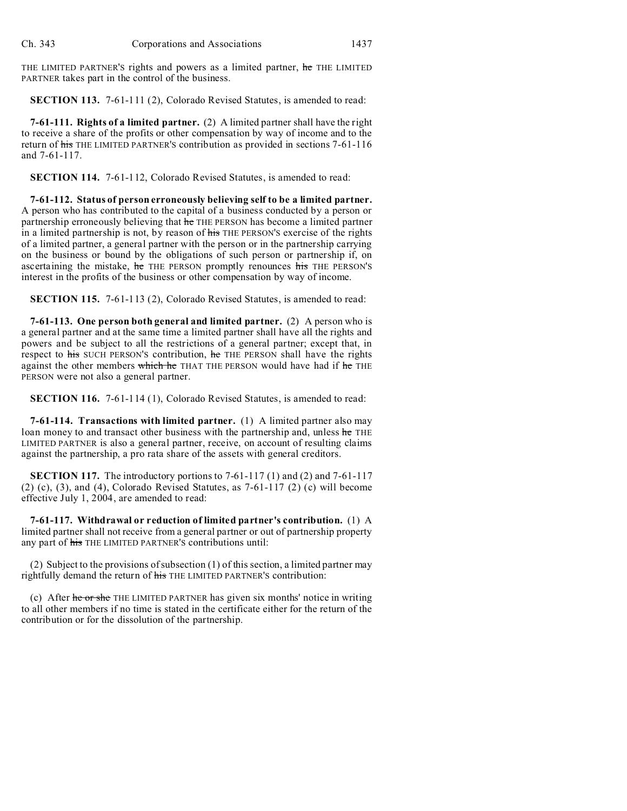THE LIMITED PARTNER'S rights and powers as a limited partner, he THE LIMITED PARTNER takes part in the control of the business.

**SECTION 113.** 7-61-111 (2), Colorado Revised Statutes, is amended to read:

**7-61-111. Rights of a limited partner.** (2) A limited partner shall have the right to receive a share of the profits or other compensation by way of income and to the return of his THE LIMITED PARTNER'S contribution as provided in sections 7-61-116 and 7-61-117.

**SECTION 114.** 7-61-112, Colorado Revised Statutes, is amended to read:

**7-61-112. Status of person erroneously believing self to be a limited partner.** A person who has contributed to the capital of a business conducted by a person or partnership erroneously believing that he THE PERSON has become a limited partner in a limited partnership is not, by reason of his THE PERSON'S exercise of the rights of a limited partner, a general partner with the person or in the partnership carrying on the business or bound by the obligations of such person or partnership if, on ascertaining the mistake, he THE PERSON promptly renounces his THE PERSON'S interest in the profits of the business or other compensation by way of income.

**SECTION 115.** 7-61-113 (2), Colorado Revised Statutes, is amended to read:

**7-61-113. One person both general and limited partner.** (2) A person who is a general partner and at the same time a limited partner shall have all the rights and powers and be subject to all the restrictions of a general partner; except that, in respect to his SUCH PERSON'S contribution, he THE PERSON shall have the rights against the other members which he THAT THE PERSON would have had if he THE PERSON were not also a general partner.

**SECTION 116.** 7-61-114 (1), Colorado Revised Statutes, is amended to read:

**7-61-114. Transactions with limited partner.** (1) A limited partner also may loan money to and transact other business with the partnership and, unless he THE LIMITED PARTNER is also a general partner, receive, on account of resulting claims against the partnership, a pro rata share of the assets with general creditors.

**SECTION 117.** The introductory portions to 7-61-117 (1) and (2) and 7-61-117 (2) (c), (3), and (4), Colorado Revised Statutes, as  $7-61-117$  (2) (c) will become effective July 1, 2004, are amended to read:

**7-61-117. Withdrawal or reduction of limited partner's contribution.** (1) A limited partner shall not receive from a general partner or out of partnership property any part of his THE LIMITED PARTNER'S contributions until:

(2) Subject to the provisions of subsection (1) of this section, a limited partner may rightfully demand the return of his THE LIMITED PARTNER'S contribution:

(c) After he or she THE LIMITED PARTNER has given six months' notice in writing to all other members if no time is stated in the certificate either for the return of the contribution or for the dissolution of the partnership.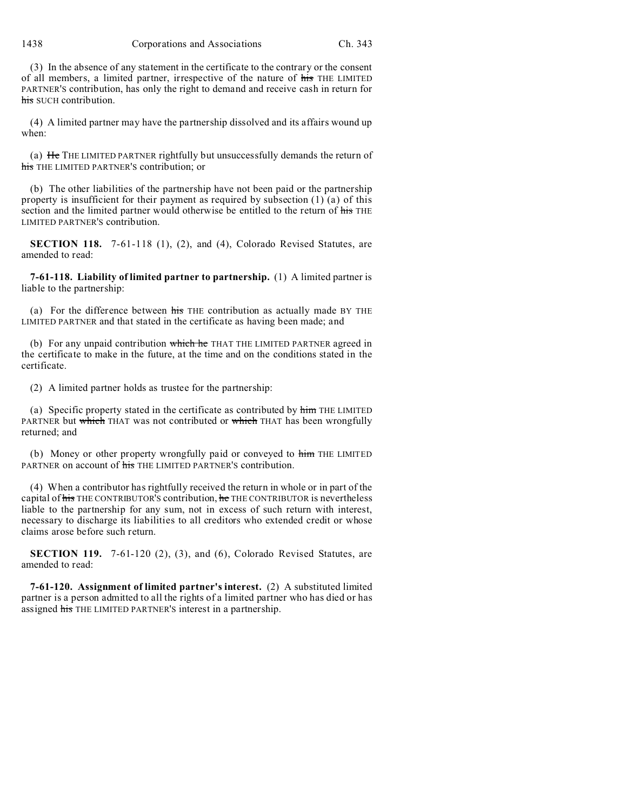1438 Corporations and Associations Ch. 343

(3) In the absence of any statement in the certificate to the contrary or the consent of all members, a limited partner, irrespective of the nature of his THE LIMITED PARTNER'S contribution, has only the right to demand and receive cash in return for his SUCH contribution.

(4) A limited partner may have the partnership dissolved and its affairs wound up when:

(a) He THE LIMITED PARTNER rightfully but unsuccessfully demands the return of his THE LIMITED PARTNER'S contribution; or

(b) The other liabilities of the partnership have not been paid or the partnership property is insufficient for their payment as required by subsection (1) (a) of this section and the limited partner would otherwise be entitled to the return of his THE LIMITED PARTNER'S contribution.

**SECTION 118.** 7-61-118 (1), (2), and (4), Colorado Revised Statutes, are amended to read:

**7-61-118. Liability of limited partner to partnership.** (1) A limited partner is liable to the partnership:

(a) For the difference between his THE contribution as actually made BY THE LIMITED PARTNER and that stated in the certificate as having been made; and

(b) For any unpaid contribution which he THAT THE LIMITED PARTNER agreed in the certificate to make in the future, at the time and on the conditions stated in the certificate.

(2) A limited partner holds as trustee for the partnership:

(a) Specific property stated in the certificate as contributed by him THE LIMITED PARTNER but which THAT was not contributed or which THAT has been wrongfully returned; and

(b) Money or other property wrongfully paid or conveyed to him THE LIMITED PARTNER on account of his THE LIMITED PARTNER'S contribution.

(4) When a contributor has rightfully received the return in whole or in part of the capital of his THE CONTRIBUTOR'S contribution, he THE CONTRIBUTOR is nevertheless liable to the partnership for any sum, not in excess of such return with interest, necessary to discharge its liabilities to all creditors who extended credit or whose claims arose before such return.

**SECTION 119.** 7-61-120 (2), (3), and (6), Colorado Revised Statutes, are amended to read:

**7-61-120. Assignment of limited partner's interest.** (2) A substituted limited partner is a person admitted to all the rights of a limited partner who has died or has assigned his THE LIMITED PARTNER'S interest in a partnership.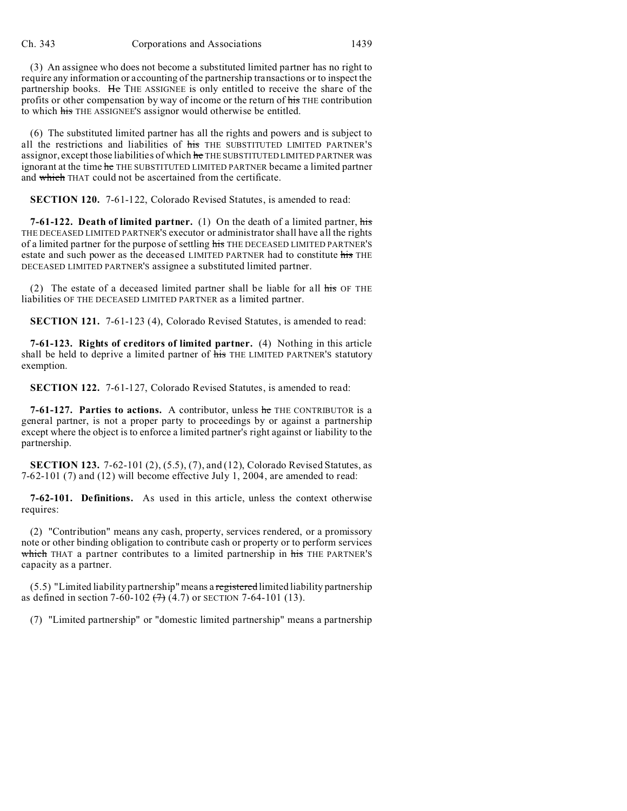(3) An assignee who does not become a substituted limited partner has no right to require any information or accounting of the partnership transactions or to inspect the partnership books. He THE ASSIGNEE is only entitled to receive the share of the profits or other compensation by way of income or the return of his THE contribution to which his THE ASSIGNEE'S assignor would otherwise be entitled.

(6) The substituted limited partner has all the rights and powers and is subject to all the restrictions and liabilities of his THE SUBSTITUTED LIMITED PARTNER'S assignor, except those liabilities of which he THE SUBSTITUTED LIMITED PARTNER was ignorant at the time he THE SUBSTITUTED LIMITED PARTNER became a limited partner and which THAT could not be ascertained from the certificate.

**SECTION 120.** 7-61-122, Colorado Revised Statutes, is amended to read:

**7-61-122. Death of limited partner.** (1) On the death of a limited partner, his THE DECEASED LIMITED PARTNER'S executor or administrator shall have all the rights of a limited partner for the purpose of settling his THE DECEASED LIMITED PARTNER'S estate and such power as the deceased LIMITED PARTNER had to constitute his THE DECEASED LIMITED PARTNER'S assignee a substituted limited partner.

(2) The estate of a deceased limited partner shall be liable for all  $\overline{h}$  for THE liabilities OF THE DECEASED LIMITED PARTNER as a limited partner.

**SECTION 121.** 7-61-123 (4), Colorado Revised Statutes, is amended to read:

**7-61-123. Rights of creditors of limited partner.** (4) Nothing in this article shall be held to deprive a limited partner of his THE LIMITED PARTNER'S statutory exemption.

**SECTION 122.** 7-61-127, Colorado Revised Statutes, is amended to read:

**7-61-127. Parties to actions.** A contributor, unless he THE CONTRIBUTOR is a general partner, is not a proper party to proceedings by or against a partnership except where the object is to enforce a limited partner's right against or liability to the partnership.

**SECTION 123.** 7-62-101 (2), (5.5), (7), and (12), Colorado Revised Statutes, as 7-62-101 (7) and (12) will become effective July 1, 2004, are amended to read:

**7-62-101. Definitions.** As used in this article, unless the context otherwise requires:

(2) "Contribution" means any cash, property, services rendered, or a promissory note or other binding obligation to contribute cash or property or to perform services which THAT a partner contributes to a limited partnership in his THE PARTNER'S capacity as a partner.

(5.5) "Limited liability partnership" means a registered limited liability partnership as defined in section 7-60-102  $(7)$   $(4.7)$  or SECTION 7-64-101 (13).

(7) "Limited partnership" or "domestic limited partnership" means a partnership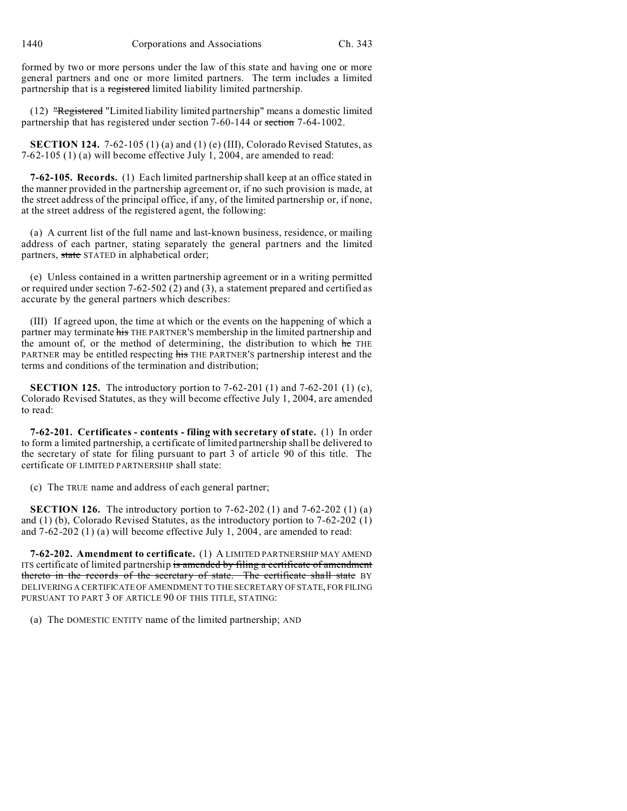formed by two or more persons under the law of this state and having one or more general partners and one or more limited partners. The term includes a limited partnership that is a registered limited liability limited partnership.

(12) "Registered "Limited liability limited partnership" means a domestic limited partnership that has registered under section 7-60-144 or section 7-64-1002.

**SECTION 124.** 7-62-105 (1) (a) and (1) (e) (III), Colorado Revised Statutes, as 7-62-105 (1) (a) will become effective July 1, 2004, are amended to read:

**7-62-105. Records.** (1) Each limited partnership shall keep at an office stated in the manner provided in the partnership agreement or, if no such provision is made, at the street address of the principal office, if any, of the limited partnership or, if none, at the street address of the registered agent, the following:

(a) A current list of the full name and last-known business, residence, or mailing address of each partner, stating separately the general partners and the limited partners, state STATED in alphabetical order;

(e) Unless contained in a written partnership agreement or in a writing permitted or required under section 7-62-502 (2) and (3), a statement prepared and certified as accurate by the general partners which describes:

(III) If agreed upon, the time at which or the events on the happening of which a partner may terminate his THE PARTNER'S membership in the limited partnership and the amount of, or the method of determining, the distribution to which he THE PARTNER may be entitled respecting his THE PARTNER'S partnership interest and the terms and conditions of the termination and distribution;

**SECTION 125.** The introductory portion to 7-62-201 (1) and 7-62-201 (1) (c), Colorado Revised Statutes, as they will become effective July 1, 2004, are amended to read:

**7-62-201. Certificates - contents - filing with secretary of state.** (1) In order to form a limited partnership, a certificate of limited partnership shall be delivered to the secretary of state for filing pursuant to part 3 of article 90 of this title. The certificate OF LIMITED PARTNERSHIP shall state:

(c) The TRUE name and address of each general partner;

**SECTION 126.** The introductory portion to 7-62-202 (1) and 7-62-202 (1) (a) and (1) (b), Colorado Revised Statutes, as the introductory portion to 7-62-202 (1) and 7-62-202 (1) (a) will become effective July 1, 2004, are amended to read:

**7-62-202. Amendment to certificate.** (1) A LIMITED PARTNERSHIP MAY AMEND ITS certificate of limited partnership is amended by filing a certificate of amendment thereto in the records of the secretary of state. The certificate shall state BY DELIVERING A CERTIFICATE OF AMENDMENT TO THE SECRETARY OF STATE, FOR FILING PURSUANT TO PART 3 OF ARTICLE 90 OF THIS TITLE, STATING:

(a) The DOMESTIC ENTITY name of the limited partnership; AND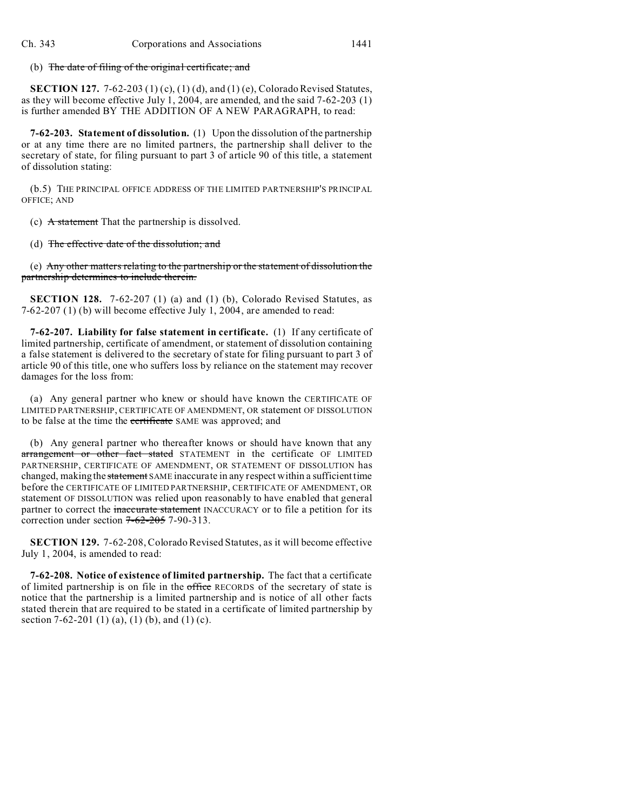(b) The date of filing of the original certificate; and

**SECTION 127.** 7-62-203 (1) (c), (1) (d), and (1) (e), Colorado Revised Statutes, as they will become effective July 1, 2004, are amended, and the said 7-62-203 (1) is further amended BY THE ADDITION OF A NEW PARAGRAPH, to read:

**7-62-203. Statement of dissolution.** (1) Upon the dissolution of the partnership or at any time there are no limited partners, the partnership shall deliver to the secretary of state, for filing pursuant to part 3 of article 90 of this title, a statement of dissolution stating:

(b.5) THE PRINCIPAL OFFICE ADDRESS OF THE LIMITED PARTNERSHIP'S PRINCIPAL OFFICE; AND

(c) A statement That the partnership is dissolved.

(d) The effective date of the dissolution; and

(e) Any other matters relating to the partnership or the statement of dissolution the partnership determines to include therein.

**SECTION 128.** 7-62-207 (1) (a) and (1) (b), Colorado Revised Statutes, as 7-62-207 (1) (b) will become effective July 1, 2004, are amended to read:

**7-62-207. Liability for false statement in certificate.** (1) If any certificate of limited partnership, certificate of amendment, or statement of dissolution containing a false statement is delivered to the secretary of state for filing pursuant to part 3 of article 90 of this title, one who suffers loss by reliance on the statement may recover damages for the loss from:

(a) Any general partner who knew or should have known the CERTIFICATE OF LIMITED PARTNERSHIP, CERTIFICATE OF AMENDMENT, OR statement OF DISSOLUTION to be false at the time the certificate SAME was approved; and

(b) Any general partner who thereafter knows or should have known that any arrangement or other fact stated STATEMENT in the certificate OF LIMITED PARTNERSHIP, CERTIFICATE OF AMENDMENT, OR STATEMENT OF DISSOLUTION has changed, making the statement SAME inaccurate in any respect within a sufficient time before the CERTIFICATE OF LIMITED PARTNERSHIP, CERTIFICATE OF AMENDMENT, OR statement OF DISSOLUTION was relied upon reasonably to have enabled that general partner to correct the inaccurate statement INACCURACY or to file a petition for its correction under section  $7-62-205$  7-90-313.

**SECTION 129.** 7-62-208, Colorado Revised Statutes, as it will become effective July 1, 2004, is amended to read:

**7-62-208. Notice of existence of limited partnership.** The fact that a certificate of limited partnership is on file in the office RECORDS of the secretary of state is notice that the partnership is a limited partnership and is notice of all other facts stated therein that are required to be stated in a certificate of limited partnership by section 7-62-201 (1) (a), (1) (b), and (1) (c).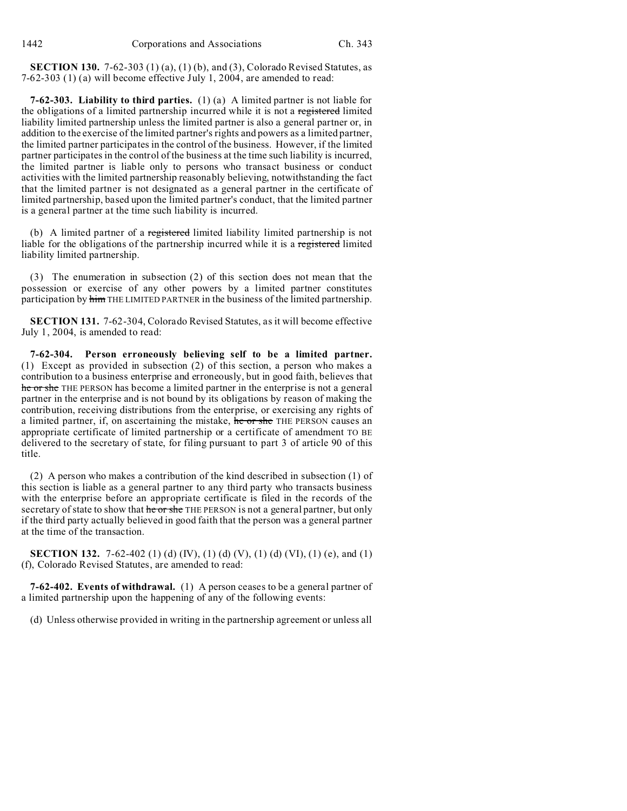**SECTION 130.** 7-62-303 (1) (a), (1) (b), and (3), Colorado Revised Statutes, as 7-62-303 (1) (a) will become effective July 1, 2004, are amended to read:

**7-62-303. Liability to third parties.** (1) (a) A limited partner is not liable for the obligations of a limited partnership incurred while it is not a registered limited liability limited partnership unless the limited partner is also a general partner or, in addition to the exercise of the limited partner's rights and powers as a limited partner, the limited partner participates in the control of the business. However, if the limited partner participates in the control of the business at the time such liability is incurred, the limited partner is liable only to persons who transact business or conduct activities with the limited partnership reasonably believing, notwithstanding the fact that the limited partner is not designated as a general partner in the certificate of limited partnership, based upon the limited partner's conduct, that the limited partner is a general partner at the time such liability is incurred.

(b) A limited partner of a registered limited liability limited partnership is not liable for the obligations of the partnership incurred while it is a registered limited liability limited partnership.

(3) The enumeration in subsection (2) of this section does not mean that the possession or exercise of any other powers by a limited partner constitutes participation by him THE LIMITED PARTNER in the business of the limited partnership.

**SECTION 131.** 7-62-304, Colorado Revised Statutes, as it will become effective July 1, 2004, is amended to read:

**7-62-304. Person erroneously believing self to be a limited partner.** (1) Except as provided in subsection (2) of this section, a person who makes a contribution to a business enterprise and erroneously, but in good faith, believes that he or she THE PERSON has become a limited partner in the enterprise is not a general partner in the enterprise and is not bound by its obligations by reason of making the contribution, receiving distributions from the enterprise, or exercising any rights of a limited partner, if, on ascertaining the mistake, he or she THE PERSON causes an appropriate certificate of limited partnership or a certificate of amendment TO BE delivered to the secretary of state, for filing pursuant to part 3 of article 90 of this title.

(2) A person who makes a contribution of the kind described in subsection (1) of this section is liable as a general partner to any third party who transacts business with the enterprise before an appropriate certificate is filed in the records of the secretary of state to show that he or she THE PERSON is not a general partner, but only if the third party actually believed in good faith that the person was a general partner at the time of the transaction.

**SECTION 132.** 7-62-402 (1) (d) (IV), (1) (d) (V), (1) (d) (VI), (1) (e), and (1) (f), Colorado Revised Statutes, are amended to read:

**7-62-402. Events of withdrawal.** (1) A person ceases to be a general partner of a limited partnership upon the happening of any of the following events:

(d) Unless otherwise provided in writing in the partnership agreement or unless all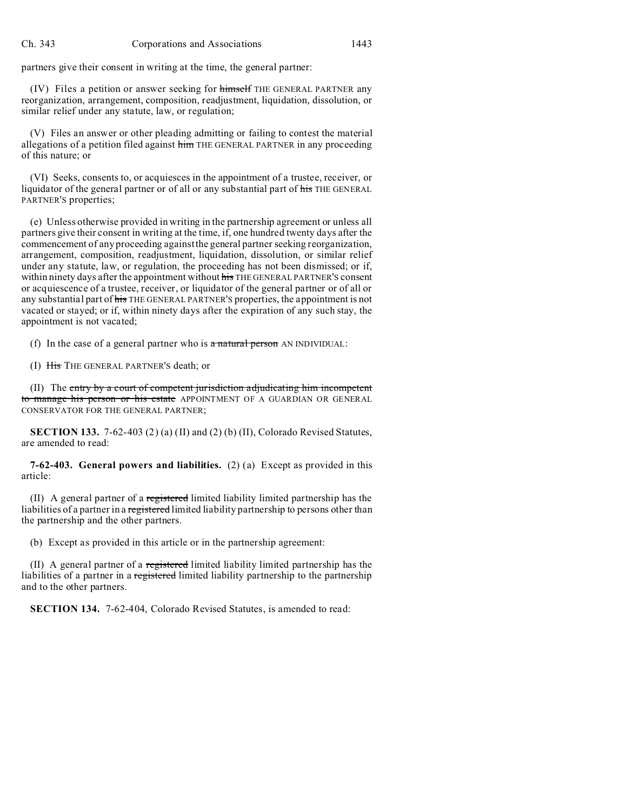partners give their consent in writing at the time, the general partner:

(IV) Files a petition or answer seeking for himself THE GENERAL PARTNER any reorganization, arrangement, composition, readjustment, liquidation, dissolution, or similar relief under any statute, law, or regulation;

(V) Files an answer or other pleading admitting or failing to contest the material allegations of a petition filed against him THE GENERAL PARTNER in any proceeding of this nature; or

(VI) Seeks, consents to, or acquiesces in the appointment of a trustee, receiver, or liquidator of the general partner or of all or any substantial part of his THE GENERAL PARTNER'S properties;

(e) Unless otherwise provided in writing in the partnership agreement or unless all partners give their consent in writing at the time, if, one hundred twenty days after the commencement of any proceeding against the general partner seeking reorganization, arrangement, composition, readjustment, liquidation, dissolution, or similar relief under any statute, law, or regulation, the proceeding has not been dismissed; or if, within ninety days after the appointment without his THE GENERAL PARTNER'S consent or acquiescence of a trustee, receiver, or liquidator of the general partner or of all or any substantial part of his THE GENERAL PARTNER'S properties, the appointment is not vacated or stayed; or if, within ninety days after the expiration of any such stay, the appointment is not vacated;

(f) In the case of a general partner who is  $\alpha$  natural person AN INDIVIDUAL:

(I) His THE GENERAL PARTNER'S death; or

(II) The entry by a court of competent jurisdiction adjudicating him incompetent to manage his person or his estate APPOINTMENT OF A GUARDIAN OR GENERAL CONSERVATOR FOR THE GENERAL PARTNER;

**SECTION 133.** 7-62-403 (2) (a) (II) and (2) (b) (II), Colorado Revised Statutes, are amended to read:

**7-62-403. General powers and liabilities.** (2) (a) Except as provided in this article:

(II) A general partner of a registered limited liability limited partnership has the liabilities of a partner in a registered limited liability partnership to persons other than the partnership and the other partners.

(b) Except as provided in this article or in the partnership agreement:

(II) A general partner of a registered limited liability limited partnership has the liabilities of a partner in a registered limited liability partnership to the partnership and to the other partners.

**SECTION 134.** 7-62-404, Colorado Revised Statutes, is amended to read: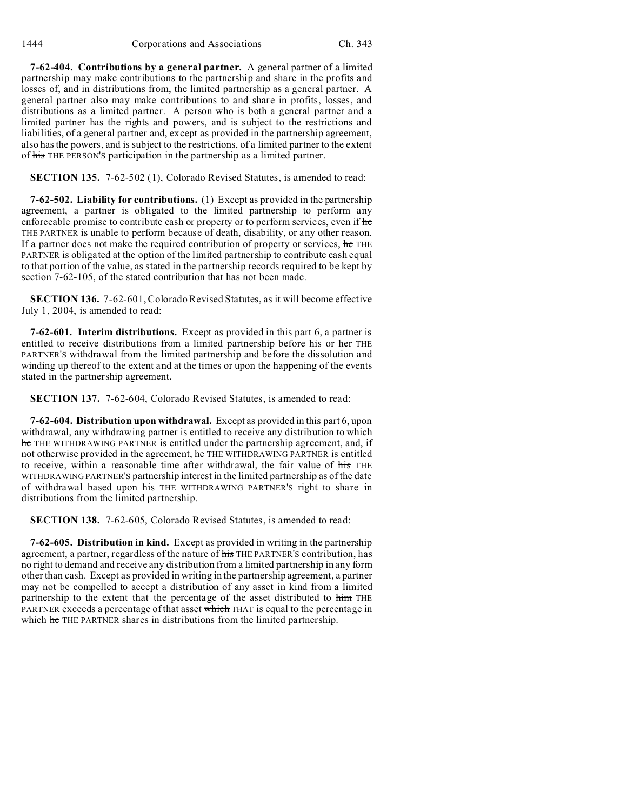**7-62-404. Contributions by a general partner.** A general partner of a limited partnership may make contributions to the partnership and share in the profits and losses of, and in distributions from, the limited partnership as a general partner. A general partner also may make contributions to and share in profits, losses, and distributions as a limited partner. A person who is both a general partner and a limited partner has the rights and powers, and is subject to the restrictions and liabilities, of a general partner and, except as provided in the partnership agreement, also has the powers, and is subject to the restrictions, of a limited partner to the extent of his THE PERSON'S participation in the partnership as a limited partner.

**SECTION 135.** 7-62-502 (1), Colorado Revised Statutes, is amended to read:

**7-62-502. Liability for contributions.** (1) Except as provided in the partnership agreement, a partner is obligated to the limited partnership to perform any enforceable promise to contribute cash or property or to perform services, even if he THE PARTNER is unable to perform because of death, disability, or any other reason. If a partner does not make the required contribution of property or services, he THE PARTNER is obligated at the option of the limited partnership to contribute cash equal to that portion of the value, as stated in the partnership records required to be kept by section 7-62-105, of the stated contribution that has not been made.

**SECTION 136.** 7-62-601, Colorado Revised Statutes, as it will become effective July 1, 2004, is amended to read:

**7-62-601. Interim distributions.** Except as provided in this part 6, a partner is entitled to receive distributions from a limited partnership before his or her THE PARTNER'S withdrawal from the limited partnership and before the dissolution and winding up thereof to the extent and at the times or upon the happening of the events stated in the partnership agreement.

**SECTION 137.** 7-62-604, Colorado Revised Statutes, is amended to read:

**7-62-604. Distribution upon withdrawal.** Except as provided in this part 6, upon withdrawal, any withdrawing partner is entitled to receive any distribution to which he THE WITHDRAWING PARTNER is entitled under the partnership agreement, and, if not otherwise provided in the agreement, he THE WITHDRAWING PARTNER is entitled to receive, within a reasonable time after withdrawal, the fair value of his THE WITHDRAWING PARTNER'S partnership interest in the limited partnership as of the date of withdrawal based upon his THE WITHDRAWING PARTNER'S right to share in distributions from the limited partnership.

**SECTION 138.** 7-62-605, Colorado Revised Statutes, is amended to read:

**7-62-605. Distribution in kind.** Except as provided in writing in the partnership agreement, a partner, regardless of the nature of his THE PARTNER'S contribution, has no right to demand and receive any distribution from a limited partnership in any form other than cash. Except as provided in writing in the partnership agreement, a partner may not be compelled to accept a distribution of any asset in kind from a limited partnership to the extent that the percentage of the asset distributed to him THE PARTNER exceeds a percentage of that asset which THAT is equal to the percentage in which he THE PARTNER shares in distributions from the limited partnership.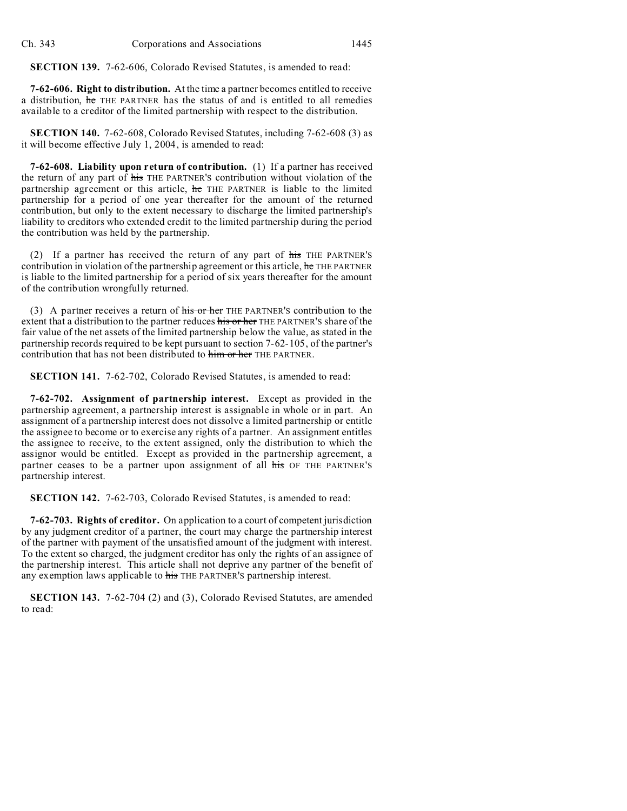**SECTION 139.** 7-62-606, Colorado Revised Statutes, is amended to read:

**7-62-606. Right to distribution.** At the time a partner becomes entitled to receive a distribution, he THE PARTNER has the status of and is entitled to all remedies available to a creditor of the limited partnership with respect to the distribution.

**SECTION 140.** 7-62-608, Colorado Revised Statutes, including 7-62-608 (3) as it will become effective July 1, 2004, is amended to read:

**7-62-608. Liability upon return of contribution.** (1) If a partner has received the return of any part of his THE PARTNER'S contribution without violation of the partnership agreement or this article, he THE PARTNER is liable to the limited partnership for a period of one year thereafter for the amount of the returned contribution, but only to the extent necessary to discharge the limited partnership's liability to creditors who extended credit to the limited partnership during the period the contribution was held by the partnership.

(2) If a partner has received the return of any part of his THE PARTNER'S contribution in violation of the partnership agreement or this article, he THE PARTNER is liable to the limited partnership for a period of six years thereafter for the amount of the contribution wrongfully returned.

(3) A partner receives a return of his or her THE PARTNER'S contribution to the extent that a distribution to the partner reduces his or her THE PARTNER'S share of the fair value of the net assets of the limited partnership below the value, as stated in the partnership records required to be kept pursuant to section 7-62-105, of the partner's contribution that has not been distributed to him or her THE PARTNER.

**SECTION 141.** 7-62-702, Colorado Revised Statutes, is amended to read:

**7-62-702. Assignment of partnership interest.** Except as provided in the partnership agreement, a partnership interest is assignable in whole or in part. An assignment of a partnership interest does not dissolve a limited partnership or entitle the assignee to become or to exercise any rights of a partner. An assignment entitles the assignee to receive, to the extent assigned, only the distribution to which the assignor would be entitled. Except as provided in the partnership agreement, a partner ceases to be a partner upon assignment of all his OF THE PARTNER'S partnership interest.

**SECTION 142.** 7-62-703, Colorado Revised Statutes, is amended to read:

**7-62-703. Rights of creditor.** On application to a court of competent jurisdiction by any judgment creditor of a partner, the court may charge the partnership interest of the partner with payment of the unsatisfied amount of the judgment with interest. To the extent so charged, the judgment creditor has only the rights of an assignee of the partnership interest. This article shall not deprive any partner of the benefit of any exemption laws applicable to his THE PARTNER's partnership interest.

**SECTION 143.** 7-62-704 (2) and (3), Colorado Revised Statutes, are amended to read: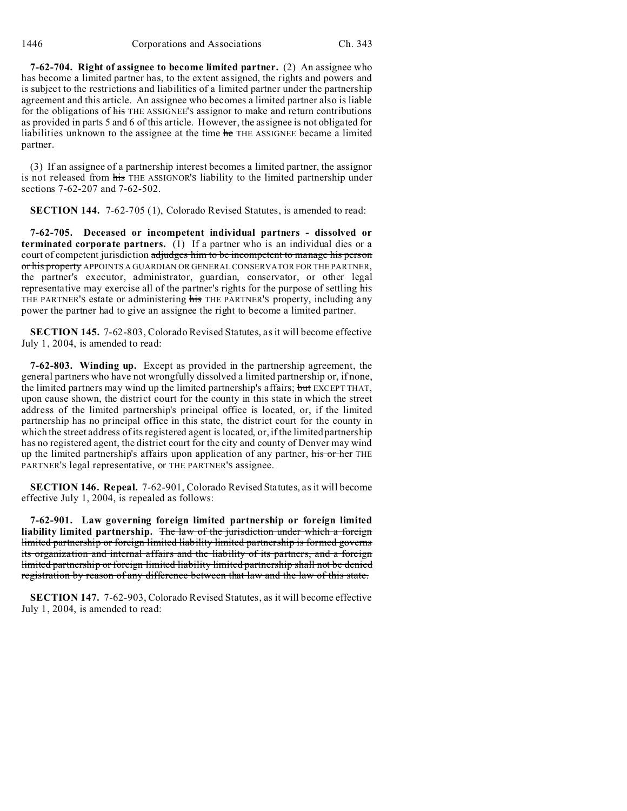**7-62-704. Right of assignee to become limited partner.** (2) An assignee who has become a limited partner has, to the extent assigned, the rights and powers and is subject to the restrictions and liabilities of a limited partner under the partnership agreement and this article. An assignee who becomes a limited partner also is liable for the obligations of his THE ASSIGNEE'S assignor to make and return contributions as provided in parts 5 and 6 of this article. However, the assignee is not obligated for liabilities unknown to the assignee at the time he THE ASSIGNEE became a limited partner.

(3) If an assignee of a partnership interest becomes a limited partner, the assignor is not released from his THE ASSIGNOR'S liability to the limited partnership under sections 7-62-207 and 7-62-502.

**SECTION 144.** 7-62-705 (1), Colorado Revised Statutes, is amended to read:

**7-62-705. Deceased or incompetent individual partners - dissolved or terminated corporate partners.** (1) If a partner who is an individual dies or a court of competent jurisdiction adjudges him to be incompetent to manage his person or his property APPOINTS A GUARDIAN OR GENERAL CONSERVATOR FOR THE PARTNER, the partner's executor, administrator, guardian, conservator, or other legal representative may exercise all of the partner's rights for the purpose of settling his THE PARTNER'S estate or administering his THE PARTNER'S property, including any power the partner had to give an assignee the right to become a limited partner.

**SECTION 145.** 7-62-803, Colorado Revised Statutes, as it will become effective July 1, 2004, is amended to read:

**7-62-803. Winding up.** Except as provided in the partnership agreement, the general partners who have not wrongfully dissolved a limited partnership or, if none, the limited partners may wind up the limited partnership's affairs; but EXCEPT THAT, upon cause shown, the district court for the county in this state in which the street address of the limited partnership's principal office is located, or, if the limited partnership has no principal office in this state, the district court for the county in which the street address of its registered agent is located, or, if the limited partnership has no registered agent, the district court for the city and county of Denver may wind up the limited partnership's affairs upon application of any partner, his or her THE PARTNER'S legal representative, or THE PARTNER'S assignee.

**SECTION 146. Repeal.** 7-62-901, Colorado Revised Statutes, as it will become effective July 1, 2004, is repealed as follows:

**7-62-901. Law governing foreign limited partnership or foreign limited liability limited partnership.** The law of the jurisdiction under which a foreign limited partnership or foreign limited liability limited partnership is formed governs its organization and internal affairs and the liability of its partners, and a foreign limited partnership or foreign limited liability limited partnership shall not be denied registration by reason of any difference between that law and the law of this state.

**SECTION 147.** 7-62-903, Colorado Revised Statutes, as it will become effective July 1, 2004, is amended to read: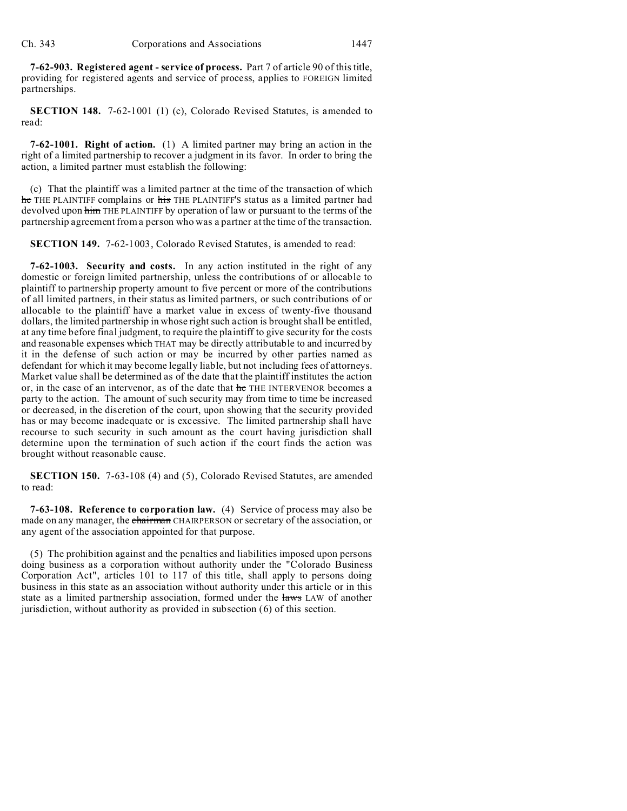**7-62-903. Registered agent - service of process.** Part 7 of article 90 of this title, providing for registered agents and service of process, applies to FOREIGN limited partnerships.

**SECTION 148.** 7-62-1001 (1) (c), Colorado Revised Statutes, is amended to read:

**7-62-1001. Right of action.** (1) A limited partner may bring an action in the right of a limited partnership to recover a judgment in its favor. In order to bring the action, a limited partner must establish the following:

(c) That the plaintiff was a limited partner at the time of the transaction of which he THE PLAINTIFF complains or his THE PLAINTIFF'S status as a limited partner had devolved upon him THE PLAINTIFF by operation of law or pursuant to the terms of the partnership agreement from a person who was a partner at the time of the transaction.

**SECTION 149.** 7-62-1003, Colorado Revised Statutes, is amended to read:

**7-62-1003. Security and costs.** In any action instituted in the right of any domestic or foreign limited partnership, unless the contributions of or allocable to plaintiff to partnership property amount to five percent or more of the contributions of all limited partners, in their status as limited partners, or such contributions of or allocable to the plaintiff have a market value in excess of twenty-five thousand dollars, the limited partnership in whose right such action is brought shall be entitled, at any time before final judgment, to require the plaintiff to give security for the costs and reasonable expenses which THAT may be directly attributable to and incurred by it in the defense of such action or may be incurred by other parties named as defendant for which it may become legally liable, but not including fees of attorneys. Market value shall be determined as of the date that the plaintiff institutes the action or, in the case of an intervenor, as of the date that he THE INTERVENOR becomes a party to the action. The amount of such security may from time to time be increased or decreased, in the discretion of the court, upon showing that the security provided has or may become inadequate or is excessive. The limited partnership shall have recourse to such security in such amount as the court having jurisdiction shall determine upon the termination of such action if the court finds the action was brought without reasonable cause.

**SECTION 150.** 7-63-108 (4) and (5), Colorado Revised Statutes, are amended to read:

**7-63-108. Reference to corporation law.** (4) Service of process may also be made on any manager, the chairman CHAIRPERSON or secretary of the association, or any agent of the association appointed for that purpose.

(5) The prohibition against and the penalties and liabilities imposed upon persons doing business as a corporation without authority under the "Colorado Business Corporation Act", articles 101 to 117 of this title, shall apply to persons doing business in this state as an association without authority under this article or in this state as a limited partnership association, formed under the laws LAW of another jurisdiction, without authority as provided in subsection (6) of this section.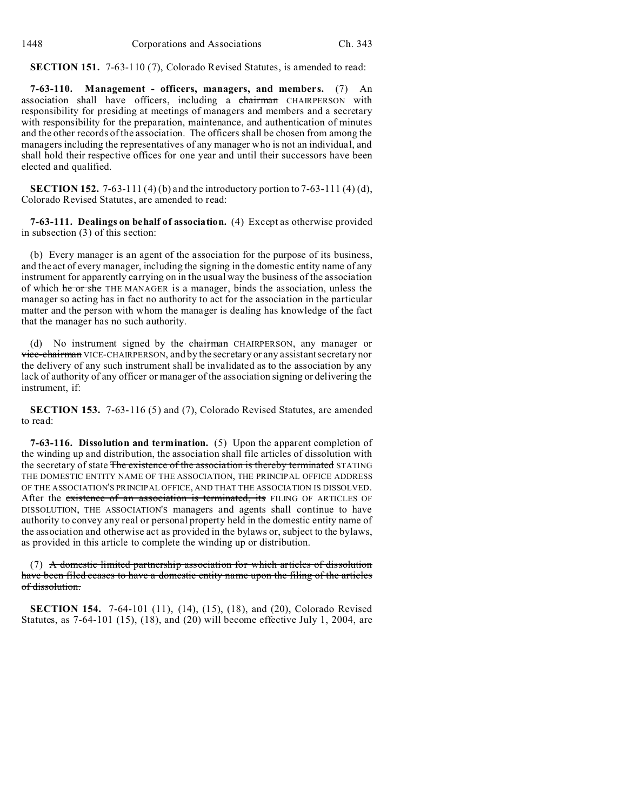**SECTION 151.** 7-63-110 (7), Colorado Revised Statutes, is amended to read:

**7-63-110. Management - officers, managers, and members.** (7) An association shall have officers, including a chairman CHAIRPERSON with responsibility for presiding at meetings of managers and members and a secretary with responsibility for the preparation, maintenance, and authentication of minutes and the other records of the association. The officers shall be chosen from among the managers including the representatives of any manager who is not an individual, and shall hold their respective offices for one year and until their successors have been elected and qualified.

**SECTION 152.** 7-63-111 (4) (b) and the introductory portion to 7-63-111 (4) (d), Colorado Revised Statutes, are amended to read:

**7-63-111. Dealings on behalf of association.** (4) Except as otherwise provided in subsection (3) of this section:

(b) Every manager is an agent of the association for the purpose of its business, and the act of every manager, including the signing in the domestic entity name of any instrument for apparently carrying on in the usual way the business of the association of which he or she THE MANAGER is a manager, binds the association, unless the manager so acting has in fact no authority to act for the association in the particular matter and the person with whom the manager is dealing has knowledge of the fact that the manager has no such authority.

(d) No instrument signed by the chairman CHAIRPERSON, any manager or vice-chairman VICE-CHAIRPERSON, and by the secretary or any assistant secretary nor the delivery of any such instrument shall be invalidated as to the association by any lack of authority of any officer or manager of the association signing or delivering the instrument, if:

**SECTION 153.** 7-63-116 (5) and (7), Colorado Revised Statutes, are amended to read:

**7-63-116. Dissolution and termination.** (5) Upon the apparent completion of the winding up and distribution, the association shall file articles of dissolution with the secretary of state The existence of the association is thereby terminated STATING THE DOMESTIC ENTITY NAME OF THE ASSOCIATION, THE PRINCIPAL OFFICE ADDRESS OF THE ASSOCIATION'S PRINCIPAL OFFICE, AND THAT THE ASSOCIATION IS DISSOLVED. After the existence of an association is terminated, its FILING OF ARTICLES OF DISSOLUTION, THE ASSOCIATION'S managers and agents shall continue to have authority to convey any real or personal property held in the domestic entity name of the association and otherwise act as provided in the bylaws or, subject to the bylaws, as provided in this article to complete the winding up or distribution.

(7) A domestic limited partnership association for which articles of dissolution have been filed ceases to have a domestic entity name upon the filing of the articles of dissolution.

**SECTION 154.** 7-64-101 (11), (14), (15), (18), and (20), Colorado Revised Statutes, as 7-64-101 (15), (18), and (20) will become effective July 1, 2004, are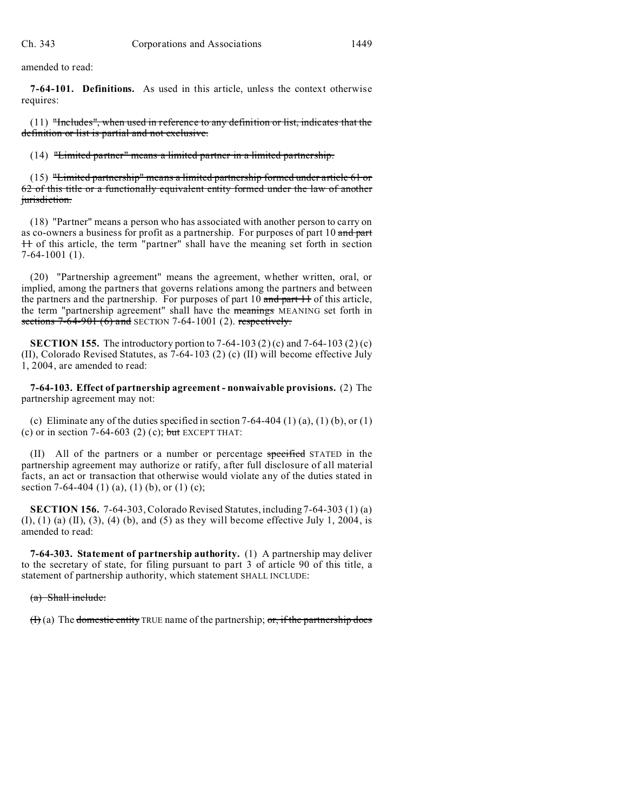amended to read:

**7-64-101. Definitions.** As used in this article, unless the context otherwise requires:

(11) "Includes", when used in reference to any definition or list, indicates that the definition or list is partial and not exclusive.

(14) "Limited partner" means a limited partner in a limited partnership.

(15) "Limited partnership" means a limited partnership formed under article 61 or 62 of this title or a functionally equivalent entity formed under the law of another jurisdiction.

(18) "Partner" means a person who has associated with another person to carry on as co-owners a business for profit as a partnership. For purposes of part 10 and part 11 of this article, the term "partner" shall have the meaning set forth in section 7-64-1001 (1).

(20) "Partnership agreement" means the agreement, whether written, oral, or implied, among the partners that governs relations among the partners and between the partners and the partnership. For purposes of part  $10$  and part  $11$  of this article, the term "partnership agreement" shall have the meanings MEANING set forth in sections  $7-64-901$  (6) and SECTION 7-64-1001 (2). respectively.

**SECTION 155.** The introductory portion to 7-64-103 (2) (c) and 7-64-103 (2) (c) (II), Colorado Revised Statutes, as 7-64-103 (2) (c) (II) will become effective July 1, 2004, are amended to read:

**7-64-103. Effect of partnership agreement - nonwaivable provisions.** (2) The partnership agreement may not:

(c) Eliminate any of the duties specified in section  $7-64-404$  (1) (a), (1) (b), or (1) (c) or in section 7-64-603 (2) (c); but EXCEPT THAT:

(II) All of the partners or a number or percentage specified STATED in the partnership agreement may authorize or ratify, after full disclosure of all material facts, an act or transaction that otherwise would violate any of the duties stated in section 7-64-404 (1) (a), (1) (b), or (1) (c);

**SECTION 156.** 7-64-303, Colorado Revised Statutes, including 7-64-303 (1) (a)  $(1)$ ,  $(1)$   $(a)$   $(II)$ ,  $(3)$ ,  $(4)$   $(b)$ , and  $(5)$  as they will become effective July 1, 2004, is amended to read:

**7-64-303. Statement of partnership authority.** (1) A partnership may deliver to the secretary of state, for filing pursuant to part 3 of article 90 of this title, a statement of partnership authority, which statement SHALL INCLUDE:

## (a) Shall include:

 $(H)$  (a) The domestic entity TRUE name of the partnership; or, if the partnership does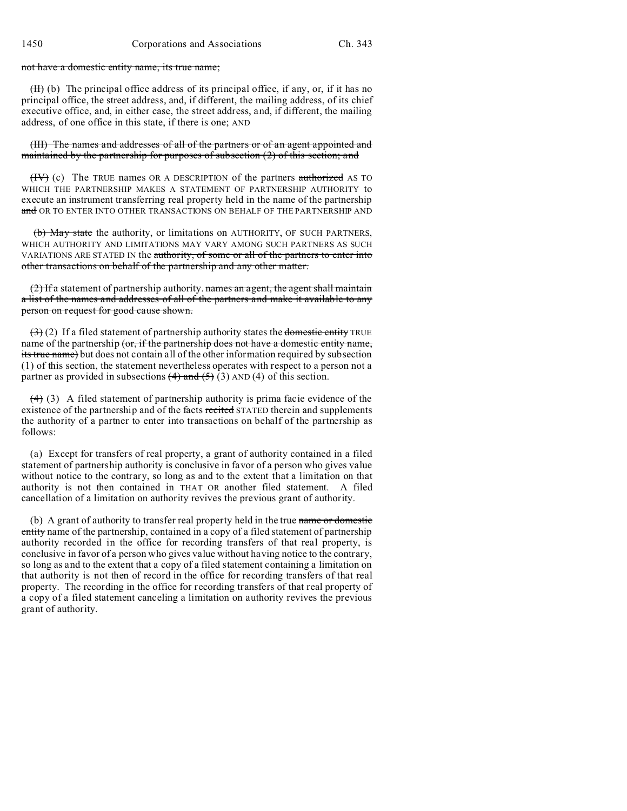not have a domestic entity name, its true name;

 $(H)$  (b) The principal office address of its principal office, if any, or, if it has no principal office, the street address, and, if different, the mailing address, of its chief executive office, and, in either case, the street address, and, if different, the mailing address, of one office in this state, if there is one; AND

(III) The names and addresses of all of the partners or of an agent appointed and maintained by the partnership for purposes of subsection  $(2)$  of this section; and

 $(HV)$  (c) The TRUE names OR A DESCRIPTION of the partners authorized AS TO WHICH THE PARTNERSHIP MAKES A STATEMENT OF PARTNERSHIP AUTHORITY to execute an instrument transferring real property held in the name of the partnership and OR TO ENTER INTO OTHER TRANSACTIONS ON BEHALF OF THE PARTNERSHIP AND

(b) May state the authority, or limitations on AUTHORITY, OF SUCH PARTNERS, WHICH AUTHORITY AND LIMITATIONS MAY VARY AMONG SUCH PARTNERS AS SUCH VARIATIONS ARE STATED IN the authority, of some or all of the partners to enter into other transactions on behalf of the partnership and any other matter.

 $(2)$  If a statement of partnership authority. names an agent, the agent shall maintain a list of the names and addresses of all of the partners and make it available to any person on request for good cause shown.

 $(3)$  (2) If a filed statement of partnership authority states the domestic entity TRUE name of the partnership (or, if the partnership does not have a domestic entity name, its true name) but does not contain all of the other information required by subsection (1) of this section, the statement nevertheless operates with respect to a person not a partner as provided in subsections  $(4)$  and  $(5)$  (3) AND (4) of this section.

 $(4)$  (3) A filed statement of partnership authority is prima facie evidence of the existence of the partnership and of the facts recited STATED therein and supplements the authority of a partner to enter into transactions on behalf of the partnership as follows:

(a) Except for transfers of real property, a grant of authority contained in a filed statement of partnership authority is conclusive in favor of a person who gives value without notice to the contrary, so long as and to the extent that a limitation on that authority is not then contained in THAT OR another filed statement. A filed cancellation of a limitation on authority revives the previous grant of authority.

(b) A grant of authority to transfer real property held in the true name or domestic entity name of the partnership, contained in a copy of a filed statement of partnership authority recorded in the office for recording transfers of that real property, is conclusive in favor of a person who gives value without having notice to the contrary, so long as and to the extent that a copy of a filed statement containing a limitation on that authority is not then of record in the office for recording transfers of that real property. The recording in the office for recording transfers of that real property of a copy of a filed statement canceling a limitation on authority revives the previous grant of authority.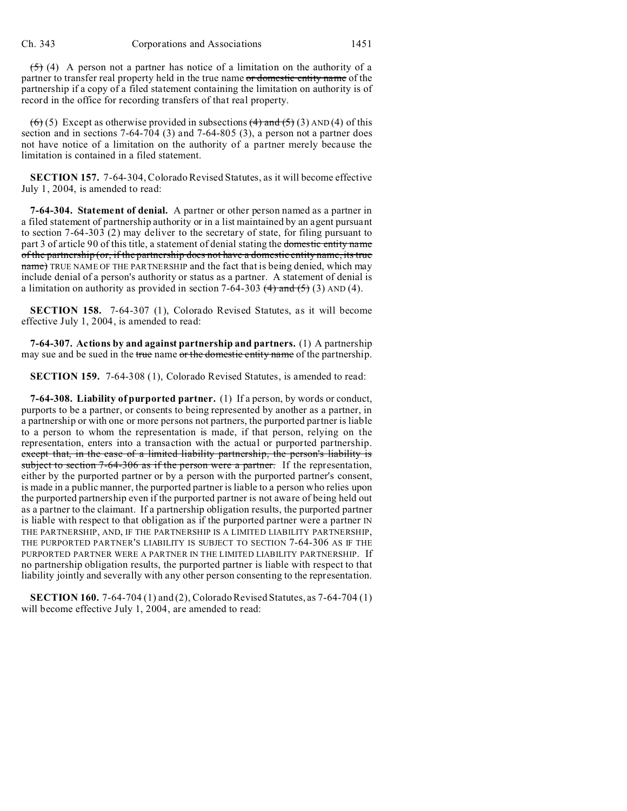$(5)$  (4) A person not a partner has notice of a limitation on the authority of a partner to transfer real property held in the true name or domestic entity name of the partnership if a copy of a filed statement containing the limitation on authority is of record in the office for recording transfers of that real property.

 $(6)$  (5) Except as otherwise provided in subsections  $(4)$  and  $(5)$  (3) AND (4) of this section and in sections 7-64-704 (3) and 7-64-805 (3), a person not a partner does not have notice of a limitation on the authority of a partner merely because the limitation is contained in a filed statement.

**SECTION 157.** 7-64-304, Colorado Revised Statutes, as it will become effective July 1, 2004, is amended to read:

**7-64-304. Statement of denial.** A partner or other person named as a partner in a filed statement of partnership authority or in a list maintained by an agent pursuant to section 7-64-303 (2) may deliver to the secretary of state, for filing pursuant to part 3 of article 90 of this title, a statement of denial stating the domestic entity name of the partnership (or, if the partnership does not have a domestic entity name, its true name) TRUE NAME OF THE PARTNERSHIP and the fact that is being denied, which may include denial of a person's authority or status as a partner. A statement of denial is a limitation on authority as provided in section 7-64-303  $(4)$  and  $(5)$  (3) AND (4).

**SECTION 158.** 7-64-307 (1), Colorado Revised Statutes, as it will become effective July 1, 2004, is amended to read:

**7-64-307. Actions by and against partnership and partners.** (1) A partnership may sue and be sued in the true name or the domestic entity name of the partnership.

**SECTION 159.** 7-64-308 (1), Colorado Revised Statutes, is amended to read:

**7-64-308. Liability of purported partner.** (1) If a person, by words or conduct, purports to be a partner, or consents to being represented by another as a partner, in a partnership or with one or more persons not partners, the purported partner is liable to a person to whom the representation is made, if that person, relying on the representation, enters into a transaction with the actual or purported partnership. except that, in the case of a limited liability partnership, the person's liability is subject to section 7-64-306 as if the person were a partner. If the representation, either by the purported partner or by a person with the purported partner's consent, is made in a public manner, the purported partner is liable to a person who relies upon the purported partnership even if the purported partner is not aware of being held out as a partner to the claimant. If a partnership obligation results, the purported partner is liable with respect to that obligation as if the purported partner were a partner IN THE PARTNERSHIP, AND, IF THE PARTNERSHIP IS A LIMITED LIABILITY PARTNERSHIP, THE PURPORTED PARTNER'S LIABILITY IS SUBJECT TO SECTION 7-64-306 AS IF THE PURPORTED PARTNER WERE A PARTNER IN THE LIMITED LIABILITY PARTNERSHIP. If no partnership obligation results, the purported partner is liable with respect to that liability jointly and severally with any other person consenting to the representation.

**SECTION 160.** 7-64-704 (1) and (2), Colorado Revised Statutes, as 7-64-704 (1) will become effective July 1, 2004, are amended to read: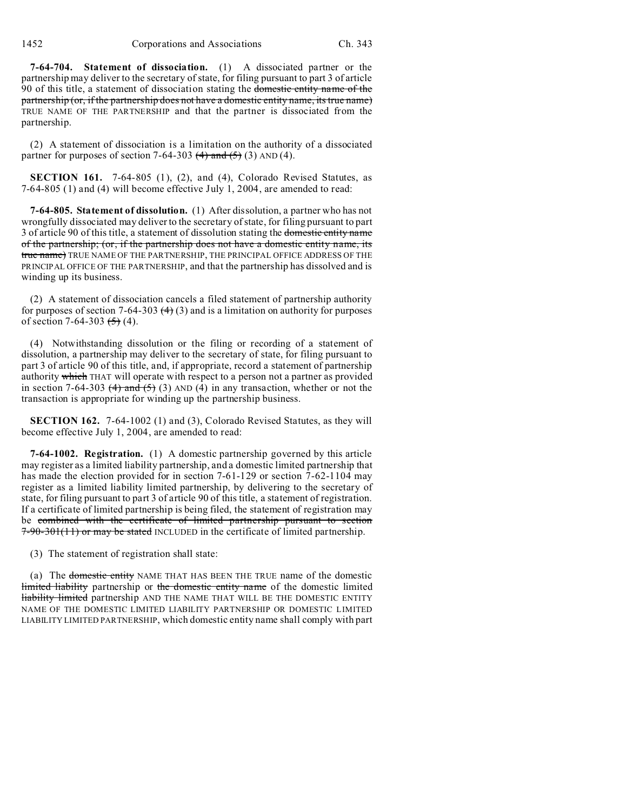**7-64-704. Statement of dissociation.** (1) A dissociated partner or the partnership may deliver to the secretary of state, for filing pursuant to part 3 of article 90 of this title, a statement of dissociation stating the domestic entity name of the partnership (or, if the partnership does not have a domestic entity name, its true name) TRUE NAME OF THE PARTNERSHIP and that the partner is dissociated from the partnership.

(2) A statement of dissociation is a limitation on the authority of a dissociated partner for purposes of section 7-64-303  $(4)$  and  $(5)$  (3) AND (4).

**SECTION 161.** 7-64-805 (1), (2), and (4), Colorado Revised Statutes, as 7-64-805 (1) and (4) will become effective July 1, 2004, are amended to read:

**7-64-805. Statement of dissolution.** (1) After dissolution, a partner who has not wrongfully dissociated may deliver to the secretary of state, for filing pursuant to part 3 of article 90 of this title, a statement of dissolution stating the domestic entity name of the partnership; (or, if the partnership does not have a domestic entity name, its true name) TRUE NAME OF THE PARTNERSHIP, THE PRINCIPAL OFFICE ADDRESS OF THE PRINCIPAL OFFICE OF THE PARTNERSHIP, and that the partnership has dissolved and is winding up its business.

(2) A statement of dissociation cancels a filed statement of partnership authority for purposes of section 7-64-303  $(4)$  (3) and is a limitation on authority for purposes of section 7-64-303  $(5)$  (4).

(4) Notwithstanding dissolution or the filing or recording of a statement of dissolution, a partnership may deliver to the secretary of state, for filing pursuant to part 3 of article 90 of this title, and, if appropriate, record a statement of partnership authority which THAT will operate with respect to a person not a partner as provided in section 7-64-303  $(4)$  and  $(5)$  (3) AND (4) in any transaction, whether or not the transaction is appropriate for winding up the partnership business.

**SECTION 162.** 7-64-1002 (1) and (3), Colorado Revised Statutes, as they will become effective July 1, 2004, are amended to read:

**7-64-1002. Registration.** (1) A domestic partnership governed by this article may register as a limited liability partnership, and a domestic limited partnership that has made the election provided for in section 7-61-129 or section 7-62-1104 may register as a limited liability limited partnership, by delivering to the secretary of state, for filing pursuant to part 3 of article 90 of this title, a statement of registration. If a certificate of limited partnership is being filed, the statement of registration may be combined with the certificate of limited partnership pursuant to section 7-90-301(11) or may be stated INCLUDED in the certificate of limited partnership.

(3) The statement of registration shall state:

(a) The domestic entity NAME THAT HAS BEEN THE TRUE name of the domestic limited liability partnership or the domestic entity name of the domestic limited liability limited partnership AND THE NAME THAT WILL BE THE DOMESTIC ENTITY NAME OF THE DOMESTIC LIMITED LIABILITY PARTNERSHIP OR DOMESTIC LIMITED LIABILITY LIMITED PARTNERSHIP, which domestic entity name shall comply with part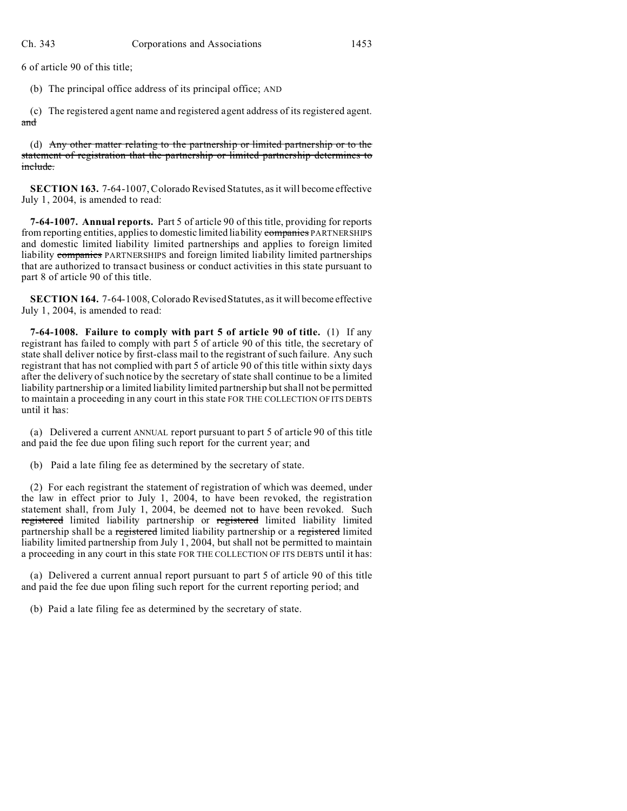6 of article 90 of this title;

(b) The principal office address of its principal office; AND

(c) The registered agent name and registered agent address of its registered agent. and

(d) Any other matter relating to the partnership or limited partnership or to the statement of registration that the partnership or limited partnership determines to include.

**SECTION 163.** 7-64-1007, Colorado Revised Statutes, as it will become effective July 1, 2004, is amended to read:

**7-64-1007. Annual reports.** Part 5 of article 90 of this title, providing for reports from reporting entities, applies to domestic limited liability companies PARTNERSHIPS and domestic limited liability limited partnerships and applies to foreign limited liability companies PARTNERSHIPS and foreign limited liability limited partnerships that are authorized to transact business or conduct activities in this state pursuant to part 8 of article 90 of this title.

**SECTION 164.** 7-64-1008, Colorado Revised Statutes, as it will become effective July 1, 2004, is amended to read:

**7-64-1008. Failure to comply with part 5 of article 90 of title.** (1) If any registrant has failed to comply with part 5 of article 90 of this title, the secretary of state shall deliver notice by first-class mail to the registrant of such failure. Any such registrant that has not complied with part 5 of article 90 of this title within sixty days after the delivery of such notice by the secretary of state shall continue to be a limited liability partnership or a limited liability limited partnership but shall not be permitted to maintain a proceeding in any court in this state FOR THE COLLECTION OF ITS DEBTS until it has:

(a) Delivered a current ANNUAL report pursuant to part 5 of article 90 of this title and paid the fee due upon filing such report for the current year; and

(b) Paid a late filing fee as determined by the secretary of state.

(2) For each registrant the statement of registration of which was deemed, under the law in effect prior to July 1, 2004, to have been revoked, the registration statement shall, from July 1, 2004, be deemed not to have been revoked. Such registered limited liability partnership or registered limited liability limited partnership shall be a registered limited liability partnership or a registered limited liability limited partnership from July 1, 2004, but shall not be permitted to maintain a proceeding in any court in this state FOR THE COLLECTION OF ITS DEBTS until it has:

(a) Delivered a current annual report pursuant to part 5 of article 90 of this title and paid the fee due upon filing such report for the current reporting period; and

(b) Paid a late filing fee as determined by the secretary of state.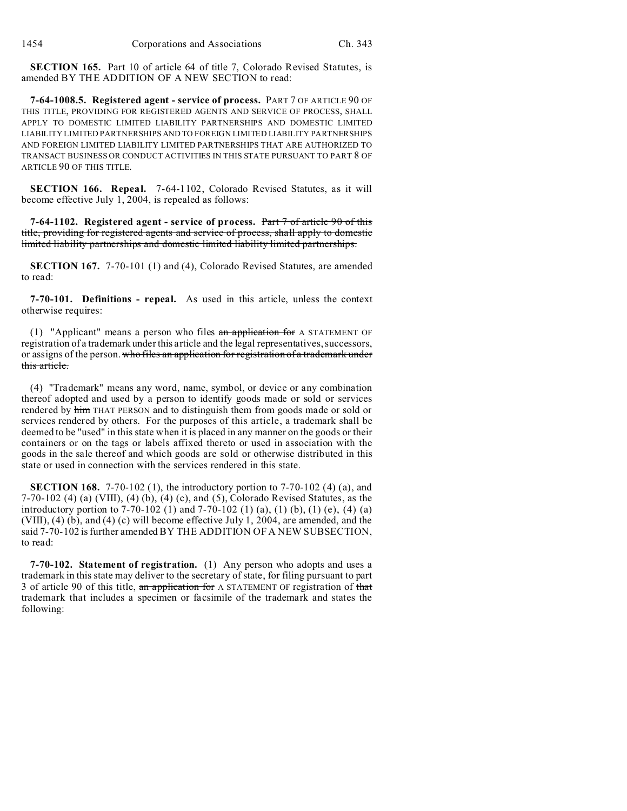**SECTION 165.** Part 10 of article 64 of title 7, Colorado Revised Statutes, is amended BY THE ADDITION OF A NEW SECTION to read:

**7-64-1008.5. Registered agent - service of process.** PART 7 OF ARTICLE 90 OF THIS TITLE, PROVIDING FOR REGISTERED AGENTS AND SERVICE OF PROCESS, SHALL APPLY TO DOMESTIC LIMITED LIABILITY PARTNERSHIPS AND DOMESTIC LIMITED LIABILITY LIMITED PARTNERSHIPS AND TO FOREIGN LIMITED LIABILITY PARTNERSHIPS AND FOREIGN LIMITED LIABILITY LIMITED PARTNERSHIPS THAT ARE AUTHORIZED TO TRANSACT BUSINESS OR CONDUCT ACTIVITIES IN THIS STATE PURSUANT TO PART 8 OF ARTICLE 90 OF THIS TITLE.

**SECTION 166. Repeal.** 7-64-1102, Colorado Revised Statutes, as it will become effective July 1, 2004, is repealed as follows:

**7-64-1102. Registered agent - service of process.** Part 7 of article 90 of this title, providing for registered agents and service of process, shall apply to domestic limited liability partnerships and domestic limited liability limited partnerships.

**SECTION 167.** 7-70-101 (1) and (4), Colorado Revised Statutes, are amended to read:

**7-70-101. Definitions - repeal.** As used in this article, unless the context otherwise requires:

(1) "Applicant" means a person who files  $an$  application for A STATEMENT OF registration of  $\alpha$  trademark under this article and the legal representatives, successors, or assigns of the person. who files an application for registration of a trademark under this article.

(4) "Trademark" means any word, name, symbol, or device or any combination thereof adopted and used by a person to identify goods made or sold or services rendered by him THAT PERSON and to distinguish them from goods made or sold or services rendered by others. For the purposes of this article, a trademark shall be deemed to be "used" in this state when it is placed in any manner on the goods or their containers or on the tags or labels affixed thereto or used in association with the goods in the sale thereof and which goods are sold or otherwise distributed in this state or used in connection with the services rendered in this state.

**SECTION 168.** 7-70-102 (1), the introductory portion to 7-70-102 (4) (a), and 7-70-102 (4) (a) (VIII), (4) (b), (4) (c), and (5), Colorado Revised Statutes, as the introductory portion to 7-70-102 (1) and 7-70-102 (1) (a), (1) (b), (1) (e), (4) (a) (VIII), (4) (b), and (4) (c) will become effective July 1, 2004, are amended, and the said 7-70-102 is further amended BY THE ADDITION OF A NEW SUBSECTION, to read:

**7-70-102. Statement of registration.** (1) Any person who adopts and uses a trademark in this state may deliver to the secretary of state, for filing pursuant to part 3 of article 90 of this title, an application for A STATEMENT OF registration of that trademark that includes a specimen or facsimile of the trademark and states the following: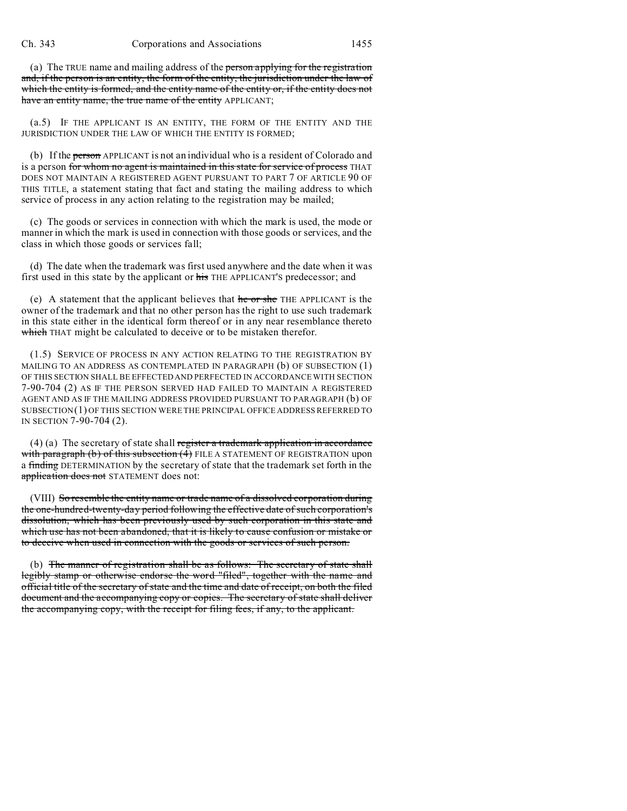(a) The TRUE name and mailing address of the person applying for the registration and, if the person is an entity, the form of the entity, the jurisdiction under the law of which the entity is formed, and the entity name of the entity or, if the entity does not have an entity name, the true name of the entity APPLICANT;

(a.5) IF THE APPLICANT IS AN ENTITY, THE FORM OF THE ENTITY AND THE JURISDICTION UNDER THE LAW OF WHICH THE ENTITY IS FORMED;

(b) If the person APPLICANT is not an individual who is a resident of Colorado and is a person for whom no agent is maintained in this state for service of process THAT DOES NOT MAINTAIN A REGISTERED AGENT PURSUANT TO PART 7 OF ARTICLE 90 OF THIS TITLE, a statement stating that fact and stating the mailing address to which service of process in any action relating to the registration may be mailed;

(c) The goods or services in connection with which the mark is used, the mode or manner in which the mark is used in connection with those goods or services, and the class in which those goods or services fall;

(d) The date when the trademark was first used anywhere and the date when it was first used in this state by the applicant or his THE APPLICANT'S predecessor; and

(e) A statement that the applicant believes that he or she THE APPLICANT is the owner of the trademark and that no other person has the right to use such trademark in this state either in the identical form thereof or in any near resemblance thereto which THAT might be calculated to deceive or to be mistaken therefor.

(1.5) SERVICE OF PROCESS IN ANY ACTION RELATING TO THE REGISTRATION BY MAILING TO AN ADDRESS AS CONTEMPLATED IN PARAGRAPH (b) OF SUBSECTION (1) OF THIS SECTION SHALL BE EFFECTED AND PERFECTED IN ACCORDANCE WITH SECTION 7-90-704 (2) AS IF THE PERSON SERVED HAD FAILED TO MAINTAIN A REGISTERED AGENT AND AS IF THE MAILING ADDRESS PROVIDED PURSUANT TO PARAGRAPH (b) OF SUBSECTION(1) OF THIS SECTION WERE THE PRINCIPAL OFFICE ADDRESS REFERRED TO IN SECTION 7-90-704 (2).

 $(4)$  (a) The secretary of state shall register a trademark application in accordance with paragraph (b) of this subsection (4) FILE A STATEMENT OF REGISTRATION upon a finding DETERMINATION by the secretary of state that the trademark set forth in the application does not STATEMENT does not:

(VIII) So resemble the entity name or trade name of a dissolved corporation during the one-hundred-twenty-day period following the effective date of such corporation's dissolution, which has been previously used by such corporation in this state and which use has not been abandoned, that it is likely to cause confusion or mistake or to deceive when used in connection with the goods or services of such person.

(b) The manner of registration shall be as follows: The secretary of state shall legibly stamp or otherwise endorse the word "filed", together with the name and official title of the secretary of state and the time and date of receipt, on both the filed document and the accompanying copy or copies. The secretary of state shall deliver the accompanying copy, with the receipt for filing fees, if any, to the applicant.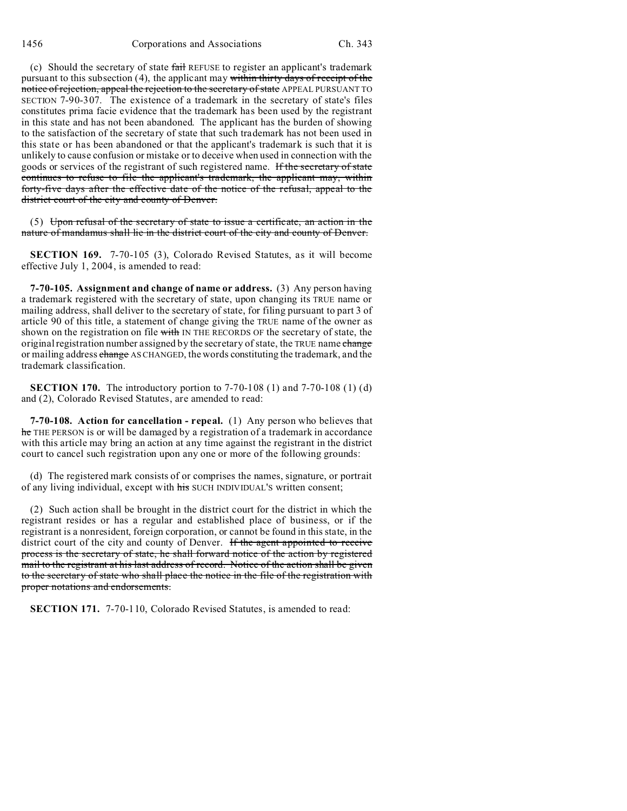(c) Should the secretary of state fail REFUSE to register an applicant's trademark pursuant to this subsection (4), the applicant may within thirty days of receipt of the notice of rejection, appeal the rejection to the secretary of state APPEAL PURSUANT TO SECTION 7-90-307. The existence of a trademark in the secretary of state's files constitutes prima facie evidence that the trademark has been used by the registrant in this state and has not been abandoned. The applicant has the burden of showing to the satisfaction of the secretary of state that such trademark has not been used in this state or has been abandoned or that the applicant's trademark is such that it is unlikely to cause confusion or mistake or to deceive when used in connection with the goods or services of the registrant of such registered name. If the secretary of state continues to refuse to file the applicant's trademark, the applicant may, within forty-five days after the effective date of the notice of the refusal, appeal to the district court of the city and county of Denver.

(5) Upon refusal of the secretary of state to issue a certificate, an action in the nature of mandamus shall lie in the district court of the city and county of Denver.

**SECTION 169.** 7-70-105 (3), Colorado Revised Statutes, as it will become effective July 1, 2004, is amended to read:

**7-70-105. Assignment and change of name or address.** (3) Any person having a trademark registered with the secretary of state, upon changing its TRUE name or mailing address, shall deliver to the secretary of state, for filing pursuant to part 3 of article 90 of this title, a statement of change giving the TRUE name of the owner as shown on the registration on file with IN THE RECORDS OF the secretary of state, the original registration number assigned by the secretary of state, the TRUE name change or mailing address change AS CHANGED, the words constituting the trademark, and the trademark classification.

**SECTION 170.** The introductory portion to 7-70-108 (1) and 7-70-108 (1) (d) and (2), Colorado Revised Statutes, are amended to read:

**7-70-108. Action for cancellation - repeal.** (1) Any person who believes that he THE PERSON is or will be damaged by a registration of a trademark in accordance with this article may bring an action at any time against the registrant in the district court to cancel such registration upon any one or more of the following grounds:

(d) The registered mark consists of or comprises the names, signature, or portrait of any living individual, except with his SUCH INDIVIDUAL'S written consent;

(2) Such action shall be brought in the district court for the district in which the registrant resides or has a regular and established place of business, or if the registrant is a nonresident, foreign corporation, or cannot be found in this state, in the district court of the city and county of Denver. If the agent appointed to receive process is the secretary of state, he shall forward notice of the action by registered mail to the registrant at his last address of record. Notice of the action shall be given to the secretary of state who shall place the notice in the file of the registration with proper notations and endorsements.

**SECTION 171.** 7-70-110, Colorado Revised Statutes, is amended to read: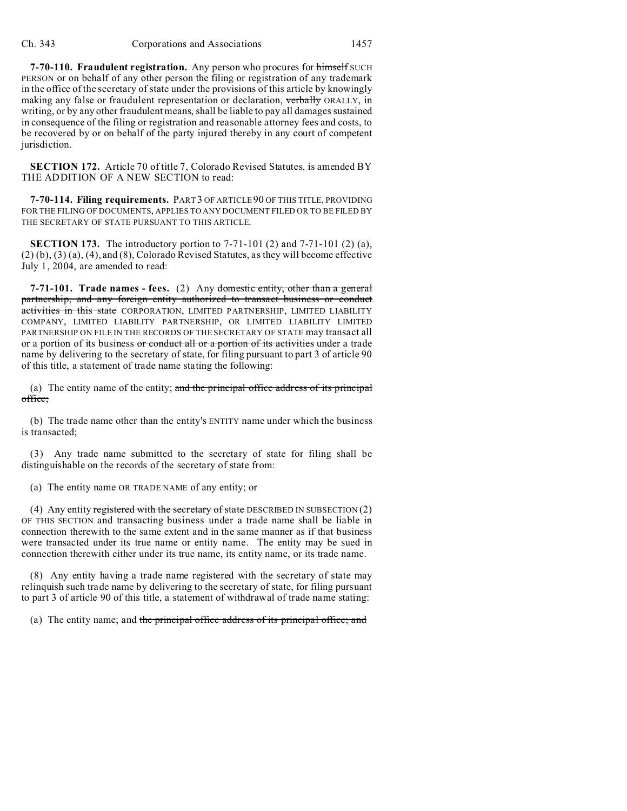**7-70-110. Fraudulent registration.** Any person who procures for himself SUCH PERSON or on behalf of any other person the filing or registration of any trademark in the office of the secretary of state under the provisions of this article by knowingly making any false or fraudulent representation or declaration, verbally ORALLY, in writing, or by any other fraudulent means, shall be liable to pay all damages sustained in consequence of the filing or registration and reasonable attorney fees and costs, to be recovered by or on behalf of the party injured thereby in any court of competent jurisdiction.

**SECTION 172.** Article 70 of title 7, Colorado Revised Statutes, is amended BY THE ADDITION OF A NEW SECTION to read:

**7-70-114. Filing requirements.** PART 3 OF ARTICLE 90 OF THIS TITLE, PROVIDING FOR THE FILING OF DOCUMENTS, APPLIES TO ANY DOCUMENT FILED OR TO BE FILED BY THE SECRETARY OF STATE PURSUANT TO THIS ARTICLE.

**SECTION 173.** The introductory portion to 7-71-101 (2) and 7-71-101 (2) (a), (2) (b), (3) (a), (4), and (8), Colorado Revised Statutes, as they will become effective July 1, 2004, are amended to read:

**7-71-101.** Trade names - fees. (2) Any domestic entity, other than a general partnership, and any foreign entity authorized to transact business or conduct activities in this state CORPORATION, LIMITED PARTNERSHIP, LIMITED LIABILITY COMPANY, LIMITED LIABILITY PARTNERSHIP, OR LIMITED LIABILITY LIMITED PARTNERSHIP ON FILE IN THE RECORDS OF THE SECRETARY OF STATE may transact all or a portion of its business or conduct all or a portion of its activities under a trade name by delivering to the secretary of state, for filing pursuant to part 3 of article 90 of this title, a statement of trade name stating the following:

(a) The entity name of the entity; and the principal office address of its principal office;

(b) The trade name other than the entity's ENTITY name under which the business is transacted;

(3) Any trade name submitted to the secretary of state for filing shall be distinguishable on the records of the secretary of state from:

(a) The entity name OR TRADE NAME of any entity; or

(4) Any entity registered with the secretary of state DESCRIBED IN SUBSECTION  $(2)$ OF THIS SECTION and transacting business under a trade name shall be liable in connection therewith to the same extent and in the same manner as if that business were transacted under its true name or entity name. The entity may be sued in connection therewith either under its true name, its entity name, or its trade name.

(8) Any entity having a trade name registered with the secretary of state may relinquish such trade name by delivering to the secretary of state, for filing pursuant to part 3 of article 90 of this title, a statement of withdrawal of trade name stating:

(a) The entity name; and the principal office address of its principal office; and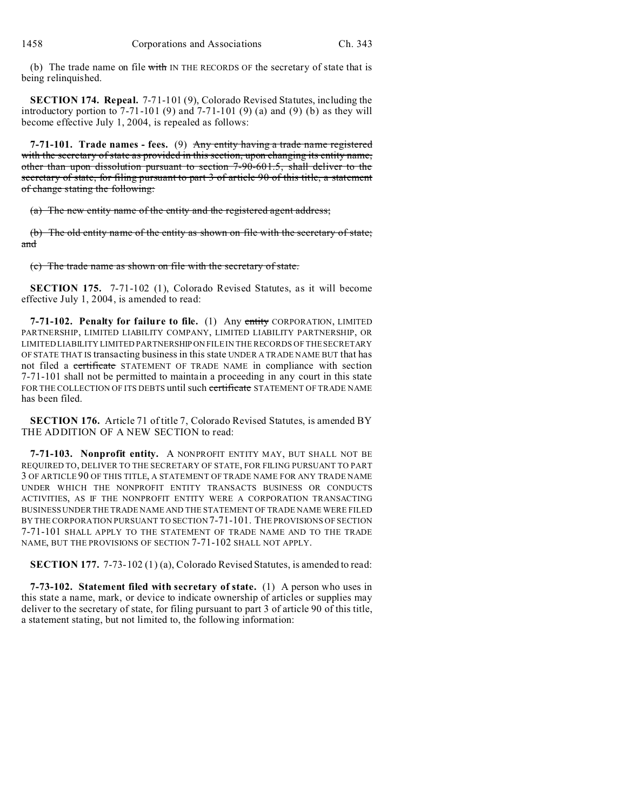(b) The trade name on file  $\frac{1}{w}$  IN THE RECORDS OF the secretary of state that is being relinquished.

**SECTION 174. Repeal.** 7-71-101 (9), Colorado Revised Statutes, including the introductory portion to  $7-71-101$  (9) and  $7-71-101$  (9) (a) and (9) (b) as they will become effective July 1, 2004, is repealed as follows:

**7-71-101. Trade names - fees.** (9) Any entity having a trade name registered with the secretary of state as provided in this section, upon changing its entity name, other than upon dissolution pursuant to section 7-90-601.5, shall deliver to the secretary of state, for filing pursuant to part 3 of article 90 of this title, a statement of change stating the following:

(a) The new entity name of the entity and the registered agent address;

(b) The old entity name of the entity as shown on file with the secretary of state; and

(c) The trade name as shown on file with the secretary of state.

**SECTION 175.** 7-71-102 (1), Colorado Revised Statutes, as it will become effective July 1, 2004, is amended to read:

**7-71-102. Penalty for failure to file.** (1) Any entity CORPORATION, LIMITED PARTNERSHIP, LIMITED LIABILITY COMPANY, LIMITED LIABILITY PARTNERSHIP, OR LIMITED LIABILITY LIMITED PARTNERSHIP ON FILE IN THE RECORDS OF THE SECRETARY OF STATE THAT IS transacting business in this state UNDER A TRADE NAME BUT that has not filed a certificate STATEMENT OF TRADE NAME in compliance with section 7-71-101 shall not be permitted to maintain a proceeding in any court in this state FOR THE COLLECTION OF ITS DEBTS until such certificate STATEMENT OF TRADE NAME has been filed.

**SECTION 176.** Article 71 of title 7, Colorado Revised Statutes, is amended BY THE ADDITION OF A NEW SECTION to read:

**7-71-103. Nonprofit entity.** A NONPROFIT ENTITY MAY, BUT SHALL NOT BE REQUIRED TO, DELIVER TO THE SECRETARY OF STATE, FOR FILING PURSUANT TO PART 3 OF ARTICLE 90 OF THIS TITLE, A STATEMENT OF TRADE NAME FOR ANY TRADE NAME UNDER WHICH THE NONPROFIT ENTITY TRANSACTS BUSINESS OR CONDUCTS ACTIVITIES, AS IF THE NONPROFIT ENTITY WERE A CORPORATION TRANSACTING BUSINESS UNDER THE TRADE NAME AND THE STATEMENT OF TRADE NAME WERE FILED BY THE CORPORATION PURSUANT TO SECTION 7-71-101. THE PROVISIONS OF SECTION 7-71-101 SHALL APPLY TO THE STATEMENT OF TRADE NAME AND TO THE TRADE NAME, BUT THE PROVISIONS OF SECTION 7-71-102 SHALL NOT APPLY.

**SECTION 177.** 7-73-102 (1) (a), Colorado Revised Statutes, is amended to read:

**7-73-102. Statement filed with secretary of state.** (1) A person who uses in this state a name, mark, or device to indicate ownership of articles or supplies may deliver to the secretary of state, for filing pursuant to part 3 of article 90 of this title, a statement stating, but not limited to, the following information: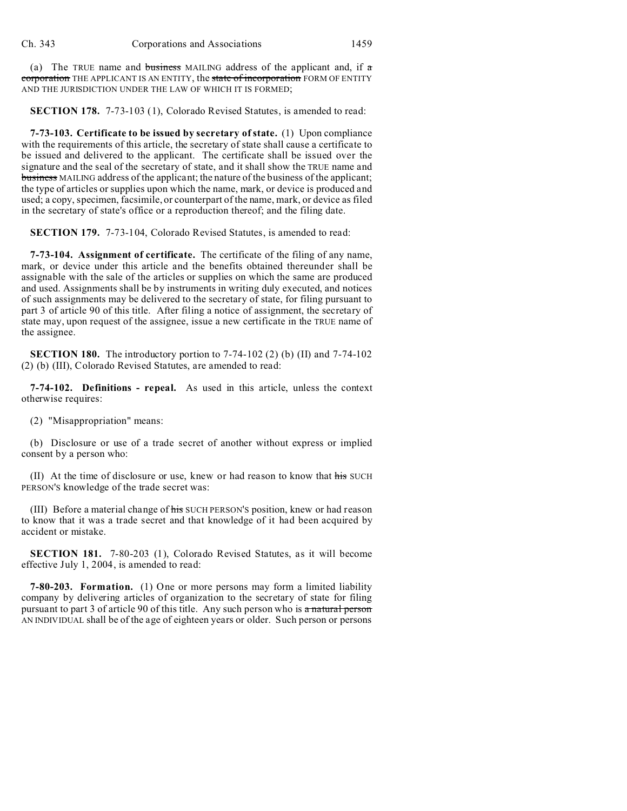(a) The TRUE name and business MAILING address of the applicant and, if  $\alpha$ corporation THE APPLICANT IS AN ENTITY, the state of incorporation FORM OF ENTITY AND THE JURISDICTION UNDER THE LAW OF WHICH IT IS FORMED;

**SECTION 178.** 7-73-103 (1), Colorado Revised Statutes, is amended to read:

**7-73-103. Certificate to be issued by secretary of state.** (1) Upon compliance with the requirements of this article, the secretary of state shall cause a certificate to be issued and delivered to the applicant. The certificate shall be issued over the signature and the seal of the secretary of state, and it shall show the TRUE name and business MAILING address of the applicant; the nature of the business of the applicant; the type of articles or supplies upon which the name, mark, or device is produced and used; a copy, specimen, facsimile, or counterpart of the name, mark, or device as filed in the secretary of state's office or a reproduction thereof; and the filing date.

**SECTION 179.** 7-73-104, Colorado Revised Statutes, is amended to read:

**7-73-104. Assignment of certificate.** The certificate of the filing of any name, mark, or device under this article and the benefits obtained thereunder shall be assignable with the sale of the articles or supplies on which the same are produced and used. Assignments shall be by instruments in writing duly executed, and notices of such assignments may be delivered to the secretary of state, for filing pursuant to part 3 of article 90 of this title. After filing a notice of assignment, the secretary of state may, upon request of the assignee, issue a new certificate in the TRUE name of the assignee.

**SECTION 180.** The introductory portion to 7-74-102 (2) (b) (II) and 7-74-102 (2) (b) (III), Colorado Revised Statutes, are amended to read:

**7-74-102. Definitions - repeal.** As used in this article, unless the context otherwise requires:

(2) "Misappropriation" means:

(b) Disclosure or use of a trade secret of another without express or implied consent by a person who:

(II) At the time of disclosure or use, knew or had reason to know that his SUCH PERSON'S knowledge of the trade secret was:

(III) Before a material change of his SUCH PERSON's position, knew or had reason to know that it was a trade secret and that knowledge of it had been acquired by accident or mistake.

**SECTION 181.** 7-80-203 (1), Colorado Revised Statutes, as it will become effective July 1, 2004, is amended to read:

**7-80-203. Formation.** (1) One or more persons may form a limited liability company by delivering articles of organization to the secretary of state for filing pursuant to part 3 of article 90 of this title. Any such person who is a natural person AN INDIVIDUAL shall be of the age of eighteen years or older. Such person or persons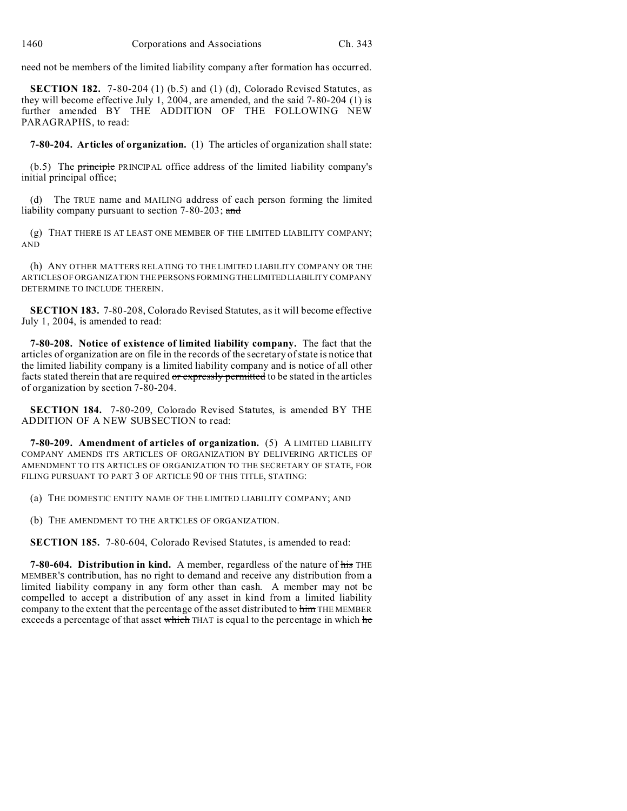need not be members of the limited liability company after formation has occurred.

**SECTION 182.** 7-80-204 (1) (b.5) and (1) (d), Colorado Revised Statutes, as they will become effective July 1, 2004, are amended, and the said 7-80-204 (1) is further amended BY THE ADDITION OF THE FOLLOWING NEW PARAGRAPHS, to read:

**7-80-204. Articles of organization.** (1) The articles of organization shall state:

(b.5) The principle PRINCIPAL office address of the limited liability company's initial principal office;

(d) The TRUE name and MAILING address of each person forming the limited liability company pursuant to section 7-80-203; and

(g) THAT THERE IS AT LEAST ONE MEMBER OF THE LIMITED LIABILITY COMPANY; AND

(h) ANY OTHER MATTERS RELATING TO THE LIMITED LIABILITY COMPANY OR THE ARTICLES OF ORGANIZATION THE PERSONS FORMING THELIMITEDLIABILITY COMPANY DETERMINE TO INCLUDE THEREIN.

**SECTION 183.** 7-80-208, Colorado Revised Statutes, as it will become effective July 1, 2004, is amended to read:

**7-80-208. Notice of existence of limited liability company.** The fact that the articles of organization are on file in the records of the secretary of state is notice that the limited liability company is a limited liability company and is notice of all other facts stated therein that are required or expressly permitted to be stated in the articles of organization by section 7-80-204.

**SECTION 184.** 7-80-209, Colorado Revised Statutes, is amended BY THE ADDITION OF A NEW SUBSECTION to read:

**7-80-209. Amendment of articles of organization.** (5) A LIMITED LIABILITY COMPANY AMENDS ITS ARTICLES OF ORGANIZATION BY DELIVERING ARTICLES OF AMENDMENT TO ITS ARTICLES OF ORGANIZATION TO THE SECRETARY OF STATE, FOR FILING PURSUANT TO PART 3 OF ARTICLE 90 OF THIS TITLE, STATING:

(a) THE DOMESTIC ENTITY NAME OF THE LIMITED LIABILITY COMPANY; AND

(b) THE AMENDMENT TO THE ARTICLES OF ORGANIZATION.

**SECTION 185.** 7-80-604, Colorado Revised Statutes, is amended to read:

**7-80-604. Distribution in kind.** A member, regardless of the nature of his THE MEMBER'S contribution, has no right to demand and receive any distribution from a limited liability company in any form other than cash. A member may not be compelled to accept a distribution of any asset in kind from a limited liability company to the extent that the percentage of the asset distributed to him THE MEMBER exceeds a percentage of that asset which THAT is equal to the percentage in which he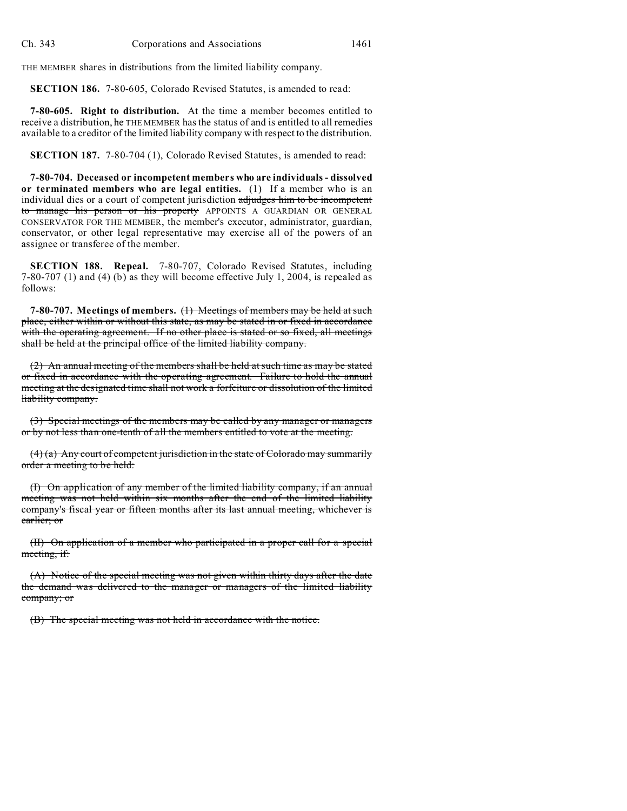THE MEMBER shares in distributions from the limited liability company.

**SECTION 186.** 7-80-605, Colorado Revised Statutes, is amended to read:

**7-80-605. Right to distribution.** At the time a member becomes entitled to receive a distribution, he THE MEMBER has the status of and is entitled to all remedies available to a creditor of the limited liability company with respect to the distribution.

**SECTION 187.** 7-80-704 (1), Colorado Revised Statutes, is amended to read:

**7-80-704. Deceased or incompetent members who are individuals - dissolved or terminated members who are legal entities.** (1) If a member who is an individual dies or a court of competent jurisdiction adjudges him to be incompetent to manage his person or his property APPOINTS A GUARDIAN OR GENERAL CONSERVATOR FOR THE MEMBER, the member's executor, administrator, guardian, conservator, or other legal representative may exercise all of the powers of an assignee or transferee of the member.

**SECTION 188. Repeal.** 7-80-707, Colorado Revised Statutes, including 7-80-707 (1) and (4) (b) as they will become effective July 1, 2004, is repealed as follows:

**7-80-707. Meetings of members.** (1) Meetings of members may be held at such place, either within or without this state, as may be stated in or fixed in accordance with the operating agreement. If no other place is stated or so fixed, all meetings shall be held at the principal office of the limited liability company.

(2) An annual meeting of the members shall be held at such time as may be stated or fixed in accordance with the operating agreement. Failure to hold the annual meeting at the designated time shall not work a forfeiture or dissolution of the limited liability company.

(3) Special meetings of the members may be called by any manager or managers or by not less than one-tenth of all the members entitled to vote at the meeting.

 $(4)$  (a) Any court of competent jurisdiction in the state of Colorado may summarily order a meeting to be held:

(I) On application of any member of the limited liability company, if an annual meeting was not held within six months after the end of the limited liability company's fiscal year or fifteen months after its last annual meeting, whichever is earlier; or

(II) On application of a member who participated in a proper call for a special meeting, if:

(A) Notice of the special meeting was not given within thirty days after the date the demand was delivered to the manager or managers of the limited liability company; or

(B) The special meeting was not held in accordance with the notice.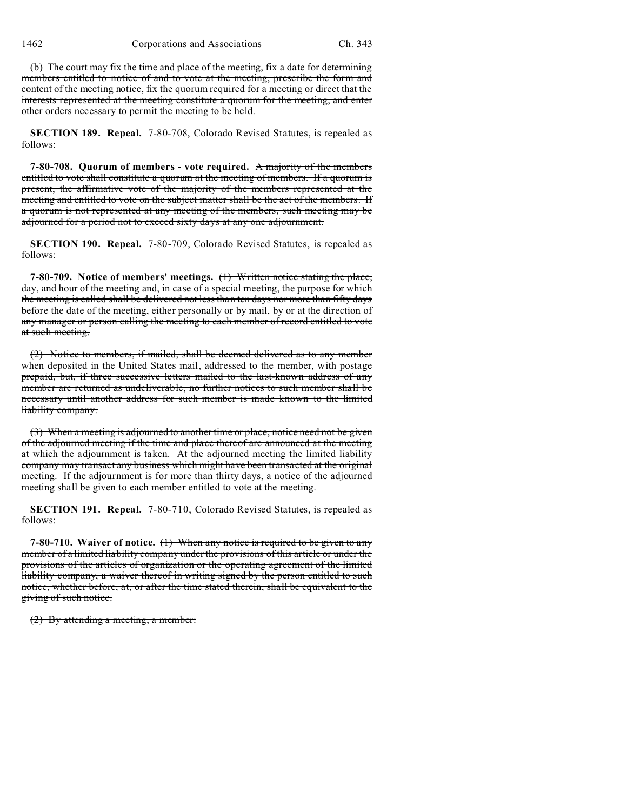(b) The court may fix the time and place of the meeting, fix a date for determining members entitled to notice of and to vote at the meeting, prescribe the form and content of the meeting notice, fix the quorum required for a meeting or direct that the interests represented at the meeting constitute a quorum for the meeting, and enter other orders necessary to permit the meeting to be held.

**SECTION 189. Repeal.** 7-80-708, Colorado Revised Statutes, is repealed as follows:

**7-80-708. Quorum of members - vote required.** A majority of the members entitled to vote shall constitute a quorum at the meeting of members. If a quorum is present, the affirmative vote of the majority of the members represented at the meeting and entitled to vote on the subject matter shall be the act of the members. If a quorum is not represented at any meeting of the members, such meeting may be adjourned for a period not to exceed sixty days at any one adjournment.

**SECTION 190. Repeal.** 7-80-709, Colorado Revised Statutes, is repealed as follows:

**7-80-709. Notice of members' meetings.** (1) Written notice stating the place, day, and hour of the meeting and, in case of a special meeting, the purpose for which the meeting is called shall be delivered not less than ten days nor more than fifty days before the date of the meeting, either personally or by mail, by or at the direction of any manager or person calling the meeting to each member of record entitled to vote at such meeting.

(2) Notice to members, if mailed, shall be deemed delivered as to any member when deposited in the United States mail, addressed to the member, with postage prepaid, but, if three successive letters mailed to the last-known address of any member are returned as undeliverable, no further notices to such member shall be necessary until another address for such member is made known to the limited liability company.

(3) When a meeting is adjourned to another time or place, notice need not be given of the adjourned meeting if the time and place thereof are announced at the meeting at which the adjournment is taken. At the adjourned meeting the limited liability company may transact any business which might have been transacted at the original meeting. If the adjournment is for more than thirty days, a notice of the adjourned meeting shall be given to each member entitled to vote at the meeting.

**SECTION 191. Repeal.** 7-80-710, Colorado Revised Statutes, is repealed as follows:

**7-80-710. Waiver of notice.** (1) When any notice is required to be given to any member of a limited liability company under the provisions of this article or under the provisions of the articles of organization or the operating agreement of the limited liability company, a waiver thereof in writing signed by the person entitled to such notice, whether before, at, or after the time stated therein, shall be equivalent to the giving of such notice.

(2) By attending a meeting, a member: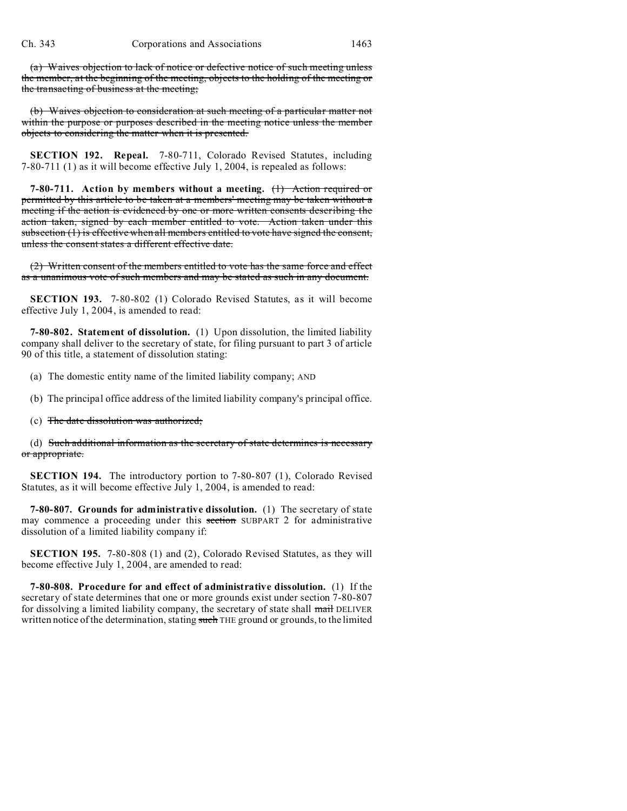(a) Waives objection to lack of notice or defective notice of such meeting unless the member, at the beginning of the meeting, objects to the holding of the meeting or the transacting of business at the meeting;

(b) Waives objection to consideration at such meeting of a particular matter not within the purpose or purposes described in the meeting notice unless the member objects to considering the matter when it is presented.

**SECTION 192. Repeal.** 7-80-711, Colorado Revised Statutes, including 7-80-711 (1) as it will become effective July 1, 2004, is repealed as follows:

**7-80-711. Action by members without a meeting.** (1) Action required or permitted by this article to be taken at a members' meeting may be taken without a meeting if the action is evidenced by one or more written consents describing the action taken, signed by each member entitled to vote. Action taken under this subsection (1) is effective when all members entitled to vote have signed the consent, unless the consent states a different effective date.

(2) Written consent of the members entitled to vote has the same force and effect as a unanimous vote of such members and may be stated as such in any document.

**SECTION 193.** 7-80-802 (1) Colorado Revised Statutes, as it will become effective July 1, 2004, is amended to read:

**7-80-802. Statement of dissolution.** (1) Upon dissolution, the limited liability company shall deliver to the secretary of state, for filing pursuant to part 3 of article 90 of this title, a statement of dissolution stating:

(a) The domestic entity name of the limited liability company; AND

(b) The principal office address of the limited liability company's principal office.

(c) The date dissolution was authorized;

(d) Such additional information as the secretary of state determines is necessary or appropriate.

**SECTION 194.** The introductory portion to 7-80-807 (1), Colorado Revised Statutes, as it will become effective July 1, 2004, is amended to read:

**7-80-807. Grounds for administrative dissolution.** (1) The secretary of state may commence a proceeding under this section SUBPART 2 for administrative dissolution of a limited liability company if:

**SECTION 195.** 7-80-808 (1) and (2), Colorado Revised Statutes, as they will become effective July 1, 2004, are amended to read:

**7-80-808. Procedure for and effect of administrative dissolution.** (1) If the secretary of state determines that one or more grounds exist under section 7-80-807 for dissolving a limited liability company, the secretary of state shall mail DELIVER written notice of the determination, stating such THE ground or grounds, to the limited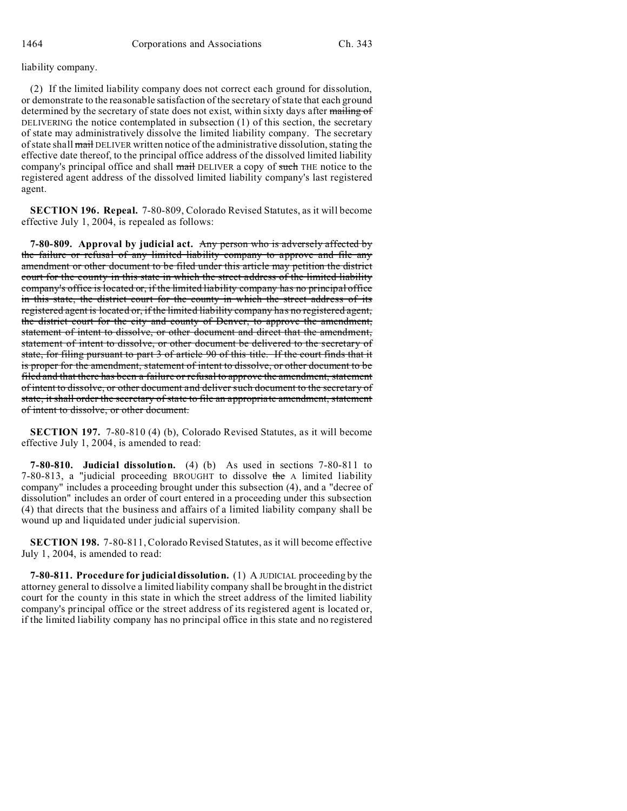liability company.

(2) If the limited liability company does not correct each ground for dissolution, or demonstrate to the reasonable satisfaction of the secretary of state that each ground determined by the secretary of state does not exist, within sixty days after mailing of DELIVERING the notice contemplated in subsection (1) of this section, the secretary of state may administratively dissolve the limited liability company. The secretary of state shall mail DELIVER written notice of the administrative dissolution, stating the effective date thereof, to the principal office address of the dissolved limited liability company's principal office and shall mail DELIVER a copy of such THE notice to the registered agent address of the dissolved limited liability company's last registered agent.

**SECTION 196. Repeal.** 7-80-809, Colorado Revised Statutes, as it will become effective July 1, 2004, is repealed as follows:

**7-80-809. Approval by judicial act.** Any person who is adversely affected by the failure or refusal of any limited liability company to approve and file any amendment or other document to be filed under this article may petition the district court for the county in this state in which the street address of the limited liability company's office is located or, if the limited liability company has no principal office in this state, the district court for the county in which the street address of its registered agent is located or, if the limited liability company has no registered agent, the district court for the city and county of Denver, to approve the amendment, statement of intent to dissolve, or other document and direct that the amendment, statement of intent to dissolve, or other document be delivered to the secretary of state, for filing pursuant to part 3 of article 90 of this title. If the court finds that it is proper for the amendment, statement of intent to dissolve, or other document to be filed and that there has been a failure or refusal to approve the amendment, statement of intent to dissolve, or other document and deliver such document to the secretary of state, it shall order the secretary of state to file an appropriate amendment, statement of intent to dissolve, or other document.

**SECTION 197.** 7-80-810 (4) (b), Colorado Revised Statutes, as it will become effective July 1, 2004, is amended to read:

**7-80-810. Judicial dissolution.** (4) (b) As used in sections 7-80-811 to 7-80-813, a "judicial proceeding BROUGHT to dissolve the A limited liability company" includes a proceeding brought under this subsection (4), and a "decree of dissolution" includes an order of court entered in a proceeding under this subsection (4) that directs that the business and affairs of a limited liability company shall be wound up and liquidated under judicial supervision.

**SECTION 198.** 7-80-811, Colorado Revised Statutes, as it will become effective July 1, 2004, is amended to read:

**7-80-811. Procedure for judicial dissolution.** (1) A JUDICIAL proceeding by the attorney general to dissolve a limited liability company shall be brought in the district court for the county in this state in which the street address of the limited liability company's principal office or the street address of its registered agent is located or, if the limited liability company has no principal office in this state and no registered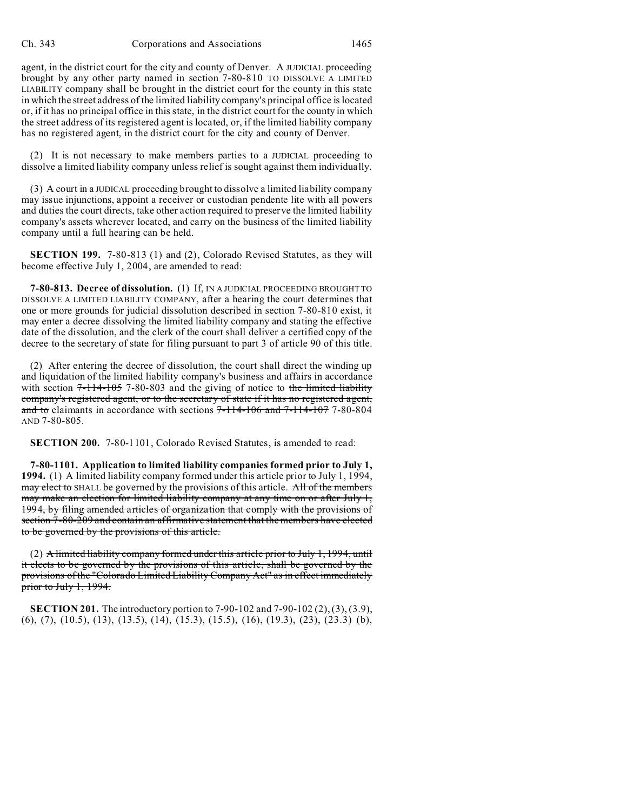agent, in the district court for the city and county of Denver. A JUDICIAL proceeding brought by any other party named in section 7-80-810 TO DISSOLVE A LIMITED LIABILITY company shall be brought in the district court for the county in this state in which the street address of the limited liability company's principal office is located or, if it has no principal office in this state, in the district court for the county in which the street address of its registered agent is located, or, if the limited liability company has no registered agent, in the district court for the city and county of Denver.

(2) It is not necessary to make members parties to a JUDICIAL proceeding to dissolve a limited liability company unless relief is sought against them individually.

(3) A court in a JUDICAL proceeding brought to dissolve a limited liability company may issue injunctions, appoint a receiver or custodian pendente lite with all powers and duties the court directs, take other action required to preserve the limited liability company's assets wherever located, and carry on the business of the limited liability company until a full hearing can be held.

**SECTION 199.** 7-80-813 (1) and (2), Colorado Revised Statutes, as they will become effective July 1, 2004, are amended to read:

**7-80-813. Decree of dissolution.** (1) If, IN A JUDICIAL PROCEEDING BROUGHT TO DISSOLVE A LIMITED LIABILITY COMPANY, after a hearing the court determines that one or more grounds for judicial dissolution described in section 7-80-810 exist, it may enter a decree dissolving the limited liability company and stating the effective date of the dissolution, and the clerk of the court shall deliver a certified copy of the decree to the secretary of state for filing pursuant to part 3 of article 90 of this title.

(2) After entering the decree of dissolution, the court shall direct the winding up and liquidation of the limited liability company's business and affairs in accordance with section  $7-114-105$  7-80-803 and the giving of notice to the limited liability company's registered agent, or to the secretary of state if it has no registered agent, and to claimants in accordance with sections  $7-114-106$  and  $7-114-107$  7-80-804 AND 7-80-805.

**SECTION 200.** 7-80-1101, Colorado Revised Statutes, is amended to read:

**7-80-1101. Application to limited liability companies formed prior to July 1, 1994.** (1) A limited liability company formed under this article prior to July 1, 1994, may elect to SHALL be governed by the provisions of this article. All of the members may make an election for limited liability company at any time on or after July 1, 1994, by filing amended articles of organization that comply with the provisions of section 7-80-209 and contain an affirmative statement that the members have elected to be governed by the provisions of this article.

 $(2)$  A limited liability company formed under this article prior to July 1, 1994, until it elects to be governed by the provisions of this article, shall be governed by the provisions of the "Colorado Limited Liability Company Act" as in effect immediately prior to July 1, 1994.

**SECTION 201.** The introductory portion to 7-90-102 and 7-90-102 (2), (3), (3.9), (6), (7), (10.5), (13), (13.5), (14), (15.3), (15.5), (16), (19.3), (23), (23.3) (b),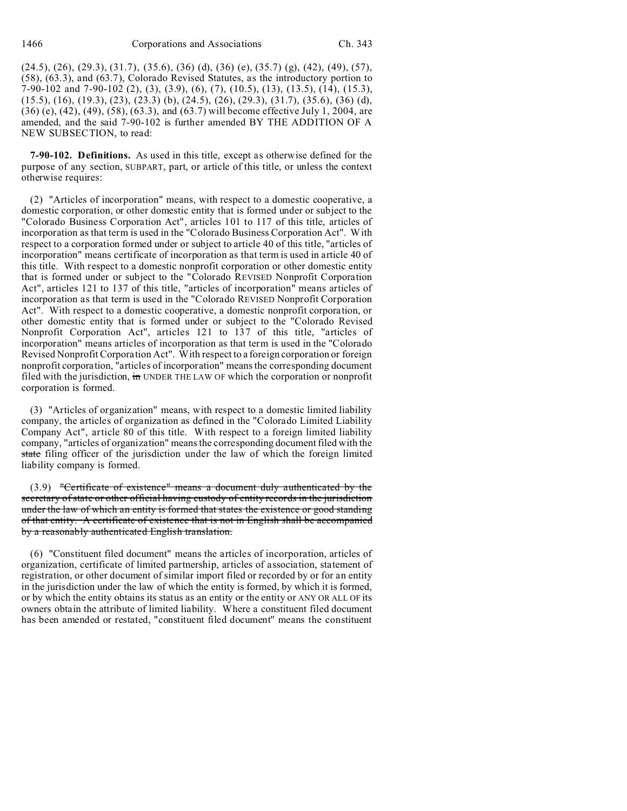(24.5), (26), (29.3), (31.7), (35.6), (36) (d), (36) (e), (35.7) (g), (42), (49), (57), (58), (63.3), and (63.7), Colorado Revised Statutes, as the introductory portion to 7-90-102 and 7-90-102 (2), (3), (3.9), (6), (7), (10.5), (13), (13.5), (14), (15.3), (15.5), (16), (19.3), (23), (23.3) (b), (24.5), (26), (29.3), (31.7), (35.6), (36) (d), (36) (e), (42), (49), (58), (63.3), and (63.7) will become effective July 1, 2004, are amended, and the said 7-90-102 is further amended BY THE ADDITION OF A NEW SUBSECTION, to read:

**7-90-102. Definitions.** As used in this title, except as otherwise defined for the purpose of any section, SUBPART, part, or article of this title, or unless the context otherwise requires:

(2) "Articles of incorporation" means, with respect to a domestic cooperative, a domestic corporation, or other domestic entity that is formed under or subject to the "Colorado Business Corporation Act", articles 101 to 117 of this title, articles of incorporation as that term is used in the "Colorado Business Corporation Act". With respect to a corporation formed under or subject to article 40 of this title, "articles of incorporation" means certificate of incorporation as that term is used in article 40 of this title. With respect to a domestic nonprofit corporation or other domestic entity that is formed under or subject to the "Colorado REVISED Nonprofit Corporation Act", articles 121 to 137 of this title, "articles of incorporation" means articles of incorporation as that term is used in the "Colorado REVISED Nonprofit Corporation Act". With respect to a domestic cooperative, a domestic nonprofit corporation, or other domestic entity that is formed under or subject to the "Colorado Revised Nonprofit Corporation Act", articles 121 to 137 of this title, "articles of incorporation" means articles of incorporation as that term is used in the "Colorado Revised Nonprofit Corporation Act". With respect to a foreign corporation or foreign nonprofit corporation, "articles of incorporation" means the corresponding document filed with the jurisdiction, in UNDER THE LAW OF which the corporation or nonprofit corporation is formed.

(3) "Articles of organization" means, with respect to a domestic limited liability company, the articles of organization as defined in the "Colorado Limited Liability Company Act", article 80 of this title. With respect to a foreign limited liability company, "articles of organization" means the corresponding document filed with the state filing officer of the jurisdiction under the law of which the foreign limited liability company is formed.

(3.9) "Certificate of existence" means a document duly authenticated by the secretary of state or other official having custody of entity records in the jurisdiction under the law of which an entity is formed that states the existence or good standing of that entity. A certificate of existence that is not in English shall be accompanied by a reasonably authenticated English translation.

(6) "Constituent filed document" means the articles of incorporation, articles of organization, certificate of limited partnership, articles of association, statement of registration, or other document of similar import filed or recorded by or for an entity in the jurisdiction under the law of which the entity is formed, by which it is formed, or by which the entity obtains its status as an entity or the entity or ANY OR ALL OF its owners obtain the attribute of limited liability. Where a constituent filed document has been amended or restated, "constituent filed document" means the constituent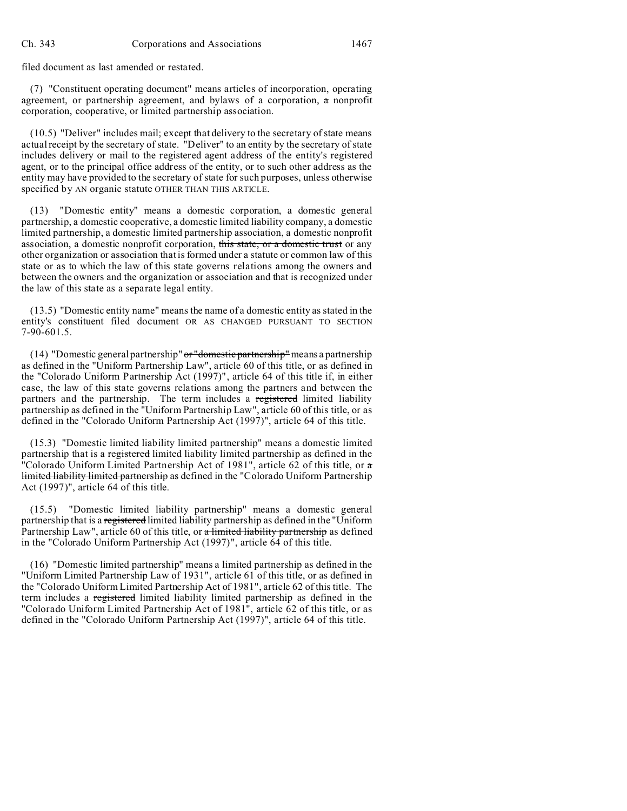filed document as last amended or restated.

(7) "Constituent operating document" means articles of incorporation, operating agreement, or partnership agreement, and bylaws of a corporation, a nonprofit corporation, cooperative, or limited partnership association.

(10.5) "Deliver" includes mail; except that delivery to the secretary of state means actual receipt by the secretary of state. "Deliver" to an entity by the secretary of state includes delivery or mail to the registered agent address of the entity's registered agent, or to the principal office address of the entity, or to such other address as the entity may have provided to the secretary of state for such purposes, unless otherwise specified by AN organic statute OTHER THAN THIS ARTICLE.

(13) "Domestic entity" means a domestic corporation, a domestic general partnership, a domestic cooperative, a domestic limited liability company, a domestic limited partnership, a domestic limited partnership association, a domestic nonprofit association, a domestic nonprofit corporation, this state, or a domestic trust or any other organization or association that is formed under a statute or common law of this state or as to which the law of this state governs relations among the owners and between the owners and the organization or association and that is recognized under the law of this state as a separate legal entity.

(13.5) "Domestic entity name" means the name of a domestic entity as stated in the entity's constituent filed document OR AS CHANGED PURSUANT TO SECTION 7-90-601.5.

(14) "Domestic general partnership" or "domestic partnership" means a partnership as defined in the "Uniform Partnership Law", article 60 of this title, or as defined in the "Colorado Uniform Partnership Act (1997)", article 64 of this title if, in either case, the law of this state governs relations among the partners and between the partners and the partnership. The term includes a registered limited liability partnership as defined in the "Uniform Partnership Law", article 60 of this title, or as defined in the "Colorado Uniform Partnership Act (1997)", article 64 of this title.

(15.3) "Domestic limited liability limited partnership" means a domestic limited partnership that is a registered limited liability limited partnership as defined in the "Colorado Uniform Limited Partnership Act of 1981", article 62 of this title, or a limited liability limited partnership as defined in the "Colorado Uniform Partnership Act (1997)", article 64 of this title.

(15.5) "Domestic limited liability partnership" means a domestic general partnership that is a registered limited liability partnership as defined in the "Uniform Partnership Law", article 60 of this title, or a limited liability partnership as defined in the "Colorado Uniform Partnership Act (1997)", article 64 of this title.

(16) "Domestic limited partnership" means a limited partnership as defined in the "Uniform Limited Partnership Law of 1931", article 61 of this title, or as defined in the "Colorado Uniform Limited Partnership Act of 1981", article 62 of this title. The term includes a registered limited liability limited partnership as defined in the "Colorado Uniform Limited Partnership Act of 1981", article 62 of this title, or as defined in the "Colorado Uniform Partnership Act (1997)", article 64 of this title.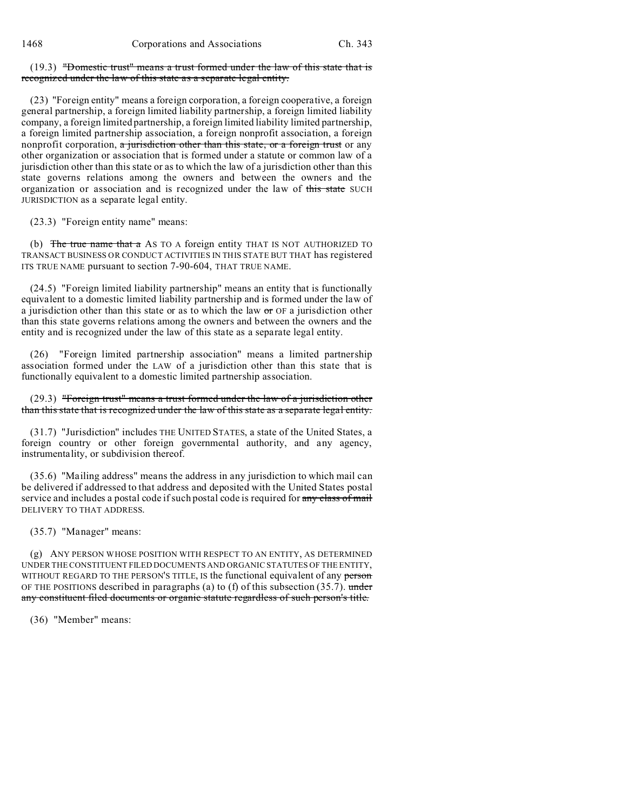1468 Corporations and Associations Ch. 343

(19.3) "Domestic trust" means a trust formed under the law of this state that is recognized under the law of this state as a separate legal entity.

(23) "Foreign entity" means a foreign corporation, a foreign cooperative, a foreign general partnership, a foreign limited liability partnership, a foreign limited liability company, a foreign limited partnership, a foreign limited liability limited partnership, a foreign limited partnership association, a foreign nonprofit association, a foreign nonprofit corporation, a jurisdiction other than this state, or a foreign trust or any other organization or association that is formed under a statute or common law of a jurisdiction other than this state or as to which the law of a jurisdiction other than this state governs relations among the owners and between the owners and the organization or association and is recognized under the law of this state SUCH JURISDICTION as a separate legal entity.

(23.3) "Foreign entity name" means:

(b) The true name that a AS TO A foreign entity THAT IS NOT AUTHORIZED TO TRANSACT BUSINESS OR CONDUCT ACTIVITIES IN THIS STATE BUT THAT has registered ITS TRUE NAME pursuant to section 7-90-604, THAT TRUE NAME.

(24.5) "Foreign limited liability partnership" means an entity that is functionally equivalent to a domestic limited liability partnership and is formed under the law of a jurisdiction other than this state or as to which the law  $\sigma$  OF a jurisdiction other than this state governs relations among the owners and between the owners and the entity and is recognized under the law of this state as a separate legal entity.

(26) "Foreign limited partnership association" means a limited partnership association formed under the LAW of a jurisdiction other than this state that is functionally equivalent to a domestic limited partnership association.

(29.3) "Foreign trust" means a trust formed under the law of a jurisdiction other than this state that is recognized under the law of this state as a separate legal entity.

(31.7) "Jurisdiction" includes THE UNITED STATES, a state of the United States, a foreign country or other foreign governmental authority, and any agency, instrumentality, or subdivision thereof.

(35.6) "Mailing address" means the address in any jurisdiction to which mail can be delivered if addressed to that address and deposited with the United States postal service and includes a postal code if such postal code is required for any class of mail DELIVERY TO THAT ADDRESS.

(35.7) "Manager" means:

(g) ANY PERSON WHOSE POSITION WITH RESPECT TO AN ENTITY, AS DETERMINED UNDER THE CONSTITUENT FILED DOCUMENTS AND ORGANIC STATUTES OF THE ENTITY, WITHOUT REGARD TO THE PERSON'S TITLE, IS the functional equivalent of any person OF THE POSITIONS described in paragraphs (a) to (f) of this subsection  $(35.7)$ . under any constituent filed documents or organic statute regardless of such person's title.

(36) "Member" means: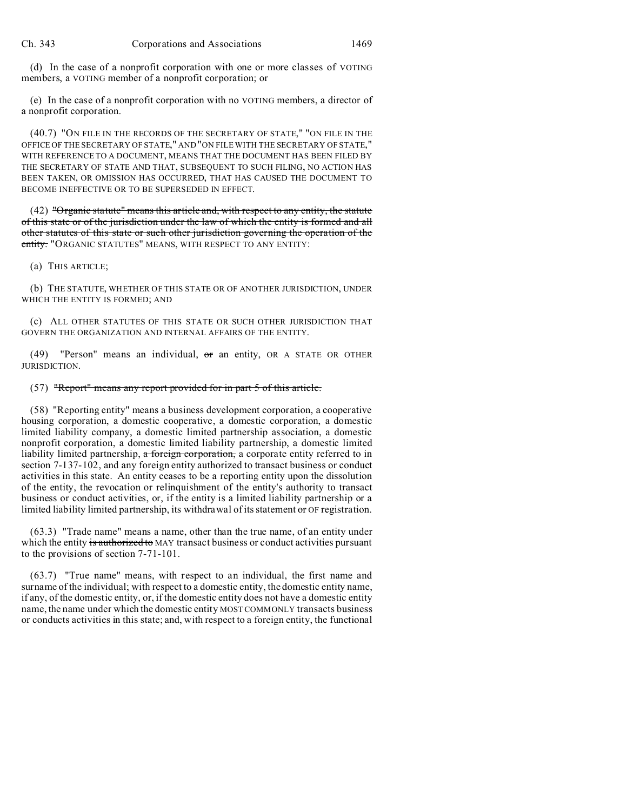(d) In the case of a nonprofit corporation with one or more classes of VOTING members, a VOTING member of a nonprofit corporation; or

(e) In the case of a nonprofit corporation with no VOTING members, a director of a nonprofit corporation.

(40.7) "ON FILE IN THE RECORDS OF THE SECRETARY OF STATE," "ON FILE IN THE OFFICE OF THE SECRETARY OF STATE," AND "ON FILE WITH THE SECRETARY OF STATE," WITH REFERENCE TO A DOCUMENT, MEANS THAT THE DOCUMENT HAS BEEN FILED BY THE SECRETARY OF STATE AND THAT, SUBSEQUENT TO SUCH FILING, NO ACTION HAS BEEN TAKEN, OR OMISSION HAS OCCURRED, THAT HAS CAUSED THE DOCUMENT TO BECOME INEFFECTIVE OR TO BE SUPERSEDED IN EFFECT.

 $(42)$  "Organic statute" means this article and, with respect to any entity, the statute of this state or of the jurisdiction under the law of which the entity is formed and all other statutes of this state or such other jurisdiction governing the operation of the entity. "ORGANIC STATUTES" MEANS, WITH RESPECT TO ANY ENTITY:

(a) THIS ARTICLE;

(b) THE STATUTE, WHETHER OF THIS STATE OR OF ANOTHER JURISDICTION, UNDER WHICH THE ENTITY IS FORMED; AND

(c) ALL OTHER STATUTES OF THIS STATE OR SUCH OTHER JURISDICTION THAT GOVERN THE ORGANIZATION AND INTERNAL AFFAIRS OF THE ENTITY.

(49) "Person" means an individual, or an entity, OR A STATE OR OTHER JURISDICTION.

## (57) "Report" means any report provided for in part 5 of this article.

(58) "Reporting entity" means a business development corporation, a cooperative housing corporation, a domestic cooperative, a domestic corporation, a domestic limited liability company, a domestic limited partnership association, a domestic nonprofit corporation, a domestic limited liability partnership, a domestic limited liability limited partnership, a foreign corporation, a corporate entity referred to in section 7-137-102, and any foreign entity authorized to transact business or conduct activities in this state. An entity ceases to be a reporting entity upon the dissolution of the entity, the revocation or relinquishment of the entity's authority to transact business or conduct activities, or, if the entity is a limited liability partnership or a limited liability limited partnership, its withdrawal of its statement or OF registration.

(63.3) "Trade name" means a name, other than the true name, of an entity under which the entity is authorized to MAY transact business or conduct activities pursuant to the provisions of section 7-71-101.

(63.7) "True name" means, with respect to an individual, the first name and surname of the individual; with respect to a domestic entity, the domestic entity name, if any, of the domestic entity, or, if the domestic entity does not have a domestic entity name, the name under which the domestic entity MOST COMMONLY transacts business or conducts activities in this state; and, with respect to a foreign entity, the functional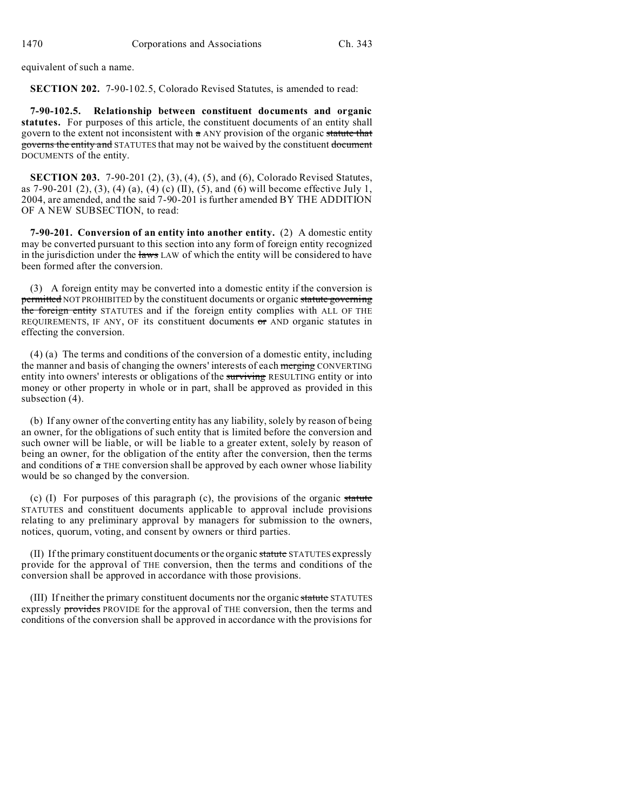equivalent of such a name.

**SECTION 202.** 7-90-102.5, Colorado Revised Statutes, is amended to read:

**7-90-102.5. Relationship between constituent documents and organic statutes.** For purposes of this article, the constituent documents of an entity shall govern to the extent not inconsistent with a ANY provision of the organic statute that governs the entity and STATUTES that may not be waived by the constituent document DOCUMENTS of the entity.

**SECTION 203.** 7-90-201 (2), (3), (4), (5), and (6), Colorado Revised Statutes, as 7-90-201 (2), (3), (4) (a), (4) (c) (II), (5), and (6) will become effective July 1, 2004, are amended, and the said 7-90-201 is further amended BY THE ADDITION OF A NEW SUBSECTION, to read:

**7-90-201. Conversion of an entity into another entity.** (2) A domestic entity may be converted pursuant to this section into any form of foreign entity recognized in the jurisdiction under the laws LAW of which the entity will be considered to have been formed after the conversion.

(3) A foreign entity may be converted into a domestic entity if the conversion is permitted NOT PROHIBITED by the constituent documents or organic statute governing the foreign entity STATUTES and if the foreign entity complies with ALL OF THE REQUIREMENTS, IF ANY, OF its constituent documents or AND organic statutes in effecting the conversion.

(4) (a) The terms and conditions of the conversion of a domestic entity, including the manner and basis of changing the owners' interests of each merging CONVERTING entity into owners' interests or obligations of the surviving RESULTING entity or into money or other property in whole or in part, shall be approved as provided in this subsection (4).

(b) If any owner of the converting entity has any liability, solely by reason of being an owner, for the obligations of such entity that is limited before the conversion and such owner will be liable, or will be liable to a greater extent, solely by reason of being an owner, for the obligation of the entity after the conversion, then the terms and conditions of  $\alpha$  THE conversion shall be approved by each owner whose liability would be so changed by the conversion.

(c) (I) For purposes of this paragraph (c), the provisions of the organic statute STATUTES and constituent documents applicable to approval include provisions relating to any preliminary approval by managers for submission to the owners, notices, quorum, voting, and consent by owners or third parties.

(II) If the primary constituent documents or the organic statute STATUTES expressly provide for the approval of THE conversion, then the terms and conditions of the conversion shall be approved in accordance with those provisions.

(III) If neither the primary constituent documents nor the organic statute STATUTES expressly provides PROVIDE for the approval of THE conversion, then the terms and conditions of the conversion shall be approved in accordance with the provisions for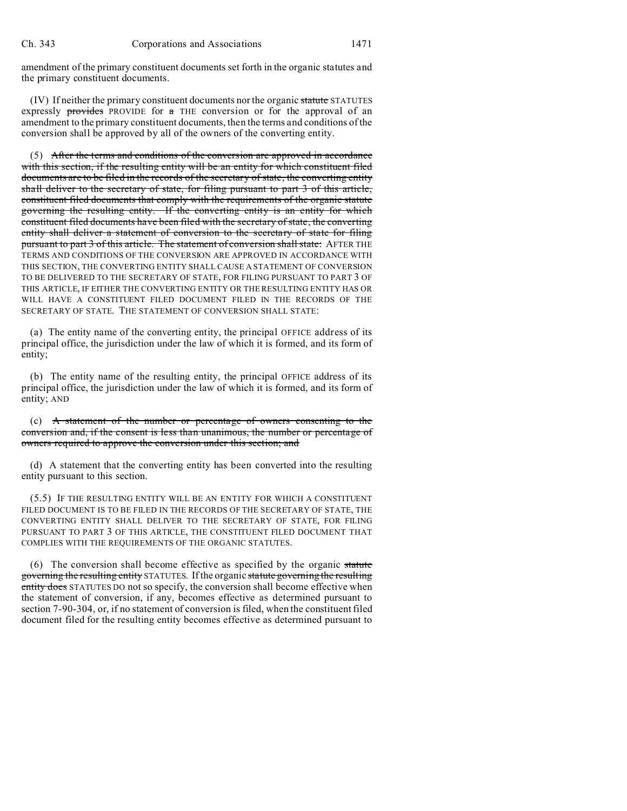amendment of the primary constituent documents set forth in the organic statutes and the primary constituent documents.

(IV) If neither the primary constituent documents nor the organic statute STATUTES expressly provides PROVIDE for a THE conversion or for the approval of an amendment to the primary constituent documents, then the terms and conditions of the conversion shall be approved by all of the owners of the converting entity.

(5) After the terms and conditions of the conversion are approved in accordance with this section, if the resulting entity will be an entity for which constituent filed documents are to be filed in the records of the secretary of state, the converting entity shall deliver to the secretary of state, for filing pursuant to part 3 of this article, constituent filed documents that comply with the requirements of the organic statute governing the resulting entity. If the converting entity is an entity for which constituent filed documents have been filed with the secretary of state, the converting entity shall deliver a statement of conversion to the secretary of state for filing pursuant to part 3 of this article. The statement of conversion shall state: AFTER THE TERMS AND CONDITIONS OF THE CONVERSION ARE APPROVED IN ACCORDANCE WITH THIS SECTION, THE CONVERTING ENTITY SHALL CAUSE A STATEMENT OF CONVERSION TO BE DELIVERED TO THE SECRETARY OF STATE, FOR FILING PURSUANT TO PART 3 OF THIS ARTICLE, IF EITHER THE CONVERTING ENTITY OR THE RESULTING ENTITY HAS OR WILL HAVE A CONSTITUENT FILED DOCUMENT FILED IN THE RECORDS OF THE SECRETARY OF STATE. THE STATEMENT OF CONVERSION SHALL STATE:

(a) The entity name of the converting entity, the principal OFFICE address of its principal office, the jurisdiction under the law of which it is formed, and its form of entity;

(b) The entity name of the resulting entity, the principal OFFICE address of its principal office, the jurisdiction under the law of which it is formed, and its form of entity; AND

(c) A statement of the number or percentage of owners consenting to the conversion and, if the consent is less than unanimous, the number or percentage of owners required to approve the conversion under this section; and

(d) A statement that the converting entity has been converted into the resulting entity pursuant to this section.

(5.5) IF THE RESULTING ENTITY WILL BE AN ENTITY FOR WHICH A CONSTITUENT FILED DOCUMENT IS TO BE FILED IN THE RECORDS OF THE SECRETARY OF STATE, THE CONVERTING ENTITY SHALL DELIVER TO THE SECRETARY OF STATE, FOR FILING PURSUANT TO PART 3 OF THIS ARTICLE, THE CONSTITUENT FILED DOCUMENT THAT COMPLIES WITH THE REQUIREMENTS OF THE ORGANIC STATUTES.

(6) The conversion shall become effective as specified by the organic statute governing the resulting entity STATUTES. If the organic statute governing the resulting entity does STATUTES DO not so specify, the conversion shall become effective when the statement of conversion, if any, becomes effective as determined pursuant to section 7-90-304, or, if no statement of conversion is filed, when the constituent filed document filed for the resulting entity becomes effective as determined pursuant to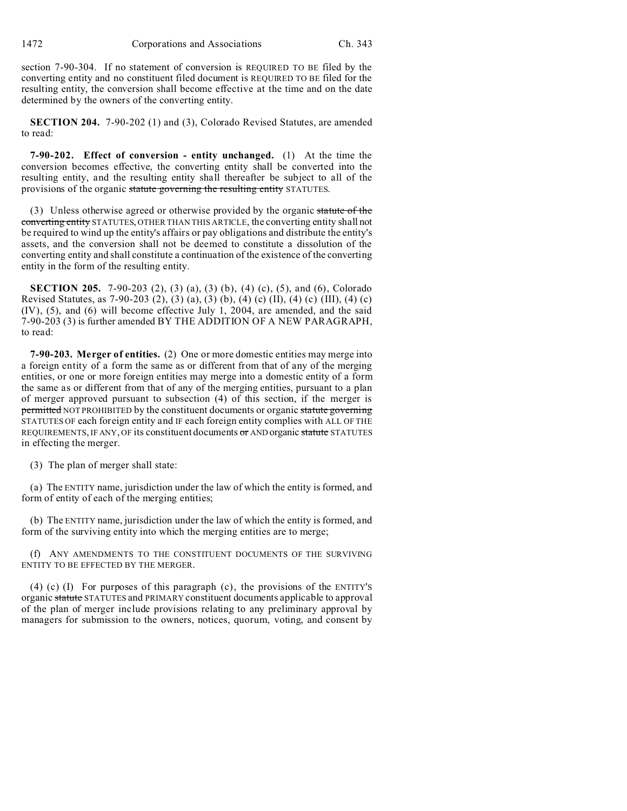section 7-90-304. If no statement of conversion is REQUIRED TO BE filed by the converting entity and no constituent filed document is REQUIRED TO BE filed for the resulting entity, the conversion shall become effective at the time and on the date determined by the owners of the converting entity.

**SECTION 204.** 7-90-202 (1) and (3), Colorado Revised Statutes, are amended to read:

**7-90-202. Effect of conversion - entity unchanged.** (1) At the time the conversion becomes effective, the converting entity shall be converted into the resulting entity, and the resulting entity shall thereafter be subject to all of the provisions of the organic statute governing the resulting entity STATUTES.

(3) Unless otherwise agreed or otherwise provided by the organic statute of the converting entity STATUTES, OTHER THAN THIS ARTICLE, the converting entity shall not be required to wind up the entity's affairs or pay obligations and distribute the entity's assets, and the conversion shall not be deemed to constitute a dissolution of the converting entity and shall constitute a continuation of the existence of the converting entity in the form of the resulting entity.

**SECTION 205.** 7-90-203 (2), (3) (a), (3) (b), (4) (c), (5), and (6), Colorado Revised Statutes, as 7-90-203 (2), (3) (a), (3) (b), (4) (c) (II), (4) (c) (III), (4) (c) (IV), (5), and (6) will become effective July 1, 2004, are amended, and the said 7-90-203 (3) is further amended BY THE ADDITION OF A NEW PARAGRAPH, to read:

**7-90-203. Merger of entities.** (2) One or more domestic entities may merge into a foreign entity of a form the same as or different from that of any of the merging entities, or one or more foreign entities may merge into a domestic entity of a form the same as or different from that of any of the merging entities, pursuant to a plan of merger approved pursuant to subsection (4) of this section, if the merger is permitted NOT PROHIBITED by the constituent documents or organic statute governing STATUTES OF each foreign entity and IF each foreign entity complies with ALL OF THE REQUIREMENTS, IF ANY, OF its constituent documents or AND organic statute STATUTES in effecting the merger.

(3) The plan of merger shall state:

(a) The ENTITY name, jurisdiction under the law of which the entity is formed, and form of entity of each of the merging entities;

(b) The ENTITY name, jurisdiction under the law of which the entity is formed, and form of the surviving entity into which the merging entities are to merge;

(f) ANY AMENDMENTS TO THE CONSTITUENT DOCUMENTS OF THE SURVIVING ENTITY TO BE EFFECTED BY THE MERGER.

(4) (c) (I) For purposes of this paragraph (c), the provisions of the ENTITY'S organic statute STATUTES and PRIMARY constituent documents applicable to approval of the plan of merger include provisions relating to any preliminary approval by managers for submission to the owners, notices, quorum, voting, and consent by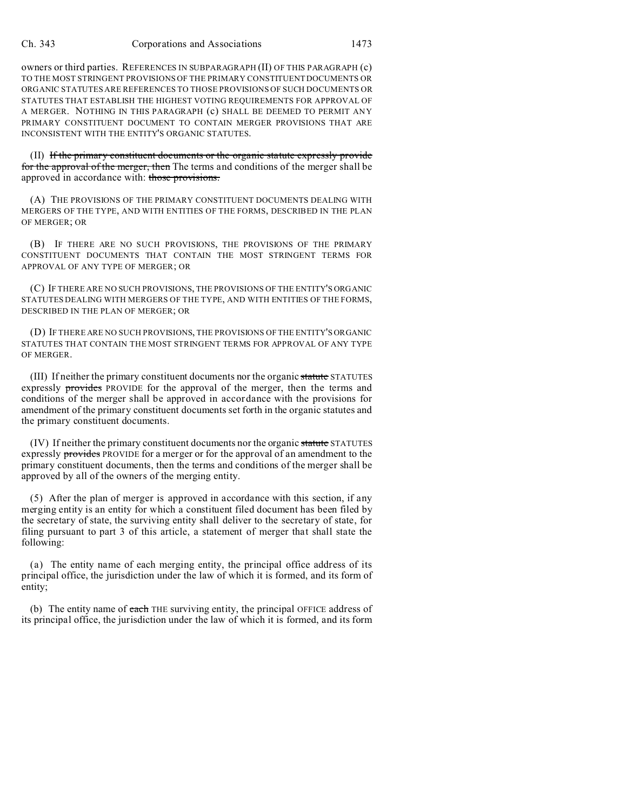owners or third parties. REFERENCES IN SUBPARAGRAPH (II) OF THIS PARAGRAPH (c) TO THE MOST STRINGENT PROVISIONS OF THE PRIMARY CONSTITUENT DOCUMENTS OR ORGANIC STATUTES ARE REFERENCES TO THOSE PROVISIONS OF SUCH DOCUMENTS OR STATUTES THAT ESTABLISH THE HIGHEST VOTING REQUIREMENTS FOR APPROVAL OF A MERGER. NOTHING IN THIS PARAGRAPH (c) SHALL BE DEEMED TO PERMIT ANY PRIMARY CONSTITUENT DOCUMENT TO CONTAIN MERGER PROVISIONS THAT ARE INCONSISTENT WITH THE ENTITY'S ORGANIC STATUTES.

(II) If the primary constituent documents or the organic statute expressly provide for the approval of the merger, then The terms and conditions of the merger shall be approved in accordance with: those provisions.

(A) THE PROVISIONS OF THE PRIMARY CONSTITUENT DOCUMENTS DEALING WITH MERGERS OF THE TYPE, AND WITH ENTITIES OF THE FORMS, DESCRIBED IN THE PLAN OF MERGER; OR

(B) IF THERE ARE NO SUCH PROVISIONS, THE PROVISIONS OF THE PRIMARY CONSTITUENT DOCUMENTS THAT CONTAIN THE MOST STRINGENT TERMS FOR APPROVAL OF ANY TYPE OF MERGER; OR

(C) IF THERE ARE NO SUCH PROVISIONS, THE PROVISIONS OF THE ENTITY'S ORGANIC STATUTES DEALING WITH MERGERS OF THE TYPE, AND WITH ENTITIES OF THE FORMS, DESCRIBED IN THE PLAN OF MERGER; OR

(D) IF THERE ARE NO SUCH PROVISIONS, THE PROVISIONS OF THE ENTITY'S ORGANIC STATUTES THAT CONTAIN THE MOST STRINGENT TERMS FOR APPROVAL OF ANY TYPE OF MERGER.

(III) If neither the primary constituent documents nor the organic statute STATUTES expressly provides PROVIDE for the approval of the merger, then the terms and conditions of the merger shall be approved in accordance with the provisions for amendment of the primary constituent documents set forth in the organic statutes and the primary constituent documents.

(IV) If neither the primary constituent documents nor the organic statute STATUTES expressly provides PROVIDE for a merger or for the approval of an amendment to the primary constituent documents, then the terms and conditions of the merger shall be approved by all of the owners of the merging entity.

(5) After the plan of merger is approved in accordance with this section, if any merging entity is an entity for which a constituent filed document has been filed by the secretary of state, the surviving entity shall deliver to the secretary of state, for filing pursuant to part 3 of this article, a statement of merger that shall state the following:

(a) The entity name of each merging entity, the principal office address of its principal office, the jurisdiction under the law of which it is formed, and its form of entity;

(b) The entity name of each THE surviving entity, the principal OFFICE address of its principal office, the jurisdiction under the law of which it is formed, and its form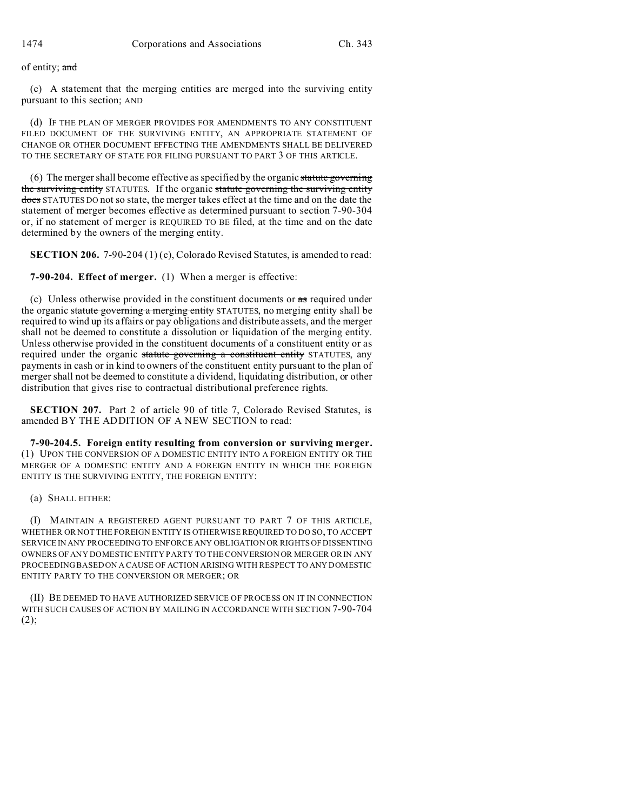of entity; and

(c) A statement that the merging entities are merged into the surviving entity pursuant to this section; AND

(d) IF THE PLAN OF MERGER PROVIDES FOR AMENDMENTS TO ANY CONSTITUENT FILED DOCUMENT OF THE SURVIVING ENTITY, AN APPROPRIATE STATEMENT OF CHANGE OR OTHER DOCUMENT EFFECTING THE AMENDMENTS SHALL BE DELIVERED TO THE SECRETARY OF STATE FOR FILING PURSUANT TO PART 3 OF THIS ARTICLE.

 $(6)$  The merger shall become effective as specified by the organic statute governing the surviving entity STATUTES. If the organic statute governing the surviving entity does STATUTES DO not so state, the merger takes effect at the time and on the date the statement of merger becomes effective as determined pursuant to section 7-90-304 or, if no statement of merger is REQUIRED TO BE filed, at the time and on the date determined by the owners of the merging entity.

**SECTION 206.** 7-90-204 (1) (c), Colorado Revised Statutes, is amended to read:

**7-90-204. Effect of merger.** (1) When a merger is effective:

(c) Unless otherwise provided in the constituent documents or as required under the organic statute governing a merging entity STATUTES, no merging entity shall be required to wind up its affairs or pay obligations and distribute assets, and the merger shall not be deemed to constitute a dissolution or liquidation of the merging entity. Unless otherwise provided in the constituent documents of a constituent entity or as required under the organic statute governing a constituent entity STATUTES, any payments in cash or in kind to owners of the constituent entity pursuant to the plan of merger shall not be deemed to constitute a dividend, liquidating distribution, or other distribution that gives rise to contractual distributional preference rights.

**SECTION 207.** Part 2 of article 90 of title 7, Colorado Revised Statutes, is amended BY THE ADDITION OF A NEW SECTION to read:

**7-90-204.5. Foreign entity resulting from conversion or surviving merger.** (1) UPON THE CONVERSION OF A DOMESTIC ENTITY INTO A FOREIGN ENTITY OR THE MERGER OF A DOMESTIC ENTITY AND A FOREIGN ENTITY IN WHICH THE FOREIGN ENTITY IS THE SURVIVING ENTITY, THE FOREIGN ENTITY:

## (a) SHALL EITHER:

(I) MAINTAIN A REGISTERED AGENT PURSUANT TO PART 7 OF THIS ARTICLE, WHETHER OR NOT THE FOREIGN ENTITY IS OTHERWISE REQUIRED TO DO SO, TO ACCEPT SERVICE IN ANY PROCEEDING TO ENFORCE ANY OBLIGATION OR RIGHTSOF DISSENTING OWNERS OF ANY DOMESTIC ENTITY PARTY TO THE CONVERSION OR MERGER OR IN ANY PROCEEDING BASED ON A CAUSE OF ACTION ARISING WITH RESPECT TO ANY DOMESTIC ENTITY PARTY TO THE CONVERSION OR MERGER; OR

(II) BE DEEMED TO HAVE AUTHORIZED SERVICE OF PROCESS ON IT IN CONNECTION WITH SUCH CAUSES OF ACTION BY MAILING IN ACCORDANCE WITH SECTION 7-90-704 (2);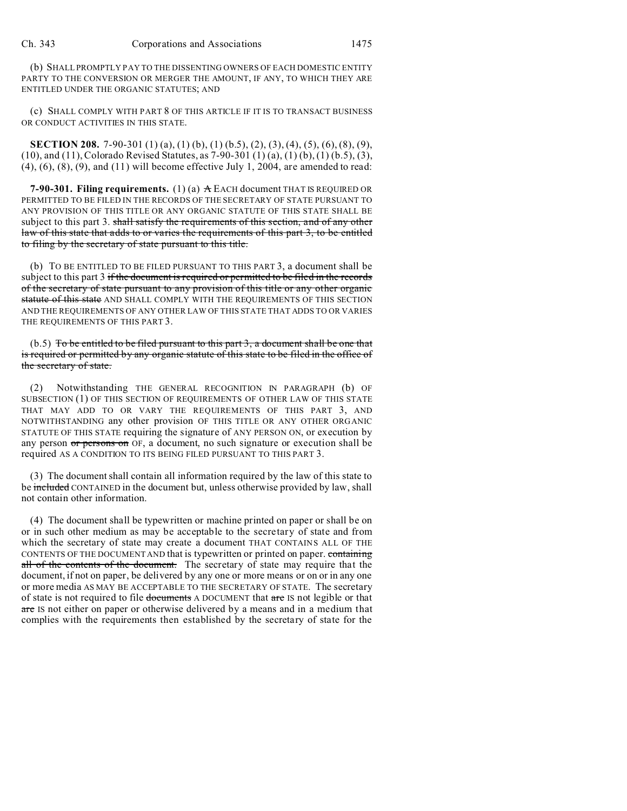(b) SHALL PROMPTLY PAY TO THE DISSENTING OWNERS OF EACH DOMESTIC ENTITY PARTY TO THE CONVERSION OR MERGER THE AMOUNT, IF ANY, TO WHICH THEY ARE ENTITLED UNDER THE ORGANIC STATUTES; AND

(c) SHALL COMPLY WITH PART 8 OF THIS ARTICLE IF IT IS TO TRANSACT BUSINESS OR CONDUCT ACTIVITIES IN THIS STATE.

**SECTION 208.** 7-90-301 (1) (a), (1) (b), (1) (b.5), (2), (3), (4), (5), (6), (8), (9), (10), and (11), Colorado Revised Statutes, as 7-90-301 (1) (a), (1) (b), (1) (b.5), (3),  $(4)$ ,  $(6)$ ,  $(8)$ ,  $(9)$ , and  $(11)$  will become effective July 1, 2004, are amended to read:

**7-90-301. Filing requirements.** (1) (a)  $\angle$  EACH document THAT IS REQUIRED OR PERMITTED TO BE FILED IN THE RECORDS OF THE SECRETARY OF STATE PURSUANT TO ANY PROVISION OF THIS TITLE OR ANY ORGANIC STATUTE OF THIS STATE SHALL BE subject to this part 3. shall satisfy the requirements of this section, and of any other law of this state that adds to or varies the requirements of this part 3, to be entitled to filing by the secretary of state pursuant to this title.

(b) TO BE ENTITLED TO BE FILED PURSUANT TO THIS PART 3, a document shall be subject to this part 3 if the document is required or permitted to be filed in the records of the secretary of state pursuant to any provision of this title or any other organic statute of this state AND SHALL COMPLY WITH THE REQUIREMENTS OF THIS SECTION AND THE REQUIREMENTS OF ANY OTHER LAW OF THIS STATE THAT ADDS TO OR VARIES THE REQUIREMENTS OF THIS PART 3.

 $(b.5)$  To be entitled to be filed pursuant to this part 3, a document shall be one that is required or permitted by any organic statute of this state to be filed in the office of the secretary of state.

(2) Notwithstanding THE GENERAL RECOGNITION IN PARAGRAPH (b) OF SUBSECTION (1) OF THIS SECTION OF REQUIREMENTS OF OTHER LAW OF THIS STATE THAT MAY ADD TO OR VARY THE REQUIREMENTS OF THIS PART 3, AND NOTWITHSTANDING any other provision OF THIS TITLE OR ANY OTHER ORGANIC STATUTE OF THIS STATE requiring the signature of ANY PERSON ON, or execution by any person or persons on OF, a document, no such signature or execution shall be required AS A CONDITION TO ITS BEING FILED PURSUANT TO THIS PART 3.

(3) The document shall contain all information required by the law of this state to be included CONTAINED in the document but, unless otherwise provided by law, shall not contain other information.

(4) The document shall be typewritten or machine printed on paper or shall be on or in such other medium as may be acceptable to the secretary of state and from which the secretary of state may create a document THAT CONTAINS ALL OF THE CONTENTS OF THE DOCUMENT AND that is typewritten or printed on paper. containing all of the contents of the document. The secretary of state may require that the document, if not on paper, be delivered by any one or more means or on or in any one or more media AS MAY BE ACCEPTABLE TO THE SECRETARY OF STATE. The secretary of state is not required to file documents A DOCUMENT that are IS not legible or that are IS not either on paper or otherwise delivered by a means and in a medium that complies with the requirements then established by the secretary of state for the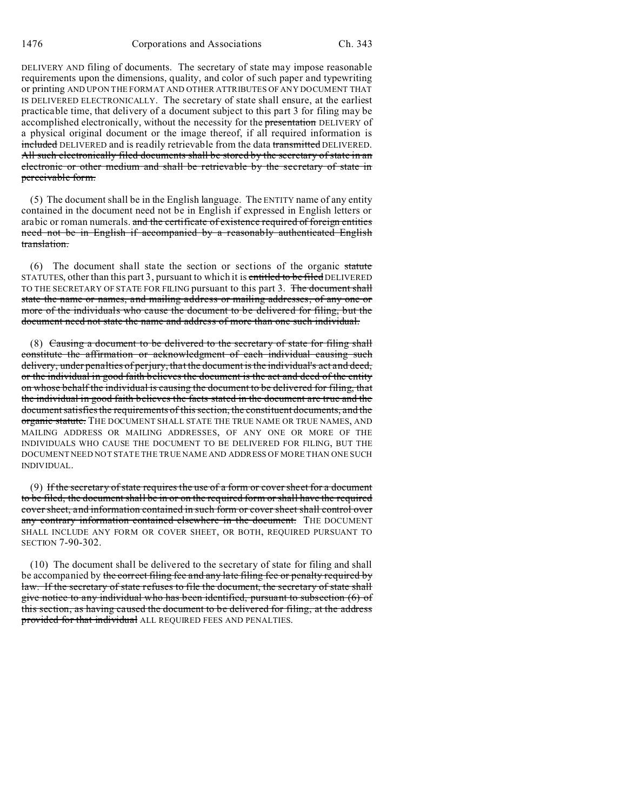DELIVERY AND filing of documents. The secretary of state may impose reasonable requirements upon the dimensions, quality, and color of such paper and typewriting or printing AND UPON THE FORMAT AND OTHER ATTRIBUTES OF ANY DOCUMENT THAT IS DELIVERED ELECTRONICALLY. The secretary of state shall ensure, at the earliest practicable time, that delivery of a document subject to this part 3 for filing may be accomplished electronically, without the necessity for the presentation DELIVERY of a physical original document or the image thereof, if all required information is included DELIVERED and is readily retrievable from the data transmitted DELIVERED. All such electronically filed documents shall be stored by the secretary of state in an electronic or other medium and shall be retrievable by the secretary of state in perceivable form.

(5) The document shall be in the English language. The ENTITY name of any entity contained in the document need not be in English if expressed in English letters or arabic or roman numerals. and the certificate of existence required of foreign entities need not be in English if accompanied by a reasonably authenticated English translation.

(6) The document shall state the section or sections of the organic statute STATUTES, other than this part 3, pursuant to which it is entitled to be filed DELIVERED TO THE SECRETARY OF STATE FOR FILING pursuant to this part 3. The document shall state the name or names, and mailing address or mailing addresses, of any one or more of the individuals who cause the document to be delivered for filing, but the document need not state the name and address of more than one such individual.

(8) Causing a document to be delivered to the secretary of state for filing shall constitute the affirmation or acknowledgment of each individual causing such delivery, under penalties of perjury, that the document is the individual's act and deed, or the individual in good faith believes the document is the act and deed of the entity on whose behalf the individual is causing the document to be delivered for filing, that the individual in good faith believes the facts stated in the document are true and the document satisfies the requirements of this section, the constituent documents, and the organic statute. THE DOCUMENT SHALL STATE THE TRUE NAME OR TRUE NAMES, AND MAILING ADDRESS OR MAILING ADDRESSES, OF ANY ONE OR MORE OF THE INDIVIDUALS WHO CAUSE THE DOCUMENT TO BE DELIVERED FOR FILING, BUT THE DOCUMENT NEED NOT STATE THE TRUE NAME AND ADDRESS OF MORE THAN ONE SUCH INDIVIDUAL.

(9) If the secretary of state requires the use of a form or cover sheet for a document to be filed, the document shall be in or on the required form or shall have the required cover sheet, and information contained in such form or cover sheet shall control over any contrary information contained elsewhere in the document. THE DOCUMENT SHALL INCLUDE ANY FORM OR COVER SHEET, OR BOTH, REQUIRED PURSUANT TO SECTION 7-90-302.

(10) The document shall be delivered to the secretary of state for filing and shall be accompanied by the correct filing fee and any late filing fee or penalty required by law. If the secretary of state refuses to file the document, the secretary of state shall give notice to any individual who has been identified, pursuant to subsection (6) of this section, as having caused the document to be delivered for filing, at the address provided for that individual ALL REQUIRED FEES AND PENALTIES.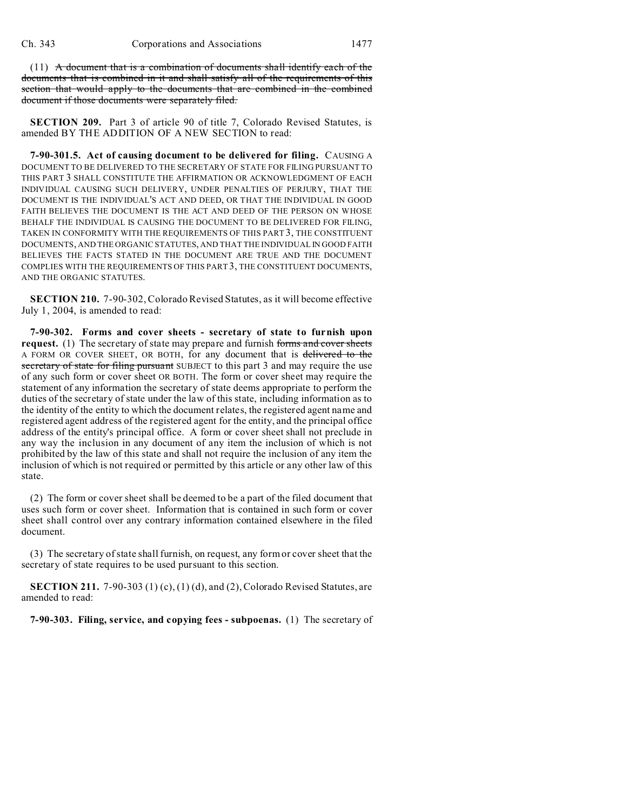$(11)$  A document that is a combination of documents shall identify each of the documents that is combined in it and shall satisfy all of the requirements of this section that would apply to the documents that are combined in the combined document if those documents were separately filed.

**SECTION 209.** Part 3 of article 90 of title 7, Colorado Revised Statutes, is amended BY THE ADDITION OF A NEW SECTION to read:

**7-90-301.5. Act of causing document to be delivered for filing.** CAUSING A DOCUMENT TO BE DELIVERED TO THE SECRETARY OF STATE FOR FILING PURSUANT TO THIS PART 3 SHALL CONSTITUTE THE AFFIRMATION OR ACKNOWLEDGMENT OF EACH INDIVIDUAL CAUSING SUCH DELIVERY, UNDER PENALTIES OF PERJURY, THAT THE DOCUMENT IS THE INDIVIDUAL'S ACT AND DEED, OR THAT THE INDIVIDUAL IN GOOD FAITH BELIEVES THE DOCUMENT IS THE ACT AND DEED OF THE PERSON ON WHOSE BEHALF THE INDIVIDUAL IS CAUSING THE DOCUMENT TO BE DELIVERED FOR FILING, TAKEN IN CONFORMITY WITH THE REQUIREMENTS OF THIS PART 3, THE CONSTITUENT DOCUMENTS, AND THE ORGANIC STATUTES, AND THAT THE INDIVIDUAL IN GOOD FAITH BELIEVES THE FACTS STATED IN THE DOCUMENT ARE TRUE AND THE DOCUMENT COMPLIES WITH THE REQUIREMENTS OF THIS PART 3, THE CONSTITUENT DOCUMENTS, AND THE ORGANIC STATUTES.

**SECTION 210.** 7-90-302, Colorado Revised Statutes, as it will become effective July 1, 2004, is amended to read:

**7-90-302. Forms and cover sheets - secretary of state to furnish upon request.** (1) The secretary of state may prepare and furnish forms and cover sheets A FORM OR COVER SHEET, OR BOTH, for any document that is delivered to the secretary of state for filing pursuant SUBJECT to this part 3 and may require the use of any such form or cover sheet OR BOTH. The form or cover sheet may require the statement of any information the secretary of state deems appropriate to perform the duties of the secretary of state under the law of this state, including information as to the identity of the entity to which the document relates, the registered agent name and registered agent address of the registered agent for the entity, and the principal office address of the entity's principal office. A form or cover sheet shall not preclude in any way the inclusion in any document of any item the inclusion of which is not prohibited by the law of this state and shall not require the inclusion of any item the inclusion of which is not required or permitted by this article or any other law of this state.

(2) The form or cover sheet shall be deemed to be a part of the filed document that uses such form or cover sheet. Information that is contained in such form or cover sheet shall control over any contrary information contained elsewhere in the filed document.

(3) The secretary of state shall furnish, on request, any form or cover sheet that the secretary of state requires to be used pursuant to this section.

**SECTION 211.** 7-90-303 (1) (c), (1) (d), and (2), Colorado Revised Statutes, are amended to read:

**7-90-303. Filing, service, and copying fees - subpoenas.** (1) The secretary of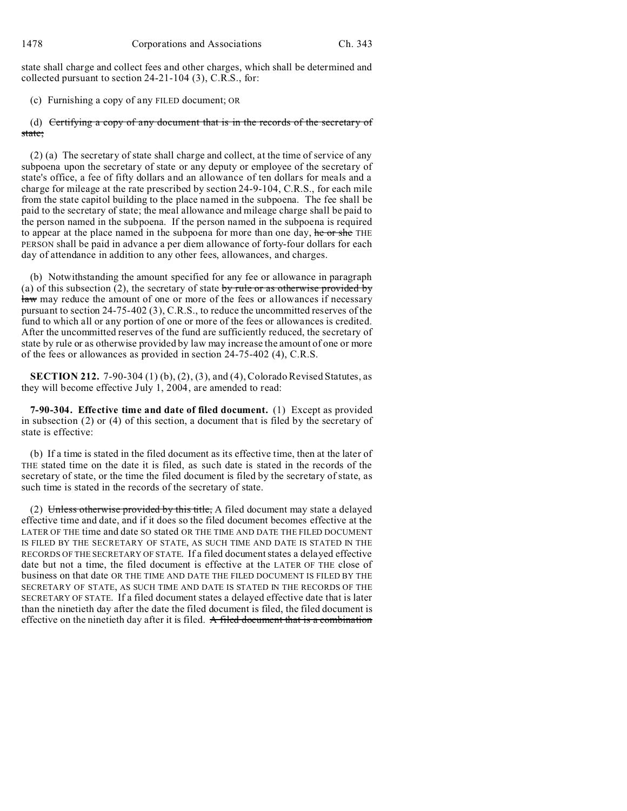state shall charge and collect fees and other charges, which shall be determined and collected pursuant to section 24-21-104 (3), C.R.S., for:

(c) Furnishing a copy of any FILED document; OR

(d) Certifying a copy of any document that is in the records of the secretary of state;

(2) (a) The secretary of state shall charge and collect, at the time of service of any subpoena upon the secretary of state or any deputy or employee of the secretary of state's office, a fee of fifty dollars and an allowance of ten dollars for meals and a charge for mileage at the rate prescribed by section 24-9-104, C.R.S., for each mile from the state capitol building to the place named in the subpoena. The fee shall be paid to the secretary of state; the meal allowance and mileage charge shall be paid to the person named in the subpoena. If the person named in the subpoena is required to appear at the place named in the subpoena for more than one day, he or she THE PERSON shall be paid in advance a per diem allowance of forty-four dollars for each day of attendance in addition to any other fees, allowances, and charges.

(b) Notwithstanding the amount specified for any fee or allowance in paragraph (a) of this subsection (2), the secretary of state by rule or as otherwise provided by law may reduce the amount of one or more of the fees or allowances if necessary pursuant to section 24-75-402 (3), C.R.S., to reduce the uncommitted reserves of the fund to which all or any portion of one or more of the fees or allowances is credited. After the uncommitted reserves of the fund are sufficiently reduced, the secretary of state by rule or as otherwise provided by law may increase the amount of one or more of the fees or allowances as provided in section 24-75-402 (4), C.R.S.

**SECTION 212.** 7-90-304 (1) (b), (2), (3), and (4), Colorado Revised Statutes, as they will become effective July 1, 2004, are amended to read:

**7-90-304. Effective time and date of filed document.** (1) Except as provided in subsection (2) or (4) of this section, a document that is filed by the secretary of state is effective:

(b) If a time is stated in the filed document as its effective time, then at the later of THE stated time on the date it is filed, as such date is stated in the records of the secretary of state, or the time the filed document is filed by the secretary of state, as such time is stated in the records of the secretary of state.

(2) Unless otherwise provided by this title, A filed document may state a delayed effective time and date, and if it does so the filed document becomes effective at the LATER OF THE time and date SO stated OR THE TIME AND DATE THE FILED DOCUMENT IS FILED BY THE SECRETARY OF STATE, AS SUCH TIME AND DATE IS STATED IN THE RECORDS OF THE SECRETARY OF STATE. If a filed document states a delayed effective date but not a time, the filed document is effective at the LATER OF THE close of business on that date OR THE TIME AND DATE THE FILED DOCUMENT IS FILED BY THE SECRETARY OF STATE, AS SUCH TIME AND DATE IS STATED IN THE RECORDS OF THE SECRETARY OF STATE. If a filed document states a delayed effective date that is later than the ninetieth day after the date the filed document is filed, the filed document is effective on the ninetieth day after it is filed. A filed document that is a combination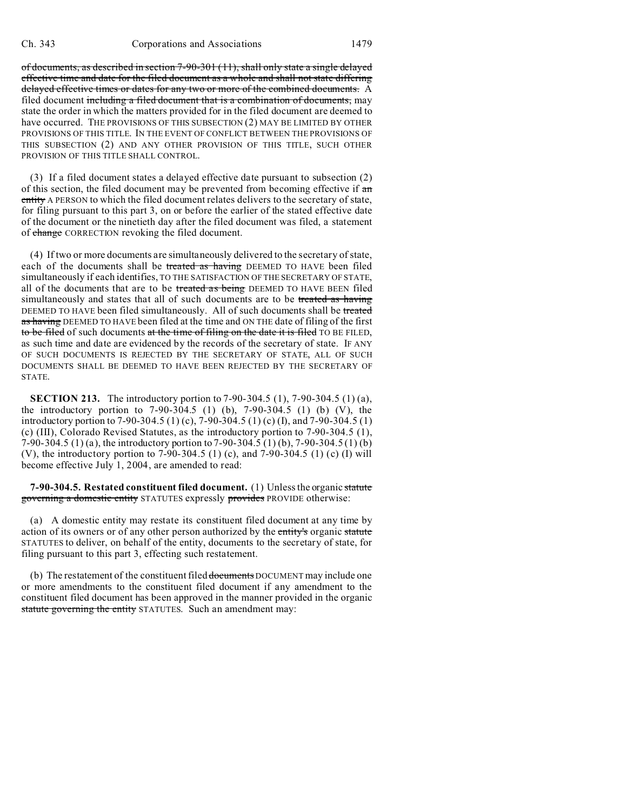of documents, as described in section 7-90-301 (11), shall only state a single delayed effective time and date for the filed document as a whole and shall not state differing delayed effective times or dates for any two or more of the combined documents. A filed document including a filed document that is a combination of documents, may state the order in which the matters provided for in the filed document are deemed to have occurred. THE PROVISIONS OF THIS SUBSECTION (2) MAY BE LIMITED BY OTHER PROVISIONS OF THIS TITLE. IN THE EVENT OF CONFLICT BETWEEN THE PROVISIONS OF THIS SUBSECTION (2) AND ANY OTHER PROVISION OF THIS TITLE, SUCH OTHER PROVISION OF THIS TITLE SHALL CONTROL.

(3) If a filed document states a delayed effective date pursuant to subsection (2) of this section, the filed document may be prevented from becoming effective if  $\alpha$ n entity A PERSON to which the filed document relates delivers to the secretary of state, for filing pursuant to this part 3, on or before the earlier of the stated effective date of the document or the ninetieth day after the filed document was filed, a statement of change CORRECTION revoking the filed document.

(4) If two or more documents are simultaneously delivered to the secretary of state, each of the documents shall be treated as having DEEMED TO HAVE been filed simultaneously if each identifies, TO THE SATISFACTION OF THE SECRETARY OF STATE, all of the documents that are to be treated as being DEEMED TO HAVE BEEN filed simultaneously and states that all of such documents are to be treated as having DEEMED TO HAVE been filed simultaneously. All of such documents shall be treated as having DEEMED TO HAVE been filed at the time and ON THE date of filing of the first to be filed of such documents at the time of filing on the date it is filed TO BE FILED, as such time and date are evidenced by the records of the secretary of state. IF ANY OF SUCH DOCUMENTS IS REJECTED BY THE SECRETARY OF STATE, ALL OF SUCH DOCUMENTS SHALL BE DEEMED TO HAVE BEEN REJECTED BY THE SECRETARY OF STATE.

**SECTION 213.** The introductory portion to 7-90-304.5 (1), 7-90-304.5 (1) (a), the introductory portion to 7-90-304.5 (1) (b), 7-90-304.5 (1) (b) (V), the introductory portion to 7-90-304.5 (1) (c), 7-90-304.5 (1) (c) (I), and 7-90-304.5 (1) (c) (III), Colorado Revised Statutes, as the introductory portion to 7-90-304.5 (1), 7-90-304.5 (1) (a), the introductory portion to 7-90-304.5 (1) (b), 7-90-304.5 (1) (b) (V), the introductory portion to 7-90-304.5 (1) (c), and 7-90-304.5 (1) (c) (I) will become effective July 1, 2004, are amended to read:

**7-90-304.5. Restated constituent filed document.** (1) Unless the organic statute governing a domestic entity STATUTES expressly provides PROVIDE otherwise:

(a) A domestic entity may restate its constituent filed document at any time by action of its owners or of any other person authorized by the entity's organic statute STATUTES to deliver, on behalf of the entity, documents to the secretary of state, for filing pursuant to this part 3, effecting such restatement.

(b) The restatement of the constituent filed documents DOCUMENT may include one or more amendments to the constituent filed document if any amendment to the constituent filed document has been approved in the manner provided in the organic statute governing the entity STATUTES. Such an amendment may: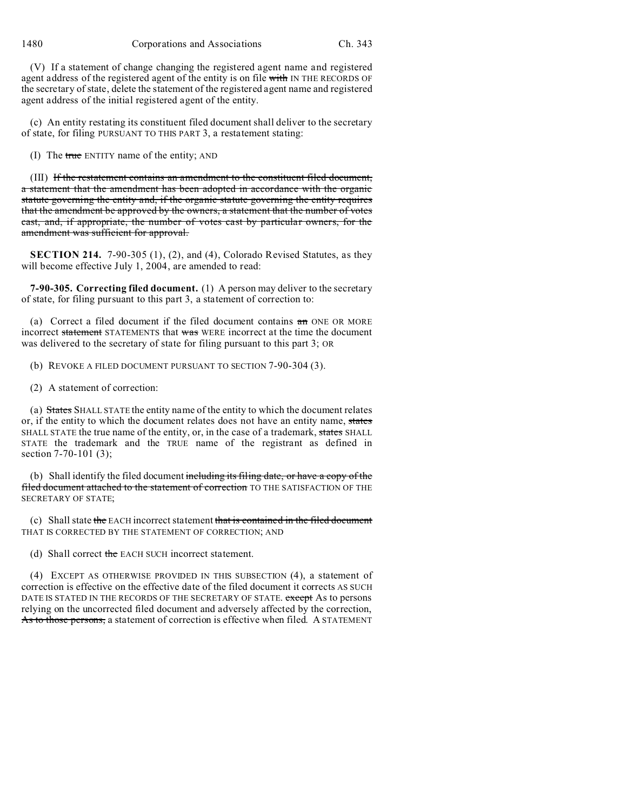1480 Corporations and Associations Ch. 343

(V) If a statement of change changing the registered agent name and registered agent address of the registered agent of the entity is on file with IN THE RECORDS OF the secretary of state, delete the statement of the registered agent name and registered agent address of the initial registered agent of the entity.

(c) An entity restating its constituent filed document shall deliver to the secretary of state, for filing PURSUANT TO THIS PART 3, a restatement stating:

(I) The true ENTITY name of the entity; AND

(III) If the restatement contains an amendment to the constituent filed document, a statement that the amendment has been adopted in accordance with the organic statute governing the entity and, if the organic statute governing the entity requires that the amendment be approved by the owners, a statement that the number of votes cast, and, if appropriate, the number of votes cast by particular owners, for the amendment was sufficient for approval.

**SECTION 214.** 7-90-305 (1), (2), and (4), Colorado Revised Statutes, as they will become effective July 1, 2004, are amended to read:

**7-90-305. Correcting filed document.** (1) A person may deliver to the secretary of state, for filing pursuant to this part 3, a statement of correction to:

(a) Correct a filed document if the filed document contains  $a_n$  ONE OR MORE incorrect statement STATEMENTS that was WERE incorrect at the time the document was delivered to the secretary of state for filing pursuant to this part 3; OR

(b) REVOKE A FILED DOCUMENT PURSUANT TO SECTION 7-90-304 (3).

(2) A statement of correction:

(a) States SHALL STATE the entity name of the entity to which the document relates or, if the entity to which the document relates does not have an entity name, states SHALL STATE the true name of the entity, or, in the case of a trademark, states SHALL STATE the trademark and the TRUE name of the registrant as defined in section 7-70-101 (3);

(b) Shall identify the filed document including its filing date, or have a copy of the filed document attached to the statement of correction TO THE SATISFACTION OF THE SECRETARY OF STATE;

(c) Shall state the EACH incorrect statement that is contained in the filed document THAT IS CORRECTED BY THE STATEMENT OF CORRECTION; AND

(d) Shall correct the EACH SUCH incorrect statement.

(4) EXCEPT AS OTHERWISE PROVIDED IN THIS SUBSECTION (4), a statement of correction is effective on the effective date of the filed document it corrects AS SUCH DATE IS STATED IN THE RECORDS OF THE SECRETARY OF STATE. except As to persons relying on the uncorrected filed document and adversely affected by the correction, As to those persons, a statement of correction is effective when filed. A STATEMENT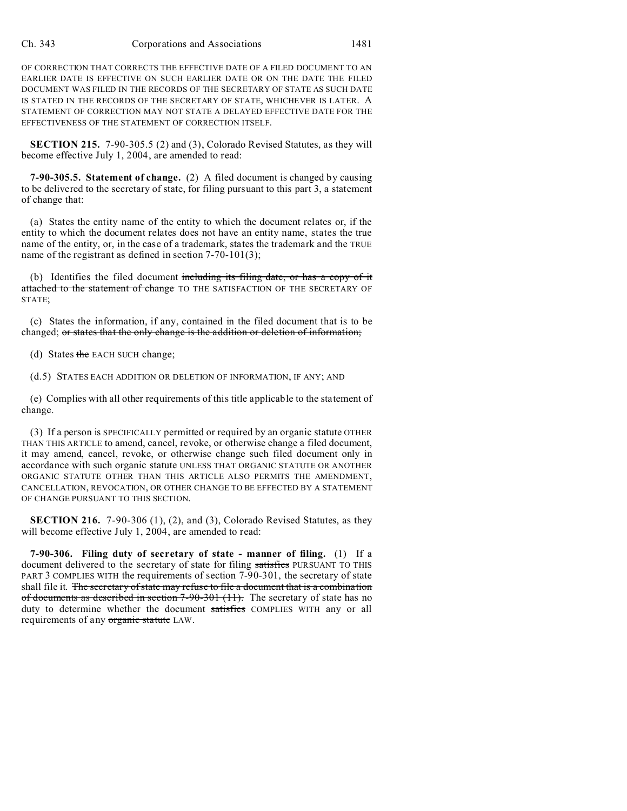OF CORRECTION THAT CORRECTS THE EFFECTIVE DATE OF A FILED DOCUMENT TO AN EARLIER DATE IS EFFECTIVE ON SUCH EARLIER DATE OR ON THE DATE THE FILED DOCUMENT WAS FILED IN THE RECORDS OF THE SECRETARY OF STATE AS SUCH DATE IS STATED IN THE RECORDS OF THE SECRETARY OF STATE, WHICHEVER IS LATER. A STATEMENT OF CORRECTION MAY NOT STATE A DELAYED EFFECTIVE DATE FOR THE EFFECTIVENESS OF THE STATEMENT OF CORRECTION ITSELF.

**SECTION 215.** 7-90-305.5 (2) and (3), Colorado Revised Statutes, as they will become effective July 1, 2004, are amended to read:

**7-90-305.5. Statement of change.** (2) A filed document is changed by causing to be delivered to the secretary of state, for filing pursuant to this part 3, a statement of change that:

(a) States the entity name of the entity to which the document relates or, if the entity to which the document relates does not have an entity name, states the true name of the entity, or, in the case of a trademark, states the trademark and the TRUE name of the registrant as defined in section 7-70-101(3);

(b) Identifies the filed document including its filing date, or has a copy of it attached to the statement of change TO THE SATISFACTION OF THE SECRETARY OF STATE;

(c) States the information, if any, contained in the filed document that is to be changed; or states that the only change is the addition or deletion of information;

(d) States the EACH SUCH change;

(d.5) STATES EACH ADDITION OR DELETION OF INFORMATION, IF ANY; AND

(e) Complies with all other requirements of this title applicable to the statement of change.

(3) If a person is SPECIFICALLY permitted or required by an organic statute OTHER THAN THIS ARTICLE to amend, cancel, revoke, or otherwise change a filed document, it may amend, cancel, revoke, or otherwise change such filed document only in accordance with such organic statute UNLESS THAT ORGANIC STATUTE OR ANOTHER ORGANIC STATUTE OTHER THAN THIS ARTICLE ALSO PERMITS THE AMENDMENT, CANCELLATION, REVOCATION, OR OTHER CHANGE TO BE EFFECTED BY A STATEMENT OF CHANGE PURSUANT TO THIS SECTION.

**SECTION 216.** 7-90-306 (1), (2), and (3), Colorado Revised Statutes, as they will become effective July 1, 2004, are amended to read:

**7-90-306. Filing duty of secretary of state - manner of filing.** (1) If a document delivered to the secretary of state for filing satisfies PURSUANT TO THIS PART 3 COMPLIES WITH the requirements of section 7-90-301, the secretary of state shall file it. The secretary of state may refuse to file a document that is a combination of documents as described in section 7-90-301 (11). The secretary of state has no duty to determine whether the document satisfies COMPLIES WITH any or all requirements of any organic statute LAW.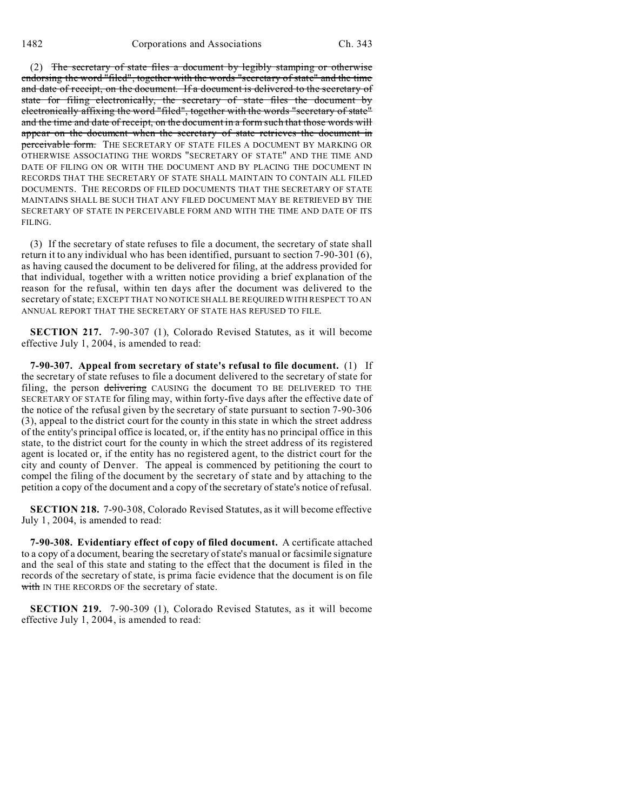(2) The secretary of state files a document by legibly stamping or otherwise endorsing the word "filed", together with the words "secretary of state" and the time and date of receipt, on the document. If a document is delivered to the secretary of state for filing electronically, the secretary of state files the document by electronically affixing the word "filed", together with the words "secretary of state" and the time and date of receipt, on the document in a form such that those words will appear on the document when the secretary of state retrieves the document in perceivable form. THE SECRETARY OF STATE FILES A DOCUMENT BY MARKING OR OTHERWISE ASSOCIATING THE WORDS "SECRETARY OF STATE" AND THE TIME AND DATE OF FILING ON OR WITH THE DOCUMENT AND BY PLACING THE DOCUMENT IN RECORDS THAT THE SECRETARY OF STATE SHALL MAINTAIN TO CONTAIN ALL FILED DOCUMENTS. THE RECORDS OF FILED DOCUMENTS THAT THE SECRETARY OF STATE MAINTAINS SHALL BE SUCH THAT ANY FILED DOCUMENT MAY BE RETRIEVED BY THE SECRETARY OF STATE IN PERCEIVABLE FORM AND WITH THE TIME AND DATE OF ITS FILING.

(3) If the secretary of state refuses to file a document, the secretary of state shall return it to any individual who has been identified, pursuant to section 7-90-301 (6), as having caused the document to be delivered for filing, at the address provided for that individual, together with a written notice providing a brief explanation of the reason for the refusal, within ten days after the document was delivered to the secretary of state; EXCEPT THAT NO NOTICE SHALL BE REQUIRED WITH RESPECT TO AN ANNUAL REPORT THAT THE SECRETARY OF STATE HAS REFUSED TO FILE.

**SECTION 217.** 7-90-307 (1), Colorado Revised Statutes, as it will become effective July 1, 2004, is amended to read:

**7-90-307. Appeal from secretary of state's refusal to file document.** (1) If the secretary of state refuses to file a document delivered to the secretary of state for filing, the person delivering CAUSING the document TO BE DELIVERED TO THE SECRETARY OF STATE for filing may, within forty-five days after the effective date of the notice of the refusal given by the secretary of state pursuant to section 7-90-306 (3), appeal to the district court for the county in this state in which the street address of the entity's principal office is located, or, if the entity has no principal office in this state, to the district court for the county in which the street address of its registered agent is located or, if the entity has no registered agent, to the district court for the city and county of Denver. The appeal is commenced by petitioning the court to compel the filing of the document by the secretary of state and by attaching to the petition a copy of the document and a copy of the secretary of state's notice of refusal.

**SECTION 218.** 7-90-308, Colorado Revised Statutes, as it will become effective July 1, 2004, is amended to read:

**7-90-308. Evidentiary effect of copy of filed document.** A certificate attached to a copy of a document, bearing the secretary of state's manual or facsimile signature and the seal of this state and stating to the effect that the document is filed in the records of the secretary of state, is prima facie evidence that the document is on file with IN THE RECORDS OF the secretary of state.

**SECTION 219.** 7-90-309 (1), Colorado Revised Statutes, as it will become effective July 1, 2004, is amended to read: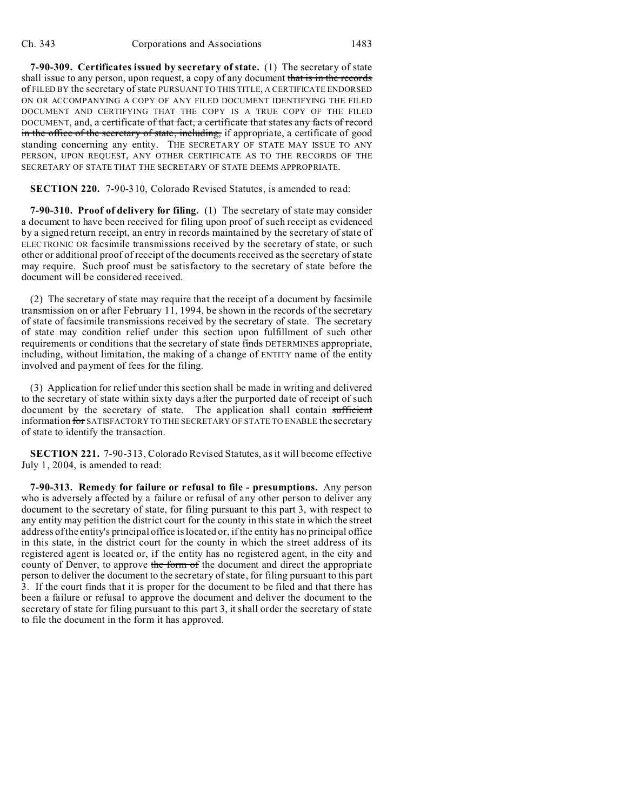**7-90-309. Certificates issued by secretary of state.** (1) The secretary of state shall issue to any person, upon request, a copy of any document that is in the records of FILED BY the secretary of state PURSUANT TO THIS TITLE, A CERTIFICATE ENDORSED ON OR ACCOMPANYING A COPY OF ANY FILED DOCUMENT IDENTIFYING THE FILED DOCUMENT AND CERTIFYING THAT THE COPY IS A TRUE COPY OF THE FILED DOCUMENT, and, a certificate of that fact, a certificate that states any facts of record in the office of the secretary of state, including, if appropriate, a certificate of good standing concerning any entity. THE SECRETARY OF STATE MAY ISSUE TO ANY PERSON, UPON REQUEST, ANY OTHER CERTIFICATE AS TO THE RECORDS OF THE SECRETARY OF STATE THAT THE SECRETARY OF STATE DEEMS APPROPRIATE.

**SECTION 220.** 7-90-310, Colorado Revised Statutes, is amended to read:

**7-90-310. Proof of delivery for filing.** (1) The secretary of state may consider a document to have been received for filing upon proof of such receipt as evidenced by a signed return receipt, an entry in records maintained by the secretary of state of ELECTRONIC OR facsimile transmissions received by the secretary of state, or such other or additional proof of receipt of the documents received as the secretary of state may require. Such proof must be satisfactory to the secretary of state before the document will be considered received.

(2) The secretary of state may require that the receipt of a document by facsimile transmission on or after February 11, 1994, be shown in the records of the secretary of state of facsimile transmissions received by the secretary of state. The secretary of state may condition relief under this section upon fulfillment of such other requirements or conditions that the secretary of state finds DETERMINES appropriate, including, without limitation, the making of a change of ENTITY name of the entity involved and payment of fees for the filing.

(3) Application for relief under this section shall be made in writing and delivered to the secretary of state within sixty days after the purported date of receipt of such document by the secretary of state. The application shall contain sufficient information for SATISFACTORY TO THE SECRETARY OF STATE TO ENABLE the secretary of state to identify the transaction.

**SECTION 221.** 7-90-313, Colorado Revised Statutes, as it will become effective July 1, 2004, is amended to read:

**7-90-313. Remedy for failure or refusal to file - presumptions.** Any person who is adversely affected by a failure or refusal of any other person to deliver any document to the secretary of state, for filing pursuant to this part 3, with respect to any entity may petition the district court for the county in this state in which the street address of the entity's principal office is located or, if the entity has no principal office in this state, in the district court for the county in which the street address of its registered agent is located or, if the entity has no registered agent, in the city and county of Denver, to approve the form of the document and direct the appropriate person to deliver the document to the secretary of state, for filing pursuant to this part 3. If the court finds that it is proper for the document to be filed and that there has been a failure or refusal to approve the document and deliver the document to the secretary of state for filing pursuant to this part 3, it shall order the secretary of state to file the document in the form it has approved.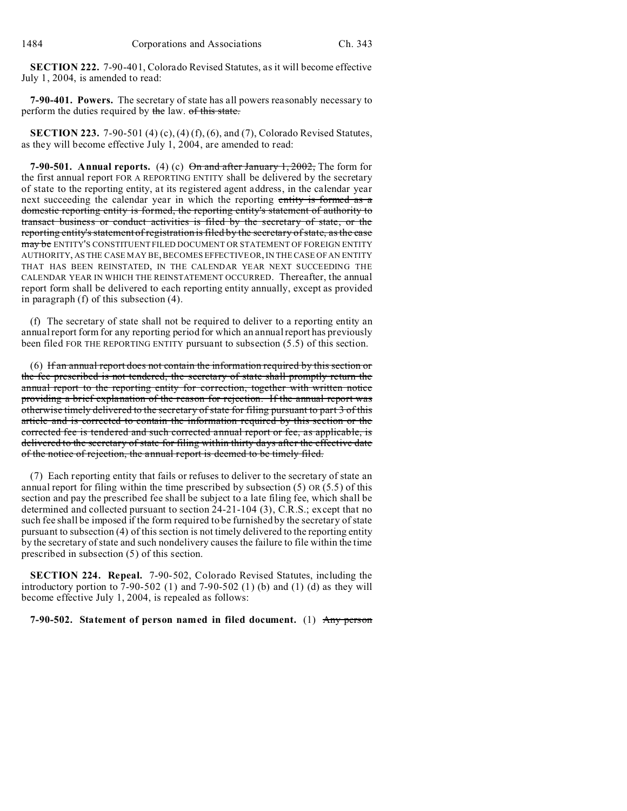**SECTION 222.** 7-90-401, Colorado Revised Statutes, as it will become effective July 1, 2004, is amended to read:

**7-90-401. Powers.** The secretary of state has all powers reasonably necessary to perform the duties required by the law. of this state.

**SECTION 223.** 7-90-501 (4) (c), (4) (f), (6), and (7), Colorado Revised Statutes, as they will become effective July 1, 2004, are amended to read:

**7-90-501.** Annual reports. (4) (c)  $\Theta$ <del>n and after January 1, 2002,</del> The form for the first annual report FOR A REPORTING ENTITY shall be delivered by the secretary of state to the reporting entity, at its registered agent address, in the calendar year next succeeding the calendar year in which the reporting entity is formed as a domestic reporting entity is formed, the reporting entity's statement of authority to transact business or conduct activities is filed by the secretary of state, or the reporting entity's statement of registration is filed by the secretary of state, as the case may be ENTITY'S CONSTITUENT FILED DOCUMENT OR STATEMENT OF FOREIGN ENTITY AUTHORITY, AS THE CASE MAY BE, BECOMES EFFECTIVE OR, IN THE CASE OF AN ENTITY THAT HAS BEEN REINSTATED, IN THE CALENDAR YEAR NEXT SUCCEEDING THE CALENDAR YEAR IN WHICH THE REINSTATEMENT OCCURRED. Thereafter, the annual report form shall be delivered to each reporting entity annually, except as provided in paragraph (f) of this subsection (4).

(f) The secretary of state shall not be required to deliver to a reporting entity an annual report form for any reporting period for which an annual report has previously been filed FOR THE REPORTING ENTITY pursuant to subsection (5.5) of this section.

(6) If an annual report does not contain the information required by this section or the fee prescribed is not tendered, the secretary of state shall promptly return the annual report to the reporting entity for correction, together with written notice providing a brief explanation of the reason for rejection. If the annual report was otherwise timely delivered to the secretary of state for filing pursuant to part 3 of this article and is corrected to contain the information required by this section or the corrected fee is tendered and such corrected annual report or fee, as applicable, is delivered to the secretary of state for filing within thirty days after the effective date of the notice of rejection, the annual report is deemed to be timely filed.

(7) Each reporting entity that fails or refuses to deliver to the secretary of state an annual report for filing within the time prescribed by subsection (5) OR (5.5) of this section and pay the prescribed fee shall be subject to a late filing fee, which shall be determined and collected pursuant to section 24-21-104 (3), C.R.S.; except that no such fee shall be imposed if the form required to be furnished by the secretary of state pursuant to subsection (4) of this section is not timely delivered to the reporting entity by the secretary of state and such nondelivery causes the failure to file within the time prescribed in subsection (5) of this section.

**SECTION 224. Repeal.** 7-90-502, Colorado Revised Statutes, including the introductory portion to  $7-90-502$  (1) and  $7-90-502$  (1) (b) and (1) (d) as they will become effective July 1, 2004, is repealed as follows:

## **7-90-502. Statement of person named in filed document.** (1) Any person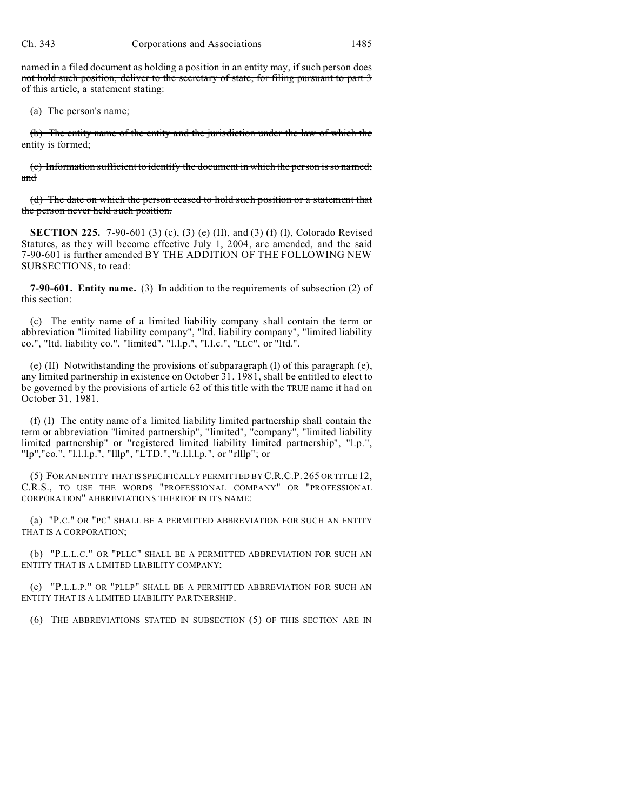named in a filed document as holding a position in an entity may, if such person does not hold such position, deliver to the secretary of state, for filing pursuant to part 3 of this article, a statement stating:

(a) The person's name;

(b) The entity name of the entity and the jurisdiction under the law of which the entity is formed;

(c) Information sufficient to identify the document in which the person is so named; and

(d) The date on which the person ceased to hold such position or a statement that the person never held such position.

**SECTION 225.** 7-90-601 (3) (c), (3) (e) (II), and (3) (f) (I), Colorado Revised Statutes, as they will become effective July 1, 2004, are amended, and the said 7-90-601 is further amended BY THE ADDITION OF THE FOLLOWING NEW SUBSECTIONS, to read:

**7-90-601. Entity name.** (3) In addition to the requirements of subsection (2) of this section:

(c) The entity name of a limited liability company shall contain the term or abbreviation "limited liability company", "ltd. liability company", "limited liability co.", "ltd. liability co.", "limited",  $\frac{n+1}{n+1}$ ,", "l.l.c.", "LLC", or "ltd.".

(e) (II) Notwithstanding the provisions of subparagraph (I) of this paragraph (e), any limited partnership in existence on October 31, 1981, shall be entitled to elect to be governed by the provisions of article 62 of this title with the TRUE name it had on October 31, 1981.

(f) (I) The entity name of a limited liability limited partnership shall contain the term or abbreviation "limited partnership", "limited", "company", "limited liability limited partnership" or "registered limited liability limited partnership", "l.p.", "lp","co.", "l.l.l.p.", "lllp", "LTD.", "r.l.l.l.p.", or "rlllp"; or

(5) FOR AN ENTITY THAT IS SPECIFICALLY PERMITTED BY C.R.C.P. 265 OR TITLE 12, C.R.S., TO USE THE WORDS "PROFESSIONAL COMPANY" OR "PROFESSIONAL CORPORATION" ABBREVIATIONS THEREOF IN ITS NAME:

(a) "P.C." OR "PC" SHALL BE A PERMITTED ABBREVIATION FOR SUCH AN ENTITY THAT IS A CORPORATION;

(b) "P.L.L.C." OR "PLLC" SHALL BE A PERMITTED ABBREVIATION FOR SUCH AN ENTITY THAT IS A LIMITED LIABILITY COMPANY;

(c) "P.L.L.P." OR "PLLP" SHALL BE A PERMITTED ABBREVIATION FOR SUCH AN ENTITY THAT IS A LIMITED LIABILITY PARTNERSHIP.

(6) THE ABBREVIATIONS STATED IN SUBSECTION (5) OF THIS SECTION ARE IN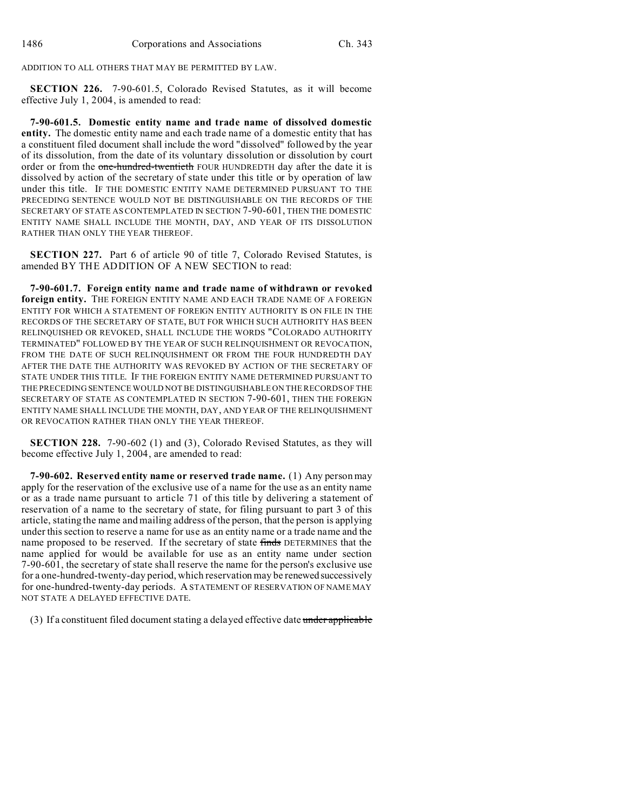ADDITION TO ALL OTHERS THAT MAY BE PERMITTED BY LAW.

**SECTION 226.** 7-90-601.5, Colorado Revised Statutes, as it will become effective July 1, 2004, is amended to read:

**7-90-601.5. Domestic entity name and trade name of dissolved domestic entity.** The domestic entity name and each trade name of a domestic entity that has a constituent filed document shall include the word "dissolved" followed by the year of its dissolution, from the date of its voluntary dissolution or dissolution by court order or from the one-hundred-twentieth FOUR HUNDREDTH day after the date it is dissolved by action of the secretary of state under this title or by operation of law under this title. IF THE DOMESTIC ENTITY NAME DETERMINED PURSUANT TO THE PRECEDING SENTENCE WOULD NOT BE DISTINGUISHABLE ON THE RECORDS OF THE SECRETARY OF STATE AS CONTEMPLATED IN SECTION 7-90-601, THEN THE DOMESTIC ENTITY NAME SHALL INCLUDE THE MONTH, DAY, AND YEAR OF ITS DISSOLUTION RATHER THAN ONLY THE YEAR THEREOF.

**SECTION 227.** Part 6 of article 90 of title 7, Colorado Revised Statutes, is amended BY THE ADDITION OF A NEW SECTION to read:

**7-90-601.7. Foreign entity name and trade name of withdrawn or revoked foreign entity.** THE FOREIGN ENTITY NAME AND EACH TRADE NAME OF A FOREIGN ENTITY FOR WHICH A STATEMENT OF FOREIGN ENTITY AUTHORITY IS ON FILE IN THE RECORDS OF THE SECRETARY OF STATE, BUT FOR WHICH SUCH AUTHORITY HAS BEEN RELINQUISHED OR REVOKED, SHALL INCLUDE THE WORDS "COLORADO AUTHORITY TERMINATED" FOLLOWED BY THE YEAR OF SUCH RELINQUISHMENT OR REVOCATION, FROM THE DATE OF SUCH RELINQUISHMENT OR FROM THE FOUR HUNDREDTH DAY AFTER THE DATE THE AUTHORITY WAS REVOKED BY ACTION OF THE SECRETARY OF STATE UNDER THIS TITLE. IF THE FOREIGN ENTITY NAME DETERMINED PURSUANT TO THE PRECEDING SENTENCE WOULD NOT BE DISTINGUISHABLE ON THE RECORDS OF THE SECRETARY OF STATE AS CONTEMPLATED IN SECTION 7-90-601, THEN THE FOREIGN ENTITY NAME SHALL INCLUDE THE MONTH, DAY, AND YEAR OF THE RELINQUISHMENT OR REVOCATION RATHER THAN ONLY THE YEAR THEREOF.

**SECTION 228.** 7-90-602 (1) and (3), Colorado Revised Statutes, as they will become effective July 1, 2004, are amended to read:

**7-90-602. Reserved entity name or reserved trade name.** (1) Any person may apply for the reservation of the exclusive use of a name for the use as an entity name or as a trade name pursuant to article 71 of this title by delivering a statement of reservation of a name to the secretary of state, for filing pursuant to part 3 of this article, stating the name and mailing address of the person, that the person is applying under this section to reserve a name for use as an entity name or a trade name and the name proposed to be reserved. If the secretary of state finds DETERMINES that the name applied for would be available for use as an entity name under section 7-90-601, the secretary of state shall reserve the name for the person's exclusive use for a one-hundred-twenty-day period, which reservation may be renewed successively for one-hundred-twenty-day periods. A STATEMENT OF RESERVATION OF NAME MAY NOT STATE A DELAYED EFFECTIVE DATE.

(3) If a constituent filed document stating a delayed effective date under applicable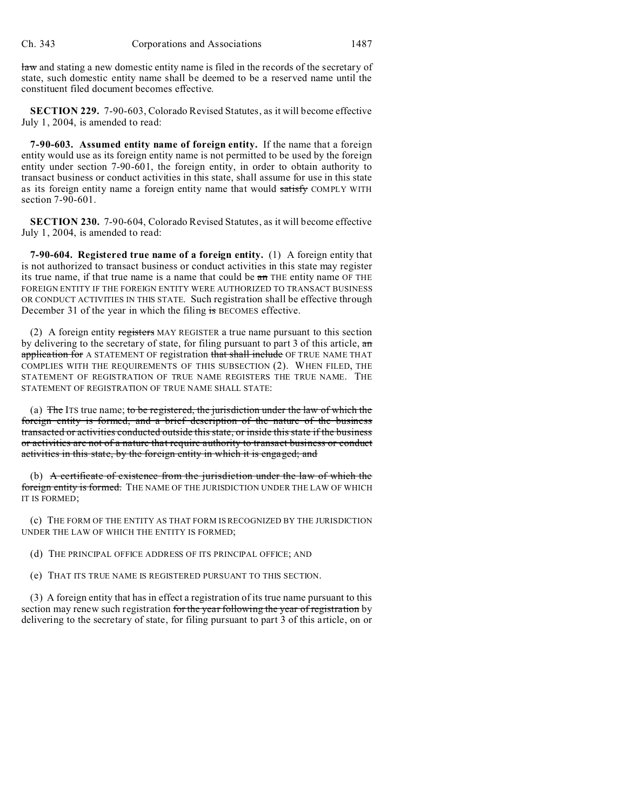law and stating a new domestic entity name is filed in the records of the secretary of state, such domestic entity name shall be deemed to be a reserved name until the constituent filed document becomes effective.

**SECTION 229.** 7-90-603, Colorado Revised Statutes, as it will become effective July 1, 2004, is amended to read:

**7-90-603. Assumed entity name of foreign entity.** If the name that a foreign entity would use as its foreign entity name is not permitted to be used by the foreign entity under section 7-90-601, the foreign entity, in order to obtain authority to transact business or conduct activities in this state, shall assume for use in this state as its foreign entity name a foreign entity name that would satisfy COMPLY WITH section 7-90-601.

**SECTION 230.** 7-90-604, Colorado Revised Statutes, as it will become effective July 1, 2004, is amended to read:

**7-90-604. Registered true name of a foreign entity.** (1) A foreign entity that is not authorized to transact business or conduct activities in this state may register its true name, if that true name is a name that could be  $\alpha$  THE entity name OF THE FOREIGN ENTITY IF THE FOREIGN ENTITY WERE AUTHORIZED TO TRANSACT BUSINESS OR CONDUCT ACTIVITIES IN THIS STATE. Such registration shall be effective through December 31 of the year in which the filing is BECOMES effective.

(2) A foreign entity registers MAY REGISTER a true name pursuant to this section by delivering to the secretary of state, for filing pursuant to part 3 of this article, an application for A STATEMENT OF registration that shall include OF TRUE NAME THAT COMPLIES WITH THE REQUIREMENTS OF THIS SUBSECTION (2). WHEN FILED, THE STATEMENT OF REGISTRATION OF TRUE NAME REGISTERS THE TRUE NAME. THE STATEMENT OF REGISTRATION OF TRUE NAME SHALL STATE:

(a) The ITS true name; to be registered, the jurisdiction under the law of which the foreign entity is formed, and a brief description of the nature of the business transacted or activities conducted outside this state, or inside this state if the business or activities are not of a nature that require authority to transact business or conduct activities in this state, by the foreign entity in which it is engaged; and

(b) A certificate of existence from the jurisdiction under the law of which the foreign entity is formed. THE NAME OF THE JURISDICTION UNDER THE LAW OF WHICH IT IS FORMED;

(c) THE FORM OF THE ENTITY AS THAT FORM IS RECOGNIZED BY THE JURISDICTION UNDER THE LAW OF WHICH THE ENTITY IS FORMED;

(d) THE PRINCIPAL OFFICE ADDRESS OF ITS PRINCIPAL OFFICE; AND

(e) THAT ITS TRUE NAME IS REGISTERED PURSUANT TO THIS SECTION.

(3) A foreign entity that has in effect a registration of its true name pursuant to this section may renew such registration for the year following the year of registration by delivering to the secretary of state, for filing pursuant to part 3 of this article, on or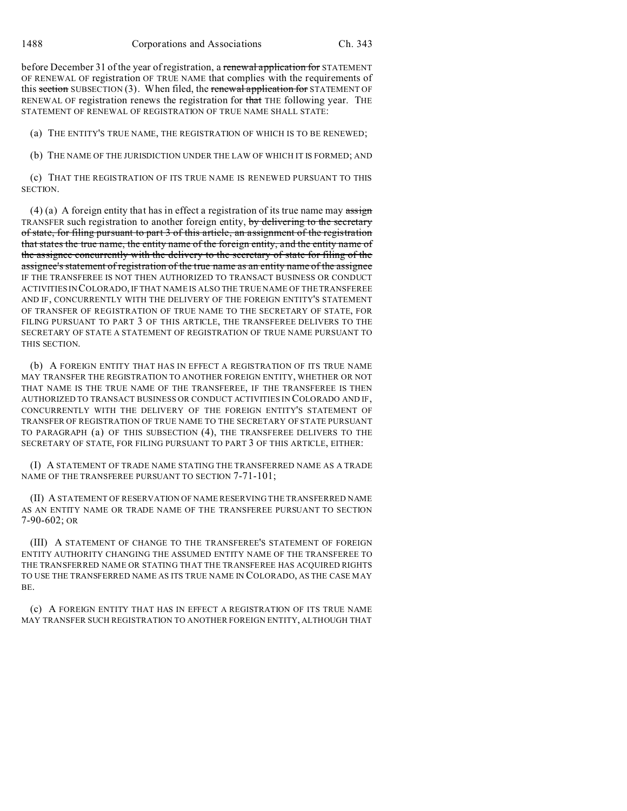before December 31 of the year of registration, a renewal application for STATEMENT OF RENEWAL OF registration OF TRUE NAME that complies with the requirements of this section SUBSECTION  $(3)$ . When filed, the renewal application for STATEMENT OF RENEWAL OF registration renews the registration for that THE following year. THE STATEMENT OF RENEWAL OF REGISTRATION OF TRUE NAME SHALL STATE:

(a) THE ENTITY'S TRUE NAME, THE REGISTRATION OF WHICH IS TO BE RENEWED;

(b) THE NAME OF THE JURISDICTION UNDER THE LAW OF WHICH IT IS FORMED; AND

(c) THAT THE REGISTRATION OF ITS TRUE NAME IS RENEWED PURSUANT TO THIS SECTION.

(4) (a) A foreign entity that has in effect a registration of its true name may  $\frac{1}{\text{assign}}$ TRANSFER such registration to another foreign entity, by delivering to the secretary of state, for filing pursuant to part 3 of this article, an assignment of the registration that states the true name, the entity name of the foreign entity, and the entity name of the assignee concurrently with the delivery to the secretary of state for filing of the assignee's statement of registration of the true name as an entity name of the assignee IF THE TRANSFEREE IS NOT THEN AUTHORIZED TO TRANSACT BUSINESS OR CONDUCT ACTIVITIES IN COLORADO, IF THAT NAME IS ALSO THE TRUE NAME OF THE TRANSFEREE AND IF, CONCURRENTLY WITH THE DELIVERY OF THE FOREIGN ENTITY'S STATEMENT OF TRANSFER OF REGISTRATION OF TRUE NAME TO THE SECRETARY OF STATE, FOR FILING PURSUANT TO PART 3 OF THIS ARTICLE, THE TRANSFEREE DELIVERS TO THE SECRETARY OF STATE A STATEMENT OF REGISTRATION OF TRUE NAME PURSUANT TO THIS SECTION.

(b) A FOREIGN ENTITY THAT HAS IN EFFECT A REGISTRATION OF ITS TRUE NAME MAY TRANSFER THE REGISTRATION TO ANOTHER FOREIGN ENTITY, WHETHER OR NOT THAT NAME IS THE TRUE NAME OF THE TRANSFEREE, IF THE TRANSFEREE IS THEN AUTHORIZED TO TRANSACT BUSINESS OR CONDUCT ACTIVITIES IN COLORADO AND IF, CONCURRENTLY WITH THE DELIVERY OF THE FOREIGN ENTITY'S STATEMENT OF TRANSFER OF REGISTRATION OF TRUE NAME TO THE SECRETARY OF STATE PURSUANT TO PARAGRAPH (a) OF THIS SUBSECTION (4), THE TRANSFEREE DELIVERS TO THE SECRETARY OF STATE, FOR FILING PURSUANT TO PART 3 OF THIS ARTICLE, EITHER:

(I) A STATEMENT OF TRADE NAME STATING THE TRANSFERRED NAME AS A TRADE NAME OF THE TRANSFEREE PURSUANT TO SECTION 7-71-101;

(II) A STATEMENT OF RESERVATION OF NAME RESERVING THE TRANSFERRED NAME AS AN ENTITY NAME OR TRADE NAME OF THE TRANSFEREE PURSUANT TO SECTION 7-90-602; OR

(III) A STATEMENT OF CHANGE TO THE TRANSFEREE'S STATEMENT OF FOREIGN ENTITY AUTHORITY CHANGING THE ASSUMED ENTITY NAME OF THE TRANSFEREE TO THE TRANSFERRED NAME OR STATING THAT THE TRANSFEREE HAS ACQUIRED RIGHTS TO USE THE TRANSFERRED NAME AS ITS TRUE NAME IN COLORADO, AS THE CASE MAY BE.

(c) A FOREIGN ENTITY THAT HAS IN EFFECT A REGISTRATION OF ITS TRUE NAME MAY TRANSFER SUCH REGISTRATION TO ANOTHER FOREIGN ENTITY, ALTHOUGH THAT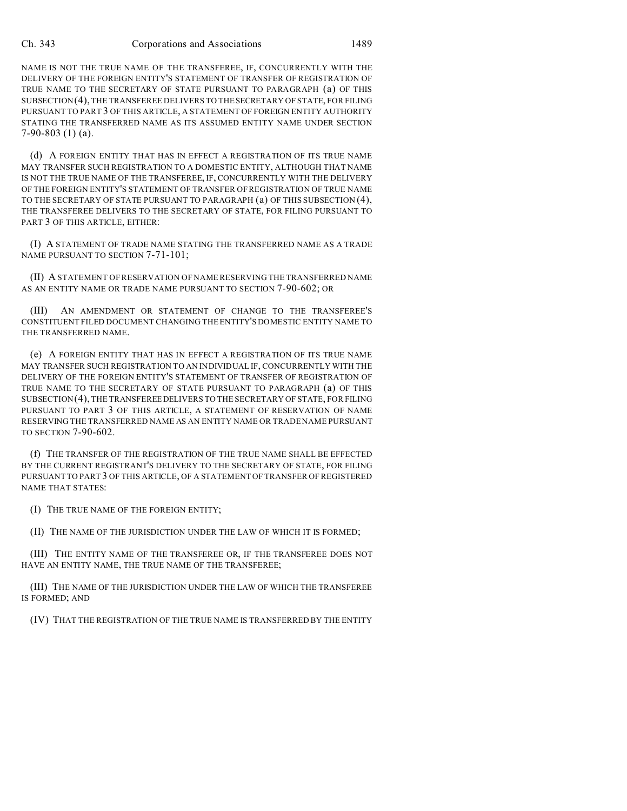NAME IS NOT THE TRUE NAME OF THE TRANSFEREE, IF, CONCURRENTLY WITH THE DELIVERY OF THE FOREIGN ENTITY'S STATEMENT OF TRANSFER OF REGISTRATION OF TRUE NAME TO THE SECRETARY OF STATE PURSUANT TO PARAGRAPH (a) OF THIS SUBSECTION(4), THE TRANSFEREE DELIVERS TO THE SECRETARY OF STATE, FOR FILING PURSUANT TO PART 3 OF THIS ARTICLE, A STATEMENT OF FOREIGN ENTITY AUTHORITY STATING THE TRANSFERRED NAME AS ITS ASSUMED ENTITY NAME UNDER SECTION 7-90-803 (1) (a).

(d) A FOREIGN ENTITY THAT HAS IN EFFECT A REGISTRATION OF ITS TRUE NAME MAY TRANSFER SUCH REGISTRATION TO A DOMESTIC ENTITY, ALTHOUGH THAT NAME IS NOT THE TRUE NAME OF THE TRANSFEREE, IF, CONCURRENTLY WITH THE DELIVERY OF THE FOREIGN ENTITY'S STATEMENT OF TRANSFER OF REGISTRATION OF TRUE NAME TO THE SECRETARY OF STATE PURSUANT TO PARAGRAPH (a) OF THIS SUBSECTION (4), THE TRANSFEREE DELIVERS TO THE SECRETARY OF STATE, FOR FILING PURSUANT TO PART 3 OF THIS ARTICLE, EITHER:

(I) A STATEMENT OF TRADE NAME STATING THE TRANSFERRED NAME AS A TRADE NAME PURSUANT TO SECTION 7-71-101;

(II) A STATEMENT OF RESERVATION OF NAME RESERVING THE TRANSFERRED NAME AS AN ENTITY NAME OR TRADE NAME PURSUANT TO SECTION 7-90-602; OR

(III) AN AMENDMENT OR STATEMENT OF CHANGE TO THE TRANSFEREE'S CONSTITUENT FILED DOCUMENT CHANGING THE ENTITY'S DOMESTIC ENTITY NAME TO THE TRANSFERRED NAME.

(e) A FOREIGN ENTITY THAT HAS IN EFFECT A REGISTRATION OF ITS TRUE NAME MAY TRANSFER SUCH REGISTRATION TO AN INDIVIDUAL IF, CONCURRENTLY WITH THE DELIVERY OF THE FOREIGN ENTITY'S STATEMENT OF TRANSFER OF REGISTRATION OF TRUE NAME TO THE SECRETARY OF STATE PURSUANT TO PARAGRAPH (a) OF THIS SUBSECTION(4), THE TRANSFEREEDELIVERS TO THE SECRETARY OF STATE, FOR FILING PURSUANT TO PART 3 OF THIS ARTICLE, A STATEMENT OF RESERVATION OF NAME RESERVING THE TRANSFERRED NAME AS AN ENTITY NAME OR TRADE NAME PURSUANT TO SECTION 7-90-602.

(f) THE TRANSFER OF THE REGISTRATION OF THE TRUE NAME SHALL BE EFFECTED BY THE CURRENT REGISTRANT'S DELIVERY TO THE SECRETARY OF STATE, FOR FILING PURSUANT TO PART 3 OF THIS ARTICLE, OF A STATEMENT OF TRANSFER OF REGISTERED NAME THAT STATES:

(I) THE TRUE NAME OF THE FOREIGN ENTITY;

(II) THE NAME OF THE JURISDICTION UNDER THE LAW OF WHICH IT IS FORMED;

(III) THE ENTITY NAME OF THE TRANSFEREE OR, IF THE TRANSFEREE DOES NOT HAVE AN ENTITY NAME, THE TRUE NAME OF THE TRANSFEREE;

(III) THE NAME OF THE JURISDICTION UNDER THE LAW OF WHICH THE TRANSFEREE IS FORMED; AND

(IV) THAT THE REGISTRATION OF THE TRUE NAME IS TRANSFERRED BY THE ENTITY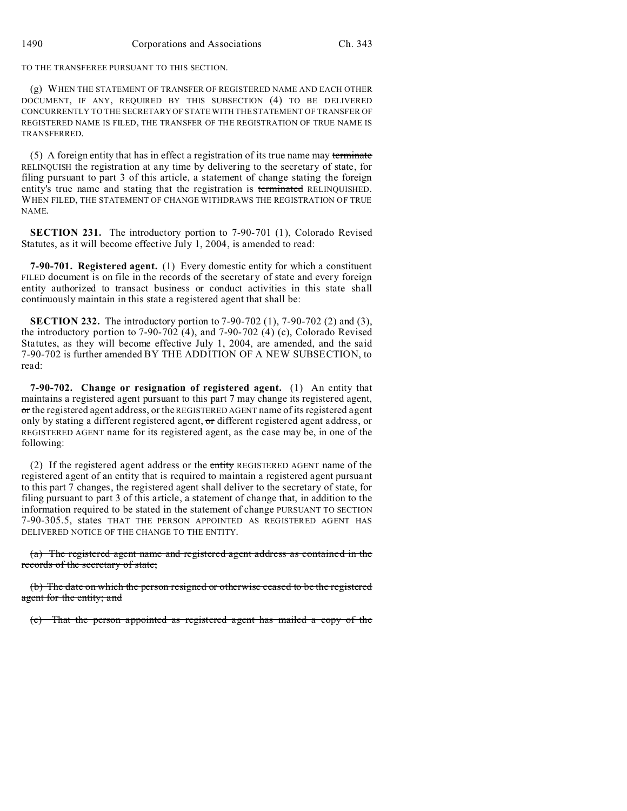TO THE TRANSFEREE PURSUANT TO THIS SECTION.

(g) WHEN THE STATEMENT OF TRANSFER OF REGISTERED NAME AND EACH OTHER DOCUMENT, IF ANY, REQUIRED BY THIS SUBSECTION (4) TO BE DELIVERED CONCURRENTLY TO THE SECRETARY OF STATE WITH THE STATEMENT OF TRANSFER OF REGISTERED NAME IS FILED, THE TRANSFER OF THE REGISTRATION OF TRUE NAME IS TRANSFERRED.

(5) A foreign entity that has in effect a registration of its true name may terminate RELINQUISH the registration at any time by delivering to the secretary of state, for filing pursuant to part 3 of this article, a statement of change stating the foreign entity's true name and stating that the registration is terminated RELINQUISHED. WHEN FILED, THE STATEMENT OF CHANGE WITHDRAWS THE REGISTRATION OF TRUE NAME.

**SECTION 231.** The introductory portion to 7-90-701 (1), Colorado Revised Statutes, as it will become effective July 1, 2004, is amended to read:

**7-90-701. Registered agent.** (1) Every domestic entity for which a constituent FILED document is on file in the records of the secretary of state and every foreign entity authorized to transact business or conduct activities in this state shall continuously maintain in this state a registered agent that shall be:

**SECTION 232.** The introductory portion to 7-90-702 (1), 7-90-702 (2) and (3), the introductory portion to 7-90-702 (4), and 7-90-702 (4) (c), Colorado Revised Statutes, as they will become effective July 1, 2004, are amended, and the said 7-90-702 is further amended BY THE ADDITION OF A NEW SUBSECTION, to read:

**7-90-702. Change or resignation of registered agent.** (1) An entity that maintains a registered agent pursuant to this part 7 may change its registered agent, or the registered agent address, or the REGISTERED AGENT name of its registered agent only by stating a different registered agent, or different registered agent address, or REGISTERED AGENT name for its registered agent, as the case may be, in one of the following:

(2) If the registered agent address or the entity REGISTERED AGENT name of the registered agent of an entity that is required to maintain a registered agent pursuant to this part 7 changes, the registered agent shall deliver to the secretary of state, for filing pursuant to part 3 of this article, a statement of change that, in addition to the information required to be stated in the statement of change PURSUANT TO SECTION 7-90-305.5, states THAT THE PERSON APPOINTED AS REGISTERED AGENT HAS DELIVERED NOTICE OF THE CHANGE TO THE ENTITY.

(a) The registered agent name and registered agent address as contained in the records of the secretary of state;

(b) The date on which the person resigned or otherwise ceased to be the registered agent for the entity; and

(c) That the person appointed as registered agent has mailed a copy of the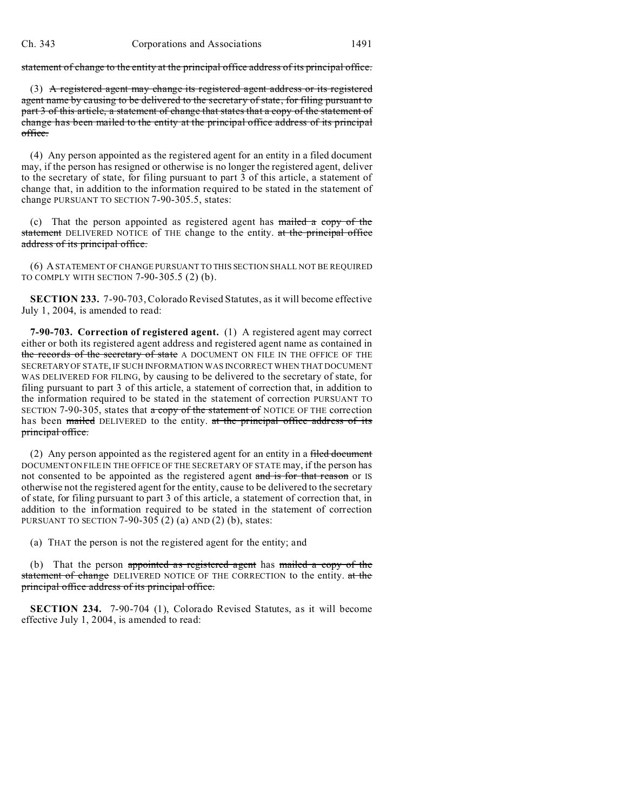statement of change to the entity at the principal office address of its principal office.

(3) A registered agent may change its registered agent address or its registered agent name by causing to be delivered to the secretary of state, for filing pursuant to part 3 of this article, a statement of change that states that a copy of the statement of change has been mailed to the entity at the principal office address of its principal office.

(4) Any person appointed as the registered agent for an entity in a filed document may, if the person has resigned or otherwise is no longer the registered agent, deliver to the secretary of state, for filing pursuant to part 3 of this article, a statement of change that, in addition to the information required to be stated in the statement of change PURSUANT TO SECTION 7-90-305.5, states:

(c) That the person appointed as registered agent has  $m$  mailed a copy of the statement DELIVERED NOTICE of THE change to the entity. at the principal office address of its principal office.

(6) A STATEMENT OF CHANGE PURSUANT TO THIS SECTION SHALL NOT BE REQUIRED TO COMPLY WITH SECTION 7-90-305.5 (2) (b).

**SECTION 233.** 7-90-703, Colorado Revised Statutes, as it will become effective July 1, 2004, is amended to read:

**7-90-703. Correction of registered agent.** (1) A registered agent may correct either or both its registered agent address and registered agent name as contained in the records of the secretary of state A DOCUMENT ON FILE IN THE OFFICE OF THE SECRETARY OF STATE, IF SUCH INFORMATION WAS INCORRECT WHEN THAT DOCUMENT WAS DELIVERED FOR FILING, by causing to be delivered to the secretary of state, for filing pursuant to part 3 of this article, a statement of correction that, in addition to the information required to be stated in the statement of correction PURSUANT TO SECTION 7-90-305, states that  $\alpha$  copy of the statement of NOTICE OF THE correction has been mailed DELIVERED to the entity. at the principal office address of its principal office.

(2) Any person appointed as the registered agent for an entity in a filed document DOCUMENT ON FILE IN THE OFFICE OF THE SECRETARY OF STATE may, if the person has not consented to be appointed as the registered agent and is for that reason or IS otherwise not the registered agent for the entity, cause to be delivered to the secretary of state, for filing pursuant to part 3 of this article, a statement of correction that, in addition to the information required to be stated in the statement of correction PURSUANT TO SECTION 7-90-305 (2) (a) AND (2) (b), states:

(a) THAT the person is not the registered agent for the entity; and

(b) That the person appointed as registered agent has mailed a copy of the statement of change DELIVERED NOTICE OF THE CORRECTION to the entity. at the principal office address of its principal office.

**SECTION 234.** 7-90-704 (1), Colorado Revised Statutes, as it will become effective July 1, 2004, is amended to read: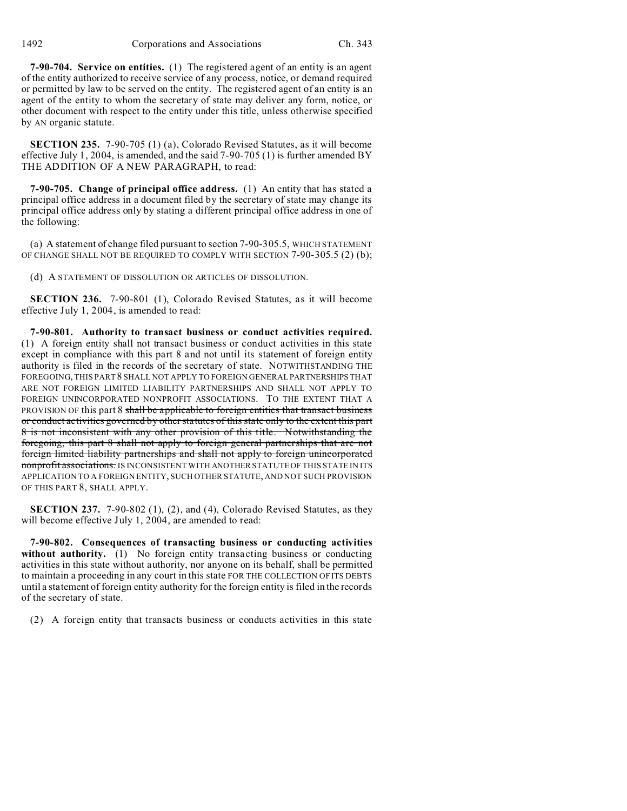1492 Corporations and Associations Ch. 343

**7-90-704. Service on entities.** (1) The registered agent of an entity is an agent of the entity authorized to receive service of any process, notice, or demand required or permitted by law to be served on the entity. The registered agent of an entity is an agent of the entity to whom the secretary of state may deliver any form, notice, or other document with respect to the entity under this title, unless otherwise specified by AN organic statute.

**SECTION 235.** 7-90-705 (1) (a), Colorado Revised Statutes, as it will become effective July 1, 2004, is amended, and the said 7-90-705 (1) is further amended BY THE ADDITION OF A NEW PARAGRAPH, to read:

**7-90-705. Change of principal office address.** (1) An entity that has stated a principal office address in a document filed by the secretary of state may change its principal office address only by stating a different principal office address in one of the following:

(a) A statement of change filed pursuant to section 7-90-305.5, WHICH STATEMENT OF CHANGE SHALL NOT BE REQUIRED TO COMPLY WITH SECTION 7-90-305.5 (2) (b);

(d) A STATEMENT OF DISSOLUTION OR ARTICLES OF DISSOLUTION.

**SECTION 236.** 7-90-801 (1), Colorado Revised Statutes, as it will become effective July 1, 2004, is amended to read:

**7-90-801. Authority to transact business or conduct activities required.** (1) A foreign entity shall not transact business or conduct activities in this state except in compliance with this part 8 and not until its statement of foreign entity authority is filed in the records of the secretary of state. NOTWITHSTANDING THE FOREGOING, THIS PART 8 SHALL NOT APPLY TO FOREIGN GENERAL PARTNERSHIPS THAT ARE NOT FOREIGN LIMITED LIABILITY PARTNERSHIPS AND SHALL NOT APPLY TO FOREIGN UNINCORPORATED NONPROFIT ASSOCIATIONS. TO THE EXTENT THAT A PROVISION OF this part 8 shall be applicable to foreign entities that transact business or conduct activities governed by other statutes of this state only to the extent this part 8 is not inconsistent with any other provision of this title. Notwithstanding the foregoing, this part 8 shall not apply to foreign general partnerships that are not foreign limited liability partnerships and shall not apply to foreign unincorporated nonprofit associations. IS INCONSISTENT WITH ANOTHER STATUTE OF THIS STATE IN ITS APPLICATION TO A FOREIGN ENTITY, SUCH OTHER STATUTE, AND NOT SUCH PROVISION OF THIS PART 8, SHALL APPLY.

**SECTION 237.** 7-90-802 (1), (2), and (4), Colorado Revised Statutes, as they will become effective July 1, 2004, are amended to read:

**7-90-802. Consequences of transacting business or conducting activities without authority.** (1) No foreign entity transacting business or conducting activities in this state without authority, nor anyone on its behalf, shall be permitted to maintain a proceeding in any court in this state FOR THE COLLECTION OF ITS DEBTS until a statement of foreign entity authority for the foreign entity is filed in the records of the secretary of state.

(2) A foreign entity that transacts business or conducts activities in this state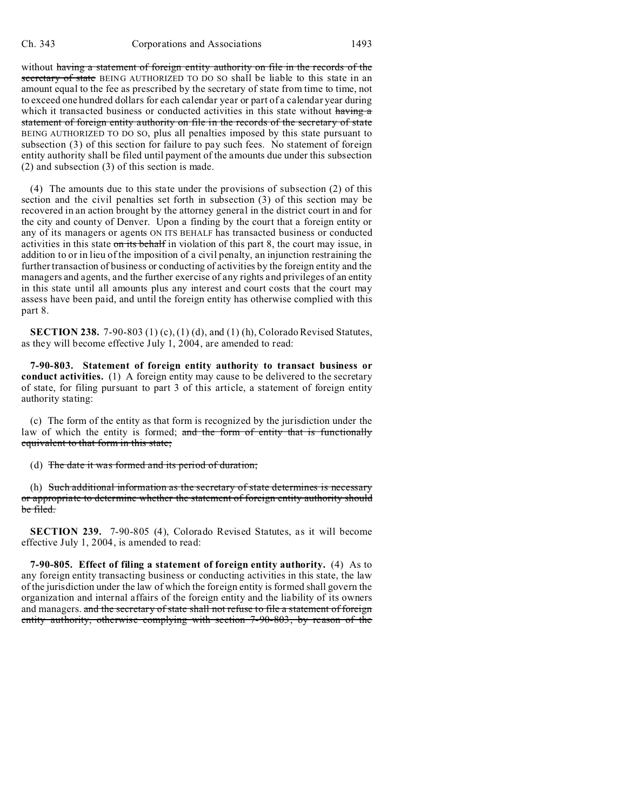without having a statement of foreign entity authority on file in the records of the secretary of state BEING AUTHORIZED TO DO SO shall be liable to this state in an amount equal to the fee as prescribed by the secretary of state from time to time, not to exceed one hundred dollars for each calendar year or part of a calendar year during which it transacted business or conducted activities in this state without having a statement of foreign entity authority on file in the records of the secretary of state BEING AUTHORIZED TO DO SO, plus all penalties imposed by this state pursuant to subsection (3) of this section for failure to pay such fees. No statement of foreign entity authority shall be filed until payment of the amounts due under this subsection (2) and subsection (3) of this section is made.

(4) The amounts due to this state under the provisions of subsection (2) of this section and the civil penalties set forth in subsection (3) of this section may be recovered in an action brought by the attorney general in the district court in and for the city and county of Denver. Upon a finding by the court that a foreign entity or any of its managers or agents ON ITS BEHALF has transacted business or conducted activities in this state on its behalf in violation of this part 8, the court may issue, in addition to or in lieu of the imposition of a civil penalty, an injunction restraining the further transaction of business or conducting of activities by the foreign entity and the managers and agents, and the further exercise of any rights and privileges of an entity in this state until all amounts plus any interest and court costs that the court may assess have been paid, and until the foreign entity has otherwise complied with this part 8.

**SECTION 238.** 7-90-803 (1) (c), (1) (d), and (1) (h), Colorado Revised Statutes, as they will become effective July 1, 2004, are amended to read:

**7-90-803. Statement of foreign entity authority to transact business or conduct activities.** (1) A foreign entity may cause to be delivered to the secretary of state, for filing pursuant to part 3 of this article, a statement of foreign entity authority stating:

(c) The form of the entity as that form is recognized by the jurisdiction under the law of which the entity is formed; and the form of entity that is functionally equivalent to that form in this state;

(d) The date it was formed and its period of duration;

(h) Such additional information as the secretary of state determines is necessary or appropriate to determine whether the statement of foreign entity authority should be filed.

**SECTION 239.** 7-90-805 (4), Colorado Revised Statutes, as it will become effective July 1, 2004, is amended to read:

**7-90-805. Effect of filing a statement of foreign entity authority.** (4) As to any foreign entity transacting business or conducting activities in this state, the law of the jurisdiction under the law of which the foreign entity is formed shall govern the organization and internal affairs of the foreign entity and the liability of its owners and managers. and the secretary of state shall not refuse to file a statement of foreign entity authority, otherwise complying with section 7-90-803, by reason of the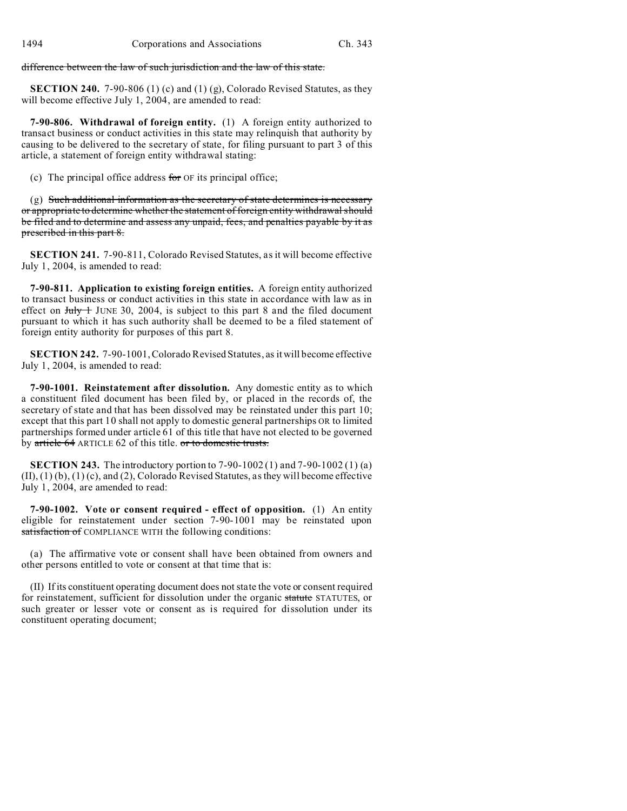difference between the law of such jurisdiction and the law of this state.

**SECTION 240.** 7-90-806 (1) (c) and (1) (g), Colorado Revised Statutes, as they will become effective July 1, 2004, are amended to read:

**7-90-806. Withdrawal of foreign entity.** (1) A foreign entity authorized to transact business or conduct activities in this state may relinquish that authority by causing to be delivered to the secretary of state, for filing pursuant to part 3 of this article, a statement of foreign entity withdrawal stating:

(c) The principal office address for  $OF$  its principal office;

(g) Such additional information as the secretary of state determines is necessary or appropriate to determine whether the statement of foreign entity withdrawal should be filed and to determine and assess any unpaid, fees, and penalties payable by it as prescribed in this part 8.

**SECTION 241.** 7-90-811, Colorado Revised Statutes, as it will become effective July 1, 2004, is amended to read:

**7-90-811. Application to existing foreign entities.** A foreign entity authorized to transact business or conduct activities in this state in accordance with law as in effect on  $J_{\text{uly}} + J_{\text{UNE}}$  30, 2004, is subject to this part 8 and the filed document pursuant to which it has such authority shall be deemed to be a filed statement of foreign entity authority for purposes of this part 8.

**SECTION 242.** 7-90-1001, Colorado Revised Statutes, as it will become effective July 1, 2004, is amended to read:

**7-90-1001. Reinstatement after dissolution.** Any domestic entity as to which a constituent filed document has been filed by, or placed in the records of, the secretary of state and that has been dissolved may be reinstated under this part 10; except that this part 10 shall not apply to domestic general partnerships OR to limited partnerships formed under article 61 of this title that have not elected to be governed by article 64 ARTICLE 62 of this title. or to domestic trusts.

**SECTION 243.** The introductory portion to 7-90-1002 (1) and 7-90-1002 (1) (a)  $(II), (1)(b), (1)(c), and (2), Colorado Revised Statistics, as they will become effective$ July 1, 2004, are amended to read:

**7-90-1002. Vote or consent required - effect of opposition.** (1) An entity eligible for reinstatement under section 7-90-1001 may be reinstated upon satisfaction of COMPLIANCE WITH the following conditions:

(a) The affirmative vote or consent shall have been obtained from owners and other persons entitled to vote or consent at that time that is:

(II) If its constituent operating document does not state the vote or consent required for reinstatement, sufficient for dissolution under the organic statute STATUTES, or such greater or lesser vote or consent as is required for dissolution under its constituent operating document;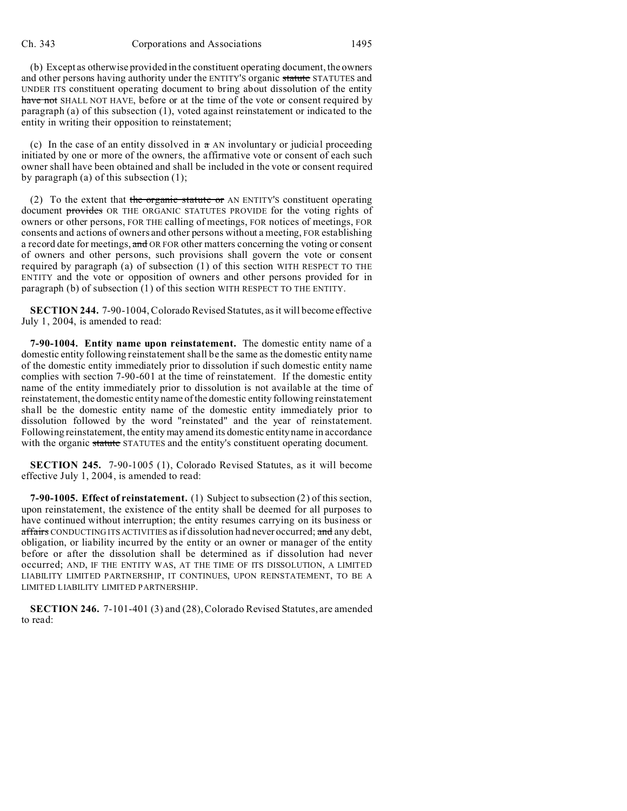(b) Except as otherwise provided in the constituent operating document, the owners and other persons having authority under the ENTITY'S organic statute STATUTES and UNDER ITS constituent operating document to bring about dissolution of the entity have not SHALL NOT HAVE, before or at the time of the vote or consent required by paragraph (a) of this subsection (1), voted against reinstatement or indicated to the entity in writing their opposition to reinstatement;

(c) In the case of an entity dissolved in  $\pi$  AN involuntary or judicial proceeding initiated by one or more of the owners, the affirmative vote or consent of each such owner shall have been obtained and shall be included in the vote or consent required by paragraph (a) of this subsection (1);

(2) To the extent that the organic statute or AN ENTITY's constituent operating document provides OR THE ORGANIC STATUTES PROVIDE for the voting rights of owners or other persons, FOR THE calling of meetings, FOR notices of meetings, FOR consents and actions of owners and other persons without a meeting, FOR establishing a record date for meetings, and OR FOR other matters concerning the voting or consent of owners and other persons, such provisions shall govern the vote or consent required by paragraph (a) of subsection (1) of this section WITH RESPECT TO THE ENTITY and the vote or opposition of owners and other persons provided for in paragraph (b) of subsection (1) of this section WITH RESPECT TO THE ENTITY.

**SECTION 244.** 7-90-1004, Colorado Revised Statutes, as it will become effective July 1, 2004, is amended to read:

**7-90-1004. Entity name upon reinstatement.** The domestic entity name of a domestic entity following reinstatement shall be the same as the domestic entity name of the domestic entity immediately prior to dissolution if such domestic entity name complies with section 7-90-601 at the time of reinstatement. If the domestic entity name of the entity immediately prior to dissolution is not available at the time of reinstatement, the domestic entity name of the domestic entity following reinstatement shall be the domestic entity name of the domestic entity immediately prior to dissolution followed by the word "reinstated" and the year of reinstatement. Following reinstatement, the entity may amend its domestic entity name in accordance with the organic statute STATUTES and the entity's constituent operating document.

**SECTION 245.** 7-90-1005 (1), Colorado Revised Statutes, as it will become effective July 1, 2004, is amended to read:

**7-90-1005. Effect of reinstatement.** (1) Subject to subsection (2) of this section, upon reinstatement, the existence of the entity shall be deemed for all purposes to have continued without interruption; the entity resumes carrying on its business or affairs CONDUCTING ITS ACTIVITIES as if dissolution had never occurred; and any debt, obligation, or liability incurred by the entity or an owner or manager of the entity before or after the dissolution shall be determined as if dissolution had never occurred; AND, IF THE ENTITY WAS, AT THE TIME OF ITS DISSOLUTION, A LIMITED LIABILITY LIMITED PARTNERSHIP, IT CONTINUES, UPON REINSTATEMENT, TO BE A LIMITED LIABILITY LIMITED PARTNERSHIP.

**SECTION 246.** 7-101-401 (3) and (28), Colorado Revised Statutes, are amended to read: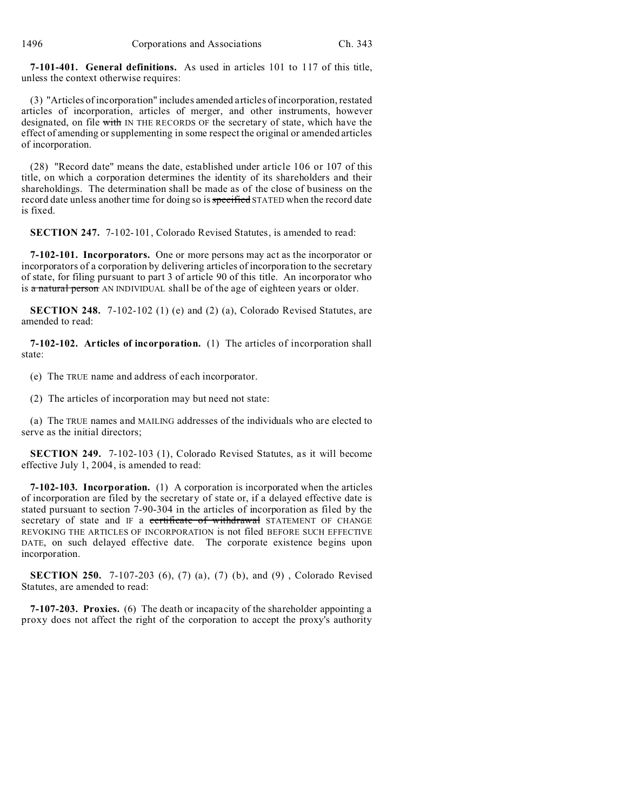1496 Corporations and Associations Ch. 343

**7-101-401. General definitions.** As used in articles 101 to 117 of this title, unless the context otherwise requires:

(3) "Articles of incorporation" includes amended articles of incorporation, restated articles of incorporation, articles of merger, and other instruments, however designated, on file with IN THE RECORDS OF the secretary of state, which have the effect of amending or supplementing in some respect the original or amended articles of incorporation.

(28) "Record date" means the date, established under article 106 or 107 of this title, on which a corporation determines the identity of its shareholders and their shareholdings. The determination shall be made as of the close of business on the record date unless another time for doing so is specified STATED when the record date is fixed.

**SECTION 247.** 7-102-101, Colorado Revised Statutes, is amended to read:

**7-102-101. Incorporators.** One or more persons may act as the incorporator or incorporators of a corporation by delivering articles of incorporation to the secretary of state, for filing pursuant to part 3 of article 90 of this title. An incorporator who is a natural person AN INDIVIDUAL shall be of the age of eighteen years or older.

**SECTION 248.** 7-102-102 (1) (e) and (2) (a), Colorado Revised Statutes, are amended to read:

**7-102-102. Articles of incorporation.** (1) The articles of incorporation shall state:

(e) The TRUE name and address of each incorporator.

(2) The articles of incorporation may but need not state:

(a) The TRUE names and MAILING addresses of the individuals who are elected to serve as the initial directors;

**SECTION 249.** 7-102-103 (1), Colorado Revised Statutes, as it will become effective July 1, 2004, is amended to read:

**7-102-103. Incorporation.** (1) A corporation is incorporated when the articles of incorporation are filed by the secretary of state or, if a delayed effective date is stated pursuant to section 7-90-304 in the articles of incorporation as filed by the secretary of state and IF a certificate of withdrawal STATEMENT OF CHANGE REVOKING THE ARTICLES OF INCORPORATION is not filed BEFORE SUCH EFFECTIVE DATE, on such delayed effective date. The corporate existence begins upon incorporation.

**SECTION 250.** 7-107-203 (6), (7) (a), (7) (b), and (9) , Colorado Revised Statutes, are amended to read:

**7-107-203. Proxies.** (6) The death or incapacity of the shareholder appointing a proxy does not affect the right of the corporation to accept the proxy's authority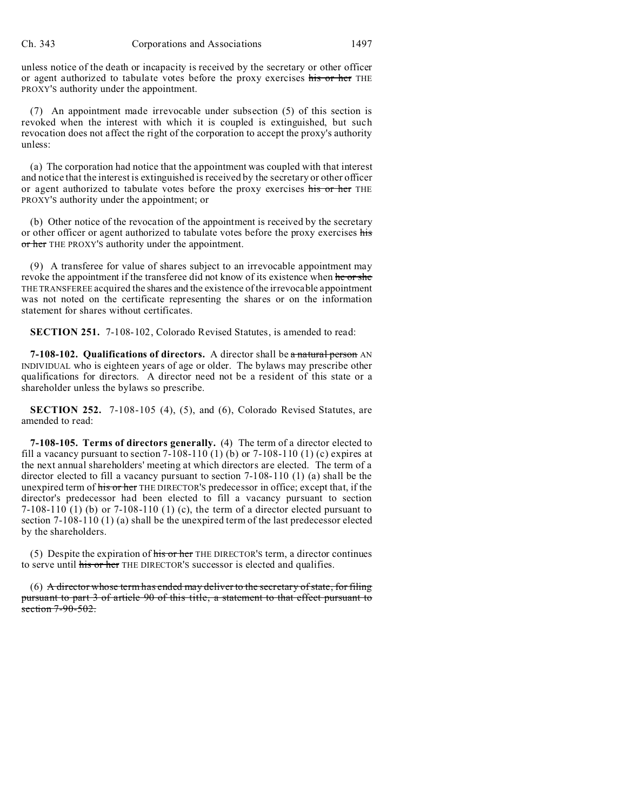unless notice of the death or incapacity is received by the secretary or other officer or agent authorized to tabulate votes before the proxy exercises his or her THE PROXY'S authority under the appointment.

(7) An appointment made irrevocable under subsection (5) of this section is revoked when the interest with which it is coupled is extinguished, but such revocation does not affect the right of the corporation to accept the proxy's authority unless:

(a) The corporation had notice that the appointment was coupled with that interest and notice that the interest is extinguished is received by the secretary or other officer or agent authorized to tabulate votes before the proxy exercises his or her THE PROXY'S authority under the appointment; or

(b) Other notice of the revocation of the appointment is received by the secretary or other officer or agent authorized to tabulate votes before the proxy exercises his or her THE PROXY'S authority under the appointment.

(9) A transferee for value of shares subject to an irrevocable appointment may revoke the appointment if the transferee did not know of its existence when he or she THE TRANSFEREE acquired the shares and the existence of the irrevocable appointment was not noted on the certificate representing the shares or on the information statement for shares without certificates.

**SECTION 251.** 7-108-102, Colorado Revised Statutes, is amended to read:

**7-108-102. Qualifications of directors.** A director shall be a natural person AN INDIVIDUAL who is eighteen years of age or older. The bylaws may prescribe other qualifications for directors. A director need not be a resident of this state or a shareholder unless the bylaws so prescribe.

**SECTION 252.** 7-108-105 (4), (5), and (6), Colorado Revised Statutes, are amended to read:

**7-108-105. Terms of directors generally.** (4) The term of a director elected to fill a vacancy pursuant to section  $7-108-110$  (1) (b) or  $7-108-110$  (1) (c) expires at the next annual shareholders' meeting at which directors are elected. The term of a director elected to fill a vacancy pursuant to section 7-108-110 (1) (a) shall be the unexpired term of his or her THE DIRECTOR'S predecessor in office; except that, if the director's predecessor had been elected to fill a vacancy pursuant to section 7-108-110 (1) (b) or 7-108-110 (1) (c), the term of a director elected pursuant to section 7-108-110 (1) (a) shall be the unexpired term of the last predecessor elected by the shareholders.

(5) Despite the expiration of  $\frac{h}{h}$  or her THE DIRECTOR's term, a director continues to serve until his or her THE DIRECTOR'S successor is elected and qualifies.

 $(6)$  A director whose term has ended may deliver to the secretary of state, for filing pursuant to part 3 of article 90 of this title, a statement to that effect pursuant to section  $7-90-502$ .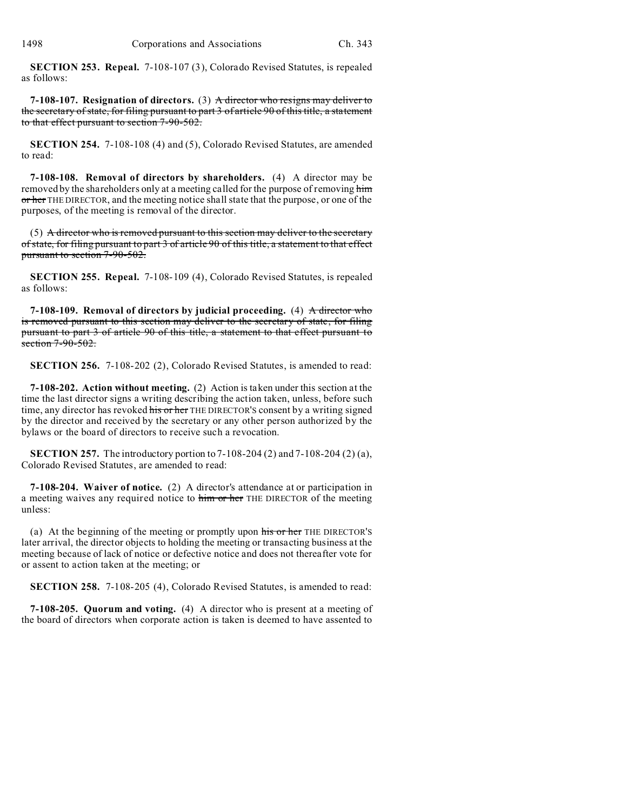**SECTION 253. Repeal.** 7-108-107 (3), Colorado Revised Statutes, is repealed as follows:

**7-108-107. Resignation of directors.** (3) A director who resigns may deliver to the secretary of state, for filing pursuant to part 3 of article 90 of this title, a statement to that effect pursuant to section 7-90-502.

**SECTION 254.** 7-108-108 (4) and (5), Colorado Revised Statutes, are amended to read:

**7-108-108. Removal of directors by shareholders.** (4) A director may be removed by the shareholders only at a meeting called for the purpose of removing him or her THE DIRECTOR, and the meeting notice shall state that the purpose, or one of the purposes, of the meeting is removal of the director.

 $(5)$  A director who is removed pursuant to this section may deliver to the secretary of state, for filing pursuant to part 3 of article 90 of this title, a statement to that effect pursuant to section 7-90-502.

**SECTION 255. Repeal.** 7-108-109 (4), Colorado Revised Statutes, is repealed as follows:

**7-108-109. Removal of directors by judicial proceeding.** (4) A director who is removed pursuant to this section may deliver to the secretary of state, for filing pursuant to part 3 of article 90 of this title, a statement to that effect pursuant to section 7-90-502.

**SECTION 256.** 7-108-202 (2), Colorado Revised Statutes, is amended to read:

**7-108-202. Action without meeting.** (2) Action is taken under this section at the time the last director signs a writing describing the action taken, unless, before such time, any director has revoked his or her THE DIRECTOR'S consent by a writing signed by the director and received by the secretary or any other person authorized by the bylaws or the board of directors to receive such a revocation.

**SECTION 257.** The introductory portion to 7-108-204 (2) and 7-108-204 (2) (a), Colorado Revised Statutes, are amended to read:

**7-108-204. Waiver of notice.** (2) A director's attendance at or participation in a meeting waives any required notice to him or her THE DIRECTOR of the meeting unless:

(a) At the beginning of the meeting or promptly upon his or her THE DIRECTOR'S later arrival, the director objects to holding the meeting or transacting business at the meeting because of lack of notice or defective notice and does not thereafter vote for or assent to action taken at the meeting; or

**SECTION 258.** 7-108-205 (4), Colorado Revised Statutes, is amended to read:

**7-108-205. Quorum and voting.** (4) A director who is present at a meeting of the board of directors when corporate action is taken is deemed to have assented to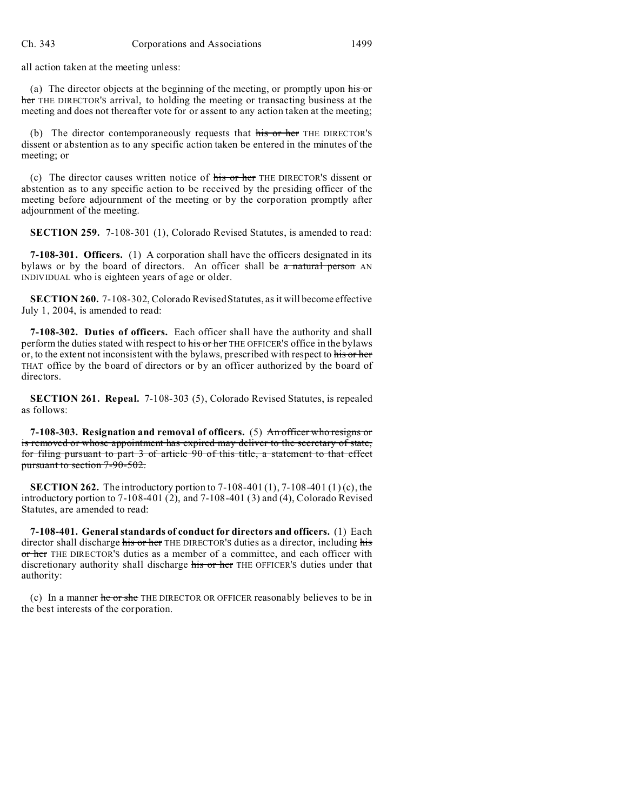all action taken at the meeting unless:

(a) The director objects at the beginning of the meeting, or promptly upon his or her THE DIRECTOR'S arrival, to holding the meeting or transacting business at the meeting and does not thereafter vote for or assent to any action taken at the meeting;

(b) The director contemporaneously requests that his or her THE DIRECTOR'S dissent or abstention as to any specific action taken be entered in the minutes of the meeting; or

(c) The director causes written notice of his or her THE DIRECTOR'S dissent or abstention as to any specific action to be received by the presiding officer of the meeting before adjournment of the meeting or by the corporation promptly after adjournment of the meeting.

**SECTION 259.** 7-108-301 (1), Colorado Revised Statutes, is amended to read:

**7-108-301. Officers.** (1) A corporation shall have the officers designated in its bylaws or by the board of directors. An officer shall be  $a$  natural person AN INDIVIDUAL who is eighteen years of age or older.

**SECTION 260.** 7-108-302, Colorado Revised Statutes, as it will become effective July 1, 2004, is amended to read:

**7-108-302. Duties of officers.** Each officer shall have the authority and shall perform the duties stated with respect to his or her THE OFFICER'S office in the bylaws or, to the extent not inconsistent with the bylaws, prescribed with respect to his or her THAT office by the board of directors or by an officer authorized by the board of directors.

**SECTION 261. Repeal.** 7-108-303 (5), Colorado Revised Statutes, is repealed as follows:

**7-108-303. Resignation and removal of officers.** (5) An officer who resigns or is removed or whose appointment has expired may deliver to the secretary of state, for filing pursuant to part 3 of article 90 of this title, a statement to that effect pursuant to section 7-90-502.

**SECTION 262.** The introductory portion to 7-108-401 (1), 7-108-401 (1) (c), the introductory portion to 7-108-401 (2), and 7-108-401 (3) and (4), Colorado Revised Statutes, are amended to read:

**7-108-401. General standards of conduct for directors and officers.** (1) Each director shall discharge his or her THE DIRECTOR'S duties as a director, including his or her THE DIRECTOR'S duties as a member of a committee, and each officer with discretionary authority shall discharge his or her THE OFFICER'S duties under that authority:

(c) In a manner he or she THE DIRECTOR OR OFFICER reasonably believes to be in the best interests of the corporation.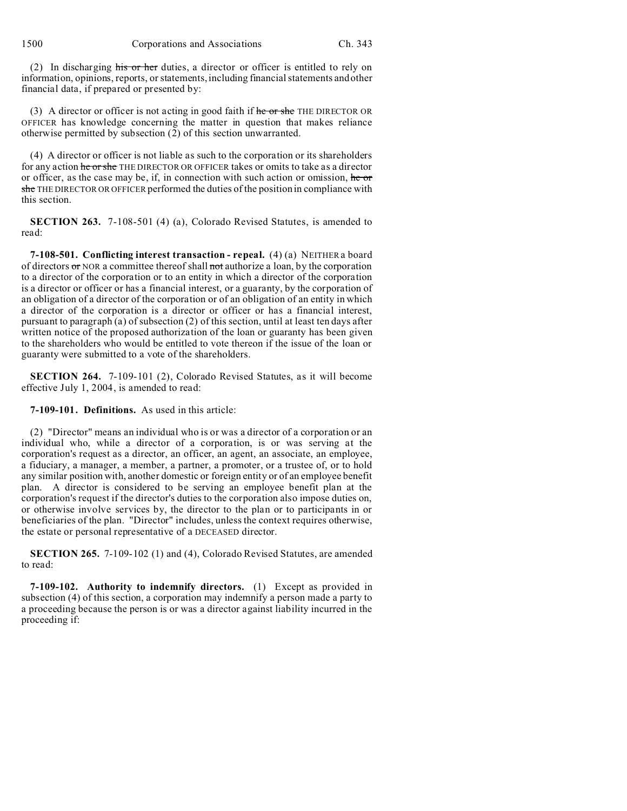1500 Corporations and Associations Ch. 343

(2) In discharging his or her duties, a director or officer is entitled to rely on information, opinions, reports, or statements, including financial statements and other financial data, if prepared or presented by:

(3) A director or officer is not acting in good faith if  $\frac{1}{2}$  he or she THE DIRECTOR OR OFFICER has knowledge concerning the matter in question that makes reliance otherwise permitted by subsection (2) of this section unwarranted.

(4) A director or officer is not liable as such to the corporation or its shareholders for any action he or she THE DIRECTOR OR OFFICER takes or omits to take as a director or officer, as the case may be, if, in connection with such action or omission, he or she THE DIRECTOR OR OFFICER performed the duties of the position in compliance with this section.

**SECTION 263.** 7-108-501 (4) (a), Colorado Revised Statutes, is amended to read:

**7-108-501. Conflicting interest transaction - repeal.** (4) (a) NEITHER a board of directors or NOR a committee thereof shall not authorize a loan, by the corporation to a director of the corporation or to an entity in which a director of the corporation is a director or officer or has a financial interest, or a guaranty, by the corporation of an obligation of a director of the corporation or of an obligation of an entity in which a director of the corporation is a director or officer or has a financial interest, pursuant to paragraph (a) of subsection (2) of this section, until at least ten days after written notice of the proposed authorization of the loan or guaranty has been given to the shareholders who would be entitled to vote thereon if the issue of the loan or guaranty were submitted to a vote of the shareholders.

**SECTION 264.** 7-109-101 (2), Colorado Revised Statutes, as it will become effective July 1, 2004, is amended to read:

**7-109-101. Definitions.** As used in this article:

(2) "Director" means an individual who is or was a director of a corporation or an individual who, while a director of a corporation, is or was serving at the corporation's request as a director, an officer, an agent, an associate, an employee, a fiduciary, a manager, a member, a partner, a promoter, or a trustee of, or to hold any similar position with, another domestic or foreign entity or of an employee benefit plan. A director is considered to be serving an employee benefit plan at the corporation's request if the director's duties to the corporation also impose duties on, or otherwise involve services by, the director to the plan or to participants in or beneficiaries of the plan. "Director" includes, unless the context requires otherwise, the estate or personal representative of a DECEASED director.

**SECTION 265.** 7-109-102 (1) and (4), Colorado Revised Statutes, are amended to read:

**7-109-102. Authority to indemnify directors.** (1) Except as provided in subsection (4) of this section, a corporation may indemnify a person made a party to a proceeding because the person is or was a director against liability incurred in the proceeding if: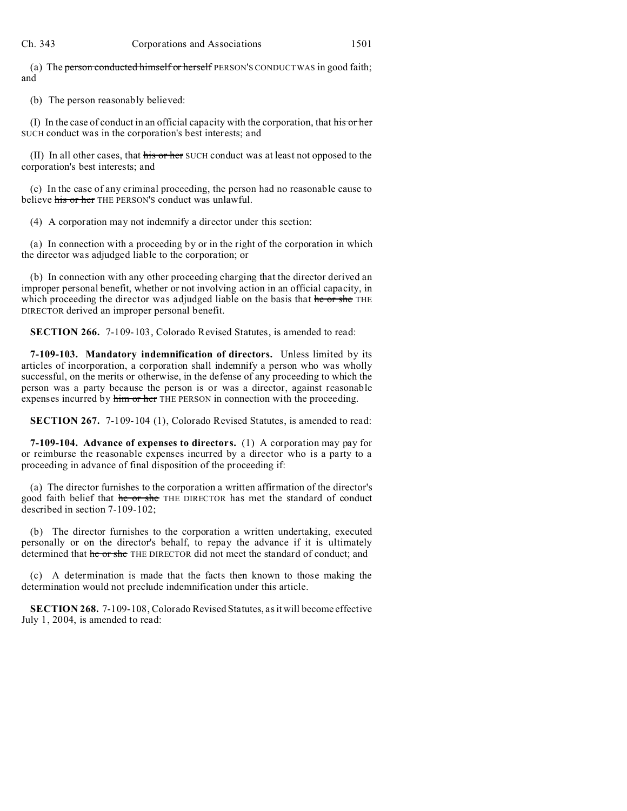(a) The person conducted himself or herself PERSON'S CONDUCT WAS in good faith; and

(b) The person reasonably believed:

(I) In the case of conduct in an official capacity with the corporation, that his or her SUCH conduct was in the corporation's best interests; and

(II) In all other cases, that his or her SUCH conduct was at least not opposed to the corporation's best interests; and

(c) In the case of any criminal proceeding, the person had no reasonable cause to believe his or her THE PERSON'S conduct was unlawful.

(4) A corporation may not indemnify a director under this section:

(a) In connection with a proceeding by or in the right of the corporation in which the director was adjudged liable to the corporation; or

(b) In connection with any other proceeding charging that the director derived an improper personal benefit, whether or not involving action in an official capacity, in which proceeding the director was adjudged liable on the basis that he or she THE DIRECTOR derived an improper personal benefit.

**SECTION 266.** 7-109-103, Colorado Revised Statutes, is amended to read:

**7-109-103. Mandatory indemnification of directors.** Unless limited by its articles of incorporation, a corporation shall indemnify a person who was wholly successful, on the merits or otherwise, in the defense of any proceeding to which the person was a party because the person is or was a director, against reasonable expenses incurred by him or her THE PERSON in connection with the proceeding.

**SECTION 267.** 7-109-104 (1), Colorado Revised Statutes, is amended to read:

**7-109-104. Advance of expenses to directors.** (1) A corporation may pay for or reimburse the reasonable expenses incurred by a director who is a party to a proceeding in advance of final disposition of the proceeding if:

(a) The director furnishes to the corporation a written affirmation of the director's good faith belief that he or she THE DIRECTOR has met the standard of conduct described in section 7-109-102;

(b) The director furnishes to the corporation a written undertaking, executed personally or on the director's behalf, to repay the advance if it is ultimately determined that he or she THE DIRECTOR did not meet the standard of conduct; and

(c) A determination is made that the facts then known to those making the determination would not preclude indemnification under this article.

**SECTION 268.** 7-109-108, Colorado Revised Statutes, as it will become effective July 1, 2004, is amended to read: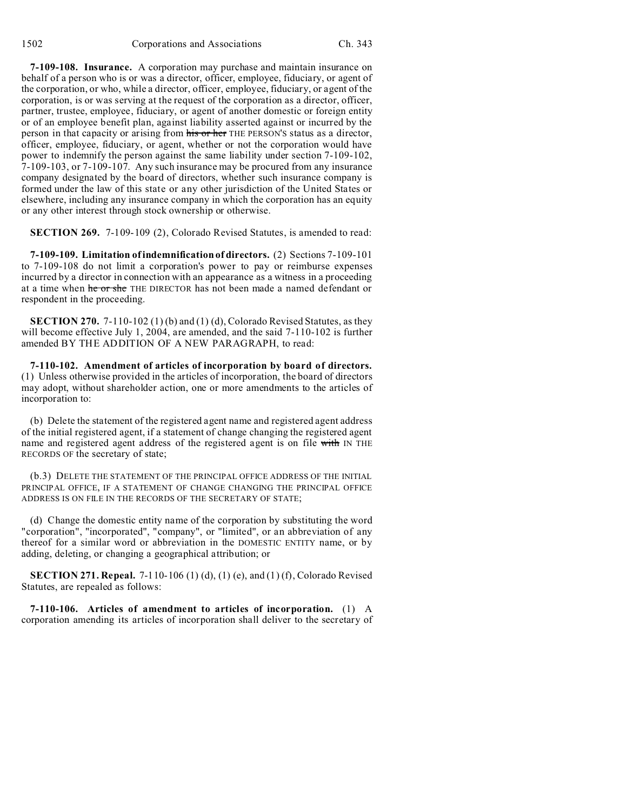**7-109-108. Insurance.** A corporation may purchase and maintain insurance on behalf of a person who is or was a director, officer, employee, fiduciary, or agent of the corporation, or who, while a director, officer, employee, fiduciary, or agent of the corporation, is or was serving at the request of the corporation as a director, officer, partner, trustee, employee, fiduciary, or agent of another domestic or foreign entity or of an employee benefit plan, against liability asserted against or incurred by the person in that capacity or arising from his or her THE PERSON'S status as a director, officer, employee, fiduciary, or agent, whether or not the corporation would have power to indemnify the person against the same liability under section 7-109-102, 7-109-103, or 7-109-107. Any such insurance may be procured from any insurance company designated by the board of directors, whether such insurance company is formed under the law of this state or any other jurisdiction of the United States or elsewhere, including any insurance company in which the corporation has an equity or any other interest through stock ownership or otherwise.

**SECTION 269.** 7-109-109 (2), Colorado Revised Statutes, is amended to read:

**7-109-109. Limitation of indemnification of directors.** (2) Sections 7-109-101 to 7-109-108 do not limit a corporation's power to pay or reimburse expenses incurred by a director in connection with an appearance as a witness in a proceeding at a time when he or she THE DIRECTOR has not been made a named defendant or respondent in the proceeding.

**SECTION 270.** 7-110-102 (1) (b) and (1) (d), Colorado Revised Statutes, as they will become effective July 1, 2004, are amended, and the said 7-110-102 is further amended BY THE ADDITION OF A NEW PARAGRAPH, to read:

**7-110-102. Amendment of articles of incorporation by board of directors.** (1) Unless otherwise provided in the articles of incorporation, the board of directors may adopt, without shareholder action, one or more amendments to the articles of incorporation to:

(b) Delete the statement of the registered agent name and registered agent address of the initial registered agent, if a statement of change changing the registered agent name and registered agent address of the registered agent is on file with IN THE RECORDS OF the secretary of state;

(b.3) DELETE THE STATEMENT OF THE PRINCIPAL OFFICE ADDRESS OF THE INITIAL PRINCIPAL OFFICE, IF A STATEMENT OF CHANGE CHANGING THE PRINCIPAL OFFICE ADDRESS IS ON FILE IN THE RECORDS OF THE SECRETARY OF STATE;

(d) Change the domestic entity name of the corporation by substituting the word "corporation", "incorporated", "company", or "limited", or an abbreviation of any thereof for a similar word or abbreviation in the DOMESTIC ENTITY name, or by adding, deleting, or changing a geographical attribution; or

**SECTION 271. Repeal.** 7-110-106 (1) (d), (1) (e), and (1) (f), Colorado Revised Statutes, are repealed as follows:

**7-110-106. Articles of amendment to articles of incorporation.** (1) A corporation amending its articles of incorporation shall deliver to the secretary of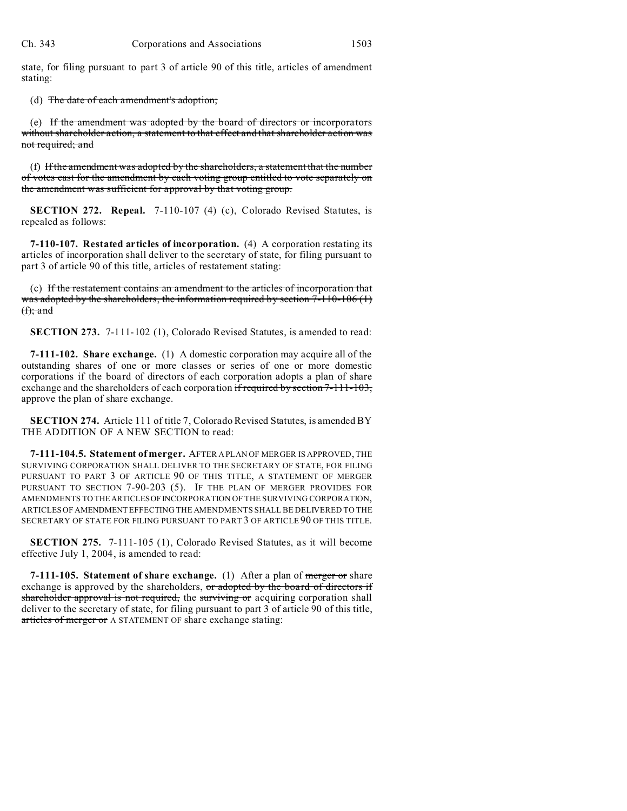state, for filing pursuant to part 3 of article 90 of this title, articles of amendment stating:

(d) The date of each amendment's adoption;

(e) If the amendment was adopted by the board of directors or incorporators without shareholder action, a statement to that effect and that shareholder action was not required; and

(f) If the amendment was adopted by the shareholders, a statement that the number of votes cast for the amendment by each voting group entitled to vote separately on the amendment was sufficient for approval by that voting group.

**SECTION 272. Repeal.** 7-110-107 (4) (c), Colorado Revised Statutes, is repealed as follows:

**7-110-107. Restated articles of incorporation.** (4) A corporation restating its articles of incorporation shall deliver to the secretary of state, for filing pursuant to part 3 of article 90 of this title, articles of restatement stating:

(c) If the restatement contains an amendment to the articles of incorporation that was adopted by the shareholders, the information required by section  $7-110-106$  (1)  $(f);$  and

**SECTION 273.** 7-111-102 (1), Colorado Revised Statutes, is amended to read:

**7-111-102. Share exchange.** (1) A domestic corporation may acquire all of the outstanding shares of one or more classes or series of one or more domestic corporations if the board of directors of each corporation adopts a plan of share exchange and the shareholders of each corporation if required by section 7-111-103, approve the plan of share exchange.

**SECTION 274.** Article 111 of title 7, Colorado Revised Statutes, is amended BY THE ADDITION OF A NEW SECTION to read:

**7-111-104.5. Statement of merger.** AFTER A PLAN OF MERGER IS APPROVED, THE SURVIVING CORPORATION SHALL DELIVER TO THE SECRETARY OF STATE, FOR FILING PURSUANT TO PART 3 OF ARTICLE 90 OF THIS TITLE, A STATEMENT OF MERGER PURSUANT TO SECTION 7-90-203 (5). IF THE PLAN OF MERGER PROVIDES FOR AMENDMENTS TO THEARTICLESOFINCORPORATION OF THE SURVIVING CORPORATION, ARTICLES OF AMENDMENT EFFECTING THE AMENDMENTS SHALL BE DELIVERED TO THE SECRETARY OF STATE FOR FILING PURSUANT TO PART 3 OF ARTICLE 90 OF THIS TITLE.

**SECTION 275.** 7-111-105 (1), Colorado Revised Statutes, as it will become effective July 1, 2004, is amended to read:

**7-111-105. Statement of share exchange.** (1) After a plan of merger or share exchange is approved by the shareholders, or adopted by the board of directors if shareholder approval is not required, the surviving or acquiring corporation shall deliver to the secretary of state, for filing pursuant to part 3 of article 90 of this title, articles of merger or A STATEMENT OF share exchange stating: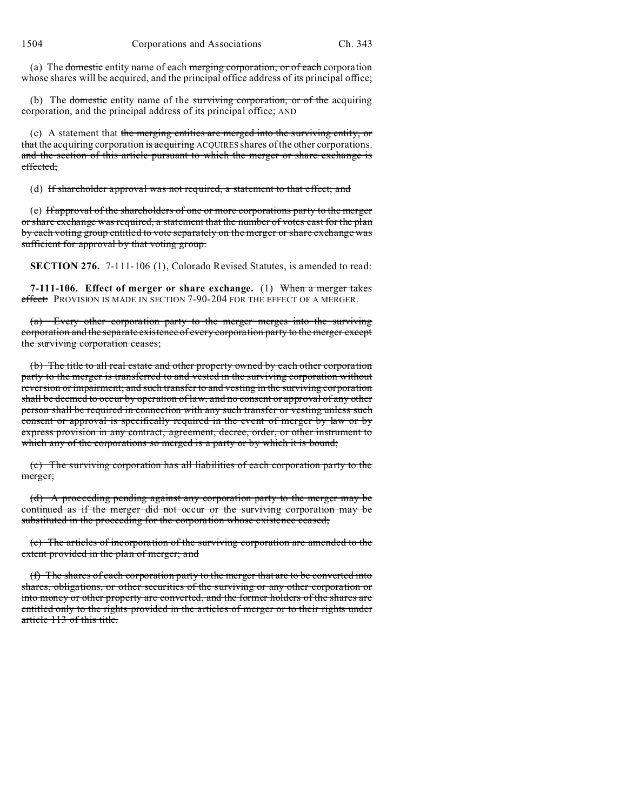(a) The <del>domestic</del> entity name of each merging corporation, or of each corporation whose shares will be acquired, and the principal office address of its principal office;

(b) The domestic entity name of the surviving corporation, or of the acquiring corporation, and the principal address of its principal office; AND

(c) A statement that the merging entities are merged into the surviving entity, or that the acquiring corporation is acquiring ACQUIRES shares of the other corporations. and the section of this article pursuant to which the merger or share exchange is effected;

(d) If shareholder approval was not required, a statement to that effect; and

(e) If approval of the shareholders of one or more corporations party to the merger or share exchange was required, a statement that the number of votes cast for the plan by each voting group entitled to vote separately on the merger or share exchange was sufficient for approval by that voting group.

**SECTION 276.** 7-111-106 (1), Colorado Revised Statutes, is amended to read:

**7-111-106. Effect of merger or share exchange.** (1) When a merger takes effect: PROVISION IS MADE IN SECTION 7-90-204 FOR THE EFFECT OF A MERGER.

(a) Every other corporation party to the merger merges into the surviving corporation and the separate existence of every corporation party to the merger except the surviving corporation ceases;

(b) The title to all real estate and other property owned by each other corporation party to the merger is transferred to and vested in the surviving corporation without reversion or impairment; and such transfer to and vesting in the surviving corporation shall be deemed to occur by operation of law, and no consent or approval of any other person shall be required in connection with any such transfer or vesting unless such consent or approval is specifically required in the event of merger by law or by express provision in any contract, agreement, decree, order, or other instrument to which any of the corporations so merged is a party or by which it is bound;

(c) The surviving corporation has all liabilities of each corporation party to the merger;

(d) A proceeding pending against any corporation party to the merger may be continued as if the merger did not occur or the surviving corporation may be substituted in the proceeding for the corporation whose existence ceased;

(e) The articles of incorporation of the surviving corporation are amended to the extent provided in the plan of merger; and

(f) The shares of each corporation party to the merger that are to be converted into shares, obligations, or other securities of the surviving or any other corporation or into money or other property are converted, and the former holders of the shares are entitled only to the rights provided in the articles of merger or to their rights under article 113 of this title.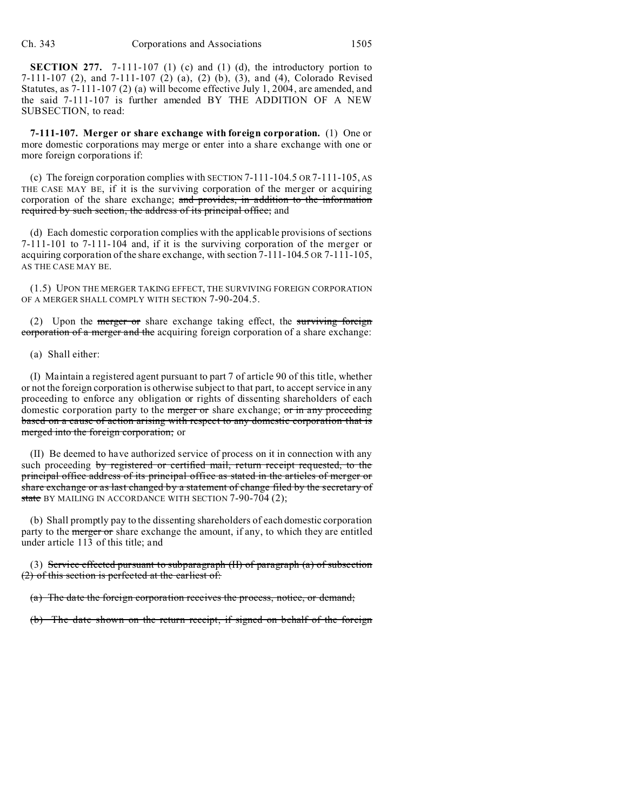**SECTION 277.** 7-111-107 (1) (c) and (1) (d), the introductory portion to 7-111-107 (2), and 7-111-107 (2) (a), (2) (b), (3), and (4), Colorado Revised Statutes, as 7-111-107 (2) (a) will become effective July 1, 2004, are amended, and the said 7-111-107 is further amended BY THE ADDITION OF A NEW SUBSECTION, to read:

**7-111-107. Merger or share exchange with foreign corporation.** (1) One or more domestic corporations may merge or enter into a share exchange with one or more foreign corporations if:

(c) The foreign corporation complies with SECTION 7-111-104.5 OR 7-111-105, AS THE CASE MAY BE, if it is the surviving corporation of the merger or acquiring corporation of the share exchange; and provides, in addition to the information required by such section, the address of its principal office; and

(d) Each domestic corporation complies with the applicable provisions of sections 7-111-101 to 7-111-104 and, if it is the surviving corporation of the merger or acquiring corporation of the share exchange, with section 7-111-104.5 OR 7-111-105, AS THE CASE MAY BE.

(1.5) UPON THE MERGER TAKING EFFECT, THE SURVIVING FOREIGN CORPORATION OF A MERGER SHALL COMPLY WITH SECTION 7-90-204.5.

(2) Upon the *merger* or share exchange taking effect, the surviving foreign corporation of a merger and the acquiring foreign corporation of a share exchange:

(a) Shall either:

(I) Maintain a registered agent pursuant to part 7 of article 90 of this title, whether or not the foreign corporation is otherwise subject to that part, to accept service in any proceeding to enforce any obligation or rights of dissenting shareholders of each domestic corporation party to the merger or share exchange; or in any proceeding based on a cause of action arising with respect to any domestic corporation that is merged into the foreign corporation; or

(II) Be deemed to have authorized service of process on it in connection with any such proceeding by registered or certified mail, return receipt requested, to the principal office address of its principal office as stated in the articles of merger or share exchange or as last changed by a statement of change filed by the secretary of state BY MAILING IN ACCORDANCE WITH SECTION 7-90-704 (2);

(b) Shall promptly pay to the dissenting shareholders of each domestic corporation party to the merger or share exchange the amount, if any, to which they are entitled under article 113 of this title; and

(3) Service effected pursuant to subparagraph  $(H)$  of paragraph  $(a)$  of subsection (2) of this section is perfected at the earliest of:

(a) The date the foreign corporation receives the process, notice, or demand;

(b) The date shown on the return receipt, if signed on behalf of the foreign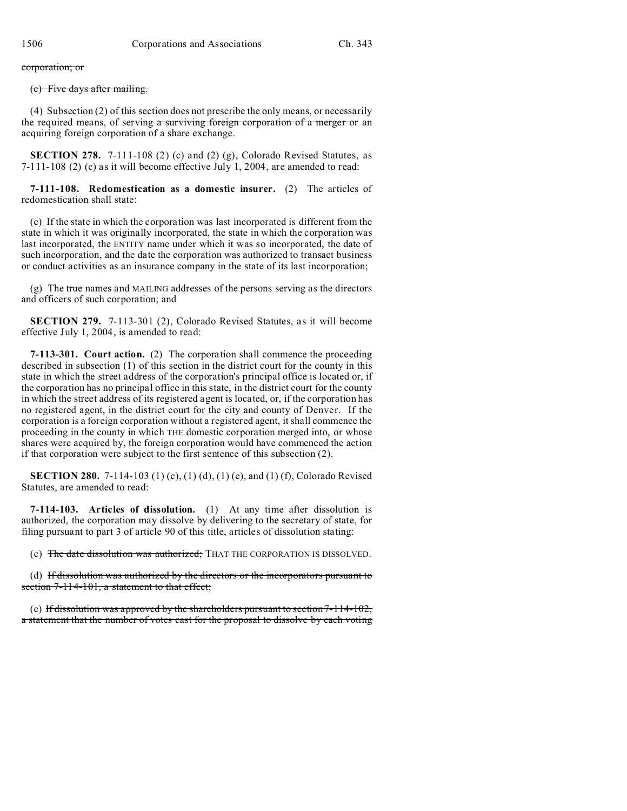## corporation; or

## (c) Five days after mailing.

(4) Subsection (2) of this section does not prescribe the only means, or necessarily the required means, of serving a surviving foreign corporation of a merger or an acquiring foreign corporation of a share exchange.

**SECTION 278.** 7-111-108 (2) (c) and (2) (g), Colorado Revised Statutes, as 7-111-108 (2) (c) as it will become effective July 1, 2004, are amended to read:

**7-111-108. Redomestication as a domestic insurer.** (2) The articles of redomestication shall state:

(c) If the state in which the corporation was last incorporated is different from the state in which it was originally incorporated, the state in which the corporation was last incorporated, the ENTITY name under which it was so incorporated, the date of such incorporation, and the date the corporation was authorized to transact business or conduct activities as an insurance company in the state of its last incorporation;

(g) The true names and MAILING addresses of the persons serving as the directors and officers of such corporation; and

**SECTION 279.** 7-113-301 (2), Colorado Revised Statutes, as it will become effective July 1, 2004, is amended to read:

**7-113-301. Court action.** (2) The corporation shall commence the proceeding described in subsection (1) of this section in the district court for the county in this state in which the street address of the corporation's principal office is located or, if the corporation has no principal office in this state, in the district court for the county in which the street address of its registered agent is located, or, if the corporation has no registered agent, in the district court for the city and county of Denver. If the corporation is a foreign corporation without a registered agent, it shall commence the proceeding in the county in which THE domestic corporation merged into, or whose shares were acquired by, the foreign corporation would have commenced the action if that corporation were subject to the first sentence of this subsection (2).

**SECTION 280.** 7-114-103 (1) (c), (1) (d), (1) (e), and (1) (f), Colorado Revised Statutes, are amended to read:

**7-114-103. Articles of dissolution.** (1) At any time after dissolution is authorized, the corporation may dissolve by delivering to the secretary of state, for filing pursuant to part 3 of article 90 of this title, articles of dissolution stating:

(c) The date dissolution was authorized; THAT THE CORPORATION IS DISSOLVED.

(d) If dissolution was authorized by the directors or the incorporators pursuant to section 7-114-101, a statement to that effect;

(e) If dissolution was approved by the shareholders pursuant to section 7-114-102, a statement that the number of votes cast for the proposal to dissolve by each voting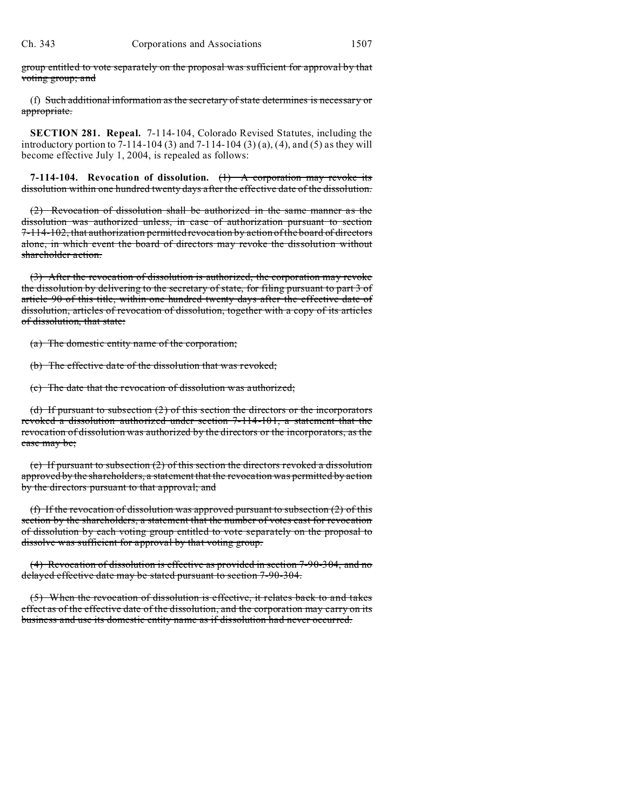group entitled to vote separately on the proposal was sufficient for approval by that voting group; and

(f) Such additional information as the secretary of state determines is necessary or appropriate.

**SECTION 281. Repeal.** 7-114-104, Colorado Revised Statutes, including the introductory portion to 7-114-104 (3) and 7-114-104 (3) (a), (4), and (5) as they will become effective July 1, 2004, is repealed as follows:

**7-114-104. Revocation of dissolution.** (1) A corporation may revoke its dissolution within one hundred twenty days after the effective date of the dissolution.

(2) Revocation of dissolution shall be authorized in the same manner as the dissolution was authorized unless, in case of authorization pursuant to section 7-114-102, that authorization permitted revocation by action of the board of directors alone, in which event the board of directors may revoke the dissolution without shareholder action.

(3) After the revocation of dissolution is authorized, the corporation may revoke the dissolution by delivering to the secretary of state, for filing pursuant to part 3 of article 90 of this title, within one hundred twenty days after the effective date of dissolution, articles of revocation of dissolution, together with a copy of its articles of dissolution, that state:

(a) The domestic entity name of the corporation;

(b) The effective date of the dissolution that was revoked;

(c) The date that the revocation of dissolution was authorized;

(d) If pursuant to subsection (2) of this section the directors or the incorporators revoked a dissolution authorized under section 7-114-101, a statement that the revocation of dissolution was authorized by the directors or the incorporators, as the case may be;

(e) If pursuant to subsection (2) of this section the directors revoked a dissolution approved by the shareholders, a statement that the revocation was permitted by action by the directors pursuant to that approval; and

(f) If the revocation of dissolution was approved pursuant to subsection  $(2)$  of this section by the shareholders, a statement that the number of votes cast for revocation of dissolution by each voting group entitled to vote separately on the proposal to dissolve was sufficient for approval by that voting group.

(4) Revocation of dissolution is effective as provided in section 7-90-304, and no delayed effective date may be stated pursuant to section 7-90-304.

(5) When the revocation of dissolution is effective, it relates back to and takes effect as of the effective date of the dissolution, and the corporation may carry on its business and use its domestic entity name as if dissolution had never occurred.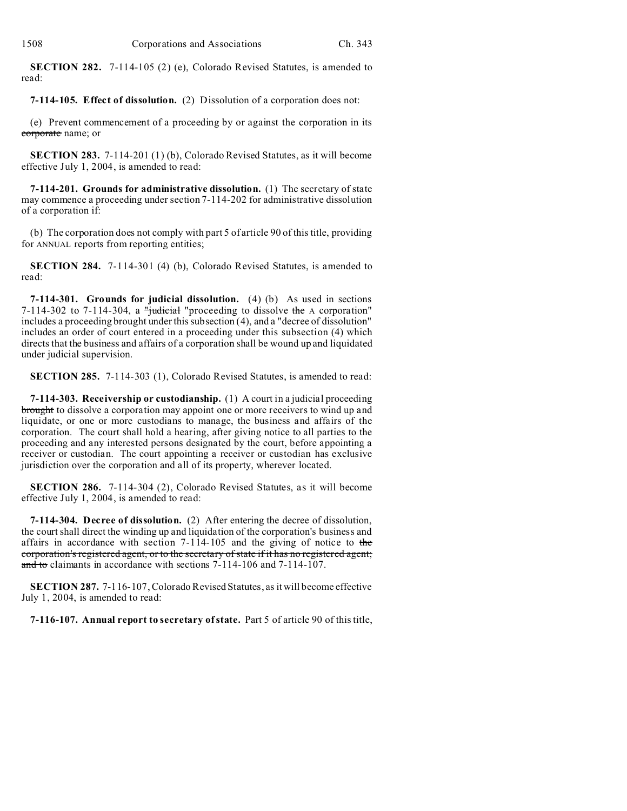**SECTION 282.** 7-114-105 (2) (e), Colorado Revised Statutes, is amended to read:

## **7-114-105. Effect of dissolution.** (2) Dissolution of a corporation does not:

(e) Prevent commencement of a proceeding by or against the corporation in its corporate name; or

**SECTION 283.** 7-114-201 (1) (b), Colorado Revised Statutes, as it will become effective July 1, 2004, is amended to read:

**7-114-201. Grounds for administrative dissolution.** (1) The secretary of state may commence a proceeding under section 7-114-202 for administrative dissolution of a corporation if:

(b) The corporation does not comply with part 5 of article 90 of this title, providing for ANNUAL reports from reporting entities;

**SECTION 284.** 7-114-301 (4) (b), Colorado Revised Statutes, is amended to read:

**7-114-301. Grounds for judicial dissolution.** (4) (b) As used in sections 7-114-302 to 7-114-304, a "judicial "proceeding to dissolve the A corporation" includes a proceeding brought under this subsection (4), and a "decree of dissolution" includes an order of court entered in a proceeding under this subsection (4) which directs that the business and affairs of a corporation shall be wound up and liquidated under judicial supervision.

**SECTION 285.** 7-114-303 (1), Colorado Revised Statutes, is amended to read:

**7-114-303. Receivership or custodianship.** (1) A court in a judicial proceeding brought to dissolve a corporation may appoint one or more receivers to wind up and liquidate, or one or more custodians to manage, the business and affairs of the corporation. The court shall hold a hearing, after giving notice to all parties to the proceeding and any interested persons designated by the court, before appointing a receiver or custodian. The court appointing a receiver or custodian has exclusive jurisdiction over the corporation and all of its property, wherever located.

**SECTION 286.** 7-114-304 (2), Colorado Revised Statutes, as it will become effective July 1, 2004, is amended to read:

**7-114-304. Decree of dissolution.** (2) After entering the decree of dissolution, the court shall direct the winding up and liquidation of the corporation's business and affairs in accordance with section  $7-114-105$  and the giving of notice to the corporation's registered agent, or to the secretary of state if it has no registered agent; and to claimants in accordance with sections 7-114-106 and 7-114-107.

**SECTION 287.** 7-116-107, Colorado Revised Statutes, as it will become effective July 1, 2004, is amended to read:

**7-116-107. Annual report to secretary of state.** Part 5 of article 90 of this title,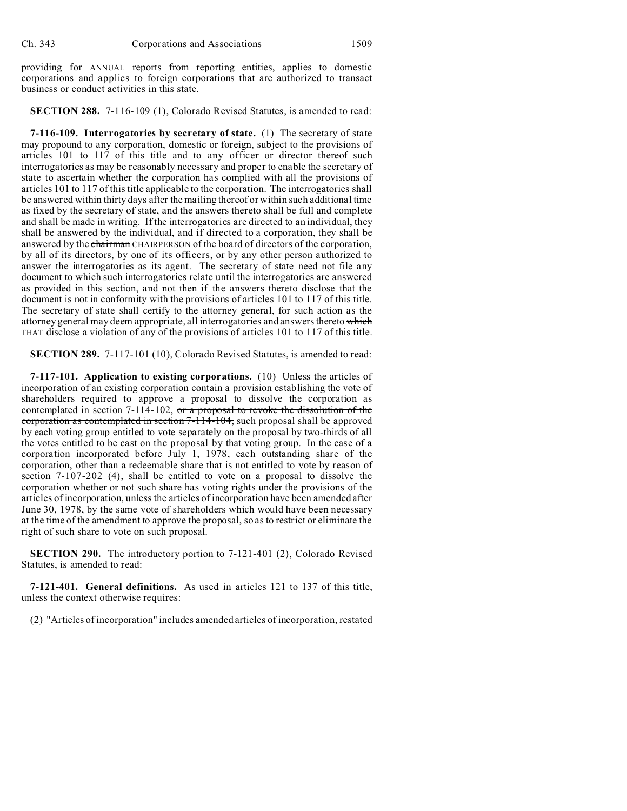providing for ANNUAL reports from reporting entities, applies to domestic corporations and applies to foreign corporations that are authorized to transact business or conduct activities in this state.

**SECTION 288.** 7-116-109 (1), Colorado Revised Statutes, is amended to read:

**7-116-109. Interrogatories by secretary of state.** (1) The secretary of state may propound to any corporation, domestic or foreign, subject to the provisions of articles 101 to 117 of this title and to any officer or director thereof such interrogatories as may be reasonably necessary and proper to enable the secretary of state to ascertain whether the corporation has complied with all the provisions of articles 101 to 117 of this title applicable to the corporation. The interrogatories shall be answered within thirty days after the mailing thereof or within such additional time as fixed by the secretary of state, and the answers thereto shall be full and complete and shall be made in writing. If the interrogatories are directed to an individual, they shall be answered by the individual, and if directed to a corporation, they shall be answered by the chairman CHAIRPERSON of the board of directors of the corporation, by all of its directors, by one of its officers, or by any other person authorized to answer the interrogatories as its agent. The secretary of state need not file any document to which such interrogatories relate until the interrogatories are answered as provided in this section, and not then if the answers thereto disclose that the document is not in conformity with the provisions of articles 101 to 117 of this title. The secretary of state shall certify to the attorney general, for such action as the attorney general may deem appropriate, all interrogatories and answers thereto which THAT disclose a violation of any of the provisions of articles 101 to 117 of this title.

**SECTION 289.** 7-117-101 (10), Colorado Revised Statutes, is amended to read:

**7-117-101. Application to existing corporations.** (10) Unless the articles of incorporation of an existing corporation contain a provision establishing the vote of shareholders required to approve a proposal to dissolve the corporation as contemplated in section 7-114-102,  $\sigma$ r a proposal to revoke the dissolution of the corporation as contemplated in section 7-114-104, such proposal shall be approved by each voting group entitled to vote separately on the proposal by two-thirds of all the votes entitled to be cast on the proposal by that voting group. In the case of a corporation incorporated before July 1, 1978, each outstanding share of the corporation, other than a redeemable share that is not entitled to vote by reason of section 7-107-202 (4), shall be entitled to vote on a proposal to dissolve the corporation whether or not such share has voting rights under the provisions of the articles of incorporation, unless the articles of incorporation have been amended after June 30, 1978, by the same vote of shareholders which would have been necessary at the time of the amendment to approve the proposal, so as to restrict or eliminate the right of such share to vote on such proposal.

**SECTION 290.** The introductory portion to 7-121-401 (2), Colorado Revised Statutes, is amended to read:

**7-121-401. General definitions.** As used in articles 121 to 137 of this title, unless the context otherwise requires:

(2) "Articles of incorporation" includes amended articles of incorporation, restated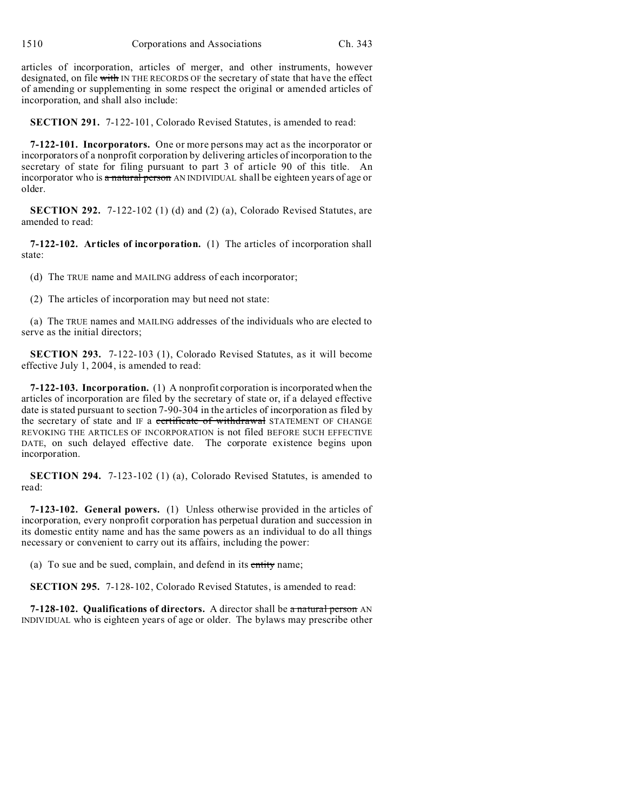1510 Corporations and Associations Ch. 343

articles of incorporation, articles of merger, and other instruments, however designated, on file with IN THE RECORDS OF the secretary of state that have the effect of amending or supplementing in some respect the original or amended articles of incorporation, and shall also include:

**SECTION 291.** 7-122-101, Colorado Revised Statutes, is amended to read:

**7-122-101. Incorporators.** One or more persons may act as the incorporator or incorporators of a nonprofit corporation by delivering articles of incorporation to the secretary of state for filing pursuant to part 3 of article 90 of this title. An incorporator who is a natural person AN INDIVIDUAL shall be eighteen years of age or older.

**SECTION 292.** 7-122-102 (1) (d) and (2) (a), Colorado Revised Statutes, are amended to read:

**7-122-102. Articles of incorporation.** (1) The articles of incorporation shall state:

(d) The TRUE name and MAILING address of each incorporator;

(2) The articles of incorporation may but need not state:

(a) The TRUE names and MAILING addresses of the individuals who are elected to serve as the initial directors;

**SECTION 293.** 7-122-103 (1), Colorado Revised Statutes, as it will become effective July 1, 2004, is amended to read:

**7-122-103. Incorporation.** (1) A nonprofit corporation is incorporated when the articles of incorporation are filed by the secretary of state or, if a delayed effective date is stated pursuant to section 7-90-304 in the articles of incorporation as filed by the secretary of state and IF a certificate of withdrawal STATEMENT OF CHANGE REVOKING THE ARTICLES OF INCORPORATION is not filed BEFORE SUCH EFFECTIVE DATE, on such delayed effective date. The corporate existence begins upon incorporation.

**SECTION 294.** 7-123-102 (1) (a), Colorado Revised Statutes, is amended to read:

**7-123-102. General powers.** (1) Unless otherwise provided in the articles of incorporation, every nonprofit corporation has perpetual duration and succession in its domestic entity name and has the same powers as an individual to do all things necessary or convenient to carry out its affairs, including the power:

(a) To sue and be sued, complain, and defend in its entity name;

**SECTION 295.** 7-128-102, Colorado Revised Statutes, is amended to read:

**7-128-102. Qualifications of directors.** A director shall be a natural person AN INDIVIDUAL who is eighteen years of age or older. The bylaws may prescribe other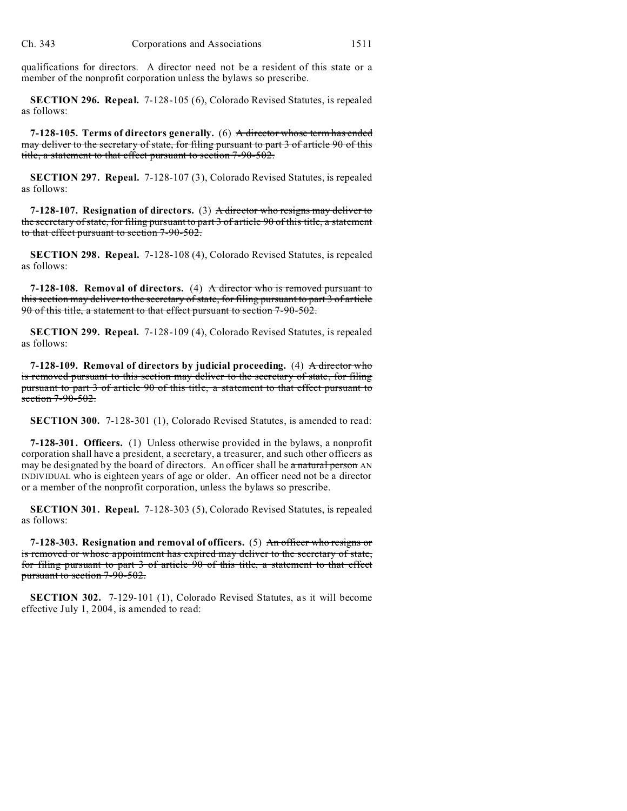qualifications for directors. A director need not be a resident of this state or a member of the nonprofit corporation unless the bylaws so prescribe.

**SECTION 296. Repeal.** 7-128-105 (6), Colorado Revised Statutes, is repealed as follows:

**7-128-105. Terms of directors generally.** (6) A director whose term has ended may deliver to the secretary of state, for filing pursuant to part 3 of article 90 of this title, a statement to that effect pursuant to section 7-90-502.

**SECTION 297. Repeal.** 7-128-107 (3), Colorado Revised Statutes, is repealed as follows:

**7-128-107. Resignation of directors.** (3) A director who resigns may deliver to the secretary of state, for filing pursuant to part 3 of article 90 of this title, a statement to that effect pursuant to section 7-90-502.

**SECTION 298. Repeal.** 7-128-108 (4), Colorado Revised Statutes, is repealed as follows:

**7-128-108. Removal of directors.** (4) A director who is removed pursuant to this section may deliver to the secretary of state, for filing pursuant to part 3 of article 90 of this title, a statement to that effect pursuant to section 7-90-502.

**SECTION 299. Repeal.** 7-128-109 (4), Colorado Revised Statutes, is repealed as follows:

**7-128-109. Removal of directors by judicial proceeding.** (4) A director who is removed pursuant to this section may deliver to the secretary of state, for filing pursuant to part 3 of article 90 of this title, a statement to that effect pursuant to section 7-90-502.

**SECTION 300.** 7-128-301 (1), Colorado Revised Statutes, is amended to read:

**7-128-301. Officers.** (1) Unless otherwise provided in the bylaws, a nonprofit corporation shall have a president, a secretary, a treasurer, and such other officers as may be designated by the board of directors. An officer shall be a natural person AN INDIVIDUAL who is eighteen years of age or older. An officer need not be a director or a member of the nonprofit corporation, unless the bylaws so prescribe.

**SECTION 301. Repeal.** 7-128-303 (5), Colorado Revised Statutes, is repealed as follows:

**7-128-303. Resignation and removal of officers.** (5) An officer who resigns or is removed or whose appointment has expired may deliver to the secretary of state, for filing pursuant to part 3 of article 90 of this title, a statement to that effect pursuant to section 7-90-502.

**SECTION 302.** 7-129-101 (1), Colorado Revised Statutes, as it will become effective July 1, 2004, is amended to read: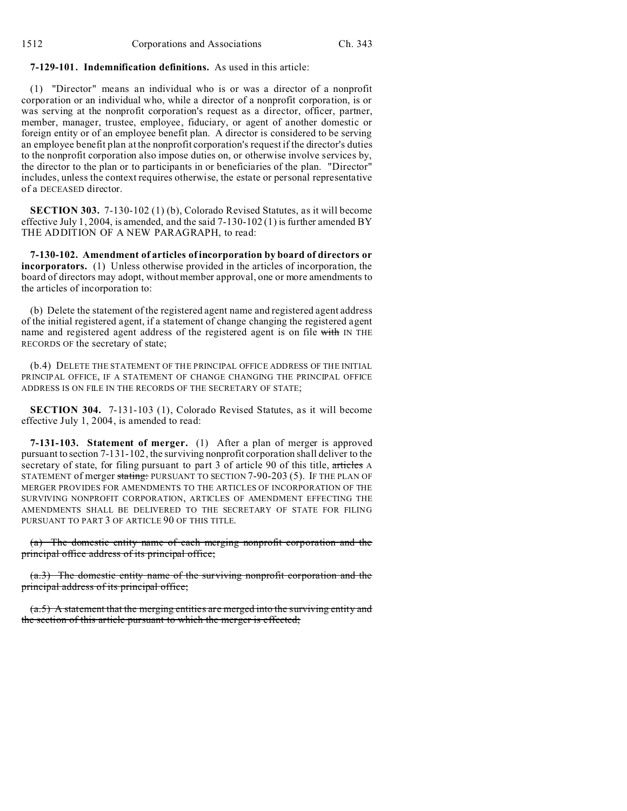## **7-129-101. Indemnification definitions.** As used in this article:

(1) "Director" means an individual who is or was a director of a nonprofit corporation or an individual who, while a director of a nonprofit corporation, is or was serving at the nonprofit corporation's request as a director, officer, partner, member, manager, trustee, employee, fiduciary, or agent of another domestic or foreign entity or of an employee benefit plan. A director is considered to be serving an employee benefit plan at the nonprofit corporation's request if the director's duties to the nonprofit corporation also impose duties on, or otherwise involve services by, the director to the plan or to participants in or beneficiaries of the plan. "Director" includes, unless the context requires otherwise, the estate or personal representative of a DECEASED director.

**SECTION 303.** 7-130-102 (1) (b), Colorado Revised Statutes, as it will become effective July 1, 2004, is amended, and the said  $7-130-102(1)$  is further amended BY THE ADDITION OF A NEW PARAGRAPH, to read:

**7-130-102. Amendment of articles of incorporation by board of directors or incorporators.** (1) Unless otherwise provided in the articles of incorporation, the board of directors may adopt, without member approval, one or more amendments to the articles of incorporation to:

(b) Delete the statement of the registered agent name and registered agent address of the initial registered agent, if a statement of change changing the registered agent name and registered agent address of the registered agent is on file with IN THE RECORDS OF the secretary of state;

(b.4) DELETE THE STATEMENT OF THE PRINCIPAL OFFICE ADDRESS OF THE INITIAL PRINCIPAL OFFICE, IF A STATEMENT OF CHANGE CHANGING THE PRINCIPAL OFFICE ADDRESS IS ON FILE IN THE RECORDS OF THE SECRETARY OF STATE;

**SECTION 304.** 7-131-103 (1), Colorado Revised Statutes, as it will become effective July 1, 2004, is amended to read:

**7-131-103. Statement of merger.** (1) After a plan of merger is approved pursuant to section 7-131-102, the surviving nonprofit corporation shall deliver to the secretary of state, for filing pursuant to part 3 of article 90 of this title, articles A STATEMENT of merger stating: PURSUANT TO SECTION 7-90-203 (5). IF THE PLAN OF MERGER PROVIDES FOR AMENDMENTS TO THE ARTICLES OF INCORPORATION OF THE SURVIVING NONPROFIT CORPORATION, ARTICLES OF AMENDMENT EFFECTING THE AMENDMENTS SHALL BE DELIVERED TO THE SECRETARY OF STATE FOR FILING PURSUANT TO PART 3 OF ARTICLE 90 OF THIS TITLE.

(a) The domestic entity name of each merging nonprofit corporation and the principal office address of its principal office;

(a.3) The domestic entity name of the surviving nonprofit corporation and the principal address of its principal office;

(a.5) A statement that the merging entities are merged into the surviving entity and the section of this article pursuant to which the merger is effected;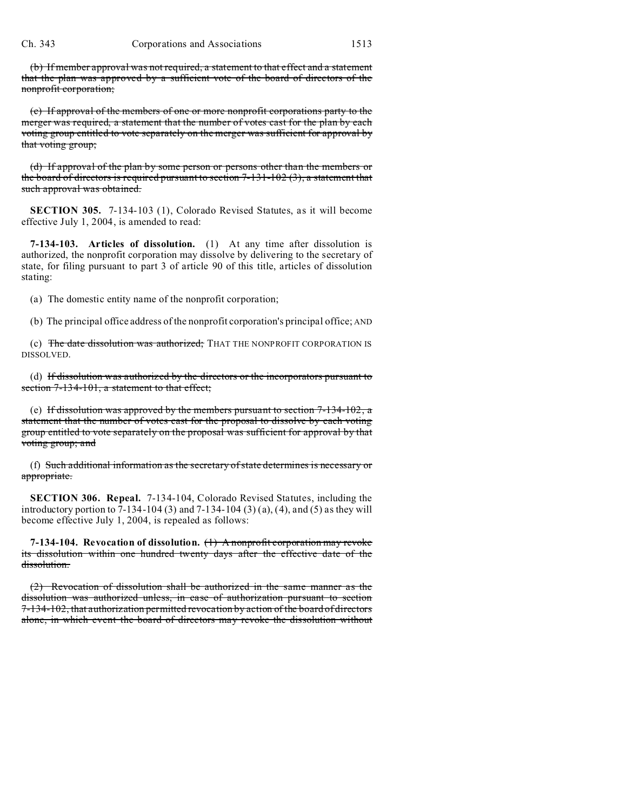(b) If member approval was not required, a statement to that effect and a statement that the plan was approved by a sufficient vote of the board of directors of the nonprofit corporation;

(c) If approval of the members of one or more nonprofit corporations party to the merger was required, a statement that the number of votes cast for the plan by each voting group entitled to vote separately on the merger was sufficient for approval by that voting group;

(d) If approval of the plan by some person or persons other than the members or the board of directors is required pursuant to section  $7-131-102(3)$ , a statement that such approval was obtained.

**SECTION 305.** 7-134-103 (1), Colorado Revised Statutes, as it will become effective July 1, 2004, is amended to read:

**7-134-103. Articles of dissolution.** (1) At any time after dissolution is authorized, the nonprofit corporation may dissolve by delivering to the secretary of state, for filing pursuant to part 3 of article 90 of this title, articles of dissolution stating:

(a) The domestic entity name of the nonprofit corporation;

(b) The principal office address of the nonprofit corporation's principal office; AND

(c) The date dissolution was authorized; THAT THE NONPROFIT CORPORATION IS DISSOLVED.

(d) If dissolution was authorized by the directors or the incorporators pursuant to section 7-134-101, a statement to that effect;

(e) If dissolution was approved by the members pursuant to section 7-134-102, a statement that the number of votes cast for the proposal to dissolve by each voting group entitled to vote separately on the proposal was sufficient for approval by that voting group; and

(f) Such additional information as the secretary of state determines is necessary or appropriate.

**SECTION 306. Repeal.** 7-134-104, Colorado Revised Statutes, including the introductory portion to 7-134-104 (3) and 7-134-104 (3) (a), (4), and (5) as they will become effective July 1, 2004, is repealed as follows:

**7-134-104. Revocation of dissolution.** (1) A nonprofit corporation may revoke its dissolution within one hundred twenty days after the effective date of the dissolution.

(2) Revocation of dissolution shall be authorized in the same manner as the dissolution was authorized unless, in case of authorization pursuant to section 7-134-102, that authorization permitted revocation by action of the board of directors alone, in which event the board of directors may revoke the dissolution without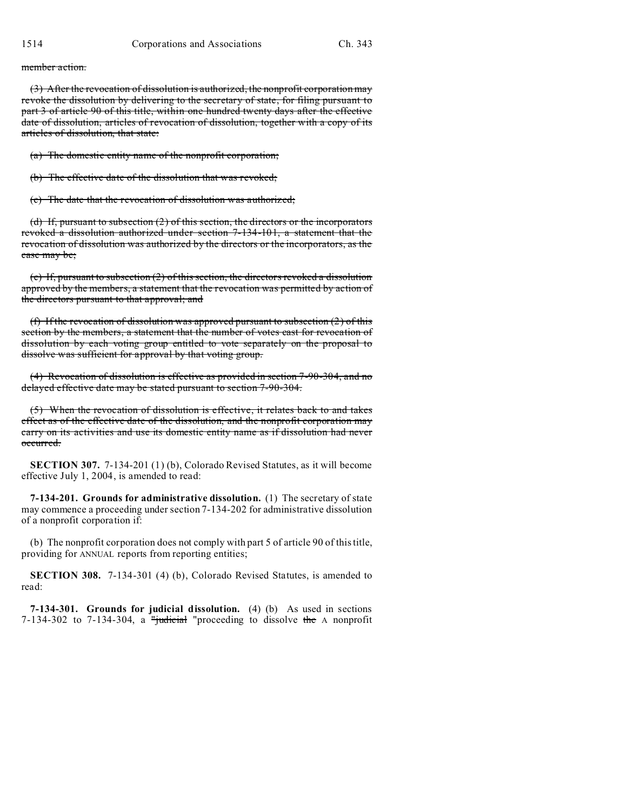member action.

(3) After the revocation of dissolution is authorized, the nonprofit corporation may revoke the dissolution by delivering to the secretary of state, for filing pursuant to part 3 of article 90 of this title, within one hundred twenty days after the effective date of dissolution, articles of revocation of dissolution, together with a copy of its articles of dissolution, that state:

(a) The domestic entity name of the nonprofit corporation;

(b) The effective date of the dissolution that was revoked;

(c) The date that the revocation of dissolution was authorized;

(d) If, pursuant to subsection (2) of this section, the directors or the incorporators revoked a dissolution authorized under section 7-134-101, a statement that the revocation of dissolution was authorized by the directors or the incorporators, as the case may be;

(e) If, pursuant to subsection (2) of this section, the directors revoked a dissolution approved by the members, a statement that the revocation was permitted by action of the directors pursuant to that approval; and

(f) If the revocation of dissolution was approved pursuant to subsection  $(2)$  of this section by the members, a statement that the number of votes cast for revocation of dissolution by each voting group entitled to vote separately on the proposal to dissolve was sufficient for approval by that voting group.

(4) Revocation of dissolution is effective as provided in section 7-90-304, and no delayed effective date may be stated pursuant to section 7-90-304.

(5) When the revocation of dissolution is effective, it relates back to and takes effect as of the effective date of the dissolution, and the nonprofit corporation may carry on its activities and use its domestic entity name as if dissolution had never occurred.

**SECTION 307.** 7-134-201 (1) (b), Colorado Revised Statutes, as it will become effective July 1, 2004, is amended to read:

**7-134-201. Grounds for administrative dissolution.** (1) The secretary of state may commence a proceeding under section 7-134-202 for administrative dissolution of a nonprofit corporation if:

(b) The nonprofit corporation does not comply with part 5 of article 90 of this title, providing for ANNUAL reports from reporting entities;

**SECTION 308.** 7-134-301 (4) (b), Colorado Revised Statutes, is amended to read:

**7-134-301. Grounds for judicial dissolution.** (4) (b) As used in sections 7-134-302 to 7-134-304, a "judicial "proceeding to dissolve the A nonprofit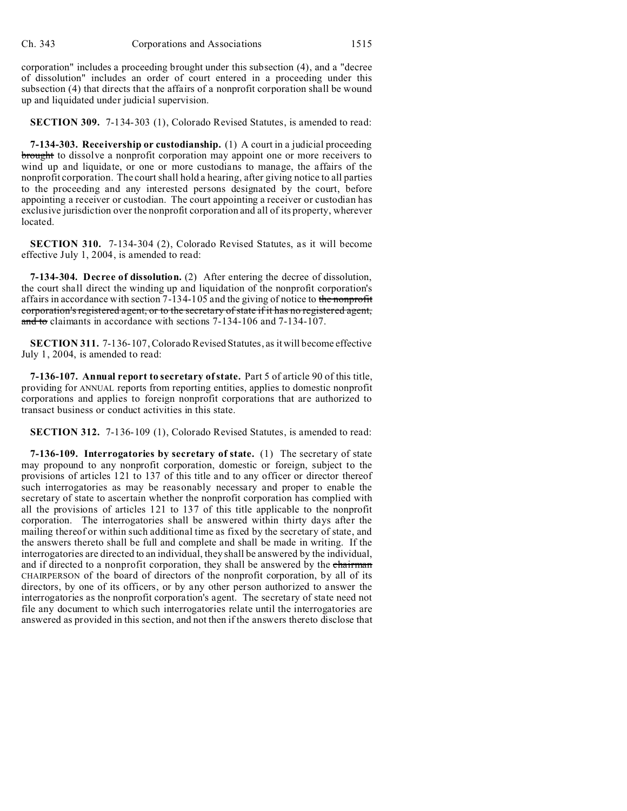corporation" includes a proceeding brought under this subsection (4), and a "decree of dissolution" includes an order of court entered in a proceeding under this subsection (4) that directs that the affairs of a nonprofit corporation shall be wound up and liquidated under judicial supervision.

**SECTION 309.** 7-134-303 (1), Colorado Revised Statutes, is amended to read:

**7-134-303. Receivership or custodianship.** (1) A court in a judicial proceeding brought to dissolve a nonprofit corporation may appoint one or more receivers to wind up and liquidate, or one or more custodians to manage, the affairs of the nonprofit corporation. The court shall hold a hearing, after giving notice to all parties to the proceeding and any interested persons designated by the court, before appointing a receiver or custodian. The court appointing a receiver or custodian has exclusive jurisdiction over the nonprofit corporation and all of its property, wherever located.

**SECTION 310.** 7-134-304 (2), Colorado Revised Statutes, as it will become effective July 1, 2004, is amended to read:

**7-134-304. Decree of dissolution.** (2) After entering the decree of dissolution, the court shall direct the winding up and liquidation of the nonprofit corporation's affairs in accordance with section 7-134-105 and the giving of notice to the nonprofit corporation's registered agent, or to the secretary of state if it has no registered agent, and to claimants in accordance with sections 7-134-106 and 7-134-107.

**SECTION 311.** 7-136-107, Colorado Revised Statutes, as it will become effective July 1, 2004, is amended to read:

**7-136-107. Annual report to secretary of state.** Part 5 of article 90 of this title, providing for ANNUAL reports from reporting entities, applies to domestic nonprofit corporations and applies to foreign nonprofit corporations that are authorized to transact business or conduct activities in this state.

**SECTION 312.** 7-136-109 (1), Colorado Revised Statutes, is amended to read:

**7-136-109. Interrogatories by secretary of state.** (1) The secretary of state may propound to any nonprofit corporation, domestic or foreign, subject to the provisions of articles 121 to 137 of this title and to any officer or director thereof such interrogatories as may be reasonably necessary and proper to enable the secretary of state to ascertain whether the nonprofit corporation has complied with all the provisions of articles 121 to 137 of this title applicable to the nonprofit corporation. The interrogatories shall be answered within thirty days after the mailing thereof or within such additional time as fixed by the secretary of state, and the answers thereto shall be full and complete and shall be made in writing. If the interrogatories are directed to an individual, they shall be answered by the individual, and if directed to a nonprofit corporation, they shall be answered by the chairman CHAIRPERSON of the board of directors of the nonprofit corporation, by all of its directors, by one of its officers, or by any other person authorized to answer the interrogatories as the nonprofit corporation's agent. The secretary of state need not file any document to which such interrogatories relate until the interrogatories are answered as provided in this section, and not then if the answers thereto disclose that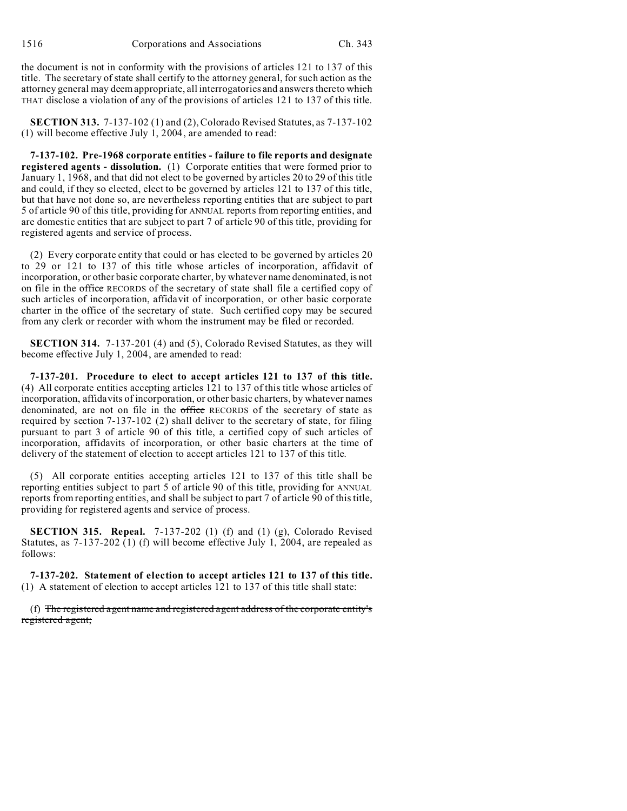the document is not in conformity with the provisions of articles 121 to 137 of this title. The secretary of state shall certify to the attorney general, for such action as the attorney general may deem appropriate, all interrogatories and answers thereto which THAT disclose a violation of any of the provisions of articles 121 to 137 of this title.

**SECTION 313.** 7-137-102 (1) and (2), Colorado Revised Statutes, as 7-137-102 (1) will become effective July 1, 2004, are amended to read:

**7-137-102. Pre-1968 corporate entities - failure to file reports and designate registered agents - dissolution.** (1) Corporate entities that were formed prior to January 1, 1968, and that did not elect to be governed by articles 20 to 29 of this title and could, if they so elected, elect to be governed by articles 121 to 137 of this title, but that have not done so, are nevertheless reporting entities that are subject to part 5 of article 90 of this title, providing for ANNUAL reports from reporting entities, and are domestic entities that are subject to part 7 of article 90 of this title, providing for registered agents and service of process.

(2) Every corporate entity that could or has elected to be governed by articles 20 to 29 or 121 to 137 of this title whose articles of incorporation, affidavit of incorporation, or other basic corporate charter, by whatever name denominated, is not on file in the office RECORDS of the secretary of state shall file a certified copy of such articles of incorporation, affidavit of incorporation, or other basic corporate charter in the office of the secretary of state. Such certified copy may be secured from any clerk or recorder with whom the instrument may be filed or recorded.

**SECTION 314.** 7-137-201 (4) and (5), Colorado Revised Statutes, as they will become effective July 1, 2004, are amended to read:

**7-137-201. Procedure to elect to accept articles 121 to 137 of this title.** (4) All corporate entities accepting articles 121 to 137 of this title whose articles of incorporation, affidavits of incorporation, or other basic charters, by whatever names denominated, are not on file in the office RECORDS of the secretary of state as required by section 7-137-102 (2) shall deliver to the secretary of state, for filing pursuant to part 3 of article 90 of this title, a certified copy of such articles of incorporation, affidavits of incorporation, or other basic charters at the time of delivery of the statement of election to accept articles 121 to 137 of this title.

(5) All corporate entities accepting articles 121 to 137 of this title shall be reporting entities subject to part 5 of article 90 of this title, providing for ANNUAL reports from reporting entities, and shall be subject to part 7 of article 90 of this title, providing for registered agents and service of process.

**SECTION 315. Repeal.** 7-137-202 (1) (f) and (1) (g), Colorado Revised Statutes, as 7-137-202 (1) (f) will become effective July 1, 2004, are repealed as follows:

**7-137-202. Statement of election to accept articles 121 to 137 of this title.** (1) A statement of election to accept articles 121 to 137 of this title shall state:

(f) The registered agent name and registered agent address of the corporate entity's registered agent;